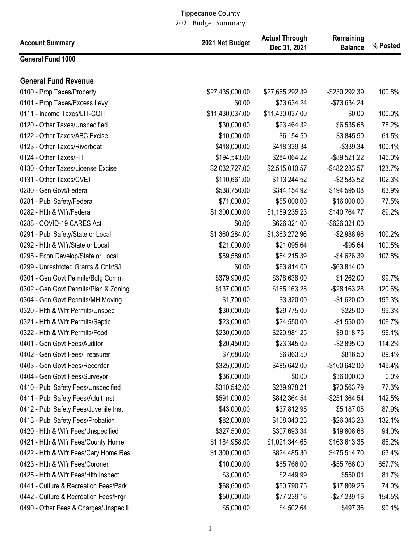| <b>Account Summary</b>                | 2021 Net Budget | <b>Actual Through</b><br>Dec 31, 2021 | Remaining<br><b>Balance</b> | % Posted |
|---------------------------------------|-----------------|---------------------------------------|-----------------------------|----------|
| General Fund 1000                     |                 |                                       |                             |          |
| <b>General Fund Revenue</b>           |                 |                                       |                             |          |
| 0100 - Prop Taxes/Property            | \$27,435,000.00 | \$27,665,292.39                       | -\$230,292.39               | 100.8%   |
| 0101 - Prop Taxes/Excess Levy         | \$0.00          | \$73,634.24                           | $-$73,634.24$               |          |
| 0111 - Income Taxes/LIT-COIT          | \$11,430,037.00 | \$11,430,037.00                       | \$0.00                      | 100.0%   |
| 0120 - Other Taxes/Unspecified        | \$30,000.00     | \$23,464.32                           | \$6,535.68                  | 78.2%    |
| 0122 - Other Taxes/ABC Excise         | \$10,000.00     | \$6,154.50                            | \$3,845.50                  | 61.5%    |
| 0123 - Other Taxes/Riverboat          | \$418,000.00    | \$418,339.34                          | $-$339.34$                  | 100.1%   |
| 0124 - Other Taxes/FIT                | \$194,543.00    | \$284,064.22                          | $-$ \$89,521.22             | 146.0%   |
| 0130 - Other Taxes/License Excise     | \$2,032,727.00  | \$2,515,010.57                        | -\$482,283.57               | 123.7%   |
| 0131 - Other Taxes/CVET               | \$110,661.00    | \$113,244.52                          | $-$2,583.52$                | 102.3%   |
| 0280 - Gen Govt/Federal               | \$538,750.00    | \$344,154.92                          | \$194,595.08                | 63.9%    |
| 0281 - Publ Safety/Federal            | \$71,000.00     | \$55,000.00                           | \$16,000.00                 | 77.5%    |
| 0282 - Hith & Wifr/Federal            | \$1,300,000.00  | \$1,159,235.23                        | \$140,764.77                | 89.2%    |
| 0288 - COVID-19 CARES Act             | \$0.00          | \$626,321.00                          | $-$ \$626,321.00            |          |
| 0291 - Publ Safety/State or Local     | \$1,360,284.00  | \$1,363,272.96                        | $-$2,988.96$                | 100.2%   |
| 0292 - Hith & Wifr/State or Local     | \$21,000.00     | \$21,095.64                           | $-$95.64$                   | 100.5%   |
| 0295 - Econ Develop/State or Local    | \$59,589.00     | \$64,215.39                           | $-$4,626.39$                | 107.8%   |
| 0299 - Unrestricted Grants & Cntr/S/L | \$0.00          | \$63,814.00                           | $-$ \$63,814.00             |          |
| 0301 - Gen Govt Permits/Bdlg Comm     | \$379,900.00    | \$378,638.00                          | \$1,262.00                  | 99.7%    |
| 0302 - Gen Govt Permits/Plan & Zoning | \$137,000.00    | \$165,163.28                          | $-$28,163.28$               | 120.6%   |
| 0304 - Gen Govt Permits/MH Moving     | \$1,700.00      | \$3,320.00                            | $-$1,620.00$                | 195.3%   |
| 0320 - Hith & Wifr Permits/Unspec     | \$30,000.00     | \$29,775.00                           | \$225.00                    | 99.3%    |
| 0321 - Hith & Wifr Permits/Septic     | \$23,000.00     | \$24,550.00                           | $-$1,550.00$                | 106.7%   |
| 0322 - Hith & Wifr Permits/Food       | \$230,000.00    | \$220,981.25                          | \$9,018.75                  | 96.1%    |
| 0401 - Gen Govt Fees/Auditor          | \$20,450.00     | \$23,345.00                           | $-$2,895.00$                | 114.2%   |
| 0402 - Gen Govt Fees/Treasurer        | \$7,680.00      | \$6,863.50                            | \$816.50                    | 89.4%    |
| 0403 - Gen Govt Fees/Recorder         | \$325,000.00    | \$485,642.00                          | $-$160,642.00$              | 149.4%   |
| 0404 - Gen Govt Fees/Surveyor         | \$36,000.00     | \$0.00                                | \$36,000.00                 | 0.0%     |
| 0410 - Publ Safety Fees/Unspecified   | \$310,542.00    | \$239,978.21                          | \$70,563.79                 | 77.3%    |
| 0411 - Publ Safety Fees/Adult Inst    | \$591,000.00    | \$842,364.54                          | -\$251,364.54               | 142.5%   |
| 0412 - Publ Safety Fees/Juvenile Inst | \$43,000.00     | \$37,812.95                           | \$5,187.05                  | 87.9%    |
| 0413 - Publ Safety Fees/Probation     | \$82,000.00     | \$108,343.23                          | $-$26,343.23$               | 132.1%   |
| 0420 - Hith & Wifr Fees/Unspecified   | \$327,500.00    | \$307,693.34                          | \$19,806.66                 | 94.0%    |
| 0421 - Hith & Wifr Fees/County Home   | \$1,184,958.00  | \$1,021,344.65                        | \$163,613.35                | 86.2%    |
| 0422 - Hith & Wifr Fees/Cary Home Res | \$1,300,000.00  | \$824,485.30                          | \$475,514.70                | 63.4%    |
| 0423 - Hith & Wifr Fees/Coroner       | \$10,000.00     | \$65,766.00                           | -\$55,766.00                | 657.7%   |
| 0425 - Hith & Wifr Fees/Hith Inspect  | \$3,000.00      | \$2,449.99                            | \$550.01                    | 81.7%    |
| 0441 - Culture & Recreation Fees/Park | \$68,600.00     | \$50,790.75                           | \$17,809.25                 | 74.0%    |
| 0442 - Culture & Recreation Fees/Frgr | \$50,000.00     | \$77,239.16                           | $-$27,239.16$               | 154.5%   |
| 0490 - Other Fees & Charges/Unspecifi | \$5,000.00      | \$4,502.64                            | \$497.36                    | 90.1%    |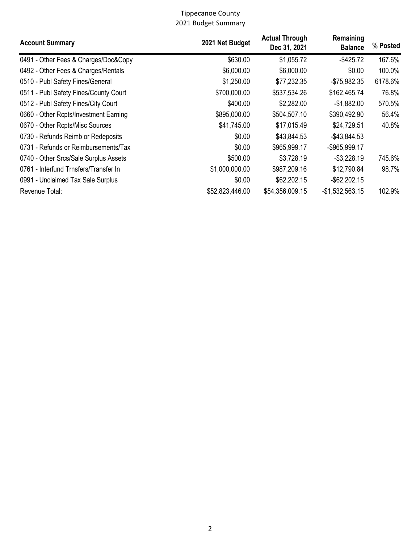| <b>Account Summary</b>                | 2021 Net Budget | <b>Actual Through</b><br>Dec 31, 2021 | Remaining<br><b>Balance</b> | % Posted |
|---------------------------------------|-----------------|---------------------------------------|-----------------------------|----------|
| 0491 - Other Fees & Charges/Doc&Copy  | \$630.00        | \$1,055.72                            | $-$425.72$                  | 167.6%   |
| 0492 - Other Fees & Charges/Rentals   | \$6,000.00      | \$6,000.00                            | \$0.00                      | 100.0%   |
| 0510 - Publ Safety Fines/General      | \$1,250.00      | \$77,232.35                           | $-$75,982.35$               | 6178.6%  |
| 0511 - Publ Safety Fines/County Court | \$700,000.00    | \$537,534.26                          | \$162,465.74                | 76.8%    |
| 0512 - Publ Safety Fines/City Court   | \$400.00        | \$2,282.00                            | $-$1,882.00$                | 570.5%   |
| 0660 - Other Rcpts/Investment Earning | \$895,000.00    | \$504,507.10                          | \$390,492.90                | 56.4%    |
| 0670 - Other Rcpts/Misc Sources       | \$41,745.00     | \$17,015.49                           | \$24,729.51                 | 40.8%    |
| 0730 - Refunds Reimb or Redeposits    | \$0.00          | \$43,844.53                           | $-$43,844.53$               |          |
| 0731 - Refunds or Reimbursements/Tax  | \$0.00          | \$965,999.17                          | -\$965,999.17               |          |
| 0740 - Other Srcs/Sale Surplus Assets | \$500.00        | \$3,728.19                            | $-$3,228.19$                | 745.6%   |
| 0761 - Interfund Trnsfers/Transfer In | \$1,000,000.00  | \$987,209.16                          | \$12,790.84                 | 98.7%    |
| 0991 - Unclaimed Tax Sale Surplus     | \$0.00          | \$62,202.15                           | $-$ \$62,202.15             |          |
| Revenue Total:                        | \$52,823,446.00 | \$54,356,009.15                       | $-$1,532,563.15$            | 102.9%   |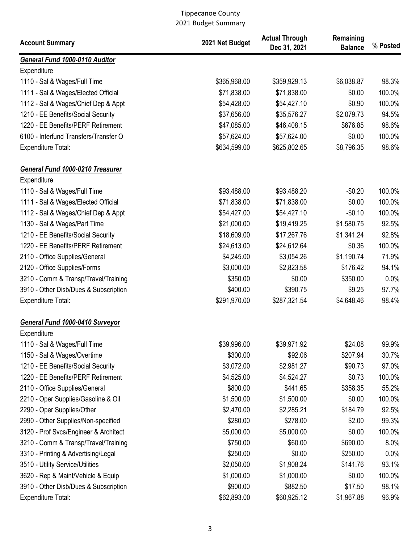| <b>Account Summary</b>                | 2021 Net Budget | <b>Actual Through</b><br>Dec 31, 2021 | Remaining<br><b>Balance</b> | % Posted |
|---------------------------------------|-----------------|---------------------------------------|-----------------------------|----------|
| General Fund 1000-0110 Auditor        |                 |                                       |                             |          |
| Expenditure                           |                 |                                       |                             |          |
| 1110 - Sal & Wages/Full Time          | \$365,968.00    | \$359,929.13                          | \$6,038.87                  | 98.3%    |
| 1111 - Sal & Wages/Elected Official   | \$71,838.00     | \$71,838.00                           | \$0.00                      | 100.0%   |
| 1112 - Sal & Wages/Chief Dep & Appt   | \$54,428.00     | \$54,427.10                           | \$0.90                      | 100.0%   |
| 1210 - EE Benefits/Social Security    | \$37,656.00     | \$35,576.27                           | \$2,079.73                  | 94.5%    |
| 1220 - EE Benefits/PERF Retirement    | \$47,085.00     | \$46,408.15                           | \$676.85                    | 98.6%    |
| 6100 - Interfund Transfers/Transfer O | \$57,624.00     | \$57,624.00                           | \$0.00                      | 100.0%   |
| <b>Expenditure Total:</b>             | \$634,599.00    | \$625,802.65                          | \$8,796.35                  | 98.6%    |
| General Fund 1000-0210 Treasurer      |                 |                                       |                             |          |
| Expenditure                           |                 |                                       |                             |          |
| 1110 - Sal & Wages/Full Time          | \$93,488.00     | \$93,488.20                           | $-$0.20$                    | 100.0%   |
| 1111 - Sal & Wages/Elected Official   | \$71,838.00     | \$71,838.00                           | \$0.00                      | 100.0%   |
| 1112 - Sal & Wages/Chief Dep & Appt   | \$54,427.00     | \$54,427.10                           | $-$0.10$                    | 100.0%   |
| 1130 - Sal & Wages/Part Time          | \$21,000.00     | \$19,419.25                           | \$1,580.75                  | 92.5%    |
| 1210 - EE Benefits/Social Security    | \$18,609.00     | \$17,267.76                           | \$1,341.24                  | 92.8%    |
| 1220 - EE Benefits/PERF Retirement    | \$24,613.00     | \$24,612.64                           | \$0.36                      | 100.0%   |
| 2110 - Office Supplies/General        | \$4,245.00      | \$3,054.26                            | \$1,190.74                  | 71.9%    |
| 2120 - Office Supplies/Forms          | \$3,000.00      | \$2,823.58                            | \$176.42                    | 94.1%    |
| 3210 - Comm & Transp/Travel/Training  | \$350.00        | \$0.00                                | \$350.00                    | 0.0%     |
| 3910 - Other Disb/Dues & Subscription | \$400.00        | \$390.75                              | \$9.25                      | 97.7%    |
| Expenditure Total:                    | \$291,970.00    | \$287,321.54                          | \$4,648.46                  | 98.4%    |
| General Fund 1000-0410 Surveyor       |                 |                                       |                             |          |
| Expenditure                           |                 |                                       |                             |          |
| 1110 - Sal & Wages/Full Time          | \$39,996.00     | \$39,971.92                           | \$24.08                     | 99.9%    |
| 1150 - Sal & Wages/Overtime           | \$300.00        | \$92.06                               | \$207.94                    | 30.7%    |
| 1210 - EE Benefits/Social Security    | \$3,072.00      | \$2,981.27                            | \$90.73                     | 97.0%    |
| 1220 - EE Benefits/PERF Retirement    | \$4,525.00      | \$4,524.27                            | \$0.73                      | 100.0%   |
| 2110 - Office Supplies/General        | \$800.00        | \$441.65                              | \$358.35                    | 55.2%    |
| 2210 - Oper Supplies/Gasoline & Oil   | \$1,500.00      | \$1,500.00                            | \$0.00                      | 100.0%   |
| 2290 - Oper Supplies/Other            | \$2,470.00      | \$2,285.21                            | \$184.79                    | 92.5%    |
| 2990 - Other Supplies/Non-specified   | \$280.00        | \$278.00                              | \$2.00                      | 99.3%    |
| 3120 - Prof Svcs/Engineer & Architect | \$5,000.00      | \$5,000.00                            | \$0.00                      | 100.0%   |
| 3210 - Comm & Transp/Travel/Training  | \$750.00        | \$60.00                               | \$690.00                    | 8.0%     |
| 3310 - Printing & Advertising/Legal   | \$250.00        | \$0.00                                | \$250.00                    | 0.0%     |
| 3510 - Utility Service/Utilities      | \$2,050.00      | \$1,908.24                            | \$141.76                    | 93.1%    |
| 3620 - Rep & Maint/Vehicle & Equip    | \$1,000.00      | \$1,000.00                            | \$0.00                      | 100.0%   |
| 3910 - Other Disb/Dues & Subscription | \$900.00        | \$882.50                              | \$17.50                     | 98.1%    |
| Expenditure Total:                    | \$62,893.00     | \$60,925.12                           | \$1,967.88                  | 96.9%    |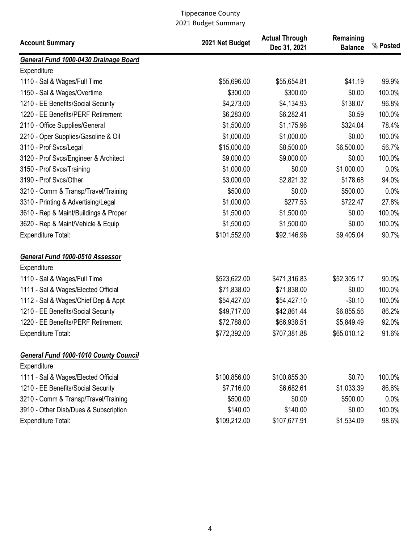| <b>Account Summary</b>                       | 2021 Net Budget | <b>Actual Through</b><br>Dec 31, 2021 | Remaining<br><b>Balance</b> | % Posted |
|----------------------------------------------|-----------------|---------------------------------------|-----------------------------|----------|
| General Fund 1000-0430 Drainage Board        |                 |                                       |                             |          |
| Expenditure                                  |                 |                                       |                             |          |
| 1110 - Sal & Wages/Full Time                 | \$55,696.00     | \$55,654.81                           | \$41.19                     | 99.9%    |
| 1150 - Sal & Wages/Overtime                  | \$300.00        | \$300.00                              | \$0.00                      | 100.0%   |
| 1210 - EE Benefits/Social Security           | \$4,273.00      | \$4,134.93                            | \$138.07                    | 96.8%    |
| 1220 - EE Benefits/PERF Retirement           | \$6,283.00      | \$6,282.41                            | \$0.59                      | 100.0%   |
| 2110 - Office Supplies/General               | \$1,500.00      | \$1,175.96                            | \$324.04                    | 78.4%    |
| 2210 - Oper Supplies/Gasoline & Oil          | \$1,000.00      | \$1,000.00                            | \$0.00                      | 100.0%   |
| 3110 - Prof Svcs/Legal                       | \$15,000.00     | \$8,500.00                            | \$6,500.00                  | 56.7%    |
| 3120 - Prof Svcs/Engineer & Architect        | \$9,000.00      | \$9,000.00                            | \$0.00                      | 100.0%   |
| 3150 - Prof Svcs/Training                    | \$1,000.00      | \$0.00                                | \$1,000.00                  | 0.0%     |
| 3190 - Prof Svcs/Other                       | \$3,000.00      | \$2,821.32                            | \$178.68                    | 94.0%    |
| 3210 - Comm & Transp/Travel/Training         | \$500.00        | \$0.00                                | \$500.00                    | 0.0%     |
| 3310 - Printing & Advertising/Legal          | \$1,000.00      | \$277.53                              | \$722.47                    | 27.8%    |
| 3610 - Rep & Maint/Buildings & Proper        | \$1,500.00      | \$1,500.00                            | \$0.00                      | 100.0%   |
| 3620 - Rep & Maint/Vehicle & Equip           | \$1,500.00      | \$1,500.00                            | \$0.00                      | 100.0%   |
| <b>Expenditure Total:</b>                    | \$101,552.00    | \$92,146.96                           | \$9,405.04                  | 90.7%    |
| General Fund 1000-0510 Assessor              |                 |                                       |                             |          |
| Expenditure                                  |                 |                                       |                             |          |
| 1110 - Sal & Wages/Full Time                 | \$523,622.00    | \$471,316.83                          | \$52,305.17                 | 90.0%    |
| 1111 - Sal & Wages/Elected Official          | \$71,838.00     | \$71,838.00                           | \$0.00                      | 100.0%   |
| 1112 - Sal & Wages/Chief Dep & Appt          | \$54,427.00     | \$54,427.10                           | $-$0.10$                    | 100.0%   |
| 1210 - EE Benefits/Social Security           | \$49,717.00     | \$42,861.44                           | \$6,855.56                  | 86.2%    |
| 1220 - EE Benefits/PERF Retirement           | \$72,788.00     | \$66,938.51                           | \$5,849.49                  | 92.0%    |
| Expenditure Total:                           | \$772,392.00    | \$707,381.88                          | \$65,010.12                 | 91.6%    |
| <b>General Fund 1000-1010 County Council</b> |                 |                                       |                             |          |
| Expenditure                                  |                 |                                       |                             |          |
| 1111 - Sal & Wages/Elected Official          | \$100,856.00    | \$100,855.30                          | \$0.70                      | 100.0%   |
| 1210 - EE Benefits/Social Security           | \$7,716.00      | \$6,682.61                            | \$1,033.39                  | 86.6%    |
| 3210 - Comm & Transp/Travel/Training         | \$500.00        | \$0.00                                | \$500.00                    | 0.0%     |
| 3910 - Other Disb/Dues & Subscription        | \$140.00        | \$140.00                              | \$0.00                      | 100.0%   |
| <b>Expenditure Total:</b>                    | \$109,212.00    | \$107,677.91                          | \$1,534.09                  | 98.6%    |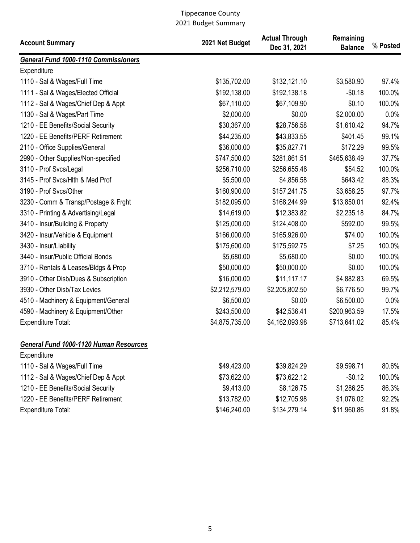| <b>Account Summary</b>                      | 2021 Net Budget | <b>Actual Through</b><br>Dec 31, 2021 | Remaining<br><b>Balance</b> | % Posted |
|---------------------------------------------|-----------------|---------------------------------------|-----------------------------|----------|
| <b>General Fund 1000-1110 Commissioners</b> |                 |                                       |                             |          |
| Expenditure                                 |                 |                                       |                             |          |
| 1110 - Sal & Wages/Full Time                | \$135,702.00    | \$132,121.10                          | \$3,580.90                  | 97.4%    |
| 1111 - Sal & Wages/Elected Official         | \$192,138.00    | \$192,138.18                          | $-$0.18$                    | 100.0%   |
| 1112 - Sal & Wages/Chief Dep & Appt         | \$67,110.00     | \$67,109.90                           | \$0.10                      | 100.0%   |
| 1130 - Sal & Wages/Part Time                | \$2,000.00      | \$0.00                                | \$2,000.00                  | 0.0%     |
| 1210 - EE Benefits/Social Security          | \$30,367.00     | \$28,756.58                           | \$1,610.42                  | 94.7%    |
| 1220 - EE Benefits/PERF Retirement          | \$44,235.00     | \$43,833.55                           | \$401.45                    | 99.1%    |
| 2110 - Office Supplies/General              | \$36,000.00     | \$35,827.71                           | \$172.29                    | 99.5%    |
| 2990 - Other Supplies/Non-specified         | \$747,500.00    | \$281,861.51                          | \$465,638.49                | 37.7%    |
| 3110 - Prof Svcs/Legal                      | \$256,710.00    | \$256,655.48                          | \$54.52                     | 100.0%   |
| 3145 - Prof Svcs/Hlth & Med Prof            | \$5,500.00      | \$4,856.58                            | \$643.42                    | 88.3%    |
| 3190 - Prof Svcs/Other                      | \$160,900.00    | \$157,241.75                          | \$3,658.25                  | 97.7%    |
| 3230 - Comm & Transp/Postage & Frght        | \$182,095.00    | \$168,244.99                          | \$13,850.01                 | 92.4%    |
| 3310 - Printing & Advertising/Legal         | \$14,619.00     | \$12,383.82                           | \$2,235.18                  | 84.7%    |
| 3410 - Insur/Building & Property            | \$125,000.00    | \$124,408.00                          | \$592.00                    | 99.5%    |
| 3420 - Insur/Vehicle & Equipment            | \$166,000.00    | \$165,926.00                          | \$74.00                     | 100.0%   |
| 3430 - Insur/Liability                      | \$175,600.00    | \$175,592.75                          | \$7.25                      | 100.0%   |
| 3440 - Insur/Public Official Bonds          | \$5,680.00      | \$5,680.00                            | \$0.00                      | 100.0%   |
| 3710 - Rentals & Leases/Bldgs & Prop        | \$50,000.00     | \$50,000.00                           | \$0.00                      | 100.0%   |
| 3910 - Other Disb/Dues & Subscription       | \$16,000.00     | \$11,117.17                           | \$4,882.83                  | 69.5%    |
| 3930 - Other Disb/Tax Levies                | \$2,212,579.00  | \$2,205,802.50                        | \$6,776.50                  | 99.7%    |
| 4510 - Machinery & Equipment/General        | \$6,500.00      | \$0.00                                | \$6,500.00                  | 0.0%     |
| 4590 - Machinery & Equipment/Other          | \$243,500.00    | \$42,536.41                           | \$200,963.59                | 17.5%    |
| <b>Expenditure Total:</b>                   | \$4,875,735.00  | \$4,162,093.98                        | \$713,641.02                | 85.4%    |
| General Fund 1000-1120 Human Resources      |                 |                                       |                             |          |
| Expenditure                                 |                 |                                       |                             |          |
| 1110 - Sal & Wages/Full Time                | \$49,423.00     | \$39,824.29                           | \$9,598.71                  | 80.6%    |
| 1112 - Sal & Wages/Chief Dep & Appt         | \$73,622.00     | \$73,622.12                           | $-$0.12$                    | 100.0%   |
| 1210 - EE Benefits/Social Security          | \$9,413.00      | \$8,126.75                            | \$1,286.25                  | 86.3%    |
| 1220 - EE Benefits/PERF Retirement          | \$13,782.00     | \$12,705.98                           | \$1,076.02                  | 92.2%    |
| <b>Expenditure Total:</b>                   | \$146,240.00    | \$134,279.14                          | \$11,960.86                 | 91.8%    |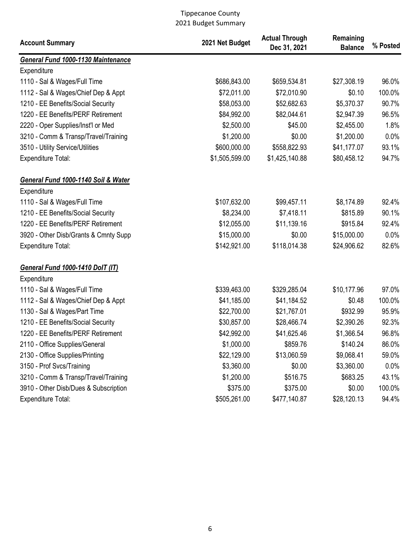| <b>Account Summary</b>                  | 2021 Net Budget | <b>Actual Through</b><br>Dec 31, 2021 | Remaining<br><b>Balance</b> | % Posted |
|-----------------------------------------|-----------------|---------------------------------------|-----------------------------|----------|
| General Fund 1000-1130 Maintenance      |                 |                                       |                             |          |
| Expenditure                             |                 |                                       |                             |          |
| 1110 - Sal & Wages/Full Time            | \$686,843.00    | \$659,534.81                          | \$27,308.19                 | 96.0%    |
| 1112 - Sal & Wages/Chief Dep & Appt     | \$72,011.00     | \$72,010.90                           | \$0.10                      | 100.0%   |
| 1210 - EE Benefits/Social Security      | \$58,053.00     | \$52,682.63                           | \$5,370.37                  | 90.7%    |
| 1220 - EE Benefits/PERF Retirement      | \$84,992.00     | \$82,044.61                           | \$2,947.39                  | 96.5%    |
| 2220 - Oper Supplies/Inst'l or Med      | \$2,500.00      | \$45.00                               | \$2,455.00                  | 1.8%     |
| 3210 - Comm & Transp/Travel/Training    | \$1,200.00      | \$0.00                                | \$1,200.00                  | 0.0%     |
| 3510 - Utility Service/Utilities        | \$600,000.00    | \$558,822.93                          | \$41,177.07                 | 93.1%    |
| <b>Expenditure Total:</b>               | \$1,505,599.00  | \$1,425,140.88                        | \$80,458.12                 | 94.7%    |
| General Fund 1000-1140 Soil & Water     |                 |                                       |                             |          |
| Expenditure                             |                 |                                       |                             |          |
| 1110 - Sal & Wages/Full Time            | \$107,632.00    | \$99,457.11                           | \$8,174.89                  | 92.4%    |
| 1210 - EE Benefits/Social Security      | \$8,234.00      | \$7,418.11                            | \$815.89                    | 90.1%    |
| 1220 - EE Benefits/PERF Retirement      | \$12,055.00     | \$11,139.16                           | \$915.84                    | 92.4%    |
| 3920 - Other Disb/Grants & Cmnty Supp   | \$15,000.00     | \$0.00                                | \$15,000.00                 | 0.0%     |
| <b>Expenditure Total:</b>               | \$142,921.00    | \$118,014.38                          | \$24,906.62                 | 82.6%    |
| <b>General Fund 1000-1410 DolT (IT)</b> |                 |                                       |                             |          |
| Expenditure                             |                 |                                       |                             |          |
| 1110 - Sal & Wages/Full Time            | \$339,463.00    | \$329,285.04                          | \$10,177.96                 | 97.0%    |
| 1112 - Sal & Wages/Chief Dep & Appt     | \$41,185.00     | \$41,184.52                           | \$0.48                      | 100.0%   |
| 1130 - Sal & Wages/Part Time            | \$22,700.00     | \$21,767.01                           | \$932.99                    | 95.9%    |
| 1210 - EE Benefits/Social Security      | \$30,857.00     | \$28,466.74                           | \$2,390.26                  | 92.3%    |
| 1220 - EE Benefits/PERF Retirement      | \$42,992.00     | \$41,625.46                           | \$1,366.54                  | 96.8%    |
| 2110 - Office Supplies/General          | \$1,000.00      | \$859.76                              | \$140.24                    | 86.0%    |
| 2130 - Office Supplies/Printing         | \$22,129.00     | \$13,060.59                           | \$9,068.41                  | 59.0%    |
| 3150 - Prof Svcs/Training               | \$3,360.00      | \$0.00                                | \$3,360.00                  | 0.0%     |
| 3210 - Comm & Transp/Travel/Training    | \$1,200.00      | \$516.75                              | \$683.25                    | 43.1%    |
| 3910 - Other Disb/Dues & Subscription   | \$375.00        | \$375.00                              | \$0.00                      | 100.0%   |
| <b>Expenditure Total:</b>               | \$505,261.00    | \$477,140.87                          | \$28,120.13                 | 94.4%    |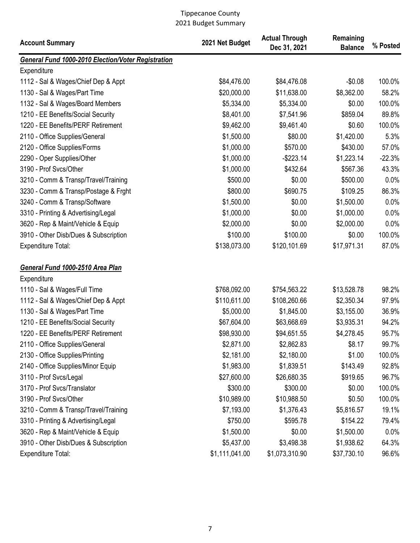| <b>Account Summary</b>                                    | 2021 Net Budget | <b>Actual Through</b><br>Dec 31, 2021 | Remaining<br><b>Balance</b> | % Posted |
|-----------------------------------------------------------|-----------------|---------------------------------------|-----------------------------|----------|
| <b>General Fund 1000-2010 Election/Voter Registration</b> |                 |                                       |                             |          |
| Expenditure                                               |                 |                                       |                             |          |
| 1112 - Sal & Wages/Chief Dep & Appt                       | \$84,476.00     | \$84,476.08                           | $-$0.08$                    | 100.0%   |
| 1130 - Sal & Wages/Part Time                              | \$20,000.00     | \$11,638.00                           | \$8,362.00                  | 58.2%    |
| 1132 - Sal & Wages/Board Members                          | \$5,334.00      | \$5,334.00                            | \$0.00                      | 100.0%   |
| 1210 - EE Benefits/Social Security                        | \$8,401.00      | \$7,541.96                            | \$859.04                    | 89.8%    |
| 1220 - EE Benefits/PERF Retirement                        | \$9,462.00      | \$9,461.40                            | \$0.60                      | 100.0%   |
| 2110 - Office Supplies/General                            | \$1,500.00      | \$80.00                               | \$1,420.00                  | 5.3%     |
| 2120 - Office Supplies/Forms                              | \$1,000.00      | \$570.00                              | \$430.00                    | 57.0%    |
| 2290 - Oper Supplies/Other                                | \$1,000.00      | $-$223.14$                            | \$1,223.14                  | $-22.3%$ |
| 3190 - Prof Svcs/Other                                    | \$1,000.00      | \$432.64                              | \$567.36                    | 43.3%    |
| 3210 - Comm & Transp/Travel/Training                      | \$500.00        | \$0.00                                | \$500.00                    | 0.0%     |
| 3230 - Comm & Transp/Postage & Frght                      | \$800.00        | \$690.75                              | \$109.25                    | 86.3%    |
| 3240 - Comm & Transp/Software                             | \$1,500.00      | \$0.00                                | \$1,500.00                  | 0.0%     |
| 3310 - Printing & Advertising/Legal                       | \$1,000.00      | \$0.00                                | \$1,000.00                  | 0.0%     |
| 3620 - Rep & Maint/Vehicle & Equip                        | \$2,000.00      | \$0.00                                | \$2,000.00                  | 0.0%     |
| 3910 - Other Disb/Dues & Subscription                     | \$100.00        | \$100.00                              | \$0.00                      | 100.0%   |
| <b>Expenditure Total:</b>                                 | \$138,073.00    | \$120,101.69                          | \$17,971.31                 | 87.0%    |
| General Fund 1000-2510 Area Plan                          |                 |                                       |                             |          |
| Expenditure                                               |                 |                                       |                             |          |
| 1110 - Sal & Wages/Full Time                              | \$768,092.00    | \$754,563.22                          | \$13,528.78                 | 98.2%    |
| 1112 - Sal & Wages/Chief Dep & Appt                       | \$110,611.00    | \$108,260.66                          | \$2,350.34                  | 97.9%    |
| 1130 - Sal & Wages/Part Time                              | \$5,000.00      | \$1,845.00                            | \$3,155.00                  | 36.9%    |
| 1210 - EE Benefits/Social Security                        | \$67,604.00     | \$63,668.69                           | \$3,935.31                  | 94.2%    |
| 1220 - EE Benefits/PERF Retirement                        | \$98,930.00     | \$94,651.55                           | \$4,278.45                  | 95.7%    |
| 2110 - Office Supplies/General                            | \$2,871.00      | \$2,862.83                            | \$8.17                      | 99.7%    |
| 2130 - Office Supplies/Printing                           | \$2,181.00      | \$2,180.00                            | \$1.00                      | 100.0%   |
| 2140 - Office Supplies/Minor Equip                        | \$1,983.00      | \$1,839.51                            | \$143.49                    | 92.8%    |
| 3110 - Prof Svcs/Legal                                    | \$27,600.00     | \$26,680.35                           | \$919.65                    | 96.7%    |
| 3170 - Prof Svcs/Translator                               | \$300.00        | \$300.00                              | \$0.00                      | 100.0%   |
| 3190 - Prof Svcs/Other                                    | \$10,989.00     | \$10,988.50                           | \$0.50                      | 100.0%   |
| 3210 - Comm & Transp/Travel/Training                      | \$7,193.00      | \$1,376.43                            | \$5,816.57                  | 19.1%    |
| 3310 - Printing & Advertising/Legal                       | \$750.00        | \$595.78                              | \$154.22                    | 79.4%    |
| 3620 - Rep & Maint/Vehicle & Equip                        | \$1,500.00      | \$0.00                                | \$1,500.00                  | 0.0%     |
| 3910 - Other Disb/Dues & Subscription                     | \$5,437.00      | \$3,498.38                            | \$1,938.62                  | 64.3%    |
| <b>Expenditure Total:</b>                                 | \$1,111,041.00  | \$1,073,310.90                        | \$37,730.10                 | 96.6%    |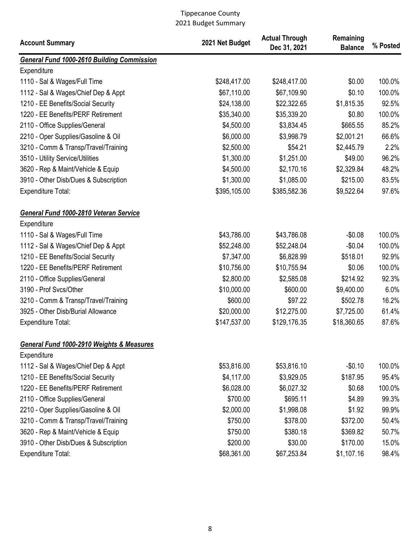| <b>Account Summary</b>                            | 2021 Net Budget | <b>Actual Through</b><br>Dec 31, 2021 | Remaining<br><b>Balance</b> | % Posted |
|---------------------------------------------------|-----------------|---------------------------------------|-----------------------------|----------|
| <b>General Fund 1000-2610 Building Commission</b> |                 |                                       |                             |          |
| Expenditure                                       |                 |                                       |                             |          |
| 1110 - Sal & Wages/Full Time                      | \$248,417.00    | \$248,417.00                          | \$0.00                      | 100.0%   |
| 1112 - Sal & Wages/Chief Dep & Appt               | \$67,110.00     | \$67,109.90                           | \$0.10                      | 100.0%   |
| 1210 - EE Benefits/Social Security                | \$24,138.00     | \$22,322.65                           | \$1,815.35                  | 92.5%    |
| 1220 - EE Benefits/PERF Retirement                | \$35,340.00     | \$35,339.20                           | \$0.80                      | 100.0%   |
| 2110 - Office Supplies/General                    | \$4,500.00      | \$3,834.45                            | \$665.55                    | 85.2%    |
| 2210 - Oper Supplies/Gasoline & Oil               | \$6,000.00      | \$3,998.79                            | \$2,001.21                  | 66.6%    |
| 3210 - Comm & Transp/Travel/Training              | \$2,500.00      | \$54.21                               | \$2,445.79                  | 2.2%     |
| 3510 - Utility Service/Utilities                  | \$1,300.00      | \$1,251.00                            | \$49.00                     | 96.2%    |
| 3620 - Rep & Maint/Vehicle & Equip                | \$4,500.00      | \$2,170.16                            | \$2,329.84                  | 48.2%    |
| 3910 - Other Disb/Dues & Subscription             | \$1,300.00      | \$1,085.00                            | \$215.00                    | 83.5%    |
| <b>Expenditure Total:</b>                         | \$395,105.00    | \$385,582.36                          | \$9,522.64                  | 97.6%    |
| General Fund 1000-2810 Veteran Service            |                 |                                       |                             |          |
| Expenditure                                       |                 |                                       |                             |          |
| 1110 - Sal & Wages/Full Time                      | \$43,786.00     | \$43,786.08                           | $-$0.08$                    | 100.0%   |
| 1112 - Sal & Wages/Chief Dep & Appt               | \$52,248.00     | \$52,248.04                           | $-$0.04$                    | 100.0%   |
| 1210 - EE Benefits/Social Security                | \$7,347.00      | \$6,828.99                            | \$518.01                    | 92.9%    |
| 1220 - EE Benefits/PERF Retirement                | \$10,756.00     | \$10,755.94                           | \$0.06                      | 100.0%   |
| 2110 - Office Supplies/General                    | \$2,800.00      | \$2,585.08                            | \$214.92                    | 92.3%    |
| 3190 - Prof Svcs/Other                            | \$10,000.00     | \$600.00                              | \$9,400.00                  | 6.0%     |
| 3210 - Comm & Transp/Travel/Training              | \$600.00        | \$97.22                               | \$502.78                    | 16.2%    |
| 3925 - Other Disb/Burial Allowance                | \$20,000.00     | \$12,275.00                           | \$7,725.00                  | 61.4%    |
| <b>Expenditure Total:</b>                         | \$147,537.00    | \$129,176.35                          | \$18,360.65                 | 87.6%    |
| General Fund 1000-2910 Weights & Measures         |                 |                                       |                             |          |
| Expenditure                                       |                 |                                       |                             |          |
| 1112 - Sal & Wages/Chief Dep & Appt               | \$53,816.00     | \$53,816.10                           | $-$0.10$                    | 100.0%   |
| 1210 - EE Benefits/Social Security                | \$4,117.00      | \$3,929.05                            | \$187.95                    | 95.4%    |
| 1220 - EE Benefits/PERF Retirement                | \$6,028.00      | \$6,027.32                            | \$0.68                      | 100.0%   |
| 2110 - Office Supplies/General                    | \$700.00        | \$695.11                              | \$4.89                      | 99.3%    |
| 2210 - Oper Supplies/Gasoline & Oil               | \$2,000.00      | \$1,998.08                            | \$1.92                      | 99.9%    |
| 3210 - Comm & Transp/Travel/Training              | \$750.00        | \$378.00                              | \$372.00                    | 50.4%    |
| 3620 - Rep & Maint/Vehicle & Equip                | \$750.00        | \$380.18                              | \$369.82                    | 50.7%    |
| 3910 - Other Disb/Dues & Subscription             | \$200.00        | \$30.00                               | \$170.00                    | 15.0%    |
| <b>Expenditure Total:</b>                         | \$68,361.00     | \$67,253.84                           | \$1,107.16                  | 98.4%    |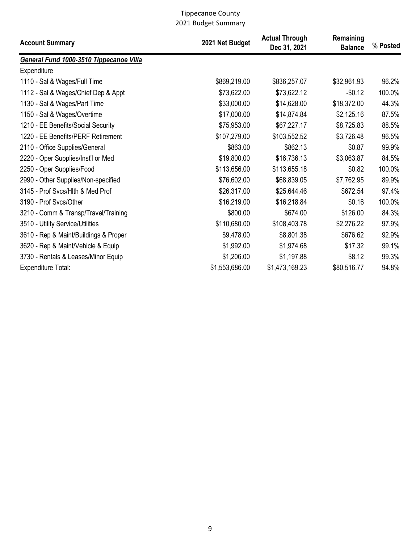| <b>Account Summary</b>                  | 2021 Net Budget | <b>Actual Through</b><br>Dec 31, 2021 | Remaining<br><b>Balance</b> | % Posted |
|-----------------------------------------|-----------------|---------------------------------------|-----------------------------|----------|
| General Fund 1000-3510 Tippecanoe Villa |                 |                                       |                             |          |
| Expenditure                             |                 |                                       |                             |          |
| 1110 - Sal & Wages/Full Time            | \$869,219.00    | \$836,257.07                          | \$32,961.93                 | 96.2%    |
| 1112 - Sal & Wages/Chief Dep & Appt     | \$73,622.00     | \$73,622.12                           | $-$0.12$                    | 100.0%   |
| 1130 - Sal & Wages/Part Time            | \$33,000.00     | \$14,628.00                           | \$18,372.00                 | 44.3%    |
| 1150 - Sal & Wages/Overtime             | \$17,000.00     | \$14,874.84                           | \$2,125.16                  | 87.5%    |
| 1210 - EE Benefits/Social Security      | \$75,953.00     | \$67,227.17                           | \$8,725.83                  | 88.5%    |
| 1220 - EE Benefits/PERF Retirement      | \$107,279.00    | \$103,552.52                          | \$3,726.48                  | 96.5%    |
| 2110 - Office Supplies/General          | \$863.00        | \$862.13                              | \$0.87                      | 99.9%    |
| 2220 - Oper Supplies/Inst'l or Med      | \$19,800.00     | \$16,736.13                           | \$3,063.87                  | 84.5%    |
| 2250 - Oper Supplies/Food               | \$113,656.00    | \$113,655.18                          | \$0.82                      | 100.0%   |
| 2990 - Other Supplies/Non-specified     | \$76,602.00     | \$68,839.05                           | \$7,762.95                  | 89.9%    |
| 3145 - Prof Svcs/Hlth & Med Prof        | \$26,317.00     | \$25,644.46                           | \$672.54                    | 97.4%    |
| 3190 - Prof Svcs/Other                  | \$16,219.00     | \$16,218.84                           | \$0.16                      | 100.0%   |
| 3210 - Comm & Transp/Travel/Training    | \$800.00        | \$674.00                              | \$126.00                    | 84.3%    |
| 3510 - Utility Service/Utilities        | \$110,680.00    | \$108,403.78                          | \$2,276.22                  | 97.9%    |
| 3610 - Rep & Maint/Buildings & Proper   | \$9,478.00      | \$8,801.38                            | \$676.62                    | 92.9%    |
| 3620 - Rep & Maint/Vehicle & Equip      | \$1,992.00      | \$1,974.68                            | \$17.32                     | 99.1%    |
| 3730 - Rentals & Leases/Minor Equip     | \$1,206.00      | \$1,197.88                            | \$8.12                      | 99.3%    |
| <b>Expenditure Total:</b>               | \$1,553,686.00  | \$1,473,169.23                        | \$80,516.77                 | 94.8%    |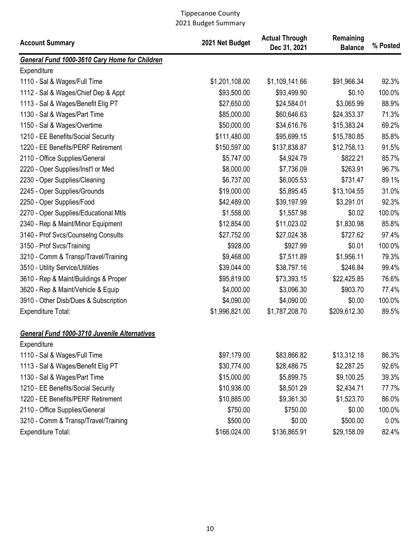| <b>Account Summary</b>                              | 2021 Net Budget | <b>Actual Through</b><br>Dec 31, 2021 | Remaining<br><b>Balance</b> | % Posted |
|-----------------------------------------------------|-----------------|---------------------------------------|-----------------------------|----------|
| General Fund 1000-3610 Cary Home for Children       |                 |                                       |                             |          |
| Expenditure                                         |                 |                                       |                             |          |
| 1110 - Sal & Wages/Full Time                        | \$1,201,108.00  | \$1,109,141.66                        | \$91,966.34                 | 92.3%    |
| 1112 - Sal & Wages/Chief Dep & Appt                 | \$93,500.00     | \$93,499.90                           | \$0.10                      | 100.0%   |
| 1113 - Sal & Wages/Benefit Elig PT                  | \$27,650.00     | \$24,584.01                           | \$3,065.99                  | 88.9%    |
| 1130 - Sal & Wages/Part Time                        | \$85,000.00     | \$60,646.63                           | \$24,353.37                 | 71.3%    |
| 1150 - Sal & Wages/Overtime                         | \$50,000.00     | \$34,616.76                           | \$15,383.24                 | 69.2%    |
| 1210 - EE Benefits/Social Security                  | \$111,480.00    | \$95,699.15                           | \$15,780.85                 | 85.8%    |
| 1220 - EE Benefits/PERF Retirement                  | \$150,597.00    | \$137,838.87                          | \$12,758.13                 | 91.5%    |
| 2110 - Office Supplies/General                      | \$5,747.00      | \$4,924.79                            | \$822.21                    | 85.7%    |
| 2220 - Oper Supplies/Inst'l or Med                  | \$8,000.00      | \$7,736.09                            | \$263.91                    | 96.7%    |
| 2230 - Oper Supplies/Cleaning                       | \$6,737.00      | \$6,005.53                            | \$731.47                    | 89.1%    |
| 2245 - Oper Supplies/Grounds                        | \$19,000.00     | \$5,895.45                            | \$13,104.55                 | 31.0%    |
| 2250 - Oper Supplies/Food                           | \$42,489.00     | \$39,197.99                           | \$3,291.01                  | 92.3%    |
| 2270 - Oper Supplies/Educational Mtls               | \$1,558.00      | \$1,557.98                            | \$0.02                      | 100.0%   |
| 2340 - Rep & Maint/Minor Equipment                  | \$12,854.00     | \$11,023.02                           | \$1,830.98                  | 85.8%    |
| 3140 - Prof Svcs/Counselng Consults                 | \$27,752.00     | \$27,024.38                           | \$727.62                    | 97.4%    |
| 3150 - Prof Svcs/Training                           | \$928.00        | \$927.99                              | \$0.01                      | 100.0%   |
| 3210 - Comm & Transp/Travel/Training                | \$9,468.00      | \$7,511.89                            | \$1,956.11                  | 79.3%    |
| 3510 - Utility Service/Utilities                    | \$39,044.00     | \$38,797.16                           | \$246.84                    | 99.4%    |
| 3610 - Rep & Maint/Buildings & Proper               | \$95,819.00     | \$73,393.15                           | \$22,425.85                 | 76.6%    |
| 3620 - Rep & Maint/Vehicle & Equip                  | \$4,000.00      | \$3,096.30                            | \$903.70                    | 77.4%    |
| 3910 - Other Disb/Dues & Subscription               | \$4,090.00      | \$4,090.00                            | \$0.00                      | 100.0%   |
| Expenditure Total:                                  | \$1,996,821.00  | \$1,787,208.70                        | \$209,612.30                | 89.5%    |
| <b>General Fund 1000-3710 Juvenile Alternatives</b> |                 |                                       |                             |          |
| Expenditure                                         |                 |                                       |                             |          |
| 1110 - Sal & Wages/Full Time                        | \$97,179.00     | \$83,866.82                           | \$13,312.18                 | 86.3%    |
| 1113 - Sal & Wages/Benefit Elig PT                  | \$30,774.00     | \$28,486.75                           | \$2,287.25                  | 92.6%    |
| 1130 - Sal & Wages/Part Time                        | \$15,000.00     | \$5,899.75                            | \$9,100.25                  | 39.3%    |
| 1210 - EE Benefits/Social Security                  | \$10,936.00     | \$8,501.29                            | \$2,434.71                  | 77.7%    |
| 1220 - EE Benefits/PERF Retirement                  | \$10,885.00     | \$9,361.30                            | \$1,523.70                  | 86.0%    |
| 2110 - Office Supplies/General                      | \$750.00        | \$750.00                              | \$0.00                      | 100.0%   |
| 3210 - Comm & Transp/Travel/Training                | \$500.00        | \$0.00                                | \$500.00                    | 0.0%     |
| Expenditure Total:                                  | \$166,024.00    | \$136,865.91                          | \$29,158.09                 | 82.4%    |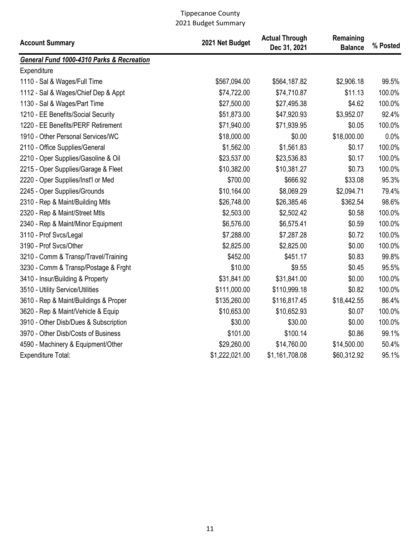| <b>Account Summary</b>                               | 2021 Net Budget | <b>Actual Through</b><br>Dec 31, 2021 | Remaining<br><b>Balance</b> | % Posted |
|------------------------------------------------------|-----------------|---------------------------------------|-----------------------------|----------|
| <b>General Fund 1000-4310 Parks &amp; Recreation</b> |                 |                                       |                             |          |
| Expenditure                                          |                 |                                       |                             |          |
| 1110 - Sal & Wages/Full Time                         | \$567,094.00    | \$564,187.82                          | \$2,906.18                  | 99.5%    |
| 1112 - Sal & Wages/Chief Dep & Appt                  | \$74,722.00     | \$74,710.87                           | \$11.13                     | 100.0%   |
| 1130 - Sal & Wages/Part Time                         | \$27,500.00     | \$27,495.38                           | \$4.62                      | 100.0%   |
| 1210 - EE Benefits/Social Security                   | \$51,873.00     | \$47,920.93                           | \$3,952.07                  | 92.4%    |
| 1220 - EE Benefits/PERF Retirement                   | \$71,940.00     | \$71,939.95                           | \$0.05                      | 100.0%   |
| 1910 - Other Personal Services/WC                    | \$18,000.00     | \$0.00                                | \$18,000.00                 | 0.0%     |
| 2110 - Office Supplies/General                       | \$1,562.00      | \$1,561.83                            | \$0.17                      | 100.0%   |
| 2210 - Oper Supplies/Gasoline & Oil                  | \$23,537.00     | \$23,536.83                           | \$0.17                      | 100.0%   |
| 2215 - Oper Supplies/Garage & Fleet                  | \$10,382.00     | \$10,381.27                           | \$0.73                      | 100.0%   |
| 2220 - Oper Supplies/Inst'l or Med                   | \$700.00        | \$666.92                              | \$33.08                     | 95.3%    |
| 2245 - Oper Supplies/Grounds                         | \$10,164.00     | \$8,069.29                            | \$2,094.71                  | 79.4%    |
| 2310 - Rep & Maint/Building Mtls                     | \$26,748.00     | \$26,385.46                           | \$362.54                    | 98.6%    |
| 2320 - Rep & Maint/Street Mtls                       | \$2,503.00      | \$2,502.42                            | \$0.58                      | 100.0%   |
| 2340 - Rep & Maint/Minor Equipment                   | \$6,576.00      | \$6,575.41                            | \$0.59                      | 100.0%   |
| 3110 - Prof Svcs/Legal                               | \$7,288.00      | \$7,287.28                            | \$0.72                      | 100.0%   |
| 3190 - Prof Svcs/Other                               | \$2,825.00      | \$2,825.00                            | \$0.00                      | 100.0%   |
| 3210 - Comm & Transp/Travel/Training                 | \$452.00        | \$451.17                              | \$0.83                      | 99.8%    |
| 3230 - Comm & Transp/Postage & Frght                 | \$10.00         | \$9.55                                | \$0.45                      | 95.5%    |
| 3410 - Insur/Building & Property                     | \$31,841.00     | \$31,841.00                           | \$0.00                      | 100.0%   |
| 3510 - Utility Service/Utilities                     | \$111,000.00    | \$110,999.18                          | \$0.82                      | 100.0%   |
| 3610 - Rep & Maint/Buildings & Proper                | \$135,260.00    | \$116,817.45                          | \$18,442.55                 | 86.4%    |
| 3620 - Rep & Maint/Vehicle & Equip                   | \$10,653.00     | \$10,652.93                           | \$0.07                      | 100.0%   |
| 3910 - Other Disb/Dues & Subscription                | \$30.00         | \$30.00                               | \$0.00                      | 100.0%   |
| 3970 - Other Disb/Costs of Business                  | \$101.00        | \$100.14                              | \$0.86                      | 99.1%    |
| 4590 - Machinery & Equipment/Other                   | \$29,260.00     | \$14,760.00                           | \$14,500.00                 | 50.4%    |
| Expenditure Total:                                   | \$1,222,021.00  | \$1,161,708.08                        | \$60,312.92                 | 95.1%    |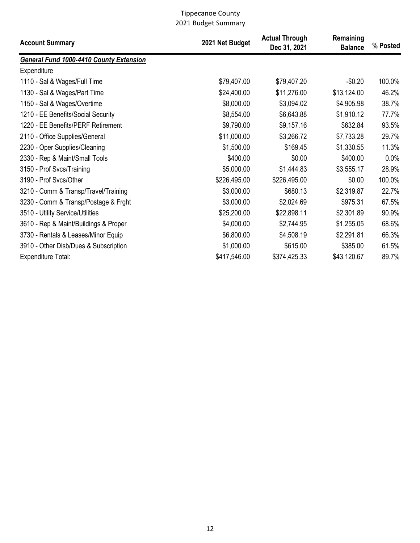| <b>Account Summary</b>                         | 2021 Net Budget | <b>Actual Through</b><br>Dec 31, 2021 | Remaining<br><b>Balance</b> | % Posted |
|------------------------------------------------|-----------------|---------------------------------------|-----------------------------|----------|
| <b>General Fund 1000-4410 County Extension</b> |                 |                                       |                             |          |
| Expenditure                                    |                 |                                       |                             |          |
| 1110 - Sal & Wages/Full Time                   | \$79,407.00     | \$79,407.20                           | $-$0.20$                    | 100.0%   |
| 1130 - Sal & Wages/Part Time                   | \$24,400.00     | \$11,276.00                           | \$13,124.00                 | 46.2%    |
| 1150 - Sal & Wages/Overtime                    | \$8,000.00      | \$3,094.02                            | \$4,905.98                  | 38.7%    |
| 1210 - EE Benefits/Social Security             | \$8,554.00      | \$6,643.88                            | \$1,910.12                  | 77.7%    |
| 1220 - EE Benefits/PERF Retirement             | \$9,790.00      | \$9,157.16                            | \$632.84                    | 93.5%    |
| 2110 - Office Supplies/General                 | \$11,000.00     | \$3,266.72                            | \$7,733.28                  | 29.7%    |
| 2230 - Oper Supplies/Cleaning                  | \$1,500.00      | \$169.45                              | \$1,330.55                  | 11.3%    |
| 2330 - Rep & Maint/Small Tools                 | \$400.00        | \$0.00                                | \$400.00                    | 0.0%     |
| 3150 - Prof Svcs/Training                      | \$5,000.00      | \$1,444.83                            | \$3,555.17                  | 28.9%    |
| 3190 - Prof Svcs/Other                         | \$226,495.00    | \$226,495.00                          | \$0.00                      | 100.0%   |
| 3210 - Comm & Transp/Travel/Training           | \$3,000.00      | \$680.13                              | \$2,319.87                  | 22.7%    |
| 3230 - Comm & Transp/Postage & Frght           | \$3,000.00      | \$2,024.69                            | \$975.31                    | 67.5%    |
| 3510 - Utility Service/Utilities               | \$25,200.00     | \$22,898.11                           | \$2,301.89                  | 90.9%    |
| 3610 - Rep & Maint/Buildings & Proper          | \$4,000.00      | \$2,744.95                            | \$1,255.05                  | 68.6%    |
| 3730 - Rentals & Leases/Minor Equip            | \$6,800.00      | \$4,508.19                            | \$2,291.81                  | 66.3%    |
| 3910 - Other Disb/Dues & Subscription          | \$1,000.00      | \$615.00                              | \$385.00                    | 61.5%    |
| <b>Expenditure Total:</b>                      | \$417,546.00    | \$374,425.33                          | \$43,120.67                 | 89.7%    |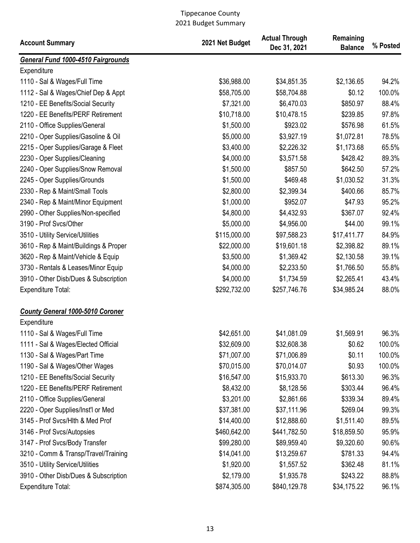| <b>Account Summary</b>                                 | 2021 Net Budget | <b>Actual Through</b><br>Dec 31, 2021 | Remaining<br><b>Balance</b> | % Posted |
|--------------------------------------------------------|-----------------|---------------------------------------|-----------------------------|----------|
| <b>General Fund 1000-4510 Fairgrounds</b>              |                 |                                       |                             |          |
| Expenditure                                            |                 |                                       |                             |          |
| 1110 - Sal & Wages/Full Time                           | \$36,988.00     | \$34,851.35                           | \$2,136.65                  | 94.2%    |
| 1112 - Sal & Wages/Chief Dep & Appt                    | \$58,705.00     | \$58,704.88                           | \$0.12                      | 100.0%   |
| 1210 - EE Benefits/Social Security                     | \$7,321.00      | \$6,470.03                            | \$850.97                    | 88.4%    |
| 1220 - EE Benefits/PERF Retirement                     | \$10,718.00     | \$10,478.15                           | \$239.85                    | 97.8%    |
| 2110 - Office Supplies/General                         | \$1,500.00      | \$923.02                              | \$576.98                    | 61.5%    |
| 2210 - Oper Supplies/Gasoline & Oil                    | \$5,000.00      | \$3,927.19                            | \$1,072.81                  | 78.5%    |
| 2215 - Oper Supplies/Garage & Fleet                    | \$3,400.00      | \$2,226.32                            | \$1,173.68                  | 65.5%    |
| 2230 - Oper Supplies/Cleaning                          | \$4,000.00      | \$3,571.58                            | \$428.42                    | 89.3%    |
| 2240 - Oper Supplies/Snow Removal                      | \$1,500.00      | \$857.50                              | \$642.50                    | 57.2%    |
| 2245 - Oper Supplies/Grounds                           | \$1,500.00      | \$469.48                              | \$1,030.52                  | 31.3%    |
| 2330 - Rep & Maint/Small Tools                         | \$2,800.00      | \$2,399.34                            | \$400.66                    | 85.7%    |
| 2340 - Rep & Maint/Minor Equipment                     | \$1,000.00      | \$952.07                              | \$47.93                     | 95.2%    |
| 2990 - Other Supplies/Non-specified                    | \$4,800.00      | \$4,432.93                            | \$367.07                    | 92.4%    |
| 3190 - Prof Svcs/Other                                 | \$5,000.00      | \$4,956.00                            | \$44.00                     | 99.1%    |
| 3510 - Utility Service/Utilities                       | \$115,000.00    | \$97,588.23                           | \$17,411.77                 | 84.9%    |
| 3610 - Rep & Maint/Buildings & Proper                  | \$22,000.00     | \$19,601.18                           | \$2,398.82                  | 89.1%    |
| 3620 - Rep & Maint/Vehicle & Equip                     | \$3,500.00      | \$1,369.42                            | \$2,130.58                  | 39.1%    |
| 3730 - Rentals & Leases/Minor Equip                    | \$4,000.00      | \$2,233.50                            | \$1,766.50                  | 55.8%    |
| 3910 - Other Disb/Dues & Subscription                  | \$4,000.00      | \$1,734.59                            | \$2,265.41                  | 43.4%    |
| <b>Expenditure Total:</b>                              | \$292,732.00    | \$257,746.76                          | \$34,985.24                 | 88.0%    |
| <b>County General 1000-5010 Coroner</b><br>Expenditure |                 |                                       |                             |          |
| 1110 - Sal & Wages/Full Time                           | \$42,651.00     | \$41,081.09                           | \$1,569.91                  | 96.3%    |
| 1111 - Sal & Wages/Elected Official                    | \$32,609.00     | \$32,608.38                           | \$0.62                      | 100.0%   |
| 1130 - Sal & Wages/Part Time                           | \$71,007.00     | \$71,006.89                           | \$0.11                      | 100.0%   |
| 1190 - Sal & Wages/Other Wages                         | \$70,015.00     | \$70,014.07                           | \$0.93                      | 100.0%   |
| 1210 - EE Benefits/Social Security                     | \$16,547.00     | \$15,933.70                           | \$613.30                    | 96.3%    |
| 1220 - EE Benefits/PERF Retirement                     | \$8,432.00      | \$8,128.56                            | \$303.44                    | 96.4%    |
| 2110 - Office Supplies/General                         | \$3,201.00      | \$2,861.66                            | \$339.34                    | 89.4%    |
| 2220 - Oper Supplies/Inst'l or Med                     | \$37,381.00     | \$37,111.96                           | \$269.04                    | 99.3%    |
| 3145 - Prof Svcs/Hlth & Med Prof                       | \$14,400.00     | \$12,888.60                           | \$1,511.40                  | 89.5%    |
| 3146 - Prof Svcs/Autopsies                             | \$460,642.00    | \$441,782.50                          | \$18,859.50                 | 95.9%    |
| 3147 - Prof Svcs/Body Transfer                         | \$99,280.00     | \$89,959.40                           | \$9,320.60                  | 90.6%    |
| 3210 - Comm & Transp/Travel/Training                   | \$14,041.00     | \$13,259.67                           | \$781.33                    | 94.4%    |
| 3510 - Utility Service/Utilities                       | \$1,920.00      | \$1,557.52                            | \$362.48                    | 81.1%    |
| 3910 - Other Disb/Dues & Subscription                  | \$2,179.00      | \$1,935.78                            | \$243.22                    | 88.8%    |
| <b>Expenditure Total:</b>                              | \$874,305.00    | \$840,129.78                          | \$34,175.22                 | 96.1%    |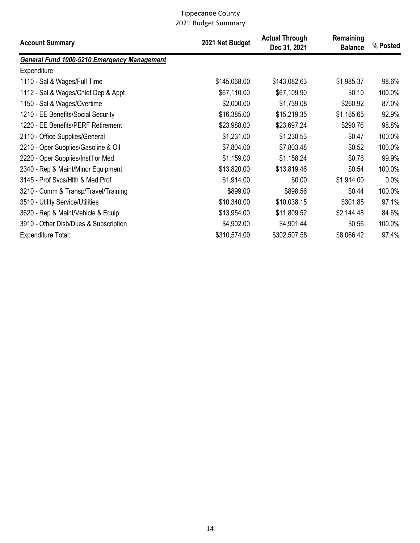| <b>Account Summary</b>                      | 2021 Net Budget | <b>Actual Through</b><br>Dec 31, 2021 | Remaining<br><b>Balance</b> | % Posted |
|---------------------------------------------|-----------------|---------------------------------------|-----------------------------|----------|
| General Fund 1000-5210 Emergency Management |                 |                                       |                             |          |
| Expenditure                                 |                 |                                       |                             |          |
| 1110 - Sal & Wages/Full Time                | \$145,068.00    | \$143,082.63                          | \$1,985.37                  | 98.6%    |
| 1112 - Sal & Wages/Chief Dep & Appt         | \$67,110.00     | \$67,109.90                           | \$0.10                      | 100.0%   |
| 1150 - Sal & Wages/Overtime                 | \$2,000.00      | \$1,739.08                            | \$260.92                    | 87.0%    |
| 1210 - EE Benefits/Social Security          | \$16,385.00     | \$15,219.35                           | \$1,165.65                  | 92.9%    |
| 1220 - EE Benefits/PERF Retirement          | \$23,988.00     | \$23,697.24                           | \$290.76                    | 98.8%    |
| 2110 - Office Supplies/General              | \$1,231.00      | \$1,230.53                            | \$0.47                      | 100.0%   |
| 2210 - Oper Supplies/Gasoline & Oil         | \$7,804.00      | \$7,803.48                            | \$0.52                      | 100.0%   |
| 2220 - Oper Supplies/Inst'l or Med          | \$1,159.00      | \$1,158.24                            | \$0.76                      | 99.9%    |
| 2340 - Rep & Maint/Minor Equipment          | \$13,820.00     | \$13,819.46                           | \$0.54                      | 100.0%   |
| 3145 - Prof Svcs/Hlth & Med Prof            | \$1,914.00      | \$0.00                                | \$1,914.00                  | 0.0%     |
| 3210 - Comm & Transp/Travel/Training        | \$899.00        | \$898.56                              | \$0.44                      | 100.0%   |
| 3510 - Utility Service/Utilities            | \$10,340.00     | \$10,038.15                           | \$301.85                    | 97.1%    |
| 3620 - Rep & Maint/Vehicle & Equip          | \$13,954.00     | \$11,809.52                           | \$2,144.48                  | 84.6%    |
| 3910 - Other Disb/Dues & Subscription       | \$4,902.00      | \$4,901.44                            | \$0.56                      | 100.0%   |
| Expenditure Total:                          | \$310,574.00    | \$302,507.58                          | \$8,066.42                  | 97.4%    |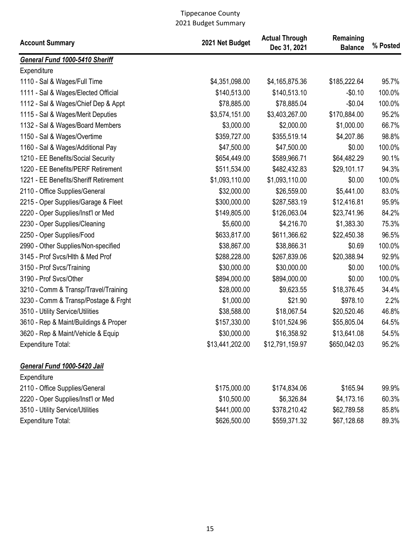| <b>Account Summary</b>                | 2021 Net Budget | <b>Actual Through</b><br>Dec 31, 2021 | Remaining<br><b>Balance</b> | % Posted |
|---------------------------------------|-----------------|---------------------------------------|-----------------------------|----------|
| General Fund 1000-5410 Sheriff        |                 |                                       |                             |          |
| Expenditure                           |                 |                                       |                             |          |
| 1110 - Sal & Wages/Full Time          | \$4,351,098.00  | \$4,165,875.36                        | \$185,222.64                | 95.7%    |
| 1111 - Sal & Wages/Elected Official   | \$140,513.00    | \$140,513.10                          | $-$0.10$                    | 100.0%   |
| 1112 - Sal & Wages/Chief Dep & Appt   | \$78,885.00     | \$78,885.04                           | $-$0.04$                    | 100.0%   |
| 1115 - Sal & Wages/Merit Deputies     | \$3,574,151.00  | \$3,403,267.00                        | \$170,884.00                | 95.2%    |
| 1132 - Sal & Wages/Board Members      | \$3,000.00      | \$2,000.00                            | \$1,000.00                  | 66.7%    |
| 1150 - Sal & Wages/Overtime           | \$359,727.00    | \$355,519.14                          | \$4,207.86                  | 98.8%    |
| 1160 - Sal & Wages/Additional Pay     | \$47,500.00     | \$47,500.00                           | \$0.00                      | 100.0%   |
| 1210 - EE Benefits/Social Security    | \$654,449.00    | \$589,966.71                          | \$64,482.29                 | 90.1%    |
| 1220 - EE Benefits/PERF Retirement    | \$511,534.00    | \$482,432.83                          | \$29,101.17                 | 94.3%    |
| 1221 - EE Benefits/Sheriff Retirement | \$1,093,110.00  | \$1,093,110.00                        | \$0.00                      | 100.0%   |
| 2110 - Office Supplies/General        | \$32,000.00     | \$26,559.00                           | \$5,441.00                  | 83.0%    |
| 2215 - Oper Supplies/Garage & Fleet   | \$300,000.00    | \$287,583.19                          | \$12,416.81                 | 95.9%    |
| 2220 - Oper Supplies/Inst'l or Med    | \$149,805.00    | \$126,063.04                          | \$23,741.96                 | 84.2%    |
| 2230 - Oper Supplies/Cleaning         | \$5,600.00      | \$4,216.70                            | \$1,383.30                  | 75.3%    |
| 2250 - Oper Supplies/Food             | \$633,817.00    | \$611,366.62                          | \$22,450.38                 | 96.5%    |
| 2990 - Other Supplies/Non-specified   | \$38,867.00     | \$38,866.31                           | \$0.69                      | 100.0%   |
| 3145 - Prof Svcs/Hlth & Med Prof      | \$288,228.00    | \$267,839.06                          | \$20,388.94                 | 92.9%    |
| 3150 - Prof Svcs/Training             | \$30,000.00     | \$30,000.00                           | \$0.00                      | 100.0%   |
| 3190 - Prof Svcs/Other                | \$894,000.00    | \$894,000.00                          | \$0.00                      | 100.0%   |
| 3210 - Comm & Transp/Travel/Training  | \$28,000.00     | \$9,623.55                            | \$18,376.45                 | 34.4%    |
| 3230 - Comm & Transp/Postage & Frght  | \$1,000.00      | \$21.90                               | \$978.10                    | 2.2%     |
| 3510 - Utility Service/Utilities      | \$38,588.00     | \$18,067.54                           | \$20,520.46                 | 46.8%    |
| 3610 - Rep & Maint/Buildings & Proper | \$157,330.00    | \$101,524.96                          | \$55,805.04                 | 64.5%    |
| 3620 - Rep & Maint/Vehicle & Equip    | \$30,000.00     | \$16,358.92                           | \$13,641.08                 | 54.5%    |
| <b>Expenditure Total:</b>             | \$13,441,202.00 | \$12,791,159.97                       | \$650,042.03                | 95.2%    |
| General Fund 1000-5420 Jail           |                 |                                       |                             |          |
| Expenditure                           |                 |                                       |                             |          |
| 2110 - Office Supplies/General        | \$175,000.00    | \$174,834.06                          | \$165.94                    | 99.9%    |
| 2220 - Oper Supplies/Inst'l or Med    | \$10,500.00     | \$6,326.84                            | \$4,173.16                  | 60.3%    |
| 3510 - Utility Service/Utilities      | \$441,000.00    | \$378,210.42                          | \$62,789.58                 | 85.8%    |
| <b>Expenditure Total:</b>             | \$626,500.00    | \$559,371.32                          | \$67,128.68                 | 89.3%    |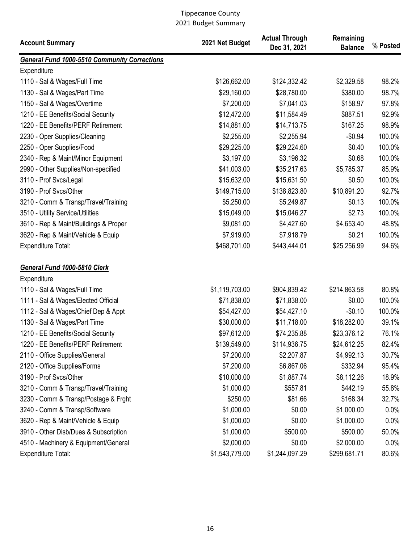| <b>Account Summary</b>                       | 2021 Net Budget | <b>Actual Through</b><br>Dec 31, 2021 | Remaining<br><b>Balance</b> | % Posted |
|----------------------------------------------|-----------------|---------------------------------------|-----------------------------|----------|
| General Fund 1000-5510 Community Corrections |                 |                                       |                             |          |
| Expenditure                                  |                 |                                       |                             |          |
| 1110 - Sal & Wages/Full Time                 | \$126,662.00    | \$124,332.42                          | \$2,329.58                  | 98.2%    |
| 1130 - Sal & Wages/Part Time                 | \$29,160.00     | \$28,780.00                           | \$380.00                    | 98.7%    |
| 1150 - Sal & Wages/Overtime                  | \$7,200.00      | \$7,041.03                            | \$158.97                    | 97.8%    |
| 1210 - EE Benefits/Social Security           | \$12,472.00     | \$11,584.49                           | \$887.51                    | 92.9%    |
| 1220 - EE Benefits/PERF Retirement           | \$14,881.00     | \$14,713.75                           | \$167.25                    | 98.9%    |
| 2230 - Oper Supplies/Cleaning                | \$2,255.00      | \$2,255.94                            | $-$0.94$                    | 100.0%   |
| 2250 - Oper Supplies/Food                    | \$29,225.00     | \$29,224.60                           | \$0.40                      | 100.0%   |
| 2340 - Rep & Maint/Minor Equipment           | \$3,197.00      | \$3,196.32                            | \$0.68                      | 100.0%   |
| 2990 - Other Supplies/Non-specified          | \$41,003.00     | \$35,217.63                           | \$5,785.37                  | 85.9%    |
| 3110 - Prof Svcs/Legal                       | \$15,632.00     | \$15,631.50                           | \$0.50                      | 100.0%   |
| 3190 - Prof Svcs/Other                       | \$149,715.00    | \$138,823.80                          | \$10,891.20                 | 92.7%    |
| 3210 - Comm & Transp/Travel/Training         | \$5,250.00      | \$5,249.87                            | \$0.13                      | 100.0%   |
| 3510 - Utility Service/Utilities             | \$15,049.00     | \$15,046.27                           | \$2.73                      | 100.0%   |
| 3610 - Rep & Maint/Buildings & Proper        | \$9,081.00      | \$4,427.60                            | \$4,653.40                  | 48.8%    |
| 3620 - Rep & Maint/Vehicle & Equip           | \$7,919.00      | \$7,918.79                            | \$0.21                      | 100.0%   |
| <b>Expenditure Total:</b>                    | \$468,701.00    | \$443,444.01                          | \$25,256.99                 | 94.6%    |
| General Fund 1000-5810 Clerk                 |                 |                                       |                             |          |
| Expenditure                                  |                 |                                       |                             |          |
| 1110 - Sal & Wages/Full Time                 | \$1,119,703.00  | \$904,839.42                          | \$214,863.58                | 80.8%    |
| 1111 - Sal & Wages/Elected Official          | \$71,838.00     | \$71,838.00                           | \$0.00                      | 100.0%   |
| 1112 - Sal & Wages/Chief Dep & Appt          | \$54,427.00     | \$54,427.10                           | $-$0.10$                    | 100.0%   |
| 1130 - Sal & Wages/Part Time                 | \$30,000.00     | \$11,718.00                           | \$18,282.00                 | 39.1%    |
| 1210 - EE Benefits/Social Security           | \$97,612.00     | \$74,235.88                           | \$23,376.12                 | 76.1%    |
| 1220 - EE Benefits/PERF Retirement           | \$139,549.00    | \$114,936.75                          | \$24,612.25                 | 82.4%    |
| 2110 - Office Supplies/General               | \$7,200.00      | \$2,207.87                            | \$4,992.13                  | 30.7%    |
| 2120 - Office Supplies/Forms                 | \$7,200.00      | \$6,867.06                            | \$332.94                    | 95.4%    |
| 3190 - Prof Svcs/Other                       | \$10,000.00     | \$1,887.74                            | \$8,112.26                  | 18.9%    |
| 3210 - Comm & Transp/Travel/Training         | \$1,000.00      | \$557.81                              | \$442.19                    | 55.8%    |
| 3230 - Comm & Transp/Postage & Frght         | \$250.00        | \$81.66                               | \$168.34                    | 32.7%    |
| 3240 - Comm & Transp/Software                | \$1,000.00      | \$0.00                                | \$1,000.00                  | 0.0%     |
| 3620 - Rep & Maint/Vehicle & Equip           | \$1,000.00      | \$0.00                                | \$1,000.00                  | 0.0%     |
| 3910 - Other Disb/Dues & Subscription        | \$1,000.00      | \$500.00                              | \$500.00                    | 50.0%    |
| 4510 - Machinery & Equipment/General         | \$2,000.00      | \$0.00                                | \$2,000.00                  | 0.0%     |
| Expenditure Total:                           | \$1,543,779.00  | \$1,244,097.29                        | \$299,681.71                | 80.6%    |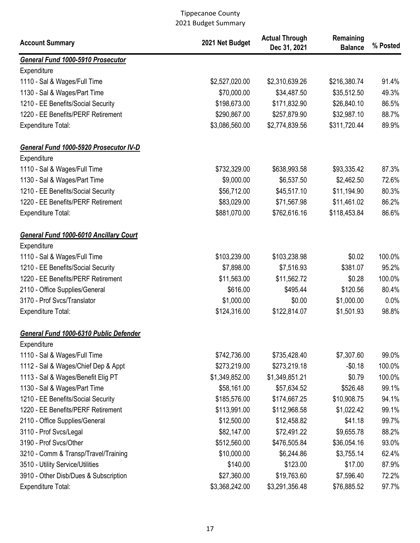| <b>Account Summary</b>                                       | 2021 Net Budget | <b>Actual Through</b><br>Dec 31, 2021 | Remaining<br><b>Balance</b> | % Posted |
|--------------------------------------------------------------|-----------------|---------------------------------------|-----------------------------|----------|
| General Fund 1000-5910 Prosecutor                            |                 |                                       |                             |          |
| Expenditure                                                  |                 |                                       |                             |          |
| 1110 - Sal & Wages/Full Time                                 | \$2,527,020.00  | \$2,310,639.26                        | \$216,380.74                | 91.4%    |
| 1130 - Sal & Wages/Part Time                                 | \$70,000.00     | \$34,487.50                           | \$35,512.50                 | 49.3%    |
| 1210 - EE Benefits/Social Security                           | \$198,673.00    | \$171,832.90                          | \$26,840.10                 | 86.5%    |
| 1220 - EE Benefits/PERF Retirement                           | \$290,867.00    | \$257,879.90                          | \$32,987.10                 | 88.7%    |
| <b>Expenditure Total:</b>                                    | \$3,086,560.00  | \$2,774,839.56                        | \$311,720.44                | 89.9%    |
| General Fund 1000-5920 Prosecutor IV-D                       |                 |                                       |                             |          |
| Expenditure                                                  |                 |                                       |                             |          |
| 1110 - Sal & Wages/Full Time                                 | \$732,329.00    | \$638,993.58                          | \$93,335.42                 | 87.3%    |
| 1130 - Sal & Wages/Part Time                                 | \$9,000.00      | \$6,537.50                            | \$2,462.50                  | 72.6%    |
| 1210 - EE Benefits/Social Security                           | \$56,712.00     | \$45,517.10                           | \$11,194.90                 | 80.3%    |
| 1220 - EE Benefits/PERF Retirement                           | \$83,029.00     | \$71,567.98                           | \$11,461.02                 | 86.2%    |
| <b>Expenditure Total:</b>                                    | \$881,070.00    | \$762,616.16                          | \$118,453.84                | 86.6%    |
| <b>General Fund 1000-6010 Ancillary Court</b><br>Expenditure |                 |                                       |                             |          |
| 1110 - Sal & Wages/Full Time                                 | \$103,239.00    | \$103,238.98                          | \$0.02                      | 100.0%   |
| 1210 - EE Benefits/Social Security                           | \$7,898.00      | \$7,516.93                            | \$381.07                    | 95.2%    |
| 1220 - EE Benefits/PERF Retirement                           | \$11,563.00     | \$11,562.72                           | \$0.28                      | 100.0%   |
| 2110 - Office Supplies/General                               | \$616.00        | \$495.44                              | \$120.56                    | 80.4%    |
| 3170 - Prof Svcs/Translator                                  | \$1,000.00      | \$0.00                                | \$1,000.00                  | 0.0%     |
| <b>Expenditure Total:</b>                                    | \$124,316.00    | \$122,814.07                          | \$1,501.93                  | 98.8%    |
| General Fund 1000-6310 Public Defender                       |                 |                                       |                             |          |
| Expenditure                                                  |                 |                                       |                             |          |
| 1110 - Sal & Wages/Full Time                                 | \$742,736.00    | \$735,428.40                          | \$7,307.60                  | 99.0%    |
| 1112 - Sal & Wages/Chief Dep & Appt                          | \$273,219.00    | \$273,219.18                          | $-$0.18$                    | 100.0%   |
| 1113 - Sal & Wages/Benefit Elig PT                           | \$1,349,852.00  | \$1,349,851.21                        | \$0.79                      | 100.0%   |
| 1130 - Sal & Wages/Part Time                                 | \$58,161.00     | \$57,634.52                           | \$526.48                    | 99.1%    |
| 1210 - EE Benefits/Social Security                           | \$185,576.00    | \$174,667.25                          | \$10,908.75                 | 94.1%    |
| 1220 - EE Benefits/PERF Retirement                           | \$113,991.00    | \$112,968.58                          | \$1,022.42                  | 99.1%    |
| 2110 - Office Supplies/General                               | \$12,500.00     | \$12,458.82                           | \$41.18                     | 99.7%    |
| 3110 - Prof Svcs/Legal                                       | \$82,147.00     | \$72,491.22                           | \$9,655.78                  | 88.2%    |
| 3190 - Prof Svcs/Other                                       | \$512,560.00    | \$476,505.84                          | \$36,054.16                 | 93.0%    |
| 3210 - Comm & Transp/Travel/Training                         | \$10,000.00     | \$6,244.86                            | \$3,755.14                  | 62.4%    |
| 3510 - Utility Service/Utilities                             | \$140.00        | \$123.00                              | \$17.00                     | 87.9%    |
| 3910 - Other Disb/Dues & Subscription                        | \$27,360.00     | \$19,763.60                           | \$7,596.40                  | 72.2%    |
| Expenditure Total:                                           | \$3,368,242.00  | \$3,291,356.48                        | \$76,885.52                 | 97.7%    |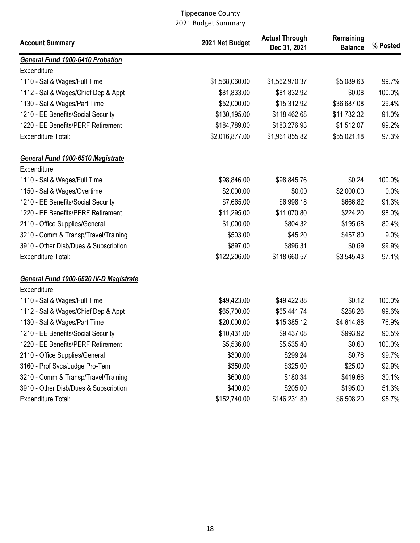| <b>Account Summary</b>                  | 2021 Net Budget | <b>Actual Through</b><br>Dec 31, 2021 | Remaining<br><b>Balance</b> | % Posted |
|-----------------------------------------|-----------------|---------------------------------------|-----------------------------|----------|
| <b>General Fund 1000-6410 Probation</b> |                 |                                       |                             |          |
| Expenditure                             |                 |                                       |                             |          |
| 1110 - Sal & Wages/Full Time            | \$1,568,060.00  | \$1,562,970.37                        | \$5,089.63                  | 99.7%    |
| 1112 - Sal & Wages/Chief Dep & Appt     | \$81,833.00     | \$81,832.92                           | \$0.08                      | 100.0%   |
| 1130 - Sal & Wages/Part Time            | \$52,000.00     | \$15,312.92                           | \$36,687.08                 | 29.4%    |
| 1210 - EE Benefits/Social Security      | \$130,195.00    | \$118,462.68                          | \$11,732.32                 | 91.0%    |
| 1220 - EE Benefits/PERF Retirement      | \$184,789.00    | \$183,276.93                          | \$1,512.07                  | 99.2%    |
| <b>Expenditure Total:</b>               | \$2,016,877.00  | \$1,961,855.82                        | \$55,021.18                 | 97.3%    |
| General Fund 1000-6510 Magistrate       |                 |                                       |                             |          |
| Expenditure                             |                 |                                       |                             |          |
| 1110 - Sal & Wages/Full Time            | \$98,846.00     | \$98,845.76                           | \$0.24                      | 100.0%   |
| 1150 - Sal & Wages/Overtime             | \$2,000.00      | \$0.00                                | \$2,000.00                  | 0.0%     |
| 1210 - EE Benefits/Social Security      | \$7,665.00      | \$6,998.18                            | \$666.82                    | 91.3%    |
| 1220 - EE Benefits/PERF Retirement      | \$11,295.00     | \$11,070.80                           | \$224.20                    | 98.0%    |
| 2110 - Office Supplies/General          | \$1,000.00      | \$804.32                              | \$195.68                    | 80.4%    |
| 3210 - Comm & Transp/Travel/Training    | \$503.00        | \$45.20                               | \$457.80                    | 9.0%     |
| 3910 - Other Disb/Dues & Subscription   | \$897.00        | \$896.31                              | \$0.69                      | 99.9%    |
| <b>Expenditure Total:</b>               | \$122,206.00    | \$118,660.57                          | \$3,545.43                  | 97.1%    |
| General Fund 1000-6520 IV-D Magistrate  |                 |                                       |                             |          |
| Expenditure                             |                 |                                       |                             |          |
| 1110 - Sal & Wages/Full Time            | \$49,423.00     | \$49,422.88                           | \$0.12                      | 100.0%   |
| 1112 - Sal & Wages/Chief Dep & Appt     | \$65,700.00     | \$65,441.74                           | \$258.26                    | 99.6%    |
| 1130 - Sal & Wages/Part Time            | \$20,000.00     | \$15,385.12                           | \$4,614.88                  | 76.9%    |
| 1210 - EE Benefits/Social Security      | \$10,431.00     | \$9,437.08                            | \$993.92                    | 90.5%    |
| 1220 - EE Benefits/PERF Retirement      | \$5,536.00      | \$5,535.40                            | \$0.60                      | 100.0%   |
| 2110 - Office Supplies/General          | \$300.00        | \$299.24                              | \$0.76                      | 99.7%    |
| 3160 - Prof Svcs/Judge Pro-Tem          | \$350.00        | \$325.00                              | \$25.00                     | 92.9%    |
| 3210 - Comm & Transp/Travel/Training    | \$600.00        | \$180.34                              | \$419.66                    | 30.1%    |
| 3910 - Other Disb/Dues & Subscription   | \$400.00        | \$205.00                              | \$195.00                    | 51.3%    |
| Expenditure Total:                      | \$152,740.00    | \$146,231.80                          | \$6,508.20                  | 95.7%    |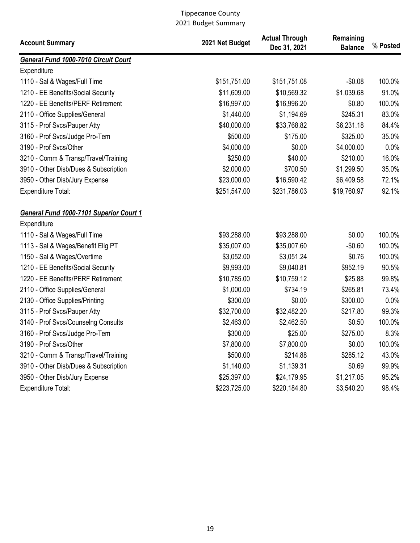| <b>Account Summary</b>                  | 2021 Net Budget | <b>Actual Through</b><br>Dec 31, 2021 | Remaining<br><b>Balance</b> | % Posted |
|-----------------------------------------|-----------------|---------------------------------------|-----------------------------|----------|
| General Fund 1000-7010 Circuit Court    |                 |                                       |                             |          |
| Expenditure                             |                 |                                       |                             |          |
| 1110 - Sal & Wages/Full Time            | \$151,751.00    | \$151,751.08                          | $-$0.08$                    | 100.0%   |
| 1210 - EE Benefits/Social Security      | \$11,609.00     | \$10,569.32                           | \$1,039.68                  | 91.0%    |
| 1220 - EE Benefits/PERF Retirement      | \$16,997.00     | \$16,996.20                           | \$0.80                      | 100.0%   |
| 2110 - Office Supplies/General          | \$1,440.00      | \$1,194.69                            | \$245.31                    | 83.0%    |
| 3115 - Prof Svcs/Pauper Atty            | \$40,000.00     | \$33,768.82                           | \$6,231.18                  | 84.4%    |
| 3160 - Prof Svcs/Judge Pro-Tem          | \$500.00        | \$175.00                              | \$325.00                    | 35.0%    |
| 3190 - Prof Svcs/Other                  | \$4,000.00      | \$0.00                                | \$4,000.00                  | 0.0%     |
| 3210 - Comm & Transp/Travel/Training    | \$250.00        | \$40.00                               | \$210.00                    | 16.0%    |
| 3910 - Other Disb/Dues & Subscription   | \$2,000.00      | \$700.50                              | \$1,299.50                  | 35.0%    |
| 3950 - Other Disb/Jury Expense          | \$23,000.00     | \$16,590.42                           | \$6,409.58                  | 72.1%    |
| <b>Expenditure Total:</b>               | \$251,547.00    | \$231,786.03                          | \$19,760.97                 | 92.1%    |
| General Fund 1000-7101 Superior Court 1 |                 |                                       |                             |          |
| Expenditure                             |                 |                                       |                             |          |
| 1110 - Sal & Wages/Full Time            | \$93,288.00     | \$93,288.00                           | \$0.00                      | 100.0%   |
| 1113 - Sal & Wages/Benefit Elig PT      | \$35,007.00     | \$35,007.60                           | $-$0.60$                    | 100.0%   |
| 1150 - Sal & Wages/Overtime             | \$3,052.00      | \$3,051.24                            | \$0.76                      | 100.0%   |
| 1210 - EE Benefits/Social Security      | \$9,993.00      | \$9,040.81                            | \$952.19                    | 90.5%    |
| 1220 - EE Benefits/PERF Retirement      | \$10,785.00     | \$10,759.12                           | \$25.88                     | 99.8%    |
| 2110 - Office Supplies/General          | \$1,000.00      | \$734.19                              | \$265.81                    | 73.4%    |
| 2130 - Office Supplies/Printing         | \$300.00        | \$0.00                                | \$300.00                    | 0.0%     |
| 3115 - Prof Svcs/Pauper Atty            | \$32,700.00     | \$32,482.20                           | \$217.80                    | 99.3%    |
| 3140 - Prof Svcs/Counselng Consults     | \$2,463.00      | \$2,462.50                            | \$0.50                      | 100.0%   |
| 3160 - Prof Svcs/Judge Pro-Tem          | \$300.00        | \$25.00                               | \$275.00                    | 8.3%     |
| 3190 - Prof Svcs/Other                  | \$7,800.00      | \$7,800.00                            | \$0.00                      | 100.0%   |
| 3210 - Comm & Transp/Travel/Training    | \$500.00        | \$214.88                              | \$285.12                    | 43.0%    |
| 3910 - Other Disb/Dues & Subscription   | \$1,140.00      | \$1,139.31                            | \$0.69                      | 99.9%    |
| 3950 - Other Disb/Jury Expense          | \$25,397.00     | \$24,179.95                           | \$1,217.05                  | 95.2%    |
| Expenditure Total:                      | \$223,725.00    | \$220,184.80                          | \$3,540.20                  | 98.4%    |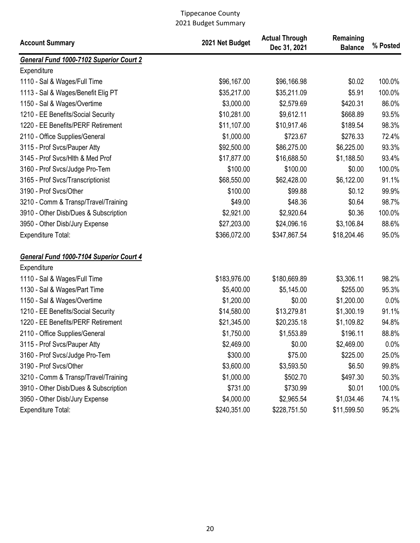| <b>Account Summary</b>                  | 2021 Net Budget | <b>Actual Through</b><br>Dec 31, 2021 | Remaining<br><b>Balance</b> | % Posted |
|-----------------------------------------|-----------------|---------------------------------------|-----------------------------|----------|
| General Fund 1000-7102 Superior Court 2 |                 |                                       |                             |          |
| Expenditure                             |                 |                                       |                             |          |
| 1110 - Sal & Wages/Full Time            | \$96,167.00     | \$96,166.98                           | \$0.02                      | 100.0%   |
| 1113 - Sal & Wages/Benefit Elig PT      | \$35,217.00     | \$35,211.09                           | \$5.91                      | 100.0%   |
| 1150 - Sal & Wages/Overtime             | \$3,000.00      | \$2,579.69                            | \$420.31                    | 86.0%    |
| 1210 - EE Benefits/Social Security      | \$10,281.00     | \$9,612.11                            | \$668.89                    | 93.5%    |
| 1220 - EE Benefits/PERF Retirement      | \$11,107.00     | \$10,917.46                           | \$189.54                    | 98.3%    |
| 2110 - Office Supplies/General          | \$1,000.00      | \$723.67                              | \$276.33                    | 72.4%    |
| 3115 - Prof Svcs/Pauper Atty            | \$92,500.00     | \$86,275.00                           | \$6,225.00                  | 93.3%    |
| 3145 - Prof Svcs/Hlth & Med Prof        | \$17,877.00     | \$16,688.50                           | \$1,188.50                  | 93.4%    |
| 3160 - Prof Svcs/Judge Pro-Tem          | \$100.00        | \$100.00                              | \$0.00                      | 100.0%   |
| 3165 - Prof Svcs/Transcriptionist       | \$68,550.00     | \$62,428.00                           | \$6,122.00                  | 91.1%    |
| 3190 - Prof Svcs/Other                  | \$100.00        | \$99.88                               | \$0.12                      | 99.9%    |
| 3210 - Comm & Transp/Travel/Training    | \$49.00         | \$48.36                               | \$0.64                      | 98.7%    |
| 3910 - Other Disb/Dues & Subscription   | \$2,921.00      | \$2,920.64                            | \$0.36                      | 100.0%   |
| 3950 - Other Disb/Jury Expense          | \$27,203.00     | \$24,096.16                           | \$3,106.84                  | 88.6%    |
| <b>Expenditure Total:</b>               | \$366,072.00    | \$347,867.54                          | \$18,204.46                 | 95.0%    |
| General Fund 1000-7104 Superior Court 4 |                 |                                       |                             |          |
| Expenditure                             |                 |                                       |                             |          |
| 1110 - Sal & Wages/Full Time            | \$183,976.00    | \$180,669.89                          | \$3,306.11                  | 98.2%    |
| 1130 - Sal & Wages/Part Time            | \$5,400.00      | \$5,145.00                            | \$255.00                    | 95.3%    |
| 1150 - Sal & Wages/Overtime             | \$1,200.00      | \$0.00                                | \$1,200.00                  | 0.0%     |
| 1210 - EE Benefits/Social Security      | \$14,580.00     | \$13,279.81                           | \$1,300.19                  | 91.1%    |
| 1220 - EE Benefits/PERF Retirement      | \$21,345.00     | \$20,235.18                           | \$1,109.82                  | 94.8%    |
| 2110 - Office Supplies/General          | \$1,750.00      | \$1,553.89                            | \$196.11                    | 88.8%    |
| 3115 - Prof Svcs/Pauper Atty            | \$2,469.00      | \$0.00                                | \$2,469.00                  | $0.0\%$  |
| 3160 - Prof Svcs/Judge Pro-Tem          | \$300.00        | \$75.00                               | \$225.00                    | 25.0%    |
| 3190 - Prof Svcs/Other                  | \$3,600.00      | \$3,593.50                            | \$6.50                      | 99.8%    |
| 3210 - Comm & Transp/Travel/Training    | \$1,000.00      | \$502.70                              | \$497.30                    | 50.3%    |
| 3910 - Other Disb/Dues & Subscription   | \$731.00        | \$730.99                              | \$0.01                      | 100.0%   |
| 3950 - Other Disb/Jury Expense          | \$4,000.00      | \$2,965.54                            | \$1,034.46                  | 74.1%    |
| <b>Expenditure Total:</b>               | \$240,351.00    | \$228,751.50                          | \$11,599.50                 | 95.2%    |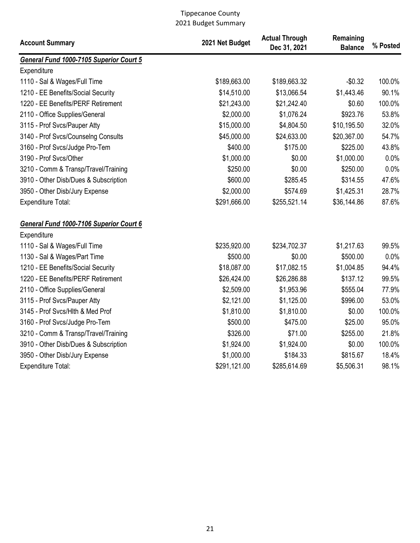| <b>Account Summary</b>                  | 2021 Net Budget | <b>Actual Through</b><br>Dec 31, 2021 | Remaining<br><b>Balance</b> | % Posted |
|-----------------------------------------|-----------------|---------------------------------------|-----------------------------|----------|
| General Fund 1000-7105 Superior Court 5 |                 |                                       |                             |          |
| Expenditure                             |                 |                                       |                             |          |
| 1110 - Sal & Wages/Full Time            | \$189,663.00    | \$189,663.32                          | $-$0.32$                    | 100.0%   |
| 1210 - EE Benefits/Social Security      | \$14,510.00     | \$13,066.54                           | \$1,443.46                  | 90.1%    |
| 1220 - EE Benefits/PERF Retirement      | \$21,243.00     | \$21,242.40                           | \$0.60                      | 100.0%   |
| 2110 - Office Supplies/General          | \$2,000.00      | \$1,076.24                            | \$923.76                    | 53.8%    |
| 3115 - Prof Svcs/Pauper Atty            | \$15,000.00     | \$4,804.50                            | \$10,195.50                 | 32.0%    |
| 3140 - Prof Svcs/Counselng Consults     | \$45,000.00     | \$24,633.00                           | \$20,367.00                 | 54.7%    |
| 3160 - Prof Svcs/Judge Pro-Tem          | \$400.00        | \$175.00                              | \$225.00                    | 43.8%    |
| 3190 - Prof Svcs/Other                  | \$1,000.00      | \$0.00                                | \$1,000.00                  | 0.0%     |
| 3210 - Comm & Transp/Travel/Training    | \$250.00        | \$0.00                                | \$250.00                    | 0.0%     |
| 3910 - Other Disb/Dues & Subscription   | \$600.00        | \$285.45                              | \$314.55                    | 47.6%    |
| 3950 - Other Disb/Jury Expense          | \$2,000.00      | \$574.69                              | \$1,425.31                  | 28.7%    |
| Expenditure Total:                      | \$291,666.00    | \$255,521.14                          | \$36,144.86                 | 87.6%    |
| General Fund 1000-7106 Superior Court 6 |                 |                                       |                             |          |
| Expenditure                             |                 |                                       |                             |          |
| 1110 - Sal & Wages/Full Time            | \$235,920.00    | \$234,702.37                          | \$1,217.63                  | 99.5%    |
| 1130 - Sal & Wages/Part Time            | \$500.00        | \$0.00                                | \$500.00                    | 0.0%     |
| 1210 - EE Benefits/Social Security      | \$18,087.00     | \$17,082.15                           | \$1,004.85                  | 94.4%    |
| 1220 - EE Benefits/PERF Retirement      | \$26,424.00     | \$26,286.88                           | \$137.12                    | 99.5%    |
| 2110 - Office Supplies/General          | \$2,509.00      | \$1,953.96                            | \$555.04                    | 77.9%    |
| 3115 - Prof Svcs/Pauper Atty            | \$2,121.00      | \$1,125.00                            | \$996.00                    | 53.0%    |
| 3145 - Prof Svcs/Hlth & Med Prof        | \$1,810.00      | \$1,810.00                            | \$0.00                      | 100.0%   |
| 3160 - Prof Svcs/Judge Pro-Tem          | \$500.00        | \$475.00                              | \$25.00                     | 95.0%    |
| 3210 - Comm & Transp/Travel/Training    | \$326.00        | \$71.00                               | \$255.00                    | 21.8%    |
| 3910 - Other Disb/Dues & Subscription   | \$1,924.00      | \$1,924.00                            | \$0.00                      | 100.0%   |
| 3950 - Other Disb/Jury Expense          | \$1,000.00      | \$184.33                              | \$815.67                    | 18.4%    |
| Expenditure Total:                      | \$291,121.00    | \$285,614.69                          | \$5,506.31                  | 98.1%    |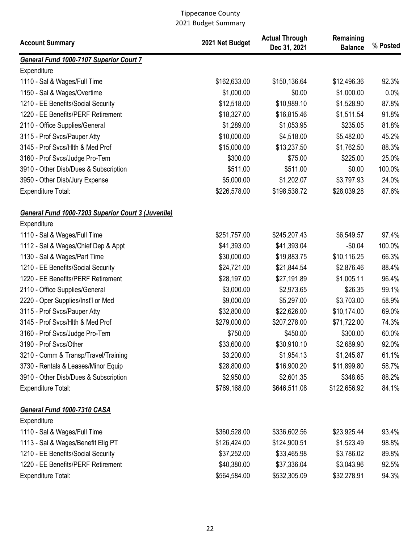| <b>Account Summary</b>                             | 2021 Net Budget | <b>Actual Through</b><br>Dec 31, 2021 | Remaining<br><b>Balance</b> | % Posted |
|----------------------------------------------------|-----------------|---------------------------------------|-----------------------------|----------|
| <b>General Fund 1000-7107 Superior Court 7</b>     |                 |                                       |                             |          |
| Expenditure                                        |                 |                                       |                             |          |
| 1110 - Sal & Wages/Full Time                       | \$162,633.00    | \$150,136.64                          | \$12,496.36                 | 92.3%    |
| 1150 - Sal & Wages/Overtime                        | \$1,000.00      | \$0.00                                | \$1,000.00                  | 0.0%     |
| 1210 - EE Benefits/Social Security                 | \$12,518.00     | \$10,989.10                           | \$1,528.90                  | 87.8%    |
| 1220 - EE Benefits/PERF Retirement                 | \$18,327.00     | \$16,815.46                           | \$1,511.54                  | 91.8%    |
| 2110 - Office Supplies/General                     | \$1,289.00      | \$1,053.95                            | \$235.05                    | 81.8%    |
| 3115 - Prof Svcs/Pauper Atty                       | \$10,000.00     | \$4,518.00                            | \$5,482.00                  | 45.2%    |
| 3145 - Prof Svcs/Hlth & Med Prof                   | \$15,000.00     | \$13,237.50                           | \$1,762.50                  | 88.3%    |
| 3160 - Prof Svcs/Judge Pro-Tem                     | \$300.00        | \$75.00                               | \$225.00                    | 25.0%    |
| 3910 - Other Disb/Dues & Subscription              | \$511.00        | \$511.00                              | \$0.00                      | 100.0%   |
| 3950 - Other Disb/Jury Expense                     | \$5,000.00      | \$1,202.07                            | \$3,797.93                  | 24.0%    |
| <b>Expenditure Total:</b>                          | \$226,578.00    | \$198,538.72                          | \$28,039.28                 | 87.6%    |
| General Fund 1000-7203 Superior Court 3 (Juvenile) |                 |                                       |                             |          |
| Expenditure                                        |                 |                                       |                             |          |
| 1110 - Sal & Wages/Full Time                       | \$251,757.00    | \$245,207.43                          | \$6,549.57                  | 97.4%    |
| 1112 - Sal & Wages/Chief Dep & Appt                | \$41,393.00     | \$41,393.04                           | $-$0.04$                    | 100.0%   |
| 1130 - Sal & Wages/Part Time                       | \$30,000.00     | \$19,883.75                           | \$10,116.25                 | 66.3%    |
| 1210 - EE Benefits/Social Security                 | \$24,721.00     | \$21,844.54                           | \$2,876.46                  | 88.4%    |
| 1220 - EE Benefits/PERF Retirement                 | \$28,197.00     | \$27,191.89                           | \$1,005.11                  | 96.4%    |
| 2110 - Office Supplies/General                     | \$3,000.00      | \$2,973.65                            | \$26.35                     | 99.1%    |
| 2220 - Oper Supplies/Inst'l or Med                 | \$9,000.00      | \$5,297.00                            | \$3,703.00                  | 58.9%    |
| 3115 - Prof Svcs/Pauper Atty                       | \$32,800.00     | \$22,626.00                           | \$10,174.00                 | 69.0%    |
| 3145 - Prof Svcs/Hlth & Med Prof                   | \$279,000.00    | \$207,278.00                          | \$71,722.00                 | 74.3%    |
| 3160 - Prof Svcs/Judge Pro-Tem                     | \$750.00        | \$450.00                              | \$300.00                    | 60.0%    |
| 3190 - Prof Svcs/Other                             | \$33,600.00     | \$30,910.10                           | \$2,689.90                  | 92.0%    |
| 3210 - Comm & Transp/Travel/Training               | \$3,200.00      | \$1,954.13                            | \$1,245.87                  | 61.1%    |
| 3730 - Rentals & Leases/Minor Equip                | \$28,800.00     | \$16,900.20                           | \$11,899.80                 | 58.7%    |
| 3910 - Other Disb/Dues & Subscription              | \$2,950.00      | \$2,601.35                            | \$348.65                    | 88.2%    |
| Expenditure Total:                                 | \$769,168.00    | \$646,511.08                          | \$122,656.92                | 84.1%    |
| General Fund 1000-7310 CASA<br>Expenditure         |                 |                                       |                             |          |
| 1110 - Sal & Wages/Full Time                       | \$360,528.00    | \$336,602.56                          | \$23,925.44                 | 93.4%    |
| 1113 - Sal & Wages/Benefit Elig PT                 | \$126,424.00    | \$124,900.51                          | \$1,523.49                  | 98.8%    |
| 1210 - EE Benefits/Social Security                 | \$37,252.00     | \$33,465.98                           | \$3,786.02                  | 89.8%    |
| 1220 - EE Benefits/PERF Retirement                 | \$40,380.00     | \$37,336.04                           | \$3,043.96                  | 92.5%    |
| <b>Expenditure Total:</b>                          | \$564,584.00    | \$532,305.09                          | \$32,278.91                 | 94.3%    |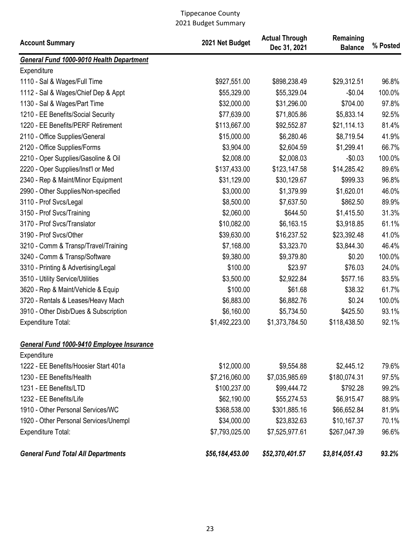| <b>Account Summary</b>                    | 2021 Net Budget | <b>Actual Through</b><br>Dec 31, 2021 | Remaining<br><b>Balance</b> | % Posted |
|-------------------------------------------|-----------------|---------------------------------------|-----------------------------|----------|
| General Fund 1000-9010 Health Department  |                 |                                       |                             |          |
| Expenditure                               |                 |                                       |                             |          |
| 1110 - Sal & Wages/Full Time              | \$927,551.00    | \$898,238.49                          | \$29,312.51                 | 96.8%    |
| 1112 - Sal & Wages/Chief Dep & Appt       | \$55,329.00     | \$55,329.04                           | $-$0.04$                    | 100.0%   |
| 1130 - Sal & Wages/Part Time              | \$32,000.00     | \$31,296.00                           | \$704.00                    | 97.8%    |
| 1210 - EE Benefits/Social Security        | \$77,639.00     | \$71,805.86                           | \$5,833.14                  | 92.5%    |
| 1220 - EE Benefits/PERF Retirement        | \$113,667.00    | \$92,552.87                           | \$21,114.13                 | 81.4%    |
| 2110 - Office Supplies/General            | \$15,000.00     | \$6,280.46                            | \$8,719.54                  | 41.9%    |
| 2120 - Office Supplies/Forms              | \$3,904.00      | \$2,604.59                            | \$1,299.41                  | 66.7%    |
| 2210 - Oper Supplies/Gasoline & Oil       | \$2,008.00      | \$2,008.03                            | $-$0.03$                    | 100.0%   |
| 2220 - Oper Supplies/Inst'l or Med        | \$137,433.00    | \$123,147.58                          | \$14,285.42                 | 89.6%    |
| 2340 - Rep & Maint/Minor Equipment        | \$31,129.00     | \$30,129.67                           | \$999.33                    | 96.8%    |
| 2990 - Other Supplies/Non-specified       | \$3,000.00      | \$1,379.99                            | \$1,620.01                  | 46.0%    |
| 3110 - Prof Svcs/Legal                    | \$8,500.00      | \$7,637.50                            | \$862.50                    | 89.9%    |
| 3150 - Prof Svcs/Training                 | \$2,060.00      | \$644.50                              | \$1,415.50                  | 31.3%    |
| 3170 - Prof Svcs/Translator               | \$10,082.00     | \$6,163.15                            | \$3,918.85                  | 61.1%    |
| 3190 - Prof Svcs/Other                    | \$39,630.00     | \$16,237.52                           | \$23,392.48                 | 41.0%    |
| 3210 - Comm & Transp/Travel/Training      | \$7,168.00      | \$3,323.70                            | \$3,844.30                  | 46.4%    |
| 3240 - Comm & Transp/Software             | \$9,380.00      | \$9,379.80                            | \$0.20                      | 100.0%   |
| 3310 - Printing & Advertising/Legal       | \$100.00        | \$23.97                               | \$76.03                     | 24.0%    |
| 3510 - Utility Service/Utilities          | \$3,500.00      | \$2,922.84                            | \$577.16                    | 83.5%    |
| 3620 - Rep & Maint/Vehicle & Equip        | \$100.00        | \$61.68                               | \$38.32                     | 61.7%    |
| 3720 - Rentals & Leases/Heavy Mach        | \$6,883.00      | \$6,882.76                            | \$0.24                      | 100.0%   |
| 3910 - Other Disb/Dues & Subscription     | \$6,160.00      | \$5,734.50                            | \$425.50                    | 93.1%    |
| <b>Expenditure Total:</b>                 | \$1,492,223.00  | \$1,373,784.50                        | \$118,438.50                | 92.1%    |
| General Fund 1000-9410 Employee Insurance |                 |                                       |                             |          |
| Expenditure                               |                 |                                       |                             |          |
| 1222 - EE Benefits/Hoosier Start 401a     | \$12,000.00     | \$9,554.88                            | \$2,445.12                  | 79.6%    |
| 1230 - EE Benefits/Health                 | \$7,216,060.00  | \$7,035,985.69                        | \$180,074.31                | 97.5%    |
| 1231 - EE Benefits/LTD                    | \$100,237.00    | \$99,444.72                           | \$792.28                    | 99.2%    |
| 1232 - EE Benefits/Life                   | \$62,190.00     | \$55,274.53                           | \$6,915.47                  | 88.9%    |
| 1910 - Other Personal Services/WC         | \$368,538.00    | \$301,885.16                          | \$66,652.84                 | 81.9%    |
| 1920 - Other Personal Services/Unempl     | \$34,000.00     | \$23,832.63                           | \$10,167.37                 | 70.1%    |
| <b>Expenditure Total:</b>                 | \$7,793,025.00  | \$7,525,977.61                        | \$267,047.39                | 96.6%    |
| <b>General Fund Total All Departments</b> | \$56,184,453.00 | \$52,370,401.57                       | \$3,814,051.43              | 93.2%    |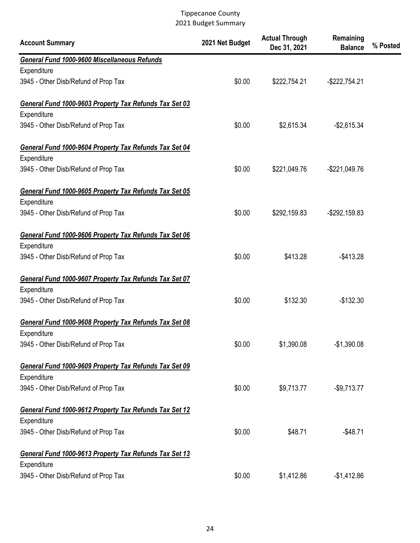| <b>Account Summary</b>                                 | 2021 Net Budget | <b>Actual Through</b><br>Dec 31, 2021 | Remaining<br><b>Balance</b> | % Posted |
|--------------------------------------------------------|-----------------|---------------------------------------|-----------------------------|----------|
| General Fund 1000-9600 Miscellaneous Refunds           |                 |                                       |                             |          |
| Expenditure                                            |                 |                                       |                             |          |
| 3945 - Other Disb/Refund of Prop Tax                   | \$0.00          | \$222,754.21                          | $-$ \$222,754.21            |          |
| General Fund 1000-9603 Property Tax Refunds Tax Set 03 |                 |                                       |                             |          |
| Expenditure                                            |                 |                                       |                             |          |
| 3945 - Other Disb/Refund of Prop Tax                   | \$0.00          | \$2,615.34                            | $-$ \$2,615.34              |          |
| General Fund 1000-9604 Property Tax Refunds Tax Set 04 |                 |                                       |                             |          |
| Expenditure                                            |                 |                                       |                             |          |
| 3945 - Other Disb/Refund of Prop Tax                   | \$0.00          | \$221,049.76                          | $-$221,049.76$              |          |
| General Fund 1000-9605 Property Tax Refunds Tax Set 05 |                 |                                       |                             |          |
| Expenditure                                            |                 |                                       |                             |          |
| 3945 - Other Disb/Refund of Prop Tax                   | \$0.00          | \$292,159.83                          | $-$292,159.83$              |          |
| General Fund 1000-9606 Property Tax Refunds Tax Set 06 |                 |                                       |                             |          |
| Expenditure                                            |                 |                                       |                             |          |
| 3945 - Other Disb/Refund of Prop Tax                   | \$0.00          | \$413.28                              | $-$413.28$                  |          |
| General Fund 1000-9607 Property Tax Refunds Tax Set 07 |                 |                                       |                             |          |
| Expenditure                                            |                 |                                       |                             |          |
| 3945 - Other Disb/Refund of Prop Tax                   | \$0.00          | \$132.30                              | $-$132.30$                  |          |
| General Fund 1000-9608 Property Tax Refunds Tax Set 08 |                 |                                       |                             |          |
| Expenditure                                            |                 |                                       |                             |          |
| 3945 - Other Disb/Refund of Prop Tax                   | \$0.00          | \$1,390.08                            | $-$1,390.08$                |          |
| General Fund 1000-9609 Property Tax Refunds Tax Set 09 |                 |                                       |                             |          |
| Expenditure                                            |                 |                                       |                             |          |
| 3945 - Other Disb/Refund of Prop Tax                   | \$0.00          | \$9,713.77                            | $-$9,713.77$                |          |
| General Fund 1000-9612 Property Tax Refunds Tax Set 12 |                 |                                       |                             |          |
| Expenditure                                            |                 |                                       |                             |          |
| 3945 - Other Disb/Refund of Prop Tax                   | \$0.00          | \$48.71                               | $-$48.71$                   |          |
| General Fund 1000-9613 Property Tax Refunds Tax Set 13 |                 |                                       |                             |          |
| Expenditure                                            |                 |                                       |                             |          |
| 3945 - Other Disb/Refund of Prop Tax                   | \$0.00          | \$1,412.86                            | $-$1,412.86$                |          |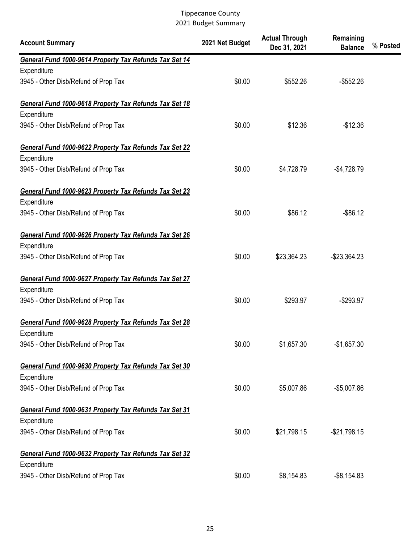| <b>Account Summary</b>                                                | 2021 Net Budget | <b>Actual Through</b><br>Dec 31, 2021 | Remaining<br><b>Balance</b> | % Posted |
|-----------------------------------------------------------------------|-----------------|---------------------------------------|-----------------------------|----------|
| General Fund 1000-9614 Property Tax Refunds Tax Set 14                |                 |                                       |                             |          |
| Expenditure                                                           |                 |                                       |                             |          |
| 3945 - Other Disb/Refund of Prop Tax                                  | \$0.00          | \$552.26                              | $-$ \$552.26                |          |
| General Fund 1000-9618 Property Tax Refunds Tax Set 18                |                 |                                       |                             |          |
| Expenditure                                                           |                 |                                       |                             |          |
| 3945 - Other Disb/Refund of Prop Tax                                  | \$0.00          | \$12.36                               | $-$12.36$                   |          |
| General Fund 1000-9622 Property Tax Refunds Tax Set 22                |                 |                                       |                             |          |
| Expenditure                                                           |                 |                                       |                             |          |
| 3945 - Other Disb/Refund of Prop Tax                                  | \$0.00          | \$4,728.79                            | $-$4,728.79$                |          |
| General Fund 1000-9623 Property Tax Refunds Tax Set 23                |                 |                                       |                             |          |
| Expenditure                                                           |                 |                                       |                             |          |
| 3945 - Other Disb/Refund of Prop Tax                                  | \$0.00          | \$86.12                               | $-$ \$86.12                 |          |
| General Fund 1000-9626 Property Tax Refunds Tax Set 26                |                 |                                       |                             |          |
| Expenditure                                                           |                 |                                       |                             |          |
| 3945 - Other Disb/Refund of Prop Tax                                  | \$0.00          | \$23,364.23                           | $-$23,364.23$               |          |
| General Fund 1000-9627 Property Tax Refunds Tax Set 27<br>Expenditure |                 |                                       |                             |          |
| 3945 - Other Disb/Refund of Prop Tax                                  | \$0.00          | \$293.97                              | $-$293.97$                  |          |
| General Fund 1000-9628 Property Tax Refunds Tax Set 28                |                 |                                       |                             |          |
| Expenditure                                                           |                 |                                       |                             |          |
| 3945 - Other Disb/Refund of Prop Tax                                  | \$0.00          | \$1,657.30                            | $-$1,657.30$                |          |
| General Fund 1000-9630 Property Tax Refunds Tax Set 30                |                 |                                       |                             |          |
| Expenditure                                                           |                 |                                       |                             |          |
| 3945 - Other Disb/Refund of Prop Tax                                  | \$0.00          | \$5,007.86                            | $-$5,007.86$                |          |
| General Fund 1000-9631 Property Tax Refunds Tax Set 31<br>Expenditure |                 |                                       |                             |          |
| 3945 - Other Disb/Refund of Prop Tax                                  | \$0.00          | \$21,798.15                           | $-$21,798.15$               |          |
| General Fund 1000-9632 Property Tax Refunds Tax Set 32<br>Expenditure |                 |                                       |                             |          |
| 3945 - Other Disb/Refund of Prop Tax                                  | \$0.00          | \$8,154.83                            | $-$ \$8,154.83              |          |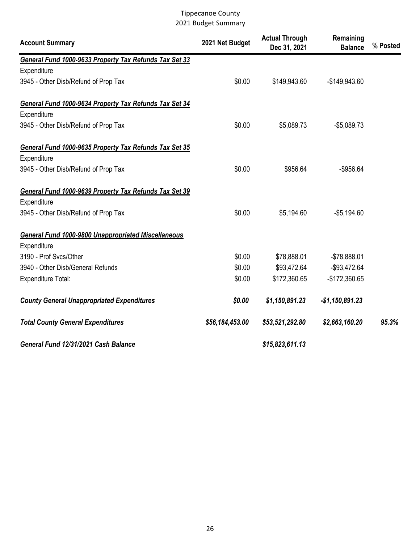| <b>Account Summary</b>                                     | 2021 Net Budget | <b>Actual Through</b><br>Dec 31, 2021 | Remaining<br><b>Balance</b> | % Posted |
|------------------------------------------------------------|-----------------|---------------------------------------|-----------------------------|----------|
| General Fund 1000-9633 Property Tax Refunds Tax Set 33     |                 |                                       |                             |          |
| Expenditure                                                |                 |                                       |                             |          |
| 3945 - Other Disb/Refund of Prop Tax                       | \$0.00          | \$149,943.60                          | $-$149,943.60$              |          |
| General Fund 1000-9634 Property Tax Refunds Tax Set 34     |                 |                                       |                             |          |
| Expenditure                                                |                 |                                       |                             |          |
| 3945 - Other Disb/Refund of Prop Tax                       | \$0.00          | \$5,089.73                            | $-$5,089.73$                |          |
| General Fund 1000-9635 Property Tax Refunds Tax Set 35     |                 |                                       |                             |          |
| Expenditure                                                |                 |                                       |                             |          |
| 3945 - Other Disb/Refund of Prop Tax                       | \$0.00          | \$956.64                              | $-$956.64$                  |          |
| General Fund 1000-9639 Property Tax Refunds Tax Set 39     |                 |                                       |                             |          |
| Expenditure                                                |                 |                                       |                             |          |
| 3945 - Other Disb/Refund of Prop Tax                       | \$0.00          | \$5,194.60                            | $-$5,194.60$                |          |
| <b>General Fund 1000-9800 Unappropriated Miscellaneous</b> |                 |                                       |                             |          |
| Expenditure                                                |                 |                                       |                             |          |
| 3190 - Prof Svcs/Other                                     | \$0.00          | \$78,888.01                           | $-$78,888.01$               |          |
| 3940 - Other Disb/General Refunds                          | \$0.00          | \$93,472.64                           | $-$93,472.64$               |          |
| Expenditure Total:                                         | \$0.00          | \$172,360.65                          | $-$172,360.65$              |          |
| <b>County General Unappropriated Expenditures</b>          | \$0.00          | \$1,150,891.23                        | $-$1,150,891.23$            |          |
| <b>Total County General Expenditures</b>                   | \$56,184,453.00 | \$53,521,292.80                       | \$2,663,160.20              | 95.3%    |
| General Fund 12/31/2021 Cash Balance                       |                 | \$15,823,611.13                       |                             |          |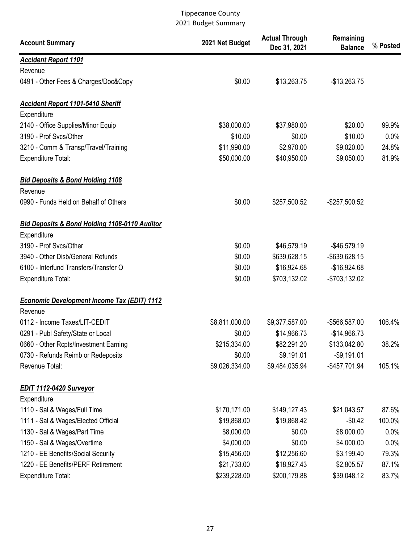| <b>Account Summary</b>                                   | 2021 Net Budget | <b>Actual Through</b><br>Dec 31, 2021 | Remaining<br><b>Balance</b> | % Posted |
|----------------------------------------------------------|-----------------|---------------------------------------|-----------------------------|----------|
| <b>Accident Report 1101</b>                              |                 |                                       |                             |          |
| Revenue                                                  |                 |                                       |                             |          |
| 0491 - Other Fees & Charges/Doc&Copy                     | \$0.00          | \$13,263.75                           | $-$13,263.75$               |          |
| Accident Report 1101-5410 Sheriff                        |                 |                                       |                             |          |
| Expenditure                                              |                 |                                       |                             |          |
| 2140 - Office Supplies/Minor Equip                       | \$38,000.00     | \$37,980.00                           | \$20.00                     | 99.9%    |
| 3190 - Prof Svcs/Other                                   | \$10.00         | \$0.00                                | \$10.00                     | 0.0%     |
| 3210 - Comm & Transp/Travel/Training                     | \$11,990.00     | \$2,970.00                            | \$9,020.00                  | 24.8%    |
| <b>Expenditure Total:</b>                                | \$50,000.00     | \$40,950.00                           | \$9,050.00                  | 81.9%    |
| <b>Bid Deposits &amp; Bond Holding 1108</b>              |                 |                                       |                             |          |
| Revenue                                                  |                 |                                       |                             |          |
| 0990 - Funds Held on Behalf of Others                    | \$0.00          | \$257,500.52                          | $-$257,500.52$              |          |
| <b>Bid Deposits &amp; Bond Holding 1108-0110 Auditor</b> |                 |                                       |                             |          |
| Expenditure                                              |                 |                                       |                             |          |
| 3190 - Prof Svcs/Other                                   | \$0.00          | \$46,579.19                           | $-$46,579.19$               |          |
| 3940 - Other Disb/General Refunds                        | \$0.00          | \$639,628.15                          | -\$639,628.15               |          |
| 6100 - Interfund Transfers/Transfer O                    | \$0.00          | \$16,924.68                           | $-$16,924.68$               |          |
| <b>Expenditure Total:</b>                                | \$0.00          | \$703,132.02                          | -\$703,132.02               |          |
| <b>Economic Development Income Tax (EDIT) 1112</b>       |                 |                                       |                             |          |
| Revenue                                                  |                 |                                       |                             |          |
| 0112 - Income Taxes/LIT-CEDIT                            | \$8,811,000.00  | \$9,377,587.00                        | -\$566,587.00               | 106.4%   |
| 0291 - Publ Safety/State or Local                        | \$0.00          | \$14,966.73                           | $-$14,966.73$               |          |
| 0660 - Other Rcpts/Investment Earning                    | \$215,334.00    | \$82,291.20                           | \$133,042.80                | 38.2%    |
| 0730 - Refunds Reimb or Redeposits                       | \$0.00          | \$9,191.01                            | $-$9,191.01$                |          |
| Revenue Total:                                           | \$9,026,334.00  | \$9,484,035.94                        | -\$457,701.94               | 105.1%   |
| EDIT 1112-0420 Surveyor                                  |                 |                                       |                             |          |
| Expenditure                                              |                 |                                       |                             |          |
| 1110 - Sal & Wages/Full Time                             | \$170,171.00    | \$149,127.43                          | \$21,043.57                 | 87.6%    |
| 1111 - Sal & Wages/Elected Official                      | \$19,868.00     | \$19,868.42                           | $-$0.42$                    | 100.0%   |
| 1130 - Sal & Wages/Part Time                             | \$8,000.00      | \$0.00                                | \$8,000.00                  | $0.0\%$  |
| 1150 - Sal & Wages/Overtime                              | \$4,000.00      | \$0.00                                | \$4,000.00                  | 0.0%     |
| 1210 - EE Benefits/Social Security                       | \$15,456.00     | \$12,256.60                           | \$3,199.40                  | 79.3%    |
| 1220 - EE Benefits/PERF Retirement                       | \$21,733.00     | \$18,927.43                           | \$2,805.57                  | 87.1%    |
| Expenditure Total:                                       | \$239,228.00    | \$200,179.88                          | \$39,048.12                 | 83.7%    |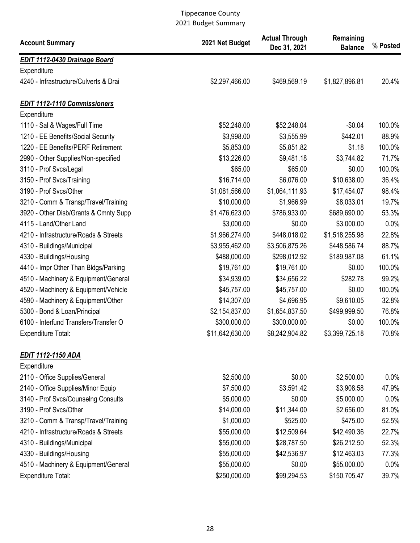| <b>Account Summary</b>                | 2021 Net Budget | <b>Actual Through</b><br>Dec 31, 2021 | Remaining<br><b>Balance</b> | % Posted |
|---------------------------------------|-----------------|---------------------------------------|-----------------------------|----------|
| <b>EDIT 1112-0430 Drainage Board</b>  |                 |                                       |                             |          |
| Expenditure                           |                 |                                       |                             |          |
| 4240 - Infrastructure/Culverts & Drai | \$2,297,466.00  | \$469,569.19                          | \$1,827,896.81              | 20.4%    |
| <b>EDIT 1112-1110 Commissioners</b>   |                 |                                       |                             |          |
| Expenditure                           |                 |                                       |                             |          |
| 1110 - Sal & Wages/Full Time          | \$52,248.00     | \$52,248.04                           | $-$0.04$                    | 100.0%   |
| 1210 - EE Benefits/Social Security    | \$3,998.00      | \$3,555.99                            | \$442.01                    | 88.9%    |
| 1220 - EE Benefits/PERF Retirement    | \$5,853.00      | \$5,851.82                            | \$1.18                      | 100.0%   |
| 2990 - Other Supplies/Non-specified   | \$13,226.00     | \$9,481.18                            | \$3,744.82                  | 71.7%    |
| 3110 - Prof Svcs/Legal                | \$65.00         | \$65.00                               | \$0.00                      | 100.0%   |
| 3150 - Prof Svcs/Training             | \$16,714.00     | \$6,076.00                            | \$10,638.00                 | 36.4%    |
| 3190 - Prof Svcs/Other                | \$1,081,566.00  | \$1,064,111.93                        | \$17,454.07                 | 98.4%    |
| 3210 - Comm & Transp/Travel/Training  | \$10,000.00     | \$1,966.99                            | \$8,033.01                  | 19.7%    |
| 3920 - Other Disb/Grants & Cmnty Supp | \$1,476,623.00  | \$786,933.00                          | \$689,690.00                | 53.3%    |
| 4115 - Land/Other Land                | \$3,000.00      | \$0.00                                | \$3,000.00                  | 0.0%     |
| 4210 - Infrastructure/Roads & Streets | \$1,966,274.00  | \$448,018.02                          | \$1,518,255.98              | 22.8%    |
| 4310 - Buildings/Municipal            | \$3,955,462.00  | \$3,506,875.26                        | \$448,586.74                | 88.7%    |
| 4330 - Buildings/Housing              | \$488,000.00    | \$298,012.92                          | \$189,987.08                | 61.1%    |
| 4410 - Impr Other Than Bldgs/Parking  | \$19,761.00     | \$19,761.00                           | \$0.00                      | 100.0%   |
| 4510 - Machinery & Equipment/General  | \$34,939.00     | \$34,656.22                           | \$282.78                    | 99.2%    |
| 4520 - Machinery & Equipment/Vehicle  | \$45,757.00     | \$45,757.00                           | \$0.00                      | 100.0%   |
| 4590 - Machinery & Equipment/Other    | \$14,307.00     | \$4,696.95                            | \$9,610.05                  | 32.8%    |
| 5300 - Bond & Loan/Principal          | \$2,154,837.00  | \$1,654,837.50                        | \$499,999.50                | 76.8%    |
| 6100 - Interfund Transfers/Transfer O | \$300,000.00    | \$300,000.00                          | \$0.00                      | 100.0%   |
| Expenditure Total:                    | \$11,642,630.00 | \$8,242,904.82                        | \$3,399,725.18              | 70.8%    |
| <b>EDIT 1112-1150 ADA</b>             |                 |                                       |                             |          |
| Expenditure                           |                 |                                       |                             |          |
| 2110 - Office Supplies/General        | \$2,500.00      | \$0.00                                | \$2,500.00                  | 0.0%     |
| 2140 - Office Supplies/Minor Equip    | \$7,500.00      | \$3,591.42                            | \$3,908.58                  | 47.9%    |
| 3140 - Prof Svcs/Counselng Consults   | \$5,000.00      | \$0.00                                | \$5,000.00                  | 0.0%     |
| 3190 - Prof Svcs/Other                | \$14,000.00     | \$11,344.00                           | \$2,656.00                  | 81.0%    |
| 3210 - Comm & Transp/Travel/Training  | \$1,000.00      | \$525.00                              | \$475.00                    | 52.5%    |
| 4210 - Infrastructure/Roads & Streets | \$55,000.00     | \$12,509.64                           | \$42,490.36                 | 22.7%    |
| 4310 - Buildings/Municipal            | \$55,000.00     | \$28,787.50                           | \$26,212.50                 | 52.3%    |
| 4330 - Buildings/Housing              | \$55,000.00     | \$42,536.97                           | \$12,463.03                 | 77.3%    |
| 4510 - Machinery & Equipment/General  | \$55,000.00     | \$0.00                                | \$55,000.00                 | 0.0%     |
| Expenditure Total:                    | \$250,000.00    | \$99,294.53                           | \$150,705.47                | 39.7%    |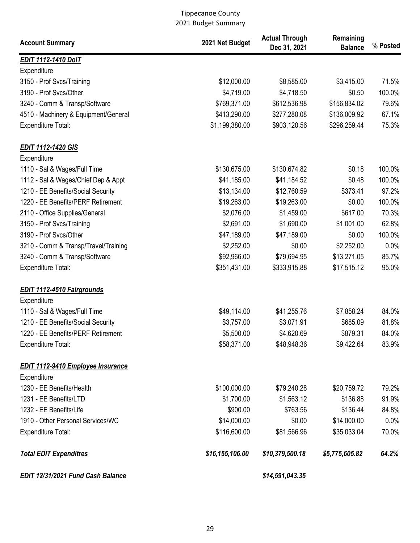| <b>Account Summary</b>                   | 2021 Net Budget | <b>Actual Through</b><br>Dec 31, 2021 | Remaining<br><b>Balance</b> | % Posted |
|------------------------------------------|-----------------|---------------------------------------|-----------------------------|----------|
| <b>EDIT 1112-1410 DoIT</b>               |                 |                                       |                             |          |
| Expenditure                              |                 |                                       |                             |          |
| 3150 - Prof Svcs/Training                | \$12,000.00     | \$8,585.00                            | \$3,415.00                  | 71.5%    |
| 3190 - Prof Svcs/Other                   | \$4,719.00      | \$4,718.50                            | \$0.50                      | 100.0%   |
| 3240 - Comm & Transp/Software            | \$769,371.00    | \$612,536.98                          | \$156,834.02                | 79.6%    |
| 4510 - Machinery & Equipment/General     | \$413,290.00    | \$277,280.08                          | \$136,009.92                | 67.1%    |
| <b>Expenditure Total:</b>                | \$1,199,380.00  | \$903,120.56                          | \$296,259.44                | 75.3%    |
| <b>EDIT 1112-1420 GIS</b>                |                 |                                       |                             |          |
| Expenditure                              |                 |                                       |                             |          |
| 1110 - Sal & Wages/Full Time             | \$130,675.00    | \$130,674.82                          | \$0.18                      | 100.0%   |
| 1112 - Sal & Wages/Chief Dep & Appt      | \$41,185.00     | \$41,184.52                           | \$0.48                      | 100.0%   |
| 1210 - EE Benefits/Social Security       | \$13,134.00     | \$12,760.59                           | \$373.41                    | 97.2%    |
| 1220 - EE Benefits/PERF Retirement       | \$19,263.00     | \$19,263.00                           | \$0.00                      | 100.0%   |
| 2110 - Office Supplies/General           | \$2,076.00      | \$1,459.00                            | \$617.00                    | 70.3%    |
| 3150 - Prof Svcs/Training                | \$2,691.00      | \$1,690.00                            | \$1,001.00                  | 62.8%    |
| 3190 - Prof Svcs/Other                   | \$47,189.00     | \$47,189.00                           | \$0.00                      | 100.0%   |
| 3210 - Comm & Transp/Travel/Training     | \$2,252.00      | \$0.00                                | \$2,252.00                  | 0.0%     |
| 3240 - Comm & Transp/Software            | \$92,966.00     | \$79,694.95                           | \$13,271.05                 | 85.7%    |
| <b>Expenditure Total:</b>                | \$351,431.00    | \$333,915.88                          | \$17,515.12                 | 95.0%    |
| <b>EDIT 1112-4510 Fairgrounds</b>        |                 |                                       |                             |          |
| Expenditure                              |                 |                                       |                             |          |
| 1110 - Sal & Wages/Full Time             | \$49,114.00     | \$41,255.76                           | \$7,858.24                  | 84.0%    |
| 1210 - EE Benefits/Social Security       | \$3,757.00      | \$3,071.91                            | \$685.09                    | 81.8%    |
| 1220 - EE Benefits/PERF Retirement       | \$5,500.00      | \$4,620.69                            | \$879.31                    | 84.0%    |
| <b>Expenditure Total:</b>                | \$58,371.00     | \$48,948.36                           | \$9,422.64                  | 83.9%    |
| <b>EDIT 1112-9410 Employee Insurance</b> |                 |                                       |                             |          |
| Expenditure                              |                 |                                       |                             |          |
| 1230 - EE Benefits/Health                | \$100,000.00    | \$79,240.28                           | \$20,759.72                 | 79.2%    |
| 1231 - EE Benefits/LTD                   | \$1,700.00      | \$1,563.12                            | \$136.88                    | 91.9%    |
| 1232 - EE Benefits/Life                  | \$900.00        | \$763.56                              | \$136.44                    | 84.8%    |
| 1910 - Other Personal Services/WC        | \$14,000.00     | \$0.00                                | \$14,000.00                 | 0.0%     |
| <b>Expenditure Total:</b>                | \$116,600.00    | \$81,566.96                           | \$35,033.04                 | 70.0%    |
| <b>Total EDIT Expenditres</b>            | \$16,155,106.00 | \$10,379,500.18                       | \$5,775,605.82              | 64.2%    |
| EDIT 12/31/2021 Fund Cash Balance        |                 | \$14,591,043.35                       |                             |          |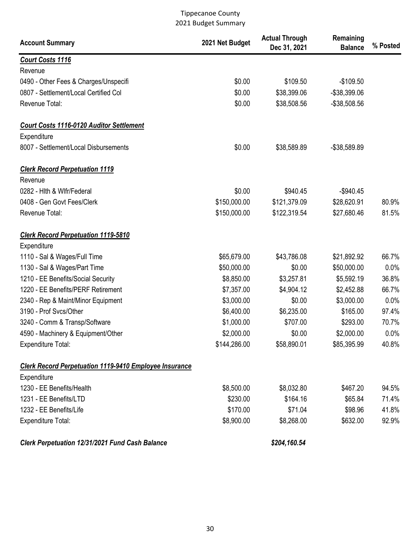| <b>Account Summary</b>                                        | 2021 Net Budget | <b>Actual Through</b><br>Dec 31, 2021 | Remaining<br><b>Balance</b> | % Posted |
|---------------------------------------------------------------|-----------------|---------------------------------------|-----------------------------|----------|
| <b>Court Costs 1116</b>                                       |                 |                                       |                             |          |
| Revenue                                                       |                 |                                       |                             |          |
| 0490 - Other Fees & Charges/Unspecifi                         | \$0.00          | \$109.50                              | $-$109.50$                  |          |
| 0807 - Settlement/Local Certified Col                         | \$0.00          | \$38,399.06                           | -\$38,399.06                |          |
| Revenue Total:                                                | \$0.00          | \$38,508.56                           | $-$38,508.56$               |          |
| <b>Court Costs 1116-0120 Auditor Settlement</b>               |                 |                                       |                             |          |
| Expenditure                                                   |                 |                                       |                             |          |
| 8007 - Settlement/Local Disbursements                         | \$0.00          | \$38,589.89                           | -\$38,589.89                |          |
| <b>Clerk Record Perpetuation 1119</b>                         |                 |                                       |                             |          |
| Revenue                                                       |                 |                                       |                             |          |
| 0282 - Hith & Wifr/Federal                                    | \$0.00          | \$940.45                              | $-$940.45$                  |          |
| 0408 - Gen Govt Fees/Clerk                                    | \$150,000.00    | \$121,379.09                          | \$28,620.91                 | 80.9%    |
| Revenue Total:                                                | \$150,000.00    | \$122,319.54                          | \$27,680.46                 | 81.5%    |
| <b>Clerk Record Perpetuation 1119-5810</b>                    |                 |                                       |                             |          |
| Expenditure                                                   |                 |                                       |                             |          |
| 1110 - Sal & Wages/Full Time                                  | \$65,679.00     | \$43,786.08                           | \$21,892.92                 | 66.7%    |
| 1130 - Sal & Wages/Part Time                                  | \$50,000.00     | \$0.00                                | \$50,000.00                 | 0.0%     |
| 1210 - EE Benefits/Social Security                            | \$8,850.00      | \$3,257.81                            | \$5,592.19                  | 36.8%    |
| 1220 - EE Benefits/PERF Retirement                            | \$7,357.00      | \$4,904.12                            | \$2,452.88                  | 66.7%    |
| 2340 - Rep & Maint/Minor Equipment                            | \$3,000.00      | \$0.00                                | \$3,000.00                  | 0.0%     |
| 3190 - Prof Svcs/Other                                        | \$6,400.00      | \$6,235.00                            | \$165.00                    | 97.4%    |
| 3240 - Comm & Transp/Software                                 | \$1,000.00      | \$707.00                              | \$293.00                    | 70.7%    |
| 4590 - Machinery & Equipment/Other                            | \$2,000.00      | \$0.00                                | \$2,000.00                  | 0.0%     |
| <b>Expenditure Total:</b>                                     | \$144,286.00    | \$58,890.01                           | \$85,395.99                 | 40.8%    |
| <b>Clerk Record Perpetuation 1119-9410 Employee Insurance</b> |                 |                                       |                             |          |
| Expenditure                                                   |                 |                                       |                             |          |
| 1230 - EE Benefits/Health                                     | \$8,500.00      | \$8,032.80                            | \$467.20                    | 94.5%    |
| 1231 - EE Benefits/LTD                                        | \$230.00        | \$164.16                              | \$65.84                     | 71.4%    |
| 1232 - EE Benefits/Life                                       | \$170.00        | \$71.04                               | \$98.96                     | 41.8%    |
| <b>Expenditure Total:</b>                                     | \$8,900.00      | \$8,268.00                            | \$632.00                    | 92.9%    |
| Clerk Perpetuation 12/31/2021 Fund Cash Balance               |                 | \$204,160.54                          |                             |          |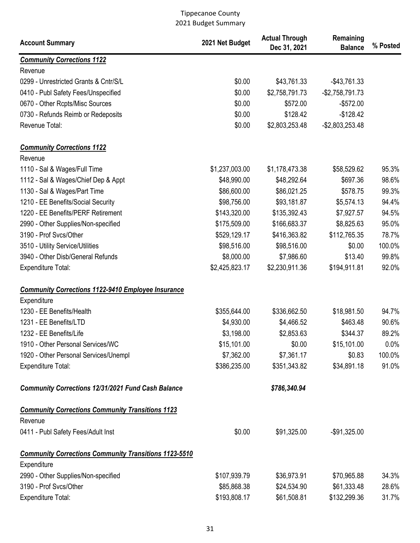| <b>Account Summary</b>                                       | 2021 Net Budget | <b>Actual Through</b><br>Dec 31, 2021 | Remaining<br><b>Balance</b> | % Posted |
|--------------------------------------------------------------|-----------------|---------------------------------------|-----------------------------|----------|
| <b>Community Corrections 1122</b>                            |                 |                                       |                             |          |
| Revenue                                                      |                 |                                       |                             |          |
| 0299 - Unrestricted Grants & Cntr/S/L                        | \$0.00          | \$43,761.33                           | $-$ \$43,761.33             |          |
| 0410 - Publ Safety Fees/Unspecified                          | \$0.00          | \$2,758,791.73                        | $-$2,758,791.73$            |          |
| 0670 - Other Rcpts/Misc Sources                              | \$0.00          | \$572.00                              | $-$572.00$                  |          |
| 0730 - Refunds Reimb or Redeposits                           | \$0.00          | \$128.42                              | $-$128.42$                  |          |
| Revenue Total:                                               | \$0.00          | \$2,803,253.48                        | $-$2,803,253.48$            |          |
| <b>Community Corrections 1122</b>                            |                 |                                       |                             |          |
| Revenue                                                      |                 |                                       |                             |          |
| 1110 - Sal & Wages/Full Time                                 | \$1,237,003.00  | \$1,178,473.38                        | \$58,529.62                 | 95.3%    |
| 1112 - Sal & Wages/Chief Dep & Appt                          | \$48,990.00     | \$48,292.64                           | \$697.36                    | 98.6%    |
| 1130 - Sal & Wages/Part Time                                 | \$86,600.00     | \$86,021.25                           | \$578.75                    | 99.3%    |
| 1210 - EE Benefits/Social Security                           | \$98,756.00     | \$93,181.87                           | \$5,574.13                  | 94.4%    |
| 1220 - EE Benefits/PERF Retirement                           | \$143,320.00    | \$135,392.43                          | \$7,927.57                  | 94.5%    |
| 2990 - Other Supplies/Non-specified                          | \$175,509.00    | \$166,683.37                          | \$8,825.63                  | 95.0%    |
| 3190 - Prof Svcs/Other                                       | \$529,129.17    | \$416,363.82                          | \$112,765.35                | 78.7%    |
| 3510 - Utility Service/Utilities                             | \$98,516.00     | \$98,516.00                           | \$0.00                      | 100.0%   |
| 3940 - Other Disb/General Refunds                            | \$8,000.00      | \$7,986.60                            | \$13.40                     | 99.8%    |
| <b>Expenditure Total:</b>                                    | \$2,425,823.17  | \$2,230,911.36                        | \$194,911.81                | 92.0%    |
| <b>Community Corrections 1122-9410 Employee Insurance</b>    |                 |                                       |                             |          |
| Expenditure                                                  |                 |                                       |                             |          |
| 1230 - EE Benefits/Health                                    | \$355,644.00    | \$336,662.50                          | \$18,981.50                 | 94.7%    |
| 1231 - EE Benefits/LTD                                       | \$4,930.00      | \$4,466.52                            | \$463.48                    | 90.6%    |
| 1232 - EE Benefits/Life                                      | \$3,198.00      | \$2,853.63                            | \$344.37                    | 89.2%    |
| 1910 - Other Personal Services/WC                            | \$15,101.00     | \$0.00                                | \$15,101.00                 | 0.0%     |
| 1920 - Other Personal Services/Unempl                        | \$7,362.00      | \$7,361.17                            | \$0.83                      | 100.0%   |
| <b>Expenditure Total:</b>                                    | \$386,235.00    | \$351,343.82                          | \$34,891.18                 | 91.0%    |
| <b>Community Corrections 12/31/2021 Fund Cash Balance</b>    |                 | \$786,340.94                          |                             |          |
| <b>Community Corrections Community Transitions 1123</b>      |                 |                                       |                             |          |
| Revenue                                                      |                 |                                       |                             |          |
| 0411 - Publ Safety Fees/Adult Inst                           | \$0.00          | \$91,325.00                           | $-$91,325.00$               |          |
| <b>Community Corrections Community Transitions 1123-5510</b> |                 |                                       |                             |          |
| Expenditure                                                  |                 |                                       |                             |          |
| 2990 - Other Supplies/Non-specified                          | \$107,939.79    | \$36,973.91                           | \$70,965.88                 | 34.3%    |
| 3190 - Prof Svcs/Other                                       | \$85,868.38     | \$24,534.90                           | \$61,333.48                 | 28.6%    |
| Expenditure Total:                                           | \$193,808.17    | \$61,508.81                           | \$132,299.36                | 31.7%    |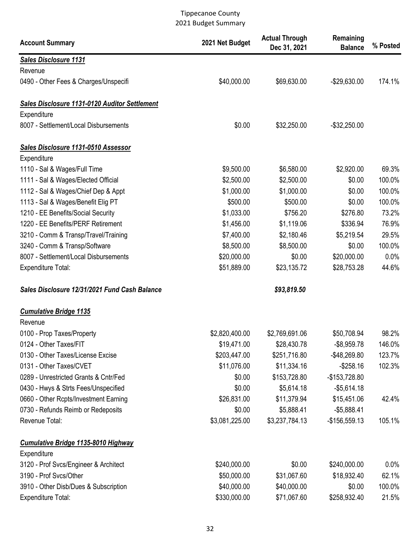| <b>Account Summary</b>                               | 2021 Net Budget | <b>Actual Through</b><br>Dec 31, 2021 | Remaining<br><b>Balance</b> | % Posted |
|------------------------------------------------------|-----------------|---------------------------------------|-----------------------------|----------|
| <b>Sales Disclosure 1131</b>                         |                 |                                       |                             |          |
| Revenue                                              |                 |                                       |                             |          |
| 0490 - Other Fees & Charges/Unspecifi                | \$40,000.00     | \$69,630.00                           | $-$29,630.00$               | 174.1%   |
| <b>Sales Disclosure 1131-0120 Auditor Settlement</b> |                 |                                       |                             |          |
| Expenditure                                          |                 |                                       |                             |          |
| 8007 - Settlement/Local Disbursements                | \$0.00          | \$32,250.00                           | $-$ \$32,250.00             |          |
| Sales Disclosure 1131-0510 Assessor                  |                 |                                       |                             |          |
| Expenditure                                          |                 |                                       |                             |          |
| 1110 - Sal & Wages/Full Time                         | \$9,500.00      | \$6,580.00                            | \$2,920.00                  | 69.3%    |
| 1111 - Sal & Wages/Elected Official                  | \$2,500.00      | \$2,500.00                            | \$0.00                      | 100.0%   |
| 1112 - Sal & Wages/Chief Dep & Appt                  | \$1,000.00      | \$1,000.00                            | \$0.00                      | 100.0%   |
| 1113 - Sal & Wages/Benefit Elig PT                   | \$500.00        | \$500.00                              | \$0.00                      | 100.0%   |
| 1210 - EE Benefits/Social Security                   | \$1,033.00      | \$756.20                              | \$276.80                    | 73.2%    |
| 1220 - EE Benefits/PERF Retirement                   | \$1,456.00      | \$1,119.06                            | \$336.94                    | 76.9%    |
| 3210 - Comm & Transp/Travel/Training                 | \$7,400.00      | \$2,180.46                            | \$5,219.54                  | 29.5%    |
| 3240 - Comm & Transp/Software                        | \$8,500.00      | \$8,500.00                            | \$0.00                      | 100.0%   |
| 8007 - Settlement/Local Disbursements                | \$20,000.00     | \$0.00                                | \$20,000.00                 | 0.0%     |
| <b>Expenditure Total:</b>                            | \$51,889.00     | \$23,135.72                           | \$28,753.28                 | 44.6%    |
| Sales Disclosure 12/31/2021 Fund Cash Balance        |                 | \$93,819.50                           |                             |          |
| <b>Cumulative Bridge 1135</b>                        |                 |                                       |                             |          |
| Revenue                                              |                 |                                       |                             |          |
| 0100 - Prop Taxes/Property                           | \$2,820,400.00  | \$2,769,691.06                        | \$50,708.94                 | 98.2%    |
| 0124 - Other Taxes/FIT                               | \$19,471.00     | \$28,430.78                           | $-$8,959.78$                | 146.0%   |
| 0130 - Other Taxes/License Excise                    | \$203,447.00    | \$251,716.80                          | -\$48,269.80                | 123.7%   |
| 0131 - Other Taxes/CVET                              | \$11,076.00     | \$11,334.16                           | $-$258.16$                  | 102.3%   |
| 0289 - Unrestricted Grants & Cntr/Fed                | \$0.00          | \$153,728.80                          | $-$153,728.80$              |          |
| 0430 - Hwys & Strts Fees/Unspecified                 | \$0.00          | \$5,614.18                            | $-$5,614.18$                |          |
| 0660 - Other Rcpts/Investment Earning                | \$26,831.00     | \$11,379.94                           | \$15,451.06                 | 42.4%    |
| 0730 - Refunds Reimb or Redeposits                   | \$0.00          | \$5,888.41                            | $-$5,888.41$                |          |
| Revenue Total:                                       | \$3,081,225.00  | \$3,237,784.13                        | $-$156,559.13$              | 105.1%   |
| <b>Cumulative Bridge 1135-8010 Highway</b>           |                 |                                       |                             |          |
| Expenditure                                          |                 |                                       |                             |          |
| 3120 - Prof Svcs/Engineer & Architect                | \$240,000.00    | \$0.00                                | \$240,000.00                | $0.0\%$  |
| 3190 - Prof Svcs/Other                               | \$50,000.00     | \$31,067.60                           | \$18,932.40                 | 62.1%    |
| 3910 - Other Disb/Dues & Subscription                | \$40,000.00     | \$40,000.00                           | \$0.00                      | 100.0%   |
| <b>Expenditure Total:</b>                            | \$330,000.00    | \$71,067.60                           | \$258,932.40                | 21.5%    |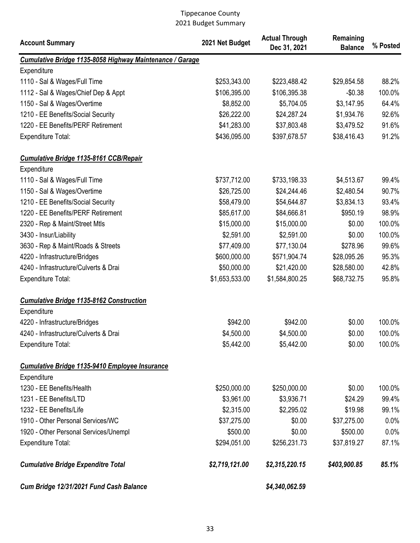| <b>Account Summary</b>                                   | 2021 Net Budget | <b>Actual Through</b><br>Dec 31, 2021 | Remaining<br><b>Balance</b> | % Posted |
|----------------------------------------------------------|-----------------|---------------------------------------|-----------------------------|----------|
| Cumulative Bridge 1135-8058 Highway Maintenance / Garage |                 |                                       |                             |          |
| Expenditure                                              |                 |                                       |                             |          |
| 1110 - Sal & Wages/Full Time                             | \$253,343.00    | \$223,488.42                          | \$29,854.58                 | 88.2%    |
| 1112 - Sal & Wages/Chief Dep & Appt                      | \$106,395.00    | \$106,395.38                          | $-$0.38$                    | 100.0%   |
| 1150 - Sal & Wages/Overtime                              | \$8,852.00      | \$5,704.05                            | \$3,147.95                  | 64.4%    |
| 1210 - EE Benefits/Social Security                       | \$26,222.00     | \$24,287.24                           | \$1,934.76                  | 92.6%    |
| 1220 - EE Benefits/PERF Retirement                       | \$41,283.00     | \$37,803.48                           | \$3,479.52                  | 91.6%    |
| <b>Expenditure Total:</b>                                | \$436,095.00    | \$397,678.57                          | \$38,416.43                 | 91.2%    |
| <b>Cumulative Bridge 1135-8161 CCB/Repair</b>            |                 |                                       |                             |          |
| Expenditure                                              |                 |                                       |                             |          |
| 1110 - Sal & Wages/Full Time                             | \$737,712.00    | \$733,198.33                          | \$4,513.67                  | 99.4%    |
| 1150 - Sal & Wages/Overtime                              | \$26,725.00     | \$24,244.46                           | \$2,480.54                  | 90.7%    |
| 1210 - EE Benefits/Social Security                       | \$58,479.00     | \$54,644.87                           | \$3,834.13                  | 93.4%    |
| 1220 - EE Benefits/PERF Retirement                       | \$85,617.00     | \$84,666.81                           | \$950.19                    | 98.9%    |
| 2320 - Rep & Maint/Street Mtls                           | \$15,000.00     | \$15,000.00                           | \$0.00                      | 100.0%   |
| 3430 - Insur/Liability                                   | \$2,591.00      | \$2,591.00                            | \$0.00                      | 100.0%   |
| 3630 - Rep & Maint/Roads & Streets                       | \$77,409.00     | \$77,130.04                           | \$278.96                    | 99.6%    |
| 4220 - Infrastructure/Bridges                            | \$600,000.00    | \$571,904.74                          | \$28,095.26                 | 95.3%    |
| 4240 - Infrastructure/Culverts & Drai                    | \$50,000.00     | \$21,420.00                           | \$28,580.00                 | 42.8%    |
| <b>Expenditure Total:</b>                                | \$1,653,533.00  | \$1,584,800.25                        | \$68,732.75                 | 95.8%    |
| <b>Cumulative Bridge 1135-8162 Construction</b>          |                 |                                       |                             |          |
| Expenditure                                              |                 |                                       |                             |          |
| 4220 - Infrastructure/Bridges                            | \$942.00        | \$942.00                              | \$0.00                      | 100.0%   |
| 4240 - Infrastructure/Culverts & Drai                    | \$4,500.00      | \$4,500.00                            | \$0.00                      | 100.0%   |
| <b>Expenditure Total:</b>                                | \$5,442.00      | \$5,442.00                            | \$0.00                      | 100.0%   |
| <b>Cumulative Bridge 1135-9410 Employee Insurance</b>    |                 |                                       |                             |          |
| Expenditure                                              |                 |                                       |                             |          |
| 1230 - EE Benefits/Health                                | \$250,000.00    | \$250,000.00                          | \$0.00                      | 100.0%   |
| 1231 - EE Benefits/LTD                                   | \$3,961.00      | \$3,936.71                            | \$24.29                     | 99.4%    |
| 1232 - EE Benefits/Life                                  | \$2,315.00      | \$2,295.02                            | \$19.98                     | 99.1%    |
| 1910 - Other Personal Services/WC                        | \$37,275.00     | \$0.00                                | \$37,275.00                 | 0.0%     |
| 1920 - Other Personal Services/Unempl                    | \$500.00        | \$0.00                                | \$500.00                    | 0.0%     |
| <b>Expenditure Total:</b>                                | \$294,051.00    | \$256,231.73                          | \$37,819.27                 | 87.1%    |
| <b>Cumulative Bridge Expenditre Total</b>                | \$2,719,121.00  | \$2,315,220.15                        | \$403,900.85                | 85.1%    |
| Cum Bridge 12/31/2021 Fund Cash Balance                  |                 | \$4,340,062.59                        |                             |          |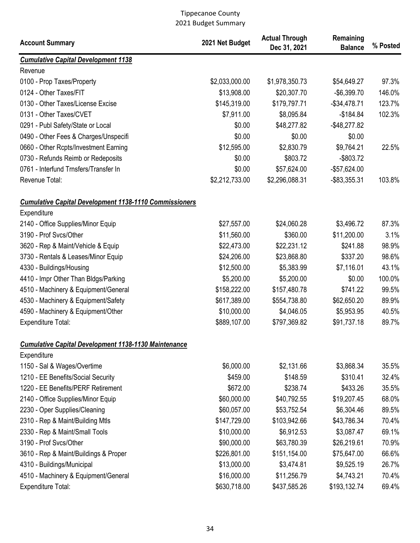| <b>Account Summary</b>                                        | 2021 Net Budget | <b>Actual Through</b><br>Dec 31, 2021 | Remaining<br><b>Balance</b> | % Posted |
|---------------------------------------------------------------|-----------------|---------------------------------------|-----------------------------|----------|
| <b>Cumulative Capital Development 1138</b>                    |                 |                                       |                             |          |
| Revenue                                                       |                 |                                       |                             |          |
| 0100 - Prop Taxes/Property                                    | \$2,033,000.00  | \$1,978,350.73                        | \$54,649.27                 | 97.3%    |
| 0124 - Other Taxes/FIT                                        | \$13,908.00     | \$20,307.70                           | $-$6,399.70$                | 146.0%   |
| 0130 - Other Taxes/License Excise                             | \$145,319.00    | \$179,797.71                          | $-$34,478.71$               | 123.7%   |
| 0131 - Other Taxes/CVET                                       | \$7,911.00      | \$8,095.84                            | $-$184.84$                  | 102.3%   |
| 0291 - Publ Safety/State or Local                             | \$0.00          | \$48,277.82                           | $-$48,277.82$               |          |
| 0490 - Other Fees & Charges/Unspecifi                         | \$0.00          | \$0.00                                | \$0.00                      |          |
| 0660 - Other Rcpts/Investment Earning                         | \$12,595.00     | \$2,830.79                            | \$9,764.21                  | 22.5%    |
| 0730 - Refunds Reimb or Redeposits                            | \$0.00          | \$803.72                              | $-$ \$803.72                |          |
| 0761 - Interfund Trnsfers/Transfer In                         | \$0.00          | \$57,624.00                           | $-$57,624.00$               |          |
| Revenue Total:                                                | \$2,212,733.00  | \$2,296,088.31                        | -\$83,355.31                | 103.8%   |
| <b>Cumulative Capital Development 1138-1110 Commissioners</b> |                 |                                       |                             |          |
| Expenditure                                                   |                 |                                       |                             |          |
| 2140 - Office Supplies/Minor Equip                            | \$27,557.00     | \$24,060.28                           | \$3,496.72                  | 87.3%    |
| 3190 - Prof Svcs/Other                                        | \$11,560.00     | \$360.00                              | \$11,200.00                 | 3.1%     |
| 3620 - Rep & Maint/Vehicle & Equip                            | \$22,473.00     | \$22,231.12                           | \$241.88                    | 98.9%    |
| 3730 - Rentals & Leases/Minor Equip                           | \$24,206.00     | \$23,868.80                           | \$337.20                    | 98.6%    |
| 4330 - Buildings/Housing                                      | \$12,500.00     | \$5,383.99                            | \$7,116.01                  | 43.1%    |
| 4410 - Impr Other Than Bldgs/Parking                          | \$5,200.00      | \$5,200.00                            | \$0.00                      | 100.0%   |
| 4510 - Machinery & Equipment/General                          | \$158,222.00    | \$157,480.78                          | \$741.22                    | 99.5%    |
| 4530 - Machinery & Equipment/Safety                           | \$617,389.00    | \$554,738.80                          | \$62,650.20                 | 89.9%    |
| 4590 - Machinery & Equipment/Other                            | \$10,000.00     | \$4,046.05                            | \$5,953.95                  | 40.5%    |
| <b>Expenditure Total:</b>                                     | \$889,107.00    | \$797,369.82                          | \$91,737.18                 | 89.7%    |
| <b>Cumulative Capital Development 1138-1130 Maintenance</b>   |                 |                                       |                             |          |
| Expenditure                                                   |                 |                                       |                             |          |
| 1150 - Sal & Wages/Overtime                                   | \$6,000.00      | \$2,131.66                            | \$3,868.34                  | 35.5%    |
| 1210 - EE Benefits/Social Security                            | \$459.00        | \$148.59                              | \$310.41                    | 32.4%    |
| 1220 - EE Benefits/PERF Retirement                            | \$672.00        | \$238.74                              | \$433.26                    | 35.5%    |
| 2140 - Office Supplies/Minor Equip                            | \$60,000.00     | \$40,792.55                           | \$19,207.45                 | 68.0%    |
| 2230 - Oper Supplies/Cleaning                                 | \$60,057.00     | \$53,752.54                           | \$6,304.46                  | 89.5%    |
| 2310 - Rep & Maint/Building Mtls                              | \$147,729.00    | \$103,942.66                          | \$43,786.34                 | 70.4%    |
| 2330 - Rep & Maint/Small Tools                                | \$10,000.00     | \$6,912.53                            | \$3,087.47                  | 69.1%    |
| 3190 - Prof Svcs/Other                                        | \$90,000.00     | \$63,780.39                           | \$26,219.61                 | 70.9%    |
| 3610 - Rep & Maint/Buildings & Proper                         | \$226,801.00    | \$151,154.00                          | \$75,647.00                 | 66.6%    |
| 4310 - Buildings/Municipal                                    | \$13,000.00     | \$3,474.81                            | \$9,525.19                  | 26.7%    |
| 4510 - Machinery & Equipment/General                          | \$16,000.00     | \$11,256.79                           | \$4,743.21                  | 70.4%    |
| Expenditure Total:                                            | \$630,718.00    | \$437,585.26                          | \$193,132.74                | 69.4%    |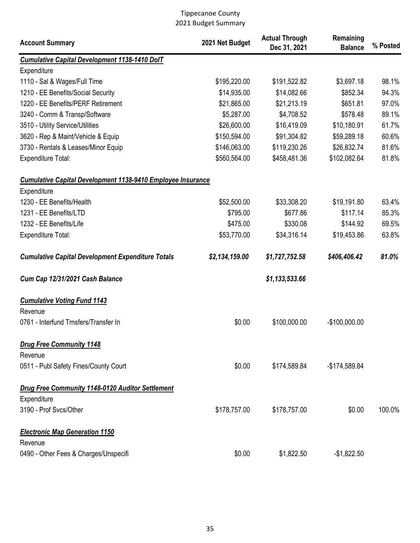| <b>Account Summary</b>                                                 | 2021 Net Budget | <b>Actual Through</b><br>Dec 31, 2021 | Remaining<br><b>Balance</b> | % Posted |
|------------------------------------------------------------------------|-----------------|---------------------------------------|-----------------------------|----------|
| <b>Cumulative Capital Development 1138-1410 DolT</b>                   |                 |                                       |                             |          |
| Expenditure                                                            |                 |                                       |                             |          |
| 1110 - Sal & Wages/Full Time                                           | \$195,220.00    | \$191,522.82                          | \$3,697.18                  | 98.1%    |
| 1210 - EE Benefits/Social Security                                     | \$14,935.00     | \$14,082.66                           | \$852.34                    | 94.3%    |
| 1220 - EE Benefits/PERF Retirement                                     | \$21,865.00     | \$21,213.19                           | \$651.81                    | 97.0%    |
| 3240 - Comm & Transp/Software                                          | \$5,287.00      | \$4,708.52                            | \$578.48                    | 89.1%    |
| 3510 - Utility Service/Utilities                                       | \$26,600.00     | \$16,419.09                           | \$10,180.91                 | 61.7%    |
| 3620 - Rep & Maint/Vehicle & Equip                                     | \$150,594.00    | \$91,304.82                           | \$59,289.18                 | 60.6%    |
| 3730 - Rentals & Leases/Minor Equip                                    | \$146,063.00    | \$119,230.26                          | \$26,832.74                 | 81.6%    |
| Expenditure Total:                                                     | \$560,564.00    | \$458,481.36                          | \$102,082.64                | 81.8%    |
| <b>Cumulative Capital Development 1138-9410 Employee Insurance</b>     |                 |                                       |                             |          |
| Expenditure                                                            |                 |                                       |                             |          |
| 1230 - EE Benefits/Health                                              | \$52,500.00     | \$33,308.20                           | \$19,191.80                 | 63.4%    |
| 1231 - EE Benefits/LTD                                                 | \$795.00        | \$677.86                              | \$117.14                    | 85.3%    |
| 1232 - EE Benefits/Life                                                | \$475.00        | \$330.08                              | \$144.92                    | 69.5%    |
| <b>Expenditure Total:</b>                                              | \$53,770.00     | \$34,316.14                           | \$19,453.86                 | 63.8%    |
| <b>Cumulative Capital Development Expenditure Totals</b>               | \$2,134,159.00  | \$1,727,752.58                        | \$406,406.42                | 81.0%    |
| Cum Cap 12/31/2021 Cash Balance                                        |                 | \$1,133,533.66                        |                             |          |
| <b>Cumulative Voting Fund 1143</b><br>Revenue                          |                 |                                       |                             |          |
| 0761 - Interfund Trnsfers/Transfer In                                  | \$0.00          | \$100,000.00                          | $-$100,000.00$              |          |
| <b>Drug Free Community 1148</b><br>Revenue                             |                 |                                       |                             |          |
| 0511 - Publ Safety Fines/County Court                                  | \$0.00          | \$174,589.84                          | -\$174,589.84               |          |
| <b>Drug Free Community 1148-0120 Auditor Settlement</b><br>Expenditure |                 |                                       |                             |          |
| 3190 - Prof Svcs/Other                                                 | \$178,757.00    | \$178,757.00                          | \$0.00                      | 100.0%   |
| <b>Electronic Map Generation 1150</b>                                  |                 |                                       |                             |          |
| Revenue                                                                |                 |                                       |                             |          |
| 0490 - Other Fees & Charges/Unspecifi                                  | \$0.00          | \$1,822.50                            | $-$1,822.50$                |          |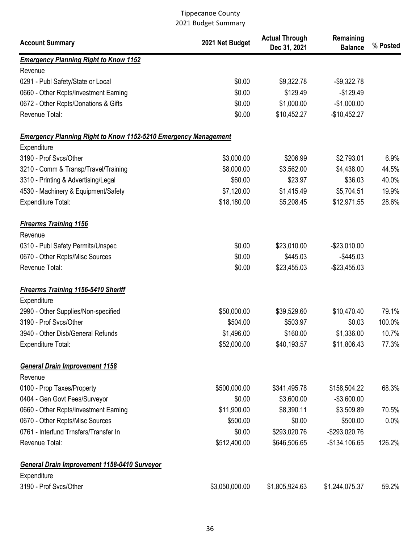| <b>Account Summary</b>                                                 | 2021 Net Budget | <b>Actual Through</b><br>Dec 31, 2021 | Remaining<br><b>Balance</b> | % Posted |
|------------------------------------------------------------------------|-----------------|---------------------------------------|-----------------------------|----------|
| <b>Emergency Planning Right to Know 1152</b>                           |                 |                                       |                             |          |
| Revenue                                                                |                 |                                       |                             |          |
| 0291 - Publ Safety/State or Local                                      | \$0.00          | \$9,322.78                            | $-$9,322.78$                |          |
| 0660 - Other Rcpts/Investment Earning                                  | \$0.00          | \$129.49                              | $-$129.49$                  |          |
| 0672 - Other Rcpts/Donations & Gifts                                   | \$0.00          | \$1,000.00                            | $-$1,000.00$                |          |
| Revenue Total:                                                         | \$0.00          | \$10,452.27                           | $-$10,452.27$               |          |
| <b>Emergency Planning Right to Know 1152-5210 Emergency Management</b> |                 |                                       |                             |          |
| Expenditure                                                            |                 |                                       |                             |          |
| 3190 - Prof Svcs/Other                                                 | \$3,000.00      | \$206.99                              | \$2,793.01                  | 6.9%     |
| 3210 - Comm & Transp/Travel/Training                                   | \$8,000.00      | \$3,562.00                            | \$4,438.00                  | 44.5%    |
| 3310 - Printing & Advertising/Legal                                    | \$60.00         | \$23.97                               | \$36.03                     | 40.0%    |
| 4530 - Machinery & Equipment/Safety                                    | \$7,120.00      | \$1,415.49                            | \$5,704.51                  | 19.9%    |
| Expenditure Total:                                                     | \$18,180.00     | \$5,208.45                            | \$12,971.55                 | 28.6%    |
| <b>Firearms Training 1156</b><br>Revenue                               |                 |                                       |                             |          |
| 0310 - Publ Safety Permits/Unspec                                      | \$0.00          | \$23,010.00                           | $-$23,010.00$               |          |
| 0670 - Other Rcpts/Misc Sources                                        | \$0.00          | \$445.03                              | $-$445.03$                  |          |
| Revenue Total:                                                         | \$0.00          | \$23,455.03                           | $-$23,455.03$               |          |
| <b>Firearms Training 1156-5410 Sheriff</b><br>Expenditure              |                 |                                       |                             |          |
| 2990 - Other Supplies/Non-specified                                    | \$50,000.00     | \$39,529.60                           | \$10,470.40                 | 79.1%    |
| 3190 - Prof Svcs/Other                                                 | \$504.00        | \$503.97                              | \$0.03                      | 100.0%   |
| 3940 - Other Disb/General Refunds                                      | \$1,496.00      | \$160.00                              | \$1,336.00                  | 10.7%    |
| Expenditure Total:                                                     | \$52,000.00     | \$40,193.57                           | \$11,806.43                 | 77.3%    |
| <b>General Drain Improvement 1158</b>                                  |                 |                                       |                             |          |
| Revenue                                                                |                 |                                       |                             |          |
| 0100 - Prop Taxes/Property                                             | \$500,000.00    | \$341,495.78                          | \$158,504.22                | 68.3%    |
| 0404 - Gen Govt Fees/Surveyor                                          | \$0.00          | \$3,600.00                            | $-$3,600.00$                |          |
| 0660 - Other Rcpts/Investment Earning                                  | \$11,900.00     | \$8,390.11                            | \$3,509.89                  | 70.5%    |
| 0670 - Other Rcpts/Misc Sources                                        | \$500.00        | \$0.00                                | \$500.00                    | 0.0%     |
| 0761 - Interfund Trnsfers/Transfer In                                  | \$0.00          | \$293,020.76                          | -\$293,020.76               |          |
| Revenue Total:                                                         | \$512,400.00    | \$646,506.65                          | $-$134,106.65$              | 126.2%   |
| General Drain Improvement 1158-0410 Surveyor                           |                 |                                       |                             |          |
| Expenditure<br>3190 - Prof Svcs/Other                                  | \$3,050,000.00  | \$1,805,924.63                        | \$1,244,075.37              | 59.2%    |
|                                                                        |                 |                                       |                             |          |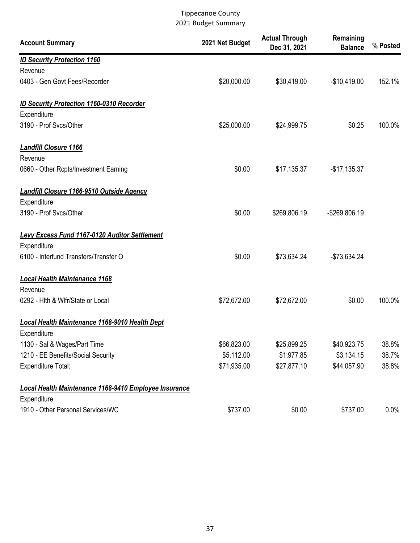| <b>Account Summary</b>                                               | 2021 Net Budget | <b>Actual Through</b><br>Dec 31, 2021 | Remaining<br><b>Balance</b> | % Posted |
|----------------------------------------------------------------------|-----------------|---------------------------------------|-----------------------------|----------|
| <b>ID Security Protection 1160</b>                                   |                 |                                       |                             |          |
| Revenue                                                              |                 |                                       |                             |          |
| 0403 - Gen Govt Fees/Recorder                                        | \$20,000.00     | \$30,419.00                           | $-$10,419.00$               | 152.1%   |
| <b>ID Security Protection 1160-0310 Recorder</b><br>Expenditure      |                 |                                       |                             |          |
| 3190 - Prof Svcs/Other                                               | \$25,000.00     | \$24,999.75                           | \$0.25                      | 100.0%   |
| <b>Landfill Closure 1166</b><br>Revenue                              |                 |                                       |                             |          |
| 0660 - Other Rcpts/Investment Earning                                | \$0.00          | \$17,135.37                           | $-$17,135.37$               |          |
| <b>Landfill Closure 1166-9510 Outside Agency</b><br>Expenditure      |                 |                                       |                             |          |
| 3190 - Prof Svcs/Other                                               | \$0.00          | \$269,806.19                          | -\$269,806.19               |          |
| <b>Levy Excess Fund 1167-0120 Auditor Settlement</b>                 |                 |                                       |                             |          |
| Expenditure                                                          |                 |                                       |                             |          |
| 6100 - Interfund Transfers/Transfer O                                | \$0.00          | \$73,634.24                           | -\$73,634.24                |          |
| <b>Local Health Maintenance 1168</b><br>Revenue                      |                 |                                       |                             |          |
| 0292 - Hith & Wifr/State or Local                                    | \$72,672.00     | \$72,672.00                           | \$0.00                      | 100.0%   |
| <b>Local Health Maintenance 1168-9010 Health Dept</b><br>Expenditure |                 |                                       |                             |          |
| 1130 - Sal & Wages/Part Time                                         | \$66,823.00     | \$25,899.25                           | \$40,923.75                 | 38.8%    |
| 1210 - EE Benefits/Social Security                                   | \$5,112.00      | \$1,977.85                            | \$3,134.15                  | 38.7%    |
| Expenditure Total:                                                   | \$71,935.00     | \$27,877.10                           | \$44,057.90                 | 38.8%    |
| Local Health Maintenance 1168-9410 Employee Insurance<br>Expenditure |                 |                                       |                             |          |
| 1910 - Other Personal Services/WC                                    | \$737.00        | \$0.00                                | \$737.00                    | $0.0\%$  |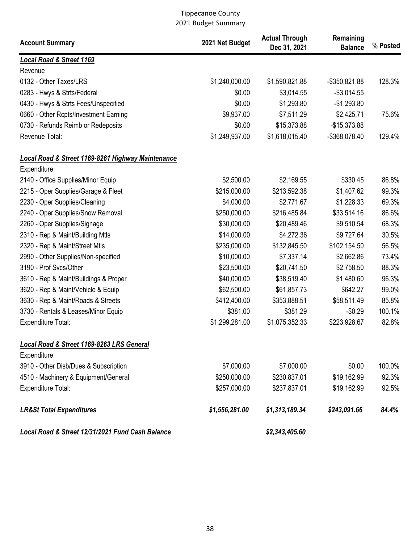| <b>Account Summary</b>                                        | 2021 Net Budget | <b>Actual Through</b><br>Dec 31, 2021 | Remaining<br><b>Balance</b> | % Posted        |
|---------------------------------------------------------------|-----------------|---------------------------------------|-----------------------------|-----------------|
| <b>Local Road &amp; Street 1169</b>                           |                 |                                       |                             |                 |
| Revenue                                                       |                 |                                       |                             |                 |
| 0132 - Other Taxes/LRS                                        | \$1,240,000.00  | \$1,590,821.88                        | -\$350,821.88               | 128.3%          |
| 0283 - Hwys & Strts/Federal                                   | \$0.00          | \$3,014.55                            | $-$3,014.55$                |                 |
| 0430 - Hwys & Strts Fees/Unspecified                          | \$0.00          | \$1,293.80                            | $-$1,293.80$                |                 |
| 0660 - Other Rcpts/Investment Earning                         | \$9,937.00      | \$7,511.29                            | \$2,425.71                  | 75.6%           |
| 0730 - Refunds Reimb or Redeposits                            | \$0.00          | \$15,373.88                           | $-$15,373.88$               |                 |
| Revenue Total:                                                | \$1,249,937.00  | \$1,618,015.40                        | -\$368,078.40               | 129.4%          |
| <b>Local Road &amp; Street 1169-8261 Highway Maintenance</b>  |                 |                                       |                             |                 |
| Expenditure                                                   |                 |                                       |                             |                 |
| 2140 - Office Supplies/Minor Equip                            | \$2,500.00      | \$2,169.55                            | \$330.45                    | 86.8%           |
| 2215 - Oper Supplies/Garage & Fleet                           | \$215,000.00    | \$213,592.38<br>\$2,771.67            | \$1,407.62                  | 99.3%           |
| 2230 - Oper Supplies/Cleaning                                 | \$4,000.00      |                                       | \$1,228.33                  | 69.3%           |
| 2240 - Oper Supplies/Snow Removal                             | \$250,000.00    | \$216,485.84                          | \$33,514.16                 | 86.6%<br>68.3%  |
| 2260 - Oper Supplies/Signage                                  | \$30,000.00     | \$20,489.46                           | \$9,510.54                  |                 |
| 2310 - Rep & Maint/Building Mtls                              | \$14,000.00     | \$4,272.36                            | \$9,727.64                  | 30.5%<br>56.5%  |
| 2320 - Rep & Maint/Street Mtls                                | \$235,000.00    | \$132,845.50                          | \$102,154.50                | 73.4%           |
| 2990 - Other Supplies/Non-specified<br>3190 - Prof Svcs/Other | \$10,000.00     | \$7,337.14                            | \$2,662.86                  | 88.3%           |
|                                                               | \$23,500.00     | \$20,741.50                           | \$2,758.50                  | 96.3%           |
| 3610 - Rep & Maint/Buildings & Proper                         | \$40,000.00     | \$38,519.40                           | \$1,480.60                  | 99.0%           |
| 3620 - Rep & Maint/Vehicle & Equip                            | \$62,500.00     | \$61,857.73                           | \$642.27                    | 85.8%           |
| 3630 - Rep & Maint/Roads & Streets                            | \$412,400.00    | \$353,888.51                          | \$58,511.49                 |                 |
| 3730 - Rentals & Leases/Minor Equip                           | \$381.00        | \$381.29                              | $-$0.29$                    | 100.1%<br>82.8% |
| <b>Expenditure Total:</b>                                     | \$1,299,281.00  | \$1,075,352.33                        | \$223,928.67                |                 |
| Local Road & Street 1169-8263 LRS General                     |                 |                                       |                             |                 |
| Expenditure                                                   |                 |                                       |                             |                 |
| 3910 - Other Disb/Dues & Subscription                         | \$7,000.00      | \$7,000.00                            | \$0.00                      | 100.0%          |
| 4510 - Machinery & Equipment/General                          | \$250,000.00    | \$230,837.01                          | \$19,162.99                 | 92.3%           |
| Expenditure Total:                                            | \$257,000.00    | \$237,837.01                          | \$19,162.99                 | 92.5%           |
| <b>LR&amp;St Total Expenditures</b>                           | \$1,556,281.00  | \$1,313,189.34                        | \$243,091.66                | 84.4%           |
| Local Road & Street 12/31/2021 Fund Cash Balance              |                 | \$2,343,405.60                        |                             |                 |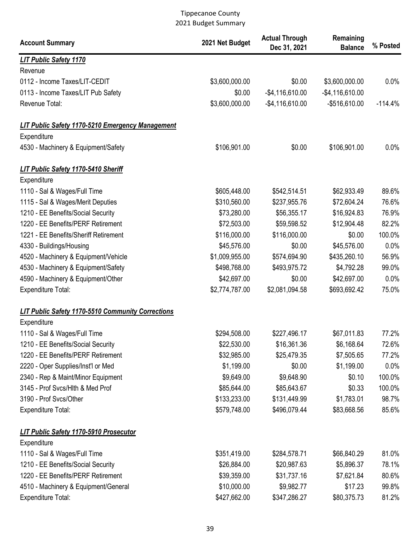| <b>Account Summary</b>                                   | 2021 Net Budget | <b>Actual Through</b><br>Dec 31, 2021 | Remaining<br><b>Balance</b> | % Posted  |
|----------------------------------------------------------|-----------------|---------------------------------------|-----------------------------|-----------|
| <b>LIT Public Safety 1170</b>                            |                 |                                       |                             |           |
| Revenue                                                  |                 |                                       |                             |           |
| 0112 - Income Taxes/LIT-CEDIT                            | \$3,600,000.00  | \$0.00                                | \$3,600,000.00              | 0.0%      |
| 0113 - Income Taxes/LIT Pub Safety                       | \$0.00          | $-$4,116,610.00$                      | $-$ \$4,116,610.00          |           |
| Revenue Total:                                           | \$3,600,000.00  | $-$ \$4,116,610.00                    | $-$ \$516,610.00            | $-114.4%$ |
| <b>LIT Public Safety 1170-5210 Emergency Management</b>  |                 |                                       |                             |           |
| Expenditure                                              |                 |                                       |                             |           |
| 4530 - Machinery & Equipment/Safety                      | \$106,901.00    | \$0.00                                | \$106,901.00                | 0.0%      |
| LIT Public Safety 1170-5410 Sheriff                      |                 |                                       |                             |           |
| Expenditure                                              |                 |                                       |                             |           |
| 1110 - Sal & Wages/Full Time                             | \$605,448.00    | \$542,514.51                          | \$62,933.49                 | 89.6%     |
| 1115 - Sal & Wages/Merit Deputies                        | \$310,560.00    | \$237,955.76                          | \$72,604.24                 | 76.6%     |
| 1210 - EE Benefits/Social Security                       | \$73,280.00     | \$56,355.17                           | \$16,924.83                 | 76.9%     |
| 1220 - EE Benefits/PERF Retirement                       | \$72,503.00     | \$59,598.52                           | \$12,904.48                 | 82.2%     |
| 1221 - EE Benefits/Sheriff Retirement                    | \$116,000.00    | \$116,000.00                          | \$0.00                      | 100.0%    |
| 4330 - Buildings/Housing                                 | \$45,576.00     | \$0.00                                | \$45,576.00                 | 0.0%      |
| 4520 - Machinery & Equipment/Vehicle                     | \$1,009,955.00  | \$574,694.90                          | \$435,260.10                | 56.9%     |
| 4530 - Machinery & Equipment/Safety                      | \$498,768.00    | \$493,975.72                          | \$4,792.28                  | 99.0%     |
| 4590 - Machinery & Equipment/Other                       | \$42,697.00     | \$0.00                                | \$42,697.00                 | 0.0%      |
| Expenditure Total:                                       | \$2,774,787.00  | \$2,081,094.58                        | \$693,692.42                | 75.0%     |
| <b>LIT Public Safety 1170-5510 Community Corrections</b> |                 |                                       |                             |           |
| Expenditure                                              |                 |                                       |                             |           |
| 1110 - Sal & Wages/Full Time                             | \$294,508.00    | \$227,496.17                          | \$67,011.83                 | 77.2%     |
| 1210 - EE Benefits/Social Security                       | \$22,530.00     | \$16,361.36                           | \$6,168.64                  | 72.6%     |
| 1220 - EE Benefits/PERF Retirement                       | \$32,985.00     | \$25,479.35                           | \$7,505.65                  | 77.2%     |
| 2220 - Oper Supplies/Inst'l or Med                       | \$1,199.00      | \$0.00                                | \$1,199.00                  | 0.0%      |
| 2340 - Rep & Maint/Minor Equipment                       | \$9,649.00      | \$9,648.90                            | \$0.10                      | 100.0%    |
| 3145 - Prof Svcs/Hlth & Med Prof                         | \$85,644.00     | \$85,643.67                           | \$0.33                      | 100.0%    |
| 3190 - Prof Svcs/Other                                   | \$133,233.00    | \$131,449.99                          | \$1,783.01                  | 98.7%     |
| <b>Expenditure Total:</b>                                | \$579,748.00    | \$496,079.44                          | \$83,668.56                 | 85.6%     |
| LIT Public Safety 1170-5910 Prosecutor                   |                 |                                       |                             |           |
| Expenditure                                              |                 |                                       |                             |           |
| 1110 - Sal & Wages/Full Time                             | \$351,419.00    | \$284,578.71                          | \$66,840.29                 | 81.0%     |
| 1210 - EE Benefits/Social Security                       | \$26,884.00     | \$20,987.63                           | \$5,896.37                  | 78.1%     |
| 1220 - EE Benefits/PERF Retirement                       | \$39,359.00     | \$31,737.16                           | \$7,621.84                  | 80.6%     |
| 4510 - Machinery & Equipment/General                     | \$10,000.00     | \$9,982.77                            | \$17.23                     | 99.8%     |
| <b>Expenditure Total:</b>                                | \$427,662.00    | \$347,286.27                          | \$80,375.73                 | 81.2%     |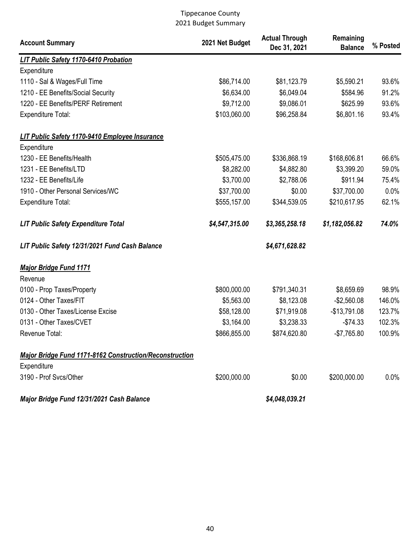| <b>Account Summary</b>                                         | 2021 Net Budget | <b>Actual Through</b><br>Dec 31, 2021 | Remaining<br><b>Balance</b> | % Posted |
|----------------------------------------------------------------|-----------------|---------------------------------------|-----------------------------|----------|
| LIT Public Safety 1170-6410 Probation                          |                 |                                       |                             |          |
| Expenditure                                                    |                 |                                       |                             |          |
| 1110 - Sal & Wages/Full Time                                   | \$86,714.00     | \$81,123.79                           | \$5,590.21                  | 93.6%    |
| 1210 - EE Benefits/Social Security                             | \$6,634.00      | \$6,049.04                            | \$584.96                    | 91.2%    |
| 1220 - EE Benefits/PERF Retirement                             | \$9,712.00      | \$9,086.01                            | \$625.99                    | 93.6%    |
| <b>Expenditure Total:</b>                                      | \$103,060.00    | \$96,258.84                           | \$6,801.16                  | 93.4%    |
| LIT Public Safety 1170-9410 Employee Insurance                 |                 |                                       |                             |          |
| Expenditure                                                    |                 |                                       |                             |          |
| 1230 - EE Benefits/Health                                      | \$505,475.00    | \$336,868.19                          | \$168,606.81                | 66.6%    |
| 1231 - EE Benefits/LTD                                         | \$8,282.00      | \$4,882.80                            | \$3,399.20                  | 59.0%    |
| 1232 - EE Benefits/Life                                        | \$3,700.00      | \$2,788.06                            | \$911.94                    | 75.4%    |
| 1910 - Other Personal Services/WC                              | \$37,700.00     | \$0.00                                | \$37,700.00                 | 0.0%     |
| <b>Expenditure Total:</b>                                      | \$555,157.00    | \$344,539.05                          | \$210,617.95                | 62.1%    |
| <b>LIT Public Safety Expenditure Total</b>                     | \$4,547,315.00  | \$3,365,258.18                        | \$1,182,056.82              | 74.0%    |
| LIT Public Safety 12/31/2021 Fund Cash Balance                 |                 | \$4,671,628.82                        |                             |          |
| <b>Major Bridge Fund 1171</b>                                  |                 |                                       |                             |          |
| Revenue                                                        |                 |                                       |                             |          |
| 0100 - Prop Taxes/Property                                     | \$800,000.00    | \$791,340.31                          | \$8,659.69                  | 98.9%    |
| 0124 - Other Taxes/FIT                                         | \$5,563.00      | \$8,123.08                            | $-$2,560.08$                | 146.0%   |
| 0130 - Other Taxes/License Excise                              | \$58,128.00     | \$71,919.08                           | $-$13,791.08$               | 123.7%   |
| 0131 - Other Taxes/CVET                                        | \$3,164.00      | \$3,238.33                            | $-$74.33$                   | 102.3%   |
| Revenue Total:                                                 | \$866,855.00    | \$874,620.80                          | $-$7,765.80$                | 100.9%   |
| <b>Major Bridge Fund 1171-8162 Construction/Reconstruction</b> |                 |                                       |                             |          |
| Expenditure                                                    |                 |                                       |                             |          |
| 3190 - Prof Svcs/Other                                         | \$200,000.00    | \$0.00                                | \$200,000.00                | $0.0\%$  |
| Major Bridge Fund 12/31/2021 Cash Balance                      |                 | \$4,048,039.21                        |                             |          |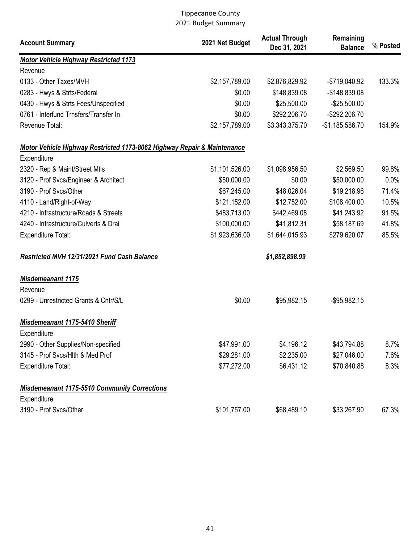| <b>Account Summary</b>                                                  | 2021 Net Budget | <b>Actual Through</b><br>Dec 31, 2021 | Remaining<br><b>Balance</b> | % Posted |
|-------------------------------------------------------------------------|-----------------|---------------------------------------|-----------------------------|----------|
| <b>Motor Vehicle Highway Restricted 1173</b>                            |                 |                                       |                             |          |
| Revenue                                                                 |                 |                                       |                             |          |
| 0133 - Other Taxes/MVH                                                  | \$2,157,789.00  | \$2,876,829.92                        | -\$719,040.92               | 133.3%   |
| 0283 - Hwys & Strts/Federal                                             | \$0.00          | \$148,839.08                          | $-$148,839.08$              |          |
| 0430 - Hwys & Strts Fees/Unspecified                                    | \$0.00          | \$25,500.00                           | $-$25,500.00$               |          |
| 0761 - Interfund Trnsfers/Transfer In                                   | \$0.00          | \$292,206.70                          | -\$292,206.70               |          |
| Revenue Total:                                                          | \$2,157,789.00  | \$3,343,375.70                        | $-$1,185,586.70$            | 154.9%   |
| Motor Vehicle Highway Restricted 1173-8062 Highway Repair & Maintenance |                 |                                       |                             |          |
| Expenditure                                                             |                 |                                       |                             |          |
| 2320 - Rep & Maint/Street Mtls                                          | \$1,101,526.00  | \$1,098,956.50                        | \$2,569.50                  | 99.8%    |
| 3120 - Prof Svcs/Engineer & Architect                                   | \$50,000.00     | \$0.00                                | \$50,000.00                 | 0.0%     |
| 3190 - Prof Svcs/Other                                                  | \$67,245.00     | \$48,026.04                           | \$19,218.96                 | 71.4%    |
| 4110 - Land/Right-of-Way                                                | \$121,152.00    | \$12,752.00                           | \$108,400.00                | 10.5%    |
| 4210 - Infrastructure/Roads & Streets                                   | \$483,713.00    | \$442,469.08                          | \$41,243.92                 | 91.5%    |
| 4240 - Infrastructure/Culverts & Drai                                   | \$100,000.00    | \$41,812.31                           | \$58,187.69                 | 41.8%    |
| Expenditure Total:                                                      | \$1,923,636.00  | \$1,644,015.93                        | \$279,620.07                | 85.5%    |
| Restricted MVH 12/31/2021 Fund Cash Balance                             |                 | \$1,852,898.99                        |                             |          |
| Misdemeanant 1175                                                       |                 |                                       |                             |          |
| Revenue                                                                 |                 |                                       |                             |          |
| 0299 - Unrestricted Grants & Cntr/S/L                                   | \$0.00          | \$95,982.15                           | $-$ \$95,982.15             |          |
| Misdemeanant 1175-5410 Sheriff                                          |                 |                                       |                             |          |
| Expenditure                                                             |                 |                                       |                             |          |
| 2990 - Other Supplies/Non-specified                                     | \$47,991.00     | \$4,196.12                            | \$43,794.88                 | $8.7\%$  |
| 3145 - Prof Svcs/Hlth & Med Prof                                        | \$29,281.00     | \$2,235.00                            | \$27,046.00                 | 7.6%     |
| Expenditure Total:                                                      | \$77,272.00     | \$6,431.12                            | \$70,840.88                 | 8.3%     |
| <b>Misdemeanant 1175-5510 Community Corrections</b>                     |                 |                                       |                             |          |
| Expenditure                                                             |                 |                                       |                             |          |
| 3190 - Prof Svcs/Other                                                  | \$101,757.00    | \$68,489.10                           | \$33,267.90                 | 67.3%    |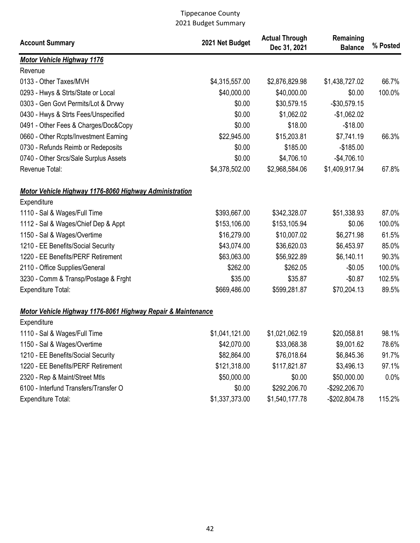| <b>Account Summary</b>                                       | 2021 Net Budget | <b>Actual Through</b><br>Dec 31, 2021 | Remaining<br><b>Balance</b> | % Posted |
|--------------------------------------------------------------|-----------------|---------------------------------------|-----------------------------|----------|
| <b>Motor Vehicle Highway 1176</b>                            |                 |                                       |                             |          |
| Revenue                                                      |                 |                                       |                             |          |
| 0133 - Other Taxes/MVH                                       | \$4,315,557.00  | \$2,876,829.98                        | \$1,438,727.02              | 66.7%    |
| 0293 - Hwys & Strts/State or Local                           | \$40,000.00     | \$40,000.00                           | \$0.00                      | 100.0%   |
| 0303 - Gen Govt Permits/Lot & Drvwy                          | \$0.00          | \$30,579.15                           | $-$30,579.15$               |          |
| 0430 - Hwys & Strts Fees/Unspecified                         | \$0.00          | \$1,062.02                            | $-$1,062.02$                |          |
| 0491 - Other Fees & Charges/Doc&Copy                         | \$0.00          | \$18.00                               | $-$18.00$                   |          |
| 0660 - Other Rcpts/Investment Earning                        | \$22,945.00     | \$15,203.81                           | \$7,741.19                  | 66.3%    |
| 0730 - Refunds Reimb or Redeposits                           | \$0.00          | \$185.00                              | $-$185.00$                  |          |
| 0740 - Other Srcs/Sale Surplus Assets                        | \$0.00          | \$4,706.10                            | $-$4,706.10$                |          |
| Revenue Total:                                               | \$4,378,502.00  | \$2,968,584.06                        | \$1,409,917.94              | 67.8%    |
| Motor Vehicle Highway 1176-8060 Highway Administration       |                 |                                       |                             |          |
| Expenditure                                                  |                 |                                       |                             |          |
| 1110 - Sal & Wages/Full Time                                 | \$393,667.00    | \$342,328.07                          | \$51,338.93                 | 87.0%    |
| 1112 - Sal & Wages/Chief Dep & Appt                          | \$153,106.00    | \$153,105.94                          | \$0.06                      | 100.0%   |
| 1150 - Sal & Wages/Overtime                                  | \$16,279.00     | \$10,007.02                           | \$6,271.98                  | 61.5%    |
| 1210 - EE Benefits/Social Security                           | \$43,074.00     | \$36,620.03                           | \$6,453.97                  | 85.0%    |
| 1220 - EE Benefits/PERF Retirement                           | \$63,063.00     | \$56,922.89                           | \$6,140.11                  | 90.3%    |
| 2110 - Office Supplies/General                               | \$262.00        | \$262.05                              | $-$0.05$                    | 100.0%   |
| 3230 - Comm & Transp/Postage & Frght                         | \$35.00         | \$35.87                               | $-$0.87$                    | 102.5%   |
| Expenditure Total:                                           | \$669,486.00    | \$599,281.87                          | \$70,204.13                 | 89.5%    |
| Motor Vehicle Highway 1176-8061 Highway Repair & Maintenance |                 |                                       |                             |          |
| Expenditure                                                  |                 |                                       |                             |          |
| 1110 - Sal & Wages/Full Time                                 | \$1,041,121.00  | \$1,021,062.19                        | \$20,058.81                 | 98.1%    |
| 1150 - Sal & Wages/Overtime                                  | \$42,070.00     | \$33,068.38                           | \$9,001.62                  | 78.6%    |
| 1210 - EE Benefits/Social Security                           | \$82,864.00     | \$76,018.64                           | \$6,845.36                  | 91.7%    |
| 1220 - EE Benefits/PERF Retirement                           | \$121,318.00    | \$117,821.87                          | \$3,496.13                  | 97.1%    |
| 2320 - Rep & Maint/Street Mtls                               | \$50,000.00     | \$0.00                                | \$50,000.00                 | 0.0%     |
| 6100 - Interfund Transfers/Transfer O                        | \$0.00          | \$292,206.70                          | -\$292,206.70               |          |
| Expenditure Total:                                           | \$1,337,373.00  | \$1,540,177.78                        | $-$202,804.78$              | 115.2%   |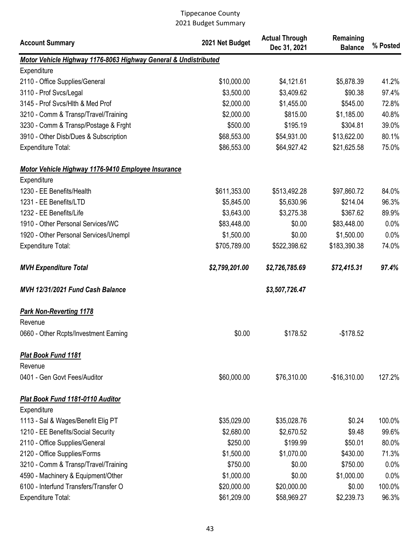| <b>Account Summary</b>                                          | 2021 Net Budget | <b>Actual Through</b><br>Dec 31, 2021 | Remaining<br><b>Balance</b> | % Posted |
|-----------------------------------------------------------------|-----------------|---------------------------------------|-----------------------------|----------|
| Motor Vehicle Highway 1176-8063 Highway General & Undistributed |                 |                                       |                             |          |
| Expenditure                                                     |                 |                                       |                             |          |
| 2110 - Office Supplies/General                                  | \$10,000.00     | \$4,121.61                            | \$5,878.39                  | 41.2%    |
| 3110 - Prof Svcs/Legal                                          | \$3,500.00      | \$3,409.62                            | \$90.38                     | 97.4%    |
| 3145 - Prof Svcs/Hlth & Med Prof                                | \$2,000.00      | \$1,455.00                            | \$545.00                    | 72.8%    |
| 3210 - Comm & Transp/Travel/Training                            | \$2,000.00      | \$815.00                              | \$1,185.00                  | 40.8%    |
| 3230 - Comm & Transp/Postage & Frght                            | \$500.00        | \$195.19                              | \$304.81                    | 39.0%    |
| 3910 - Other Disb/Dues & Subscription                           | \$68,553.00     | \$54,931.00                           | \$13,622.00                 | 80.1%    |
| Expenditure Total:                                              | \$86,553.00     | \$64,927.42                           | \$21,625.58                 | 75.0%    |
| Motor Vehicle Highway 1176-9410 Employee Insurance              |                 |                                       |                             |          |
| Expenditure                                                     |                 |                                       |                             |          |
| 1230 - EE Benefits/Health                                       | \$611,353.00    | \$513,492.28                          | \$97,860.72                 | 84.0%    |
| 1231 - EE Benefits/LTD                                          | \$5,845.00      | \$5,630.96                            | \$214.04                    | 96.3%    |
| 1232 - EE Benefits/Life                                         | \$3,643.00      | \$3,275.38                            | \$367.62                    | 89.9%    |
| 1910 - Other Personal Services/WC                               | \$83,448.00     | \$0.00                                | \$83,448.00                 | 0.0%     |
| 1920 - Other Personal Services/Unempl                           | \$1,500.00      | \$0.00                                | \$1,500.00                  | 0.0%     |
| Expenditure Total:                                              | \$705,789.00    | \$522,398.62                          | \$183,390.38                | 74.0%    |
| <b>MVH Expenditure Total</b>                                    | \$2,799,201.00  | \$2,726,785.69                        | \$72,415.31                 | 97.4%    |
| MVH 12/31/2021 Fund Cash Balance                                |                 | \$3,507,726.47                        |                             |          |
| <b>Park Non-Reverting 1178</b>                                  |                 |                                       |                             |          |
| Revenue                                                         |                 |                                       |                             |          |
| 0660 - Other Rcpts/Investment Earning                           | \$0.00          | \$178.52                              | $-$178.52$                  |          |
| <b>Plat Book Fund 1181</b>                                      |                 |                                       |                             |          |
| Revenue                                                         |                 |                                       |                             |          |
| 0401 - Gen Govt Fees/Auditor                                    | \$60,000.00     | \$76,310.00                           | $-$16,310.00$               | 127.2%   |
| Plat Book Fund 1181-0110 Auditor                                |                 |                                       |                             |          |
| Expenditure                                                     |                 |                                       |                             |          |
| 1113 - Sal & Wages/Benefit Elig PT                              | \$35,029.00     | \$35,028.76                           | \$0.24                      | 100.0%   |
| 1210 - EE Benefits/Social Security                              | \$2,680.00      | \$2,670.52                            | \$9.48                      | 99.6%    |
| 2110 - Office Supplies/General                                  | \$250.00        | \$199.99                              | \$50.01                     | 80.0%    |
| 2120 - Office Supplies/Forms                                    | \$1,500.00      | \$1,070.00                            | \$430.00                    | 71.3%    |
| 3210 - Comm & Transp/Travel/Training                            | \$750.00        | \$0.00                                | \$750.00                    | 0.0%     |
| 4590 - Machinery & Equipment/Other                              | \$1,000.00      | \$0.00                                | \$1,000.00                  | 0.0%     |
| 6100 - Interfund Transfers/Transfer O                           | \$20,000.00     | \$20,000.00                           | \$0.00                      | 100.0%   |
| Expenditure Total:                                              | \$61,209.00     | \$58,969.27                           | \$2,239.73                  | 96.3%    |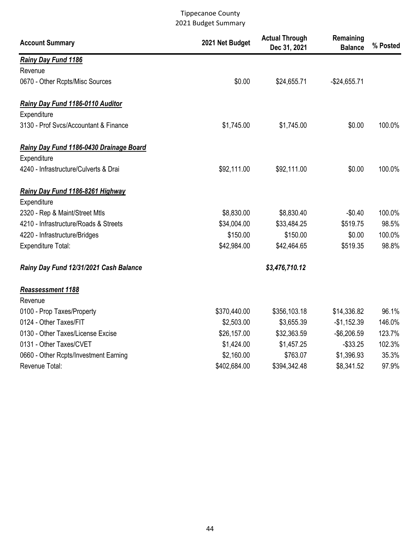| <b>Account Summary</b>                  | 2021 Net Budget | <b>Actual Through</b><br>Dec 31, 2021 | Remaining<br><b>Balance</b> | % Posted |
|-----------------------------------------|-----------------|---------------------------------------|-----------------------------|----------|
| Rainy Day Fund 1186                     |                 |                                       |                             |          |
| Revenue                                 |                 |                                       |                             |          |
| 0670 - Other Rcpts/Misc Sources         | \$0.00          | \$24,655.71                           | $-$24,655.71$               |          |
| Rainy Day Fund 1186-0110 Auditor        |                 |                                       |                             |          |
| Expenditure                             |                 |                                       |                             |          |
| 3130 - Prof Svcs/Accountant & Finance   | \$1,745.00      | \$1,745.00                            | \$0.00                      | 100.0%   |
| Rainy Day Fund 1186-0430 Drainage Board |                 |                                       |                             |          |
| Expenditure                             |                 |                                       |                             |          |
| 4240 - Infrastructure/Culverts & Drai   | \$92,111.00     | \$92,111.00                           | \$0.00                      | 100.0%   |
| Rainy Day Fund 1186-8261 Highway        |                 |                                       |                             |          |
| Expenditure                             |                 |                                       |                             |          |
| 2320 - Rep & Maint/Street Mtls          | \$8,830.00      | \$8,830.40                            | $-$0.40$                    | 100.0%   |
| 4210 - Infrastructure/Roads & Streets   | \$34,004.00     | \$33,484.25                           | \$519.75                    | 98.5%    |
| 4220 - Infrastructure/Bridges           | \$150.00        | \$150.00                              | \$0.00                      | 100.0%   |
| <b>Expenditure Total:</b>               | \$42,984.00     | \$42,464.65                           | \$519.35                    | 98.8%    |
| Rainy Day Fund 12/31/2021 Cash Balance  |                 | \$3,476,710.12                        |                             |          |
| Reassessment 1188                       |                 |                                       |                             |          |
| Revenue                                 |                 |                                       |                             |          |
| 0100 - Prop Taxes/Property              | \$370,440.00    | \$356,103.18                          | \$14,336.82                 | 96.1%    |
| 0124 - Other Taxes/FIT                  | \$2,503.00      | \$3,655.39                            | $-$1,152.39$                | 146.0%   |
| 0130 - Other Taxes/License Excise       | \$26,157.00     | \$32,363.59                           | $-$6,206.59$                | 123.7%   |
| 0131 - Other Taxes/CVET                 | \$1,424.00      | \$1,457.25                            | $-$ \$33.25                 | 102.3%   |
| 0660 - Other Rcpts/Investment Earning   | \$2,160.00      | \$763.07                              | \$1,396.93                  | 35.3%    |
| Revenue Total:                          | \$402,684.00    | \$394,342.48                          | \$8,341.52                  | 97.9%    |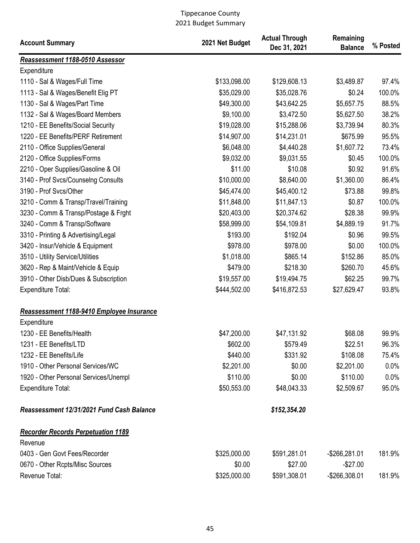| <b>Account Summary</b>                    | 2021 Net Budget | <b>Actual Through</b><br>Dec 31, 2021 | Remaining<br><b>Balance</b> | % Posted |
|-------------------------------------------|-----------------|---------------------------------------|-----------------------------|----------|
| Reassessment 1188-0510 Assessor           |                 |                                       |                             |          |
| Expenditure                               |                 |                                       |                             |          |
| 1110 - Sal & Wages/Full Time              | \$133,098.00    | \$129,608.13                          | \$3,489.87                  | 97.4%    |
| 1113 - Sal & Wages/Benefit Elig PT        | \$35,029.00     | \$35,028.76                           | \$0.24                      | 100.0%   |
| 1130 - Sal & Wages/Part Time              | \$49,300.00     | \$43,642.25                           | \$5,657.75                  | 88.5%    |
| 1132 - Sal & Wages/Board Members          | \$9,100.00      | \$3,472.50                            | \$5,627.50                  | 38.2%    |
| 1210 - EE Benefits/Social Security        | \$19,028.00     | \$15,288.06                           | \$3,739.94                  | 80.3%    |
| 1220 - EE Benefits/PERF Retirement        | \$14,907.00     | \$14,231.01                           | \$675.99                    | 95.5%    |
| 2110 - Office Supplies/General            | \$6,048.00      | \$4,440.28                            | \$1,607.72                  | 73.4%    |
| 2120 - Office Supplies/Forms              | \$9,032.00      | \$9,031.55                            | \$0.45                      | 100.0%   |
| 2210 - Oper Supplies/Gasoline & Oil       | \$11.00         | \$10.08                               | \$0.92                      | 91.6%    |
| 3140 - Prof Svcs/Counselng Consults       | \$10,000.00     | \$8,640.00                            | \$1,360.00                  | 86.4%    |
| 3190 - Prof Svcs/Other                    | \$45,474.00     | \$45,400.12                           | \$73.88                     | 99.8%    |
| 3210 - Comm & Transp/Travel/Training      | \$11,848.00     | \$11,847.13                           | \$0.87                      | 100.0%   |
| 3230 - Comm & Transp/Postage & Frght      | \$20,403.00     | \$20,374.62                           | \$28.38                     | 99.9%    |
| 3240 - Comm & Transp/Software             | \$58,999.00     | \$54,109.81                           | \$4,889.19                  | 91.7%    |
| 3310 - Printing & Advertising/Legal       | \$193.00        | \$192.04                              | \$0.96                      | 99.5%    |
| 3420 - Insur/Vehicle & Equipment          | \$978.00        | \$978.00                              | \$0.00                      | 100.0%   |
| 3510 - Utility Service/Utilities          | \$1,018.00      | \$865.14                              | \$152.86                    | 85.0%    |
| 3620 - Rep & Maint/Vehicle & Equip        | \$479.00        | \$218.30                              | \$260.70                    | 45.6%    |
| 3910 - Other Disb/Dues & Subscription     | \$19,557.00     | \$19,494.75                           | \$62.25                     | 99.7%    |
| Expenditure Total:                        | \$444,502.00    | \$416,872.53                          | \$27,629.47                 | 93.8%    |
| Reassessment 1188-9410 Employee Insurance |                 |                                       |                             |          |
| Expenditure                               |                 |                                       |                             |          |
| 1230 - EE Benefits/Health                 | \$47,200.00     | \$47,131.92                           | \$68.08                     | 99.9%    |
| 1231 - EE Benefits/LTD                    | \$602.00        | \$579.49                              | \$22.51                     | 96.3%    |
| 1232 - EE Benefits/Life                   | \$440.00        | \$331.92                              | \$108.08                    | 75.4%    |
| 1910 - Other Personal Services/WC         | \$2,201.00      | \$0.00                                | \$2,201.00                  | $0.0\%$  |
| 1920 - Other Personal Services/Unempl     | \$110.00        | \$0.00                                | \$110.00                    | 0.0%     |
| <b>Expenditure Total:</b>                 | \$50,553.00     | \$48,043.33                           | \$2,509.67                  | 95.0%    |
| Reassessment 12/31/2021 Fund Cash Balance |                 | \$152,354.20                          |                             |          |
| <b>Recorder Records Perpetuation 1189</b> |                 |                                       |                             |          |
| Revenue                                   |                 |                                       |                             |          |
| 0403 - Gen Govt Fees/Recorder             | \$325,000.00    | \$591,281.01                          | -\$266,281.01               | 181.9%   |
| 0670 - Other Rcpts/Misc Sources           | \$0.00          | \$27.00                               | $-$27.00$                   |          |
| Revenue Total:                            | \$325,000.00    | \$591,308.01                          | -\$266,308.01               | 181.9%   |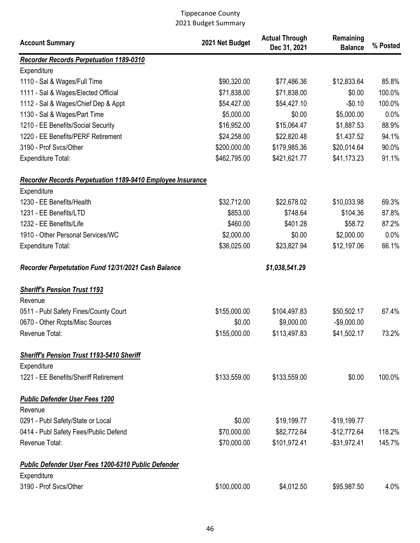| <b>Account Summary</b>                                            | 2021 Net Budget | <b>Actual Through</b><br>Dec 31, 2021 | Remaining<br><b>Balance</b> | % Posted |
|-------------------------------------------------------------------|-----------------|---------------------------------------|-----------------------------|----------|
| <b>Recorder Records Perpetuation 1189-0310</b>                    |                 |                                       |                             |          |
| Expenditure                                                       |                 |                                       |                             |          |
| 1110 - Sal & Wages/Full Time                                      | \$90,320.00     | \$77,486.36                           | \$12,833.64                 | 85.8%    |
| 1111 - Sal & Wages/Elected Official                               | \$71,838.00     | \$71,838.00                           | \$0.00                      | 100.0%   |
| 1112 - Sal & Wages/Chief Dep & Appt                               | \$54,427.00     | \$54,427.10                           | $-$0.10$                    | 100.0%   |
| 1130 - Sal & Wages/Part Time                                      | \$5,000.00      | \$0.00                                | \$5,000.00                  | 0.0%     |
| 1210 - EE Benefits/Social Security                                | \$16,952.00     | \$15,064.47                           | \$1,887.53                  | 88.9%    |
| 1220 - EE Benefits/PERF Retirement                                | \$24,258.00     | \$22,820.48                           | \$1,437.52                  | 94.1%    |
| 3190 - Prof Svcs/Other                                            | \$200,000.00    | \$179,985.36                          | \$20,014.64                 | 90.0%    |
| Expenditure Total:                                                | \$462,795.00    | \$421,621.77                          | \$41,173.23                 | 91.1%    |
| <b>Recorder Records Perpetuation 1189-9410 Employee Insurance</b> |                 |                                       |                             |          |
| Expenditure                                                       |                 |                                       |                             |          |
| 1230 - EE Benefits/Health                                         | \$32,712.00     | \$22,678.02                           | \$10,033.98                 | 69.3%    |
| 1231 - EE Benefits/LTD                                            | \$853.00        | \$748.64                              | \$104.36                    | 87.8%    |
| 1232 - EE Benefits/Life                                           | \$460.00        | \$401.28                              | \$58.72                     | 87.2%    |
| 1910 - Other Personal Services/WC                                 | \$2,000.00      | \$0.00                                | \$2,000.00                  | 0.0%     |
| Expenditure Total:                                                | \$36,025.00     | \$23,827.94                           | \$12,197.06                 | 66.1%    |
| Recorder Perpetutation Fund 12/31/2021 Cash Balance               |                 | \$1,038,541.29                        |                             |          |
| <b>Sheriff's Pension Trust 1193</b>                               |                 |                                       |                             |          |
| Revenue                                                           |                 |                                       |                             |          |
| 0511 - Publ Safety Fines/County Court                             | \$155,000.00    | \$104,497.83                          | \$50,502.17                 | 67.4%    |
| 0670 - Other Rcpts/Misc Sources                                   | \$0.00          | \$9,000.00                            | $-$9,000.00$                |          |
| Revenue Total:                                                    | \$155,000.00    | \$113,497.83                          | \$41,502.17                 | 73.2%    |
| <b>Sheriff's Pension Trust 1193-5410 Sheriff</b>                  |                 |                                       |                             |          |
| Expenditure                                                       |                 |                                       |                             |          |
| 1221 - EE Benefits/Sheriff Retirement                             | \$133,559.00    | \$133,559.00                          | \$0.00                      | 100.0%   |
| <b>Public Defender User Fees 1200</b><br>Revenue                  |                 |                                       |                             |          |
| 0291 - Publ Safety/State or Local                                 | \$0.00          | \$19,199.77                           | $-$19,199.77$               |          |
| 0414 - Publ Safety Fees/Public Defend                             | \$70,000.00     | \$82,772.64                           | $-$12,772.64$               | 118.2%   |
| Revenue Total:                                                    | \$70,000.00     | \$101,972.41                          | $-$31,972.41$               | 145.7%   |
| <b>Public Defender User Fees 1200-6310 Public Defender</b>        |                 |                                       |                             |          |
| Expenditure<br>3190 - Prof Svcs/Other                             | \$100,000.00    | \$4,012.50                            | \$95,987.50                 | 4.0%     |
|                                                                   |                 |                                       |                             |          |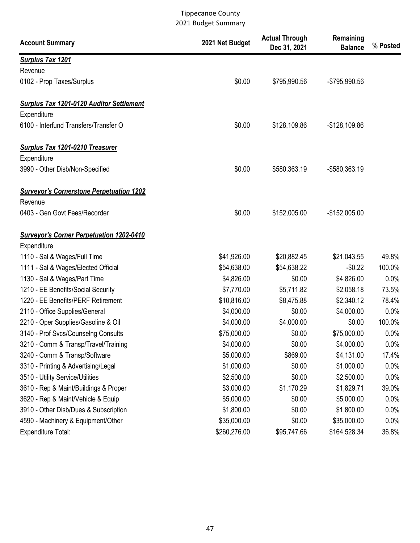| <b>Account Summary</b>                          | 2021 Net Budget | <b>Actual Through</b><br>Dec 31, 2021 | Remaining<br><b>Balance</b> | % Posted |
|-------------------------------------------------|-----------------|---------------------------------------|-----------------------------|----------|
| <b>Surplus Tax 1201</b>                         |                 |                                       |                             |          |
| Revenue                                         |                 |                                       |                             |          |
| 0102 - Prop Taxes/Surplus                       | \$0.00          | \$795,990.56                          | -\$795,990.56               |          |
| <b>Surplus Tax 1201-0120 Auditor Settlement</b> |                 |                                       |                             |          |
| Expenditure                                     |                 |                                       |                             |          |
| 6100 - Interfund Transfers/Transfer O           | \$0.00          | \$128,109.86                          | $-$128,109.86$              |          |
| <b>Surplus Tax 1201-0210 Treasurer</b>          |                 |                                       |                             |          |
| Expenditure                                     |                 |                                       |                             |          |
| 3990 - Other Disb/Non-Specified                 | \$0.00          | \$580,363.19                          | -\$580,363.19               |          |
| <b>Surveyor's Cornerstone Perpetuation 1202</b> |                 |                                       |                             |          |
| Revenue                                         |                 |                                       |                             |          |
| 0403 - Gen Govt Fees/Recorder                   | \$0.00          | \$152,005.00                          | $-$152,005.00$              |          |
| <b>Surveyor's Corner Perpetuation 1202-0410</b> |                 |                                       |                             |          |
| Expenditure                                     |                 |                                       |                             |          |
| 1110 - Sal & Wages/Full Time                    | \$41,926.00     | \$20,882.45                           | \$21,043.55                 | 49.8%    |
| 1111 - Sal & Wages/Elected Official             | \$54,638.00     | \$54,638.22                           | $-$0.22$                    | 100.0%   |
| 1130 - Sal & Wages/Part Time                    | \$4,826.00      | \$0.00                                | \$4,826.00                  | 0.0%     |
| 1210 - EE Benefits/Social Security              | \$7,770.00      | \$5,711.82                            | \$2,058.18                  | 73.5%    |
| 1220 - EE Benefits/PERF Retirement              | \$10,816.00     | \$8,475.88                            | \$2,340.12                  | 78.4%    |
| 2110 - Office Supplies/General                  | \$4,000.00      | \$0.00                                | \$4,000.00                  | 0.0%     |
| 2210 - Oper Supplies/Gasoline & Oil             | \$4,000.00      | \$4,000.00                            | \$0.00                      | 100.0%   |
| 3140 - Prof Svcs/Counselng Consults             | \$75,000.00     | \$0.00                                | \$75,000.00                 | 0.0%     |
| 3210 - Comm & Transp/Travel/Training            | \$4,000.00      | \$0.00                                | \$4,000.00                  | $0.0\%$  |
| 3240 - Comm & Transp/Software                   | \$5,000.00      | \$869.00                              | \$4,131.00                  | 17.4%    |
| 3310 - Printing & Advertising/Legal             | \$1,000.00      | \$0.00                                | \$1,000.00                  | 0.0%     |
| 3510 - Utility Service/Utilities                | \$2,500.00      | \$0.00                                | \$2,500.00                  | 0.0%     |
| 3610 - Rep & Maint/Buildings & Proper           | \$3,000.00      | \$1,170.29                            | \$1,829.71                  | 39.0%    |
| 3620 - Rep & Maint/Vehicle & Equip              | \$5,000.00      | \$0.00                                | \$5,000.00                  | 0.0%     |
| 3910 - Other Disb/Dues & Subscription           | \$1,800.00      | \$0.00                                | \$1,800.00                  | 0.0%     |
| 4590 - Machinery & Equipment/Other              | \$35,000.00     | \$0.00                                | \$35,000.00                 | 0.0%     |
| <b>Expenditure Total:</b>                       | \$260,276.00    | \$95,747.66                           | \$164,528.34                | 36.8%    |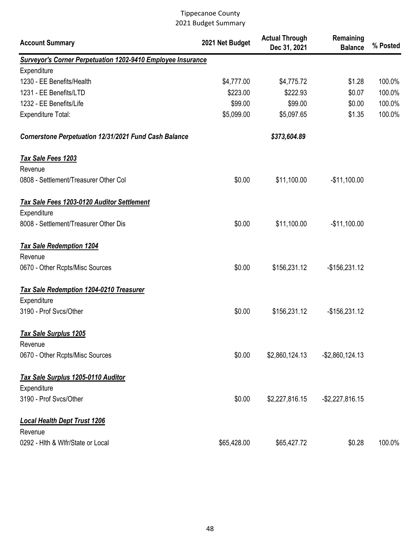| <b>Account Summary</b>                                             | 2021 Net Budget | <b>Actual Through</b><br>Dec 31, 2021 | Remaining<br><b>Balance</b> | % Posted |
|--------------------------------------------------------------------|-----------------|---------------------------------------|-----------------------------|----------|
| <b>Surveyor's Corner Perpetuation 1202-9410 Employee Insurance</b> |                 |                                       |                             |          |
| Expenditure                                                        |                 |                                       |                             |          |
| 1230 - EE Benefits/Health                                          | \$4,777.00      | \$4,775.72                            | \$1.28                      | 100.0%   |
| 1231 - EE Benefits/LTD                                             | \$223.00        | \$222.93                              | \$0.07                      | 100.0%   |
| 1232 - EE Benefits/Life                                            | \$99.00         | \$99.00                               | \$0.00                      | 100.0%   |
| <b>Expenditure Total:</b>                                          | \$5,099.00      | \$5,097.65                            | \$1.35                      | 100.0%   |
| <b>Cornerstone Perpetuation 12/31/2021 Fund Cash Balance</b>       |                 | \$373,604.89                          |                             |          |
| Tax Sale Fees 1203                                                 |                 |                                       |                             |          |
| Revenue                                                            |                 |                                       |                             |          |
| 0808 - Settlement/Treasurer Other Col                              | \$0.00          | \$11,100.00                           | $-$11,100.00$               |          |
| <b>Tax Sale Fees 1203-0120 Auditor Settlement</b>                  |                 |                                       |                             |          |
| Expenditure                                                        |                 |                                       |                             |          |
| 8008 - Settlement/Treasurer Other Dis                              | \$0.00          | \$11,100.00                           | $-$11,100.00$               |          |
| <b>Tax Sale Redemption 1204</b>                                    |                 |                                       |                             |          |
| Revenue                                                            |                 |                                       |                             |          |
| 0670 - Other Rcpts/Misc Sources                                    | \$0.00          | \$156,231.12                          | $-$156,231.12$              |          |
| <b>Tax Sale Redemption 1204-0210 Treasurer</b>                     |                 |                                       |                             |          |
| Expenditure                                                        |                 |                                       |                             |          |
| 3190 - Prof Svcs/Other                                             | \$0.00          | \$156,231.12                          | $-$156,231.12$              |          |
| <b>Tax Sale Surplus 1205</b>                                       |                 |                                       |                             |          |
| Revenue                                                            |                 |                                       |                             |          |
| 0670 - Other Rcpts/Misc Sources                                    | \$0.00          | \$2,860,124.13                        | $-$ \$2,860,124.13          |          |
| Tax Sale Surplus 1205-0110 Auditor                                 |                 |                                       |                             |          |
| Expenditure                                                        |                 |                                       |                             |          |
| 3190 - Prof Svcs/Other                                             | \$0.00          | \$2,227,816.15                        | $-$ \$2,227,816.15          |          |
| <b>Local Health Dept Trust 1206</b>                                |                 |                                       |                             |          |
| Revenue                                                            |                 |                                       |                             |          |
| 0292 - Hith & Wifr/State or Local                                  | \$65,428.00     | \$65,427.72                           | \$0.28                      | 100.0%   |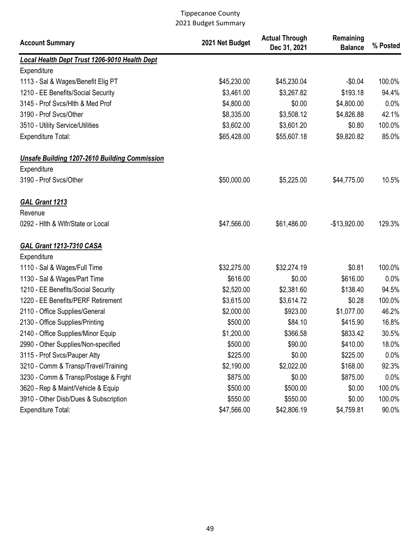| <b>Account Summary</b>                               | 2021 Net Budget | <b>Actual Through</b><br>Dec 31, 2021 | Remaining<br><b>Balance</b> | % Posted |
|------------------------------------------------------|-----------------|---------------------------------------|-----------------------------|----------|
| Local Health Dept Trust 1206-9010 Health Dept        |                 |                                       |                             |          |
| Expenditure                                          |                 |                                       |                             |          |
| 1113 - Sal & Wages/Benefit Elig PT                   | \$45,230.00     | \$45,230.04                           | $-$0.04$                    | 100.0%   |
| 1210 - EE Benefits/Social Security                   | \$3,461.00      | \$3,267.82                            | \$193.18                    | 94.4%    |
| 3145 - Prof Svcs/Hlth & Med Prof                     | \$4,800.00      | \$0.00                                | \$4,800.00                  | 0.0%     |
| 3190 - Prof Svcs/Other                               | \$8,335.00      | \$3,508.12                            | \$4,826.88                  | 42.1%    |
| 3510 - Utility Service/Utilities                     | \$3,602.00      | \$3,601.20                            | \$0.80                      | 100.0%   |
| <b>Expenditure Total:</b>                            | \$65,428.00     | \$55,607.18                           | \$9,820.82                  | 85.0%    |
| <b>Unsafe Building 1207-2610 Building Commission</b> |                 |                                       |                             |          |
| Expenditure                                          |                 |                                       |                             |          |
| 3190 - Prof Svcs/Other                               | \$50,000.00     | \$5,225.00                            | \$44,775.00                 | 10.5%    |
| GAL Grant 1213                                       |                 |                                       |                             |          |
| Revenue                                              |                 |                                       |                             |          |
| 0292 - Hith & Wifr/State or Local                    | \$47,566.00     | \$61,486.00                           | $-$13,920.00$               | 129.3%   |
| <b>GAL Grant 1213-7310 CASA</b>                      |                 |                                       |                             |          |
| Expenditure                                          |                 |                                       |                             |          |
| 1110 - Sal & Wages/Full Time                         | \$32,275.00     | \$32,274.19                           | \$0.81                      | 100.0%   |
| 1130 - Sal & Wages/Part Time                         | \$616.00        | \$0.00                                | \$616.00                    | 0.0%     |
| 1210 - EE Benefits/Social Security                   | \$2,520.00      | \$2,381.60                            | \$138.40                    | 94.5%    |
| 1220 - EE Benefits/PERF Retirement                   | \$3,615.00      | \$3,614.72                            | \$0.28                      | 100.0%   |
| 2110 - Office Supplies/General                       | \$2,000.00      | \$923.00                              | \$1,077.00                  | 46.2%    |
| 2130 - Office Supplies/Printing                      | \$500.00        | \$84.10                               | \$415.90                    | 16.8%    |
| 2140 - Office Supplies/Minor Equip                   | \$1,200.00      | \$366.58                              | \$833.42                    | 30.5%    |
| 2990 - Other Supplies/Non-specified                  | \$500.00        | \$90.00                               | \$410.00                    | 18.0%    |
| 3115 - Prof Svcs/Pauper Atty                         | \$225.00        | \$0.00                                | \$225.00                    | 0.0%     |
| 3210 - Comm & Transp/Travel/Training                 | \$2,190.00      | \$2,022.00                            | \$168.00                    | 92.3%    |
| 3230 - Comm & Transp/Postage & Frght                 | \$875.00        | \$0.00                                | \$875.00                    | 0.0%     |
| 3620 - Rep & Maint/Vehicle & Equip                   | \$500.00        | \$500.00                              | \$0.00                      | 100.0%   |
| 3910 - Other Disb/Dues & Subscription                | \$550.00        | \$550.00                              | \$0.00                      | 100.0%   |
| <b>Expenditure Total:</b>                            | \$47,566.00     | \$42,806.19                           | \$4,759.81                  | 90.0%    |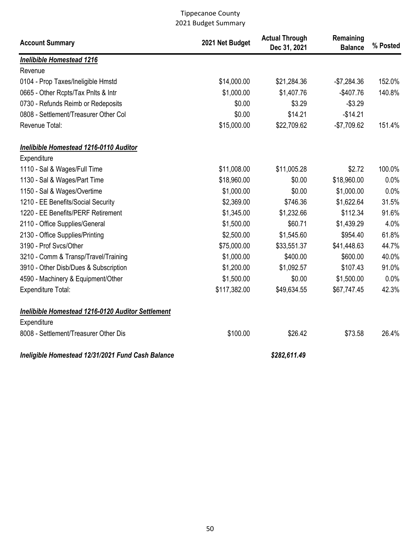| <b>Account Summary</b>                                           | 2021 Net Budget | <b>Actual Through</b><br>Dec 31, 2021 | Remaining<br><b>Balance</b> | % Posted |
|------------------------------------------------------------------|-----------------|---------------------------------------|-----------------------------|----------|
| <b>Inelibible Homestead 1216</b>                                 |                 |                                       |                             |          |
| Revenue                                                          |                 |                                       |                             |          |
| 0104 - Prop Taxes/Ineligible Hmstd                               | \$14,000.00     | \$21,284.36                           | $-$7,284.36$                | 152.0%   |
| 0665 - Other Rcpts/Tax Pnlts & Intr                              | \$1,000.00      | \$1,407.76                            | $-$407.76$                  | 140.8%   |
| 0730 - Refunds Reimb or Redeposits                               | \$0.00          | \$3.29                                | $-$3.29$                    |          |
| 0808 - Settlement/Treasurer Other Col                            | \$0.00          | \$14.21                               | $-$14.21$                   |          |
| Revenue Total:                                                   | \$15,000.00     | \$22,709.62                           | $-$7,709.62$                | 151.4%   |
| Inelibible Homestead 1216-0110 Auditor                           |                 |                                       |                             |          |
| Expenditure                                                      |                 |                                       |                             |          |
| 1110 - Sal & Wages/Full Time                                     | \$11,008.00     | \$11,005.28                           | \$2.72                      | 100.0%   |
| 1130 - Sal & Wages/Part Time                                     | \$18,960.00     | \$0.00                                | \$18,960.00                 | 0.0%     |
| 1150 - Sal & Wages/Overtime                                      | \$1,000.00      | \$0.00                                | \$1,000.00                  | 0.0%     |
| 1210 - EE Benefits/Social Security                               | \$2,369.00      | \$746.36                              | \$1,622.64                  | 31.5%    |
| 1220 - EE Benefits/PERF Retirement                               | \$1,345.00      | \$1,232.66                            | \$112.34                    | 91.6%    |
| 2110 - Office Supplies/General                                   | \$1,500.00      | \$60.71                               | \$1,439.29                  | 4.0%     |
| 2130 - Office Supplies/Printing                                  | \$2,500.00      | \$1,545.60                            | \$954.40                    | 61.8%    |
| 3190 - Prof Svcs/Other                                           | \$75,000.00     | \$33,551.37                           | \$41,448.63                 | 44.7%    |
| 3210 - Comm & Transp/Travel/Training                             | \$1,000.00      | \$400.00                              | \$600.00                    | 40.0%    |
| 3910 - Other Disb/Dues & Subscription                            | \$1,200.00      | \$1,092.57                            | \$107.43                    | 91.0%    |
| 4590 - Machinery & Equipment/Other                               | \$1,500.00      | \$0.00                                | \$1,500.00                  | 0.0%     |
| Expenditure Total:                                               | \$117,382.00    | \$49,634.55                           | \$67,747.45                 | 42.3%    |
| Inelibible Homestead 1216-0120 Auditor Settlement<br>Expenditure |                 |                                       |                             |          |
| 8008 - Settlement/Treasurer Other Dis                            | \$100.00        | \$26.42                               | \$73.58                     | 26.4%    |
| Ineligible Homestead 12/31/2021 Fund Cash Balance                |                 | \$282,611.49                          |                             |          |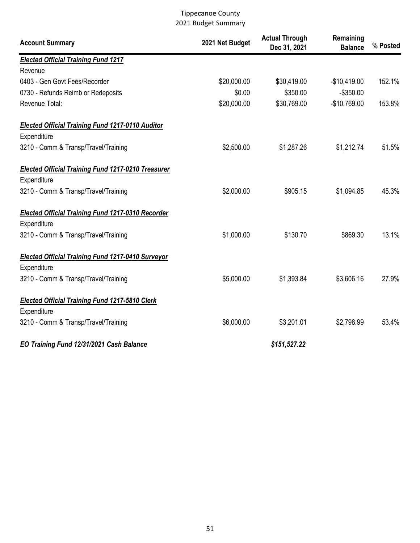| <b>Account Summary</b>                                    | 2021 Net Budget | <b>Actual Through</b><br>Dec 31, 2021 | Remaining<br><b>Balance</b> | % Posted |
|-----------------------------------------------------------|-----------------|---------------------------------------|-----------------------------|----------|
| <b>Elected Official Training Fund 1217</b>                |                 |                                       |                             |          |
| Revenue                                                   |                 |                                       |                             |          |
| 0403 - Gen Govt Fees/Recorder                             | \$20,000.00     | \$30,419.00                           | $-$10,419.00$               | 152.1%   |
| 0730 - Refunds Reimb or Redeposits                        | \$0.00          | \$350.00                              | $-$350.00$                  |          |
| Revenue Total:                                            | \$20,000.00     | \$30,769.00                           | $-$10,769.00$               | 153.8%   |
| <b>Elected Official Training Fund 1217-0110 Auditor</b>   |                 |                                       |                             |          |
| Expenditure                                               |                 |                                       |                             |          |
| 3210 - Comm & Transp/Travel/Training                      | \$2,500.00      | \$1,287.26                            | \$1,212.74                  | 51.5%    |
| <b>Elected Official Training Fund 1217-0210 Treasurer</b> |                 |                                       |                             |          |
| Expenditure                                               |                 |                                       |                             |          |
| 3210 - Comm & Transp/Travel/Training                      | \$2,000.00      | \$905.15                              | \$1,094.85                  | 45.3%    |
| <b>Elected Official Training Fund 1217-0310 Recorder</b>  |                 |                                       |                             |          |
| Expenditure                                               |                 |                                       |                             |          |
| 3210 - Comm & Transp/Travel/Training                      | \$1,000.00      | \$130.70                              | \$869.30                    | 13.1%    |
| <b>Elected Official Training Fund 1217-0410 Surveyor</b>  |                 |                                       |                             |          |
| Expenditure                                               |                 |                                       |                             |          |
| 3210 - Comm & Transp/Travel/Training                      | \$5,000.00      | \$1,393.84                            | \$3,606.16                  | 27.9%    |
| <b>Elected Official Training Fund 1217-5810 Clerk</b>     |                 |                                       |                             |          |
| Expenditure                                               |                 |                                       |                             |          |
| 3210 - Comm & Transp/Travel/Training                      | \$6,000.00      | \$3,201.01                            | \$2,798.99                  | 53.4%    |
| EO Training Fund 12/31/2021 Cash Balance                  |                 | \$151,527.22                          |                             |          |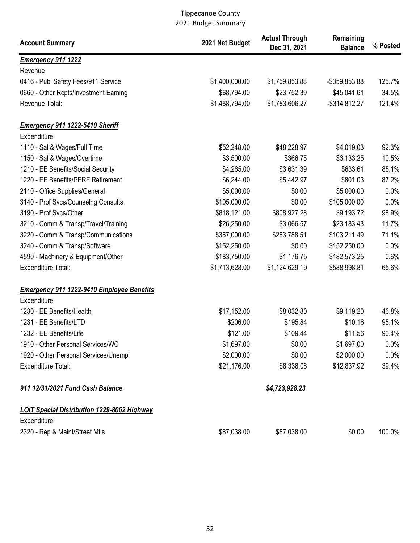| <b>Account Summary</b>                             | 2021 Net Budget | <b>Actual Through</b><br>Dec 31, 2021 | Remaining<br><b>Balance</b> | % Posted |
|----------------------------------------------------|-----------------|---------------------------------------|-----------------------------|----------|
| <b>Emergency 911 1222</b>                          |                 |                                       |                             |          |
| Revenue                                            |                 |                                       |                             |          |
| 0416 - Publ Safety Fees/911 Service                | \$1,400,000.00  | \$1,759,853.88                        | -\$359,853.88               | 125.7%   |
| 0660 - Other Rcpts/Investment Earning              | \$68,794.00     | \$23,752.39                           | \$45,041.61                 | 34.5%    |
| Revenue Total:                                     | \$1,468,794.00  | \$1,783,606.27                        | $-$ \$314,812.27            | 121.4%   |
| <b>Emergency 911 1222-5410 Sheriff</b>             |                 |                                       |                             |          |
| Expenditure                                        |                 |                                       |                             |          |
| 1110 - Sal & Wages/Full Time                       | \$52,248.00     | \$48,228.97                           | \$4,019.03                  | 92.3%    |
| 1150 - Sal & Wages/Overtime                        | \$3,500.00      | \$366.75                              | \$3,133.25                  | 10.5%    |
| 1210 - EE Benefits/Social Security                 | \$4,265.00      | \$3,631.39                            | \$633.61                    | 85.1%    |
| 1220 - EE Benefits/PERF Retirement                 | \$6,244.00      | \$5,442.97                            | \$801.03                    | 87.2%    |
| 2110 - Office Supplies/General                     | \$5,000.00      | \$0.00                                | \$5,000.00                  | 0.0%     |
| 3140 - Prof Svcs/Counselng Consults                | \$105,000.00    | \$0.00                                | \$105,000.00                | 0.0%     |
| 3190 - Prof Svcs/Other                             | \$818,121.00    | \$808,927.28                          | \$9,193.72                  | 98.9%    |
| 3210 - Comm & Transp/Travel/Training               | \$26,250.00     | \$3,066.57                            | \$23,183.43                 | 11.7%    |
| 3220 - Comm & Transp/Communications                | \$357,000.00    | \$253,788.51                          | \$103,211.49                | 71.1%    |
| 3240 - Comm & Transp/Software                      | \$152,250.00    | \$0.00                                | \$152,250.00                | 0.0%     |
| 4590 - Machinery & Equipment/Other                 | \$183,750.00    | \$1,176.75                            | \$182,573.25                | 0.6%     |
| Expenditure Total:                                 | \$1,713,628.00  | \$1,124,629.19                        | \$588,998.81                | 65.6%    |
| <b>Emergency 911 1222-9410 Employee Benefits</b>   |                 |                                       |                             |          |
| Expenditure                                        |                 |                                       |                             |          |
| 1230 - EE Benefits/Health                          | \$17,152.00     | \$8,032.80                            | \$9,119.20                  | 46.8%    |
| 1231 - EE Benefits/LTD                             | \$206.00        | \$195.84                              | \$10.16                     | 95.1%    |
| 1232 - EE Benefits/Life                            | \$121.00        | \$109.44                              | \$11.56                     | 90.4%    |
| 1910 - Other Personal Services/WC                  | \$1,697.00      | \$0.00                                | \$1,697.00                  | $0.0\%$  |
| 1920 - Other Personal Services/Unempl              | \$2,000.00      | \$0.00                                | \$2,000.00                  | 0.0%     |
| <b>Expenditure Total:</b>                          | \$21,176.00     | \$8,338.08                            | \$12,837.92                 | 39.4%    |
| 911 12/31/2021 Fund Cash Balance                   |                 | \$4,723,928.23                        |                             |          |
| <b>LOIT Special Distribution 1229-8062 Highway</b> |                 |                                       |                             |          |
| Expenditure                                        |                 |                                       |                             |          |
| 2320 - Rep & Maint/Street Mtls                     | \$87,038.00     | \$87,038.00                           | \$0.00                      | 100.0%   |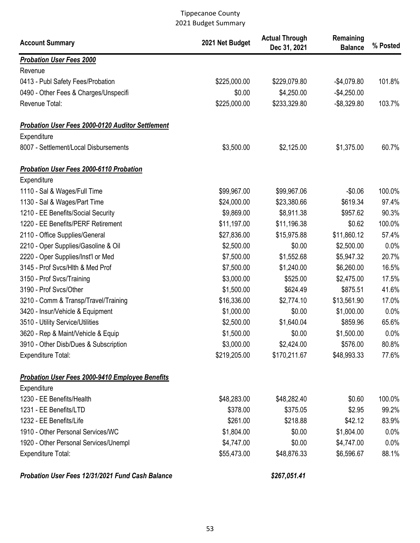| <b>Account Summary</b>                           | 2021 Net Budget | <b>Actual Through</b><br>Dec 31, 2021 | Remaining<br><b>Balance</b> | % Posted |
|--------------------------------------------------|-----------------|---------------------------------------|-----------------------------|----------|
| <b>Probation User Fees 2000</b>                  |                 |                                       |                             |          |
| Revenue                                          |                 |                                       |                             |          |
| 0413 - Publ Safety Fees/Probation                | \$225,000.00    | \$229,079.80                          | $-$4,079.80$                | 101.8%   |
| 0490 - Other Fees & Charges/Unspecifi            | \$0.00          | \$4,250.00                            | $-$4,250.00$                |          |
| Revenue Total:                                   | \$225,000.00    | \$233,329.80                          | $-$ \$8,329.80              | 103.7%   |
| Probation User Fees 2000-0120 Auditor Settlement |                 |                                       |                             |          |
| Expenditure                                      |                 |                                       |                             |          |
| 8007 - Settlement/Local Disbursements            | \$3,500.00      | \$2,125.00                            | \$1,375.00                  | 60.7%    |
| <b>Probation User Fees 2000-6110 Probation</b>   |                 |                                       |                             |          |
| Expenditure                                      |                 |                                       |                             |          |
| 1110 - Sal & Wages/Full Time                     | \$99,967.00     | \$99,967.06                           | $-$0.06$                    | 100.0%   |
| 1130 - Sal & Wages/Part Time                     | \$24,000.00     | \$23,380.66                           | \$619.34                    | 97.4%    |
| 1210 - EE Benefits/Social Security               | \$9,869.00      | \$8,911.38                            | \$957.62                    | 90.3%    |
| 1220 - EE Benefits/PERF Retirement               | \$11,197.00     | \$11,196.38                           | \$0.62                      | 100.0%   |
| 2110 - Office Supplies/General                   | \$27,836.00     | \$15,975.88                           | \$11,860.12                 | 57.4%    |
| 2210 - Oper Supplies/Gasoline & Oil              | \$2,500.00      | \$0.00                                | \$2,500.00                  | 0.0%     |
| 2220 - Oper Supplies/Inst'l or Med               | \$7,500.00      | \$1,552.68                            | \$5,947.32                  | 20.7%    |
| 3145 - Prof Svcs/Hlth & Med Prof                 | \$7,500.00      | \$1,240.00                            | \$6,260.00                  | 16.5%    |
| 3150 - Prof Svcs/Training                        | \$3,000.00      | \$525.00                              | \$2,475.00                  | 17.5%    |
| 3190 - Prof Svcs/Other                           | \$1,500.00      | \$624.49                              | \$875.51                    | 41.6%    |
| 3210 - Comm & Transp/Travel/Training             | \$16,336.00     | \$2,774.10                            | \$13,561.90                 | 17.0%    |
| 3420 - Insur/Vehicle & Equipment                 | \$1,000.00      | \$0.00                                | \$1,000.00                  | 0.0%     |
| 3510 - Utility Service/Utilities                 | \$2,500.00      | \$1,640.04                            | \$859.96                    | 65.6%    |
| 3620 - Rep & Maint/Vehicle & Equip               | \$1,500.00      | \$0.00                                | \$1,500.00                  | 0.0%     |
| 3910 - Other Disb/Dues & Subscription            | \$3,000.00      | \$2,424.00                            | \$576.00                    | 80.8%    |
| Expenditure Total:                               | \$219,205.00    | \$170,211.67                          | \$48,993.33                 | 77.6%    |
| Probation User Fees 2000-9410 Employee Benefits  |                 |                                       |                             |          |
| Expenditure                                      |                 |                                       |                             |          |
| 1230 - EE Benefits/Health                        | \$48,283.00     | \$48,282.40                           | \$0.60                      | 100.0%   |
| 1231 - EE Benefits/LTD                           | \$378.00        | \$375.05                              | \$2.95                      | 99.2%    |
| 1232 - EE Benefits/Life                          | \$261.00        | \$218.88                              | \$42.12                     | 83.9%    |
| 1910 - Other Personal Services/WC                | \$1,804.00      | \$0.00                                | \$1,804.00                  | $0.0\%$  |
| 1920 - Other Personal Services/Unempl            | \$4,747.00      | \$0.00                                | \$4,747.00                  | 0.0%     |
| Expenditure Total:                               | \$55,473.00     | \$48,876.33                           | \$6,596.67                  | 88.1%    |
| Probation User Fees 12/31/2021 Fund Cash Balance |                 | \$267,051.41                          |                             |          |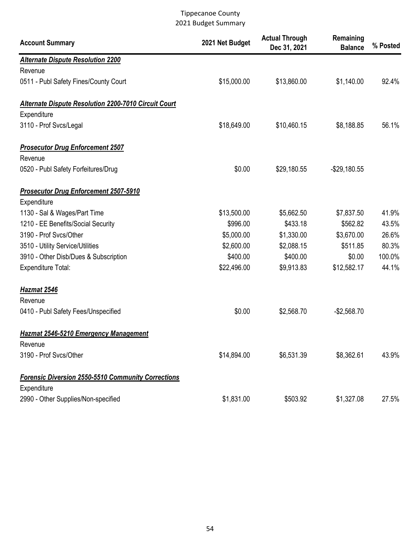| <b>Account Summary</b>                                      | 2021 Net Budget | <b>Actual Through</b><br>Dec 31, 2021 | Remaining<br><b>Balance</b> | % Posted |
|-------------------------------------------------------------|-----------------|---------------------------------------|-----------------------------|----------|
| <b>Alternate Dispute Resolution 2200</b>                    |                 |                                       |                             |          |
| Revenue                                                     |                 |                                       |                             |          |
| 0511 - Publ Safety Fines/County Court                       | \$15,000.00     | \$13,860.00                           | \$1,140.00                  | 92.4%    |
| <b>Alternate Dispute Resolution 2200-7010 Circuit Court</b> |                 |                                       |                             |          |
| Expenditure                                                 |                 |                                       |                             |          |
| 3110 - Prof Svcs/Legal                                      | \$18,649.00     | \$10,460.15                           | \$8,188.85                  | 56.1%    |
| <b>Prosecutor Drug Enforcement 2507</b>                     |                 |                                       |                             |          |
| Revenue                                                     |                 |                                       |                             |          |
| 0520 - Publ Safety Forfeitures/Drug                         | \$0.00          | \$29,180.55                           | $-$29,180.55$               |          |
| <b>Prosecutor Drug Enforcement 2507-5910</b>                |                 |                                       |                             |          |
| Expenditure                                                 |                 |                                       |                             |          |
| 1130 - Sal & Wages/Part Time                                | \$13,500.00     | \$5,662.50                            | \$7,837.50                  | 41.9%    |
| 1210 - EE Benefits/Social Security                          | \$996.00        | \$433.18                              | \$562.82                    | 43.5%    |
| 3190 - Prof Svcs/Other                                      | \$5,000.00      | \$1,330.00                            | \$3,670.00                  | 26.6%    |
| 3510 - Utility Service/Utilities                            | \$2,600.00      | \$2,088.15                            | \$511.85                    | 80.3%    |
| 3910 - Other Disb/Dues & Subscription                       | \$400.00        | \$400.00                              | \$0.00                      | 100.0%   |
| <b>Expenditure Total:</b>                                   | \$22,496.00     | \$9,913.83                            | \$12,582.17                 | 44.1%    |
| <b>Hazmat 2546</b>                                          |                 |                                       |                             |          |
| Revenue                                                     |                 |                                       |                             |          |
| 0410 - Publ Safety Fees/Unspecified                         | \$0.00          | \$2,568.70                            | $-$2,568.70$                |          |
| <b>Hazmat 2546-5210 Emergency Management</b>                |                 |                                       |                             |          |
| Revenue                                                     |                 |                                       |                             |          |
| 3190 - Prof Svcs/Other                                      | \$14,894.00     | \$6,531.39                            | \$8,362.61                  | 43.9%    |
| <b>Forensic Diversion 2550-5510 Community Corrections</b>   |                 |                                       |                             |          |
| Expenditure                                                 |                 |                                       |                             |          |
| 2990 - Other Supplies/Non-specified                         | \$1,831.00      | \$503.92                              | \$1,327.08                  | 27.5%    |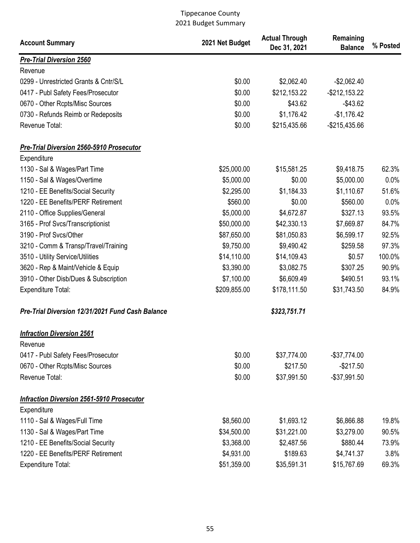| <b>Account Summary</b>                           | 2021 Net Budget | <b>Actual Through</b><br>Dec 31, 2021 | Remaining<br><b>Balance</b> | % Posted |
|--------------------------------------------------|-----------------|---------------------------------------|-----------------------------|----------|
| <b>Pre-Trial Diversion 2560</b>                  |                 |                                       |                             |          |
| Revenue                                          |                 |                                       |                             |          |
| 0299 - Unrestricted Grants & Cntr/S/L            | \$0.00          | \$2,062.40                            | $-$2,062.40$                |          |
| 0417 - Publ Safety Fees/Prosecutor               | \$0.00          | \$212,153.22                          | $-$ \$212,153.22            |          |
| 0670 - Other Rcpts/Misc Sources                  | \$0.00          | \$43.62                               | $-$43.62$                   |          |
| 0730 - Refunds Reimb or Redeposits               | \$0.00          | \$1,176.42                            | $-$1,176.42$                |          |
| Revenue Total:                                   | \$0.00          | \$215,435.66                          | $-$ \$215,435.66            |          |
| Pre-Trial Diversion 2560-5910 Prosecutor         |                 |                                       |                             |          |
| Expenditure                                      |                 |                                       |                             |          |
| 1130 - Sal & Wages/Part Time                     | \$25,000.00     | \$15,581.25                           | \$9,418.75                  | 62.3%    |
| 1150 - Sal & Wages/Overtime                      | \$5,000.00      | \$0.00                                | \$5,000.00                  | 0.0%     |
| 1210 - EE Benefits/Social Security               | \$2,295.00      | \$1,184.33                            | \$1,110.67                  | 51.6%    |
| 1220 - EE Benefits/PERF Retirement               | \$560.00        | \$0.00                                | \$560.00                    | 0.0%     |
| 2110 - Office Supplies/General                   | \$5,000.00      | \$4,672.87                            | \$327.13                    | 93.5%    |
| 3165 - Prof Svcs/Transcriptionist                | \$50,000.00     | \$42,330.13                           | \$7,669.87                  | 84.7%    |
| 3190 - Prof Svcs/Other                           | \$87,650.00     | \$81,050.83                           | \$6,599.17                  | 92.5%    |
| 3210 - Comm & Transp/Travel/Training             | \$9,750.00      | \$9,490.42                            | \$259.58                    | 97.3%    |
| 3510 - Utility Service/Utilities                 | \$14,110.00     | \$14,109.43                           | \$0.57                      | 100.0%   |
| 3620 - Rep & Maint/Vehicle & Equip               | \$3,390.00      | \$3,082.75                            | \$307.25                    | 90.9%    |
| 3910 - Other Disb/Dues & Subscription            | \$7,100.00      | \$6,609.49                            | \$490.51                    | 93.1%    |
| <b>Expenditure Total:</b>                        | \$209,855.00    | \$178,111.50                          | \$31,743.50                 | 84.9%    |
| Pre-Trial Diversion 12/31/2021 Fund Cash Balance |                 | \$323,751.71                          |                             |          |
| <b>Infraction Diversion 2561</b>                 |                 |                                       |                             |          |
| Revenue                                          |                 |                                       |                             |          |
| 0417 - Publ Safety Fees/Prosecutor               | \$0.00          | \$37,774.00                           | $-$37,774.00$               |          |
| 0670 - Other Rcpts/Misc Sources                  | \$0.00          | \$217.50                              | $-$217.50$                  |          |
| Revenue Total:                                   | \$0.00          | \$37,991.50                           | $-$37,991.50$               |          |
| <b>Infraction Diversion 2561-5910 Prosecutor</b> |                 |                                       |                             |          |
| Expenditure                                      |                 |                                       |                             |          |
| 1110 - Sal & Wages/Full Time                     | \$8,560.00      | \$1,693.12                            | \$6,866.88                  | 19.8%    |
| 1130 - Sal & Wages/Part Time                     | \$34,500.00     | \$31,221.00                           | \$3,279.00                  | 90.5%    |
| 1210 - EE Benefits/Social Security               | \$3,368.00      | \$2,487.56                            | \$880.44                    | 73.9%    |
| 1220 - EE Benefits/PERF Retirement               | \$4,931.00      | \$189.63                              | \$4,741.37                  | 3.8%     |
| <b>Expenditure Total:</b>                        | \$51,359.00     | \$35,591.31                           | \$15,767.69                 | 69.3%    |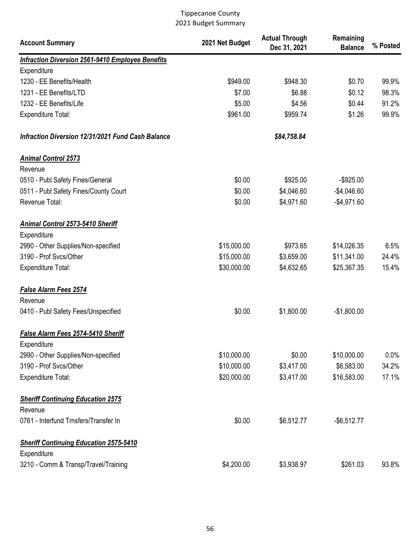| <b>Account Summary</b>                                       | 2021 Net Budget | <b>Actual Through</b><br>Dec 31, 2021 | Remaining<br><b>Balance</b> | % Posted |
|--------------------------------------------------------------|-----------------|---------------------------------------|-----------------------------|----------|
| <b>Infraction Diversion 2561-9410 Employee Benefits</b>      |                 |                                       |                             |          |
| Expenditure                                                  |                 |                                       |                             |          |
| 1230 - EE Benefits/Health                                    | \$949.00        | \$948.30                              | \$0.70                      | 99.9%    |
| 1231 - EE Benefits/LTD                                       | \$7.00          | \$6.88                                | \$0.12                      | 98.3%    |
| 1232 - EE Benefits/Life                                      | \$5.00          | \$4.56                                | \$0.44                      | 91.2%    |
| <b>Expenditure Total:</b>                                    | \$961.00        | \$959.74                              | \$1.26                      | 99.9%    |
| Infraction Diversion 12/31/2021 Fund Cash Balance            |                 | \$84,758.84                           |                             |          |
| <b>Animal Control 2573</b>                                   |                 |                                       |                             |          |
| Revenue                                                      |                 |                                       |                             |          |
| 0510 - Publ Safety Fines/General                             | \$0.00          | \$925.00                              | $-$925.00$                  |          |
| 0511 - Publ Safety Fines/County Court                        | \$0.00          | \$4,046.60                            | $-$4,046.60$                |          |
| Revenue Total:                                               | \$0.00          | \$4,971.60                            | $-$4,971.60$                |          |
| Animal Control 2573-5410 Sheriff<br>Expenditure              |                 |                                       |                             |          |
| 2990 - Other Supplies/Non-specified                          | \$15,000.00     | \$973.65                              | \$14,026.35                 | 6.5%     |
| 3190 - Prof Svcs/Other                                       | \$15,000.00     | \$3,659.00                            | \$11,341.00                 | 24.4%    |
| <b>Expenditure Total:</b>                                    | \$30,000.00     | \$4,632.65                            | \$25,367.35                 | 15.4%    |
| <b>False Alarm Fees 2574</b><br>Revenue                      |                 |                                       |                             |          |
| 0410 - Publ Safety Fees/Unspecified                          | \$0.00          | \$1,800.00                            | $-$1,800.00$                |          |
| False Alarm Fees 2574-5410 Sheriff<br>Expenditure            |                 |                                       |                             |          |
| 2990 - Other Supplies/Non-specified                          | \$10,000.00     | \$0.00                                | \$10,000.00                 | $0.0\%$  |
| 3190 - Prof Svcs/Other                                       | \$10,000.00     | \$3,417.00                            | \$6,583.00                  | 34.2%    |
| <b>Expenditure Total:</b>                                    | \$20,000.00     | \$3,417.00                            | \$16,583.00                 | 17.1%    |
| <b>Sheriff Continuing Education 2575</b><br>Revenue          |                 |                                       |                             |          |
| 0761 - Interfund Trnsfers/Transfer In                        | \$0.00          | \$6,512.77                            | $-$6,512.77$                |          |
| <b>Sheriff Continuing Education 2575-5410</b><br>Expenditure |                 |                                       |                             |          |
| 3210 - Comm & Transp/Travel/Training                         | \$4,200.00      | \$3,938.97                            | \$261.03                    | 93.8%    |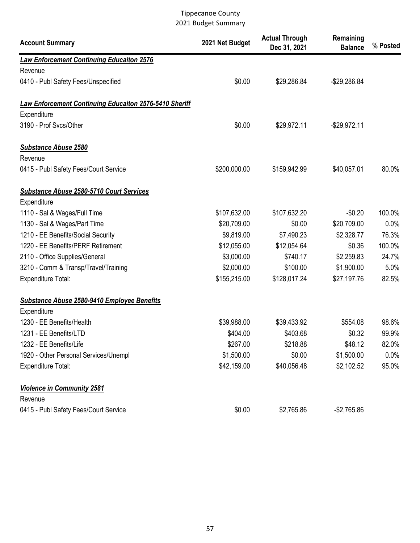| <b>Account Summary</b>                                        | 2021 Net Budget | <b>Actual Through</b><br>Dec 31, 2021 | Remaining<br><b>Balance</b> | % Posted |
|---------------------------------------------------------------|-----------------|---------------------------------------|-----------------------------|----------|
| <b>Law Enforcement Continuing Educaiton 2576</b>              |                 |                                       |                             |          |
| Revenue                                                       |                 |                                       |                             |          |
| 0410 - Publ Safety Fees/Unspecified                           | \$0.00          | \$29,286.84                           | $-$29,286.84$               |          |
| <b>Law Enforcement Continuing Educaiton 2576-5410 Sheriff</b> |                 |                                       |                             |          |
| Expenditure                                                   |                 |                                       |                             |          |
| 3190 - Prof Svcs/Other                                        | \$0.00          | \$29,972.11                           | $-$29,972.11$               |          |
| <b>Substance Abuse 2580</b>                                   |                 |                                       |                             |          |
| Revenue                                                       |                 |                                       |                             |          |
| 0415 - Publ Safety Fees/Court Service                         | \$200,000.00    | \$159,942.99                          | \$40,057.01                 | 80.0%    |
| <b>Substance Abuse 2580-5710 Court Services</b>               |                 |                                       |                             |          |
| Expenditure                                                   |                 |                                       |                             |          |
| 1110 - Sal & Wages/Full Time                                  | \$107,632.00    | \$107,632.20                          | $-$0.20$                    | 100.0%   |
| 1130 - Sal & Wages/Part Time                                  | \$20,709.00     | \$0.00                                | \$20,709.00                 | 0.0%     |
| 1210 - EE Benefits/Social Security                            | \$9,819.00      | \$7,490.23                            | \$2,328.77                  | 76.3%    |
| 1220 - EE Benefits/PERF Retirement                            | \$12,055.00     | \$12,054.64                           | \$0.36                      | 100.0%   |
| 2110 - Office Supplies/General                                | \$3,000.00      | \$740.17                              | \$2,259.83                  | 24.7%    |
| 3210 - Comm & Transp/Travel/Training                          | \$2,000.00      | \$100.00                              | \$1,900.00                  | 5.0%     |
| <b>Expenditure Total:</b>                                     | \$155,215.00    | \$128,017.24                          | \$27,197.76                 | 82.5%    |
| Substance Abuse 2580-9410 Employee Benefits                   |                 |                                       |                             |          |
| Expenditure                                                   |                 |                                       |                             |          |
| 1230 - EE Benefits/Health                                     | \$39,988.00     | \$39,433.92                           | \$554.08                    | 98.6%    |
| 1231 - EE Benefits/LTD                                        | \$404.00        | \$403.68                              | \$0.32                      | 99.9%    |
| 1232 - EE Benefits/Life                                       | \$267.00        | \$218.88                              | \$48.12                     | 82.0%    |
| 1920 - Other Personal Services/Unempl                         | \$1,500.00      | \$0.00                                | \$1,500.00                  | $0.0\%$  |
| <b>Expenditure Total:</b>                                     | \$42,159.00     | \$40,056.48                           | \$2,102.52                  | 95.0%    |
| <b>Violence in Community 2581</b>                             |                 |                                       |                             |          |
| Revenue                                                       |                 |                                       |                             |          |
| 0415 - Publ Safety Fees/Court Service                         | \$0.00          | \$2,765.86                            | $-$2,765.86$                |          |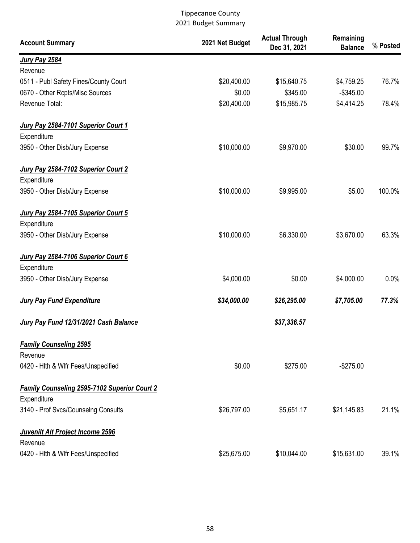| <b>Account Summary</b>                              | 2021 Net Budget | <b>Actual Through</b><br>Dec 31, 2021 | Remaining<br><b>Balance</b> | % Posted |
|-----------------------------------------------------|-----------------|---------------------------------------|-----------------------------|----------|
| <b>Jury Pay 2584</b>                                |                 |                                       |                             |          |
| Revenue                                             |                 |                                       |                             |          |
| 0511 - Publ Safety Fines/County Court               | \$20,400.00     | \$15,640.75                           | \$4,759.25                  | 76.7%    |
| 0670 - Other Rcpts/Misc Sources                     | \$0.00          | \$345.00                              | $-$345.00$                  |          |
| Revenue Total:                                      | \$20,400.00     | \$15,985.75                           | \$4,414.25                  | 78.4%    |
| Jury Pay 2584-7101 Superior Court 1                 |                 |                                       |                             |          |
| Expenditure                                         |                 |                                       |                             |          |
| 3950 - Other Disb/Jury Expense                      | \$10,000.00     | \$9,970.00                            | \$30.00                     | 99.7%    |
| Jury Pay 2584-7102 Superior Court 2                 |                 |                                       |                             |          |
| Expenditure                                         |                 |                                       |                             |          |
| 3950 - Other Disb/Jury Expense                      | \$10,000.00     | \$9,995.00                            | \$5.00                      | 100.0%   |
| Jury Pay 2584-7105 Superior Court 5                 |                 |                                       |                             |          |
| Expenditure                                         |                 |                                       |                             |          |
| 3950 - Other Disb/Jury Expense                      | \$10,000.00     | \$6,330.00                            | \$3,670.00                  | 63.3%    |
| Jury Pay 2584-7106 Superior Court 6                 |                 |                                       |                             |          |
| Expenditure                                         |                 |                                       |                             |          |
| 3950 - Other Disb/Jury Expense                      | \$4,000.00      | \$0.00                                | \$4,000.00                  | 0.0%     |
| <b>Jury Pay Fund Expenditure</b>                    | \$34,000.00     | \$26,295.00                           | \$7,705.00                  | 77.3%    |
| Jury Pay Fund 12/31/2021 Cash Balance               |                 | \$37,336.57                           |                             |          |
| <b>Family Counseling 2595</b>                       |                 |                                       |                             |          |
| Revenue                                             |                 |                                       |                             |          |
| 0420 - Hith & Wifr Fees/Unspecified                 | \$0.00          | \$275.00                              | $-$275.00$                  |          |
| <b>Family Counseling 2595-7102 Superior Court 2</b> |                 |                                       |                             |          |
| Expenditure                                         |                 |                                       |                             |          |
| 3140 - Prof Svcs/Counselng Consults                 | \$26,797.00     | \$5,651.17                            | \$21,145.83                 | 21.1%    |
| Juvenilt Alt Project Income 2596                    |                 |                                       |                             |          |
| Revenue                                             |                 |                                       |                             |          |
| 0420 - Hith & Wifr Fees/Unspecified                 | \$25,675.00     | \$10,044.00                           | \$15,631.00                 | 39.1%    |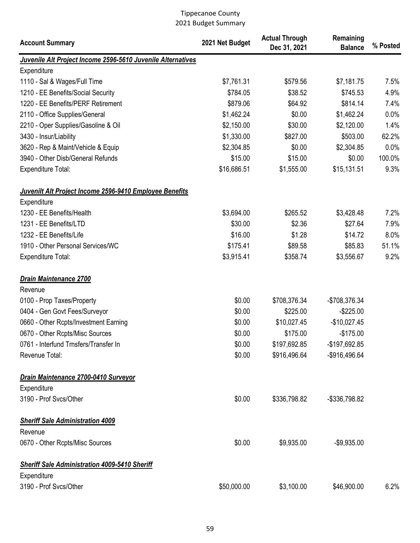| <b>Account Summary</b>                                                 | 2021 Net Budget | <b>Actual Through</b><br>Dec 31, 2021 | Remaining<br><b>Balance</b> | % Posted |
|------------------------------------------------------------------------|-----------------|---------------------------------------|-----------------------------|----------|
| Juvenile Alt Project Income 2596-5610 Juvenile Alternatives            |                 |                                       |                             |          |
| Expenditure                                                            |                 |                                       |                             |          |
| 1110 - Sal & Wages/Full Time                                           | \$7,761.31      | \$579.56                              | \$7,181.75                  | 7.5%     |
| 1210 - EE Benefits/Social Security                                     | \$784.05        | \$38.52                               | \$745.53                    | 4.9%     |
| 1220 - EE Benefits/PERF Retirement                                     | \$879.06        | \$64.92                               | \$814.14                    | 7.4%     |
| 2110 - Office Supplies/General                                         | \$1,462.24      | \$0.00                                | \$1,462.24                  | 0.0%     |
| 2210 - Oper Supplies/Gasoline & Oil                                    | \$2,150.00      | \$30.00                               | \$2,120.00                  | 1.4%     |
| 3430 - Insur/Liability                                                 | \$1,330.00      | \$827.00                              | \$503.00                    | 62.2%    |
| 3620 - Rep & Maint/Vehicle & Equip                                     | \$2,304.85      | \$0.00                                | \$2,304.85                  | 0.0%     |
| 3940 - Other Disb/General Refunds                                      | \$15.00         | \$15.00                               | \$0.00                      | 100.0%   |
| <b>Expenditure Total:</b>                                              | \$16,686.51     | \$1,555.00                            | \$15,131.51                 | 9.3%     |
| Juvenilt Alt Project Income 2596-9410 Employee Benefits<br>Expenditure |                 |                                       |                             |          |
| 1230 - EE Benefits/Health                                              | \$3,694.00      | \$265.52                              | \$3,428.48                  | 7.2%     |
| 1231 - EE Benefits/LTD                                                 | \$30.00         | \$2.36                                | \$27.64                     | 7.9%     |
| 1232 - EE Benefits/Life                                                | \$16.00         | \$1.28                                | \$14.72                     | 8.0%     |
| 1910 - Other Personal Services/WC                                      | \$175.41        | \$89.58                               | \$85.83                     | 51.1%    |
| <b>Expenditure Total:</b>                                              | \$3,915.41      | \$358.74                              | \$3,556.67                  | 9.2%     |
| Drain Maintenance 2700                                                 |                 |                                       |                             |          |
| Revenue                                                                |                 |                                       |                             |          |
| 0100 - Prop Taxes/Property                                             | \$0.00          | \$708,376.34                          | -\$708,376.34               |          |
| 0404 - Gen Govt Fees/Surveyor                                          | \$0.00          | \$225.00                              | $-$225.00$                  |          |
| 0660 - Other Rcpts/Investment Earning                                  | \$0.00          | \$10,027.45                           | $-$10,027.45$               |          |
| 0670 - Other Rcpts/Misc Sources                                        | \$0.00          | \$175.00                              | $-$175.00$                  |          |
| 0761 - Interfund Trnsfers/Transfer In                                  | \$0.00          | \$197,692.85                          | -\$197,692.85               |          |
| Revenue Total:                                                         | \$0.00          | \$916,496.64                          | -\$916,496.64               |          |
| Drain Maintenance 2700-0410 Surveyor                                   |                 |                                       |                             |          |
| Expenditure                                                            |                 |                                       |                             |          |
| 3190 - Prof Svcs/Other                                                 | \$0.00          | \$336,798.82                          | -\$336,798.82               |          |
| <b>Sheriff Sale Administration 4009</b><br>Revenue                     |                 |                                       |                             |          |
| 0670 - Other Rcpts/Misc Sources                                        | \$0.00          | \$9,935.00                            | $-$9,935.00$                |          |
| <b>Sheriff Sale Administration 4009-5410 Sheriff</b>                   |                 |                                       |                             |          |
| Expenditure                                                            |                 |                                       |                             |          |
| 3190 - Prof Svcs/Other                                                 | \$50,000.00     | \$3,100.00                            | \$46,900.00                 | 6.2%     |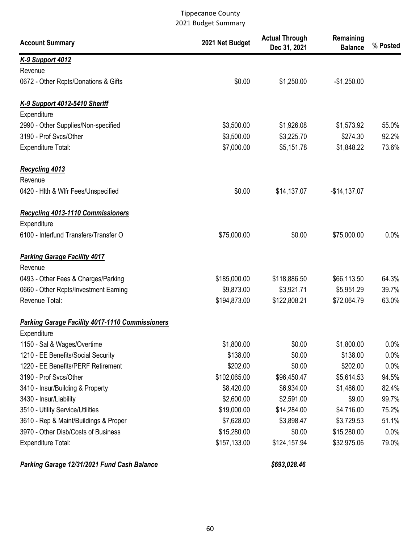| <b>Account Summary</b>                                 | 2021 Net Budget | <b>Actual Through</b><br>Dec 31, 2021 | Remaining<br><b>Balance</b> | % Posted |
|--------------------------------------------------------|-----------------|---------------------------------------|-----------------------------|----------|
| <b>K-9 Support 4012</b>                                |                 |                                       |                             |          |
| Revenue                                                |                 |                                       |                             |          |
| 0672 - Other Rcpts/Donations & Gifts                   | \$0.00          | \$1,250.00                            | $-$1,250.00$                |          |
| K-9 Support 4012-5410 Sheriff                          |                 |                                       |                             |          |
| Expenditure                                            |                 |                                       |                             |          |
| 2990 - Other Supplies/Non-specified                    | \$3,500.00      | \$1,926.08                            | \$1,573.92                  | 55.0%    |
| 3190 - Prof Svcs/Other                                 | \$3,500.00      | \$3,225.70                            | \$274.30                    | 92.2%    |
| Expenditure Total:                                     | \$7,000.00      | \$5,151.78                            | \$1,848.22                  | 73.6%    |
| <b>Recycling 4013</b>                                  |                 |                                       |                             |          |
| Revenue                                                |                 |                                       |                             |          |
| 0420 - Hith & Wifr Fees/Unspecified                    | \$0.00          | \$14,137.07                           | $-$14,137.07$               |          |
| <b>Recycling 4013-1110 Commissioners</b>               |                 |                                       |                             |          |
| Expenditure                                            |                 |                                       |                             |          |
| 6100 - Interfund Transfers/Transfer O                  | \$75,000.00     | \$0.00                                | \$75,000.00                 | 0.0%     |
| <b>Parking Garage Facility 4017</b>                    |                 |                                       |                             |          |
| Revenue                                                |                 |                                       |                             |          |
| 0493 - Other Fees & Charges/Parking                    | \$185,000.00    | \$118,886.50                          | \$66,113.50                 | 64.3%    |
| 0660 - Other Rcpts/Investment Earning                  | \$9,873.00      | \$3,921.71                            | \$5,951.29                  | 39.7%    |
| Revenue Total:                                         | \$194,873.00    | \$122,808.21                          | \$72,064.79                 | 63.0%    |
| <b>Parking Garage Facility 4017-1110 Commissioners</b> |                 |                                       |                             |          |
| Expenditure                                            |                 |                                       |                             |          |
| 1150 - Sal & Wages/Overtime                            | \$1,800.00      | \$0.00                                | \$1,800.00                  | $0.0\%$  |
| 1210 - EE Benefits/Social Security                     | \$138.00        | \$0.00                                | \$138.00                    | 0.0%     |
| 1220 - EE Benefits/PERF Retirement                     | \$202.00        | \$0.00                                | \$202.00                    | 0.0%     |
| 3190 - Prof Svcs/Other                                 | \$102,065.00    | \$96,450.47                           | \$5,614.53                  | 94.5%    |
| 3410 - Insur/Building & Property                       | \$8,420.00      | \$6,934.00                            | \$1,486.00                  | 82.4%    |
| 3430 - Insur/Liability                                 | \$2,600.00      | \$2,591.00                            | \$9.00                      | 99.7%    |
| 3510 - Utility Service/Utilities                       | \$19,000.00     | \$14,284.00                           | \$4,716.00                  | 75.2%    |
| 3610 - Rep & Maint/Buildings & Proper                  | \$7,628.00      | \$3,898.47                            | \$3,729.53                  | 51.1%    |
| 3970 - Other Disb/Costs of Business                    | \$15,280.00     | \$0.00                                | \$15,280.00                 | 0.0%     |
| Expenditure Total:                                     | \$157,133.00    | \$124,157.94                          | \$32,975.06                 | 79.0%    |

Parking Garage 12/31/2021 Fund Cash Balance \$693,028.46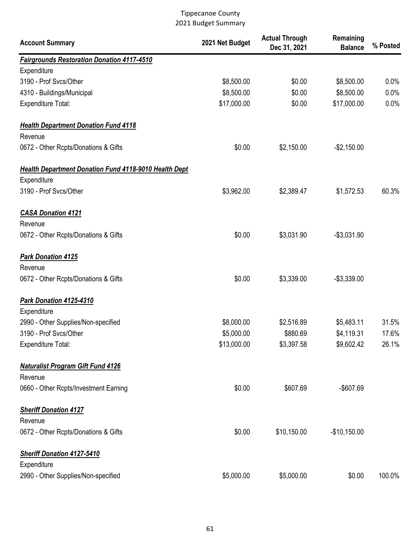| <b>Account Summary</b>                                       | 2021 Net Budget | <b>Actual Through</b><br>Dec 31, 2021 | Remaining<br><b>Balance</b> | % Posted |
|--------------------------------------------------------------|-----------------|---------------------------------------|-----------------------------|----------|
| <b>Fairgrounds Restoration Donation 4117-4510</b>            |                 |                                       |                             |          |
| Expenditure                                                  |                 |                                       |                             |          |
| 3190 - Prof Svcs/Other                                       | \$8,500.00      | \$0.00                                | \$8,500.00                  | 0.0%     |
| 4310 - Buildings/Municipal                                   | \$8,500.00      | \$0.00                                | \$8,500.00                  | 0.0%     |
| Expenditure Total:                                           | \$17,000.00     | \$0.00                                | \$17,000.00                 | 0.0%     |
| <b>Health Department Donation Fund 4118</b>                  |                 |                                       |                             |          |
| Revenue                                                      |                 |                                       |                             |          |
| 0672 - Other Rcpts/Donations & Gifts                         | \$0.00          | \$2,150.00                            | $-$2,150.00$                |          |
| <b>Health Department Donation Fund 4118-9010 Health Dept</b> |                 |                                       |                             |          |
| Expenditure                                                  |                 |                                       |                             |          |
| 3190 - Prof Svcs/Other                                       | \$3,962.00      | \$2,389.47                            | \$1,572.53                  | 60.3%    |
| <b>CASA Donation 4121</b>                                    |                 |                                       |                             |          |
| Revenue                                                      |                 |                                       |                             |          |
| 0672 - Other Rcpts/Donations & Gifts                         | \$0.00          | \$3,031.90                            | $-$3,031.90$                |          |
| <b>Park Donation 4125</b><br>Revenue                         |                 |                                       |                             |          |
| 0672 - Other Rcpts/Donations & Gifts                         | \$0.00          | \$3,339.00                            | $-$3,339.00$                |          |
| Park Donation 4125-4310                                      |                 |                                       |                             |          |
| Expenditure                                                  |                 |                                       |                             |          |
| 2990 - Other Supplies/Non-specified                          | \$8,000.00      | \$2,516.89                            | \$5,483.11                  | 31.5%    |
| 3190 - Prof Svcs/Other                                       | \$5,000.00      | \$880.69                              | \$4,119.31                  | 17.6%    |
| Expenditure Total:                                           | \$13,000.00     | \$3,397.58                            | \$9,602.42                  | 26.1%    |
| <b>Naturalist Program Gift Fund 4126</b>                     |                 |                                       |                             |          |
| Revenue                                                      |                 |                                       |                             |          |
| 0660 - Other Rcpts/Investment Earning                        | \$0.00          | \$607.69                              | $-$607.69$                  |          |
| <b>Sheriff Donation 4127</b>                                 |                 |                                       |                             |          |
| Revenue                                                      |                 |                                       |                             |          |
| 0672 - Other Rcpts/Donations & Gifts                         | \$0.00          | \$10,150.00                           | $-$10,150.00$               |          |
| <b>Sheriff Donation 4127-5410</b>                            |                 |                                       |                             |          |
| Expenditure                                                  |                 |                                       |                             |          |
| 2990 - Other Supplies/Non-specified                          | \$5,000.00      | \$5,000.00                            | \$0.00                      | 100.0%   |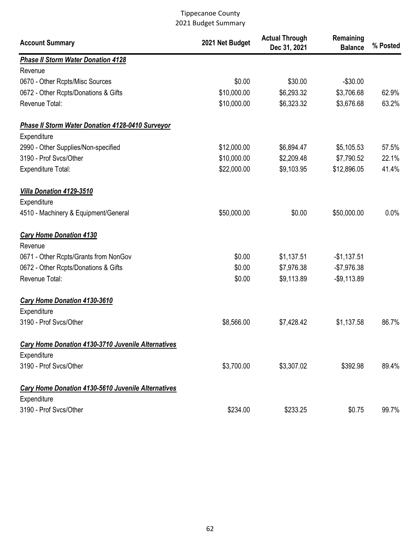| <b>Account Summary</b>                                    | 2021 Net Budget | <b>Actual Through</b><br>Dec 31, 2021 | Remaining<br><b>Balance</b> | % Posted |
|-----------------------------------------------------------|-----------------|---------------------------------------|-----------------------------|----------|
| <b>Phase II Storm Water Donation 4128</b>                 |                 |                                       |                             |          |
| Revenue                                                   |                 |                                       |                             |          |
| 0670 - Other Rcpts/Misc Sources                           | \$0.00          | \$30.00                               | $-$30.00$                   |          |
| 0672 - Other Rcpts/Donations & Gifts                      | \$10,000.00     | \$6,293.32                            | \$3,706.68                  | 62.9%    |
| Revenue Total:                                            | \$10,000.00     | \$6,323.32                            | \$3,676.68                  | 63.2%    |
| <b>Phase II Storm Water Donation 4128-0410 Surveyor</b>   |                 |                                       |                             |          |
| Expenditure                                               |                 |                                       |                             |          |
| 2990 - Other Supplies/Non-specified                       | \$12,000.00     | \$6,894.47                            | \$5,105.53                  | 57.5%    |
| 3190 - Prof Svcs/Other                                    | \$10,000.00     | \$2,209.48                            | \$7,790.52                  | 22.1%    |
| <b>Expenditure Total:</b>                                 | \$22,000.00     | \$9,103.95                            | \$12,896.05                 | 41.4%    |
| <b>Villa Donation 4129-3510</b>                           |                 |                                       |                             |          |
| Expenditure                                               |                 |                                       |                             |          |
| 4510 - Machinery & Equipment/General                      | \$50,000.00     | \$0.00                                | \$50,000.00                 | 0.0%     |
| <b>Cary Home Donation 4130</b>                            |                 |                                       |                             |          |
| Revenue                                                   |                 |                                       |                             |          |
| 0671 - Other Rcpts/Grants from NonGov                     | \$0.00          | \$1,137.51                            | $-$1,137.51$                |          |
| 0672 - Other Rcpts/Donations & Gifts                      | \$0.00          | \$7,976.38                            | $-$7,976.38$                |          |
| Revenue Total:                                            | \$0.00          | \$9,113.89                            | $-$9,113.89$                |          |
| <b>Cary Home Donation 4130-3610</b>                       |                 |                                       |                             |          |
| Expenditure                                               |                 |                                       |                             |          |
| 3190 - Prof Svcs/Other                                    | \$8,566.00      | \$7,428.42                            | \$1,137.58                  | 86.7%    |
| Cary Home Donation 4130-3710 Juvenile Alternatives        |                 |                                       |                             |          |
| Expenditure                                               |                 |                                       |                             |          |
| 3190 - Prof Svcs/Other                                    | \$3,700.00      | \$3,307.02                            | \$392.98                    | 89.4%    |
| <b>Cary Home Donation 4130-5610 Juvenile Alternatives</b> |                 |                                       |                             |          |
| Expenditure                                               |                 |                                       |                             |          |
| 3190 - Prof Svcs/Other                                    | \$234.00        | \$233.25                              | \$0.75                      | 99.7%    |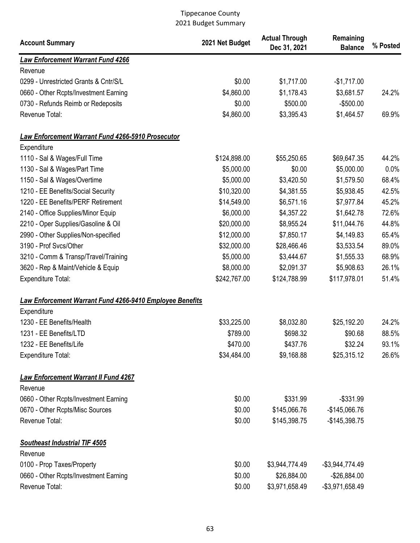| <b>Account Summary</b>                                          | 2021 Net Budget | <b>Actual Through</b><br>Dec 31, 2021 | Remaining<br><b>Balance</b> | % Posted |
|-----------------------------------------------------------------|-----------------|---------------------------------------|-----------------------------|----------|
| <b>Law Enforcement Warrant Fund 4266</b>                        |                 |                                       |                             |          |
| Revenue                                                         |                 |                                       |                             |          |
| 0299 - Unrestricted Grants & Cntr/S/L                           | \$0.00          | \$1,717.00                            | $-$1,717.00$                |          |
| 0660 - Other Rcpts/Investment Earning                           | \$4,860.00      | \$1,178.43                            | \$3,681.57                  | 24.2%    |
| 0730 - Refunds Reimb or Redeposits                              | \$0.00          | \$500.00                              | $-$500.00$                  |          |
| Revenue Total:                                                  | \$4,860.00      | \$3,395.43                            | \$1,464.57                  | 69.9%    |
| Law Enforcement Warrant Fund 4266-5910 Prosecutor               |                 |                                       |                             |          |
| Expenditure                                                     |                 |                                       |                             |          |
| 1110 - Sal & Wages/Full Time                                    | \$124,898.00    | \$55,250.65                           | \$69,647.35                 | 44.2%    |
| 1130 - Sal & Wages/Part Time                                    | \$5,000.00      | \$0.00                                | \$5,000.00                  | 0.0%     |
| 1150 - Sal & Wages/Overtime                                     | \$5,000.00      | \$3,420.50                            | \$1,579.50                  | 68.4%    |
| 1210 - EE Benefits/Social Security                              | \$10,320.00     | \$4,381.55                            | \$5,938.45                  | 42.5%    |
| 1220 - EE Benefits/PERF Retirement                              | \$14,549.00     | \$6,571.16                            | \$7,977.84                  | 45.2%    |
| 2140 - Office Supplies/Minor Equip                              | \$6,000.00      | \$4,357.22                            | \$1,642.78                  | 72.6%    |
| 2210 - Oper Supplies/Gasoline & Oil                             | \$20,000.00     | \$8,955.24                            | \$11,044.76                 | 44.8%    |
| 2990 - Other Supplies/Non-specified                             | \$12,000.00     | \$7,850.17                            | \$4,149.83                  | 65.4%    |
| 3190 - Prof Svcs/Other                                          | \$32,000.00     | \$28,466.46                           | \$3,533.54                  | 89.0%    |
| 3210 - Comm & Transp/Travel/Training                            | \$5,000.00      | \$3,444.67                            | \$1,555.33                  | 68.9%    |
| 3620 - Rep & Maint/Vehicle & Equip                              | \$8,000.00      | \$2,091.37                            | \$5,908.63                  | 26.1%    |
| Expenditure Total:                                              | \$242,767.00    | \$124,788.99                          | \$117,978.01                | 51.4%    |
| <b>Law Enforcement Warrant Fund 4266-9410 Employee Benefits</b> |                 |                                       |                             |          |
| Expenditure                                                     |                 |                                       |                             |          |
| 1230 - EE Benefits/Health                                       | \$33,225.00     | \$8,032.80                            | \$25,192.20                 | 24.2%    |
| 1231 - EE Benefits/LTD                                          | \$789.00        | \$698.32                              | \$90.68                     | 88.5%    |
| 1232 - EE Benefits/Life                                         | \$470.00        | \$437.76                              | \$32.24                     | 93.1%    |
| Expenditure Total:                                              | \$34,484.00     | \$9,168.88                            | \$25,315.12                 | 26.6%    |
| <b>Law Enforcement Warrant II Fund 4267</b>                     |                 |                                       |                             |          |
| Revenue                                                         |                 |                                       |                             |          |
| 0660 - Other Rcpts/Investment Earning                           | \$0.00          | \$331.99                              | $-$331.99$                  |          |
| 0670 - Other Rcpts/Misc Sources                                 | \$0.00          | \$145,066.76                          | $-$145,066.76$              |          |
| Revenue Total:                                                  | \$0.00          | \$145,398.75                          | $-$145,398.75$              |          |
| <b>Southeast Industrial TIF 4505</b>                            |                 |                                       |                             |          |
| Revenue                                                         |                 |                                       |                             |          |
| 0100 - Prop Taxes/Property                                      | \$0.00          | \$3,944,774.49                        | $-$3,944,774.49$            |          |
| 0660 - Other Rcpts/Investment Earning                           | \$0.00          | \$26,884.00                           | $-$26,884.00$               |          |
| Revenue Total:                                                  | \$0.00          | \$3,971,658.49                        | -\$3,971,658.49             |          |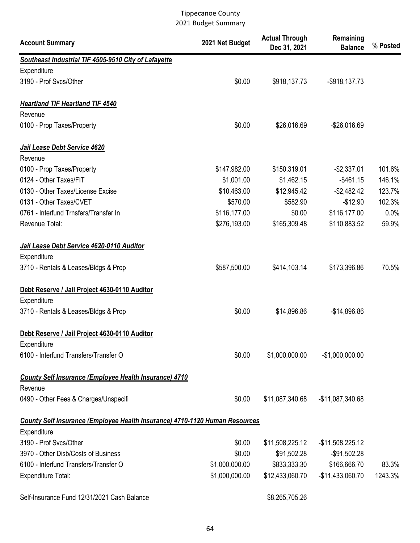| <b>Account Summary</b>                                                             | 2021 Net Budget | <b>Actual Through</b><br>Dec 31, 2021 | Remaining<br><b>Balance</b> | % Posted |
|------------------------------------------------------------------------------------|-----------------|---------------------------------------|-----------------------------|----------|
| Southeast Industrial TIF 4505-9510 City of Lafayette                               |                 |                                       |                             |          |
| Expenditure                                                                        |                 |                                       |                             |          |
| 3190 - Prof Svcs/Other                                                             | \$0.00          | \$918,137.73                          | $-$ \$918,137.73            |          |
| <b>Heartland TIF Heartland TIF 4540</b>                                            |                 |                                       |                             |          |
| Revenue                                                                            |                 |                                       |                             |          |
| 0100 - Prop Taxes/Property                                                         | \$0.00          | \$26,016.69                           | $-$26,016.69$               |          |
| Jail Lease Debt Service 4620                                                       |                 |                                       |                             |          |
| Revenue                                                                            |                 |                                       |                             |          |
| 0100 - Prop Taxes/Property                                                         | \$147,982.00    | \$150,319.01                          | $-$2,337.01$                | 101.6%   |
| 0124 - Other Taxes/FIT                                                             | \$1,001.00      | \$1,462.15                            | $-$461.15$                  | 146.1%   |
| 0130 - Other Taxes/License Excise                                                  | \$10,463.00     | \$12,945.42                           | $-$2,482.42$                | 123.7%   |
| 0131 - Other Taxes/CVET                                                            | \$570.00        | \$582.90                              | $-$12.90$                   | 102.3%   |
| 0761 - Interfund Trnsfers/Transfer In                                              | \$116,177.00    | \$0.00                                | \$116,177.00                | 0.0%     |
| Revenue Total:                                                                     | \$276,193.00    | \$165,309.48                          | \$110,883.52                | 59.9%    |
| Jail Lease Debt Service 4620-0110 Auditor                                          |                 |                                       |                             |          |
| Expenditure                                                                        |                 |                                       |                             |          |
| 3710 - Rentals & Leases/Bldgs & Prop                                               | \$587,500.00    | \$414,103.14                          | \$173,396.86                | 70.5%    |
| Debt Reserve / Jail Project 4630-0110 Auditor                                      |                 |                                       |                             |          |
| Expenditure                                                                        |                 |                                       |                             |          |
| 3710 - Rentals & Leases/Bldgs & Prop                                               | \$0.00          | \$14,896.86                           | $-$14,896.86$               |          |
| Debt Reserve / Jail Project 4630-0110 Auditor                                      |                 |                                       |                             |          |
| Expenditure                                                                        |                 |                                       |                             |          |
| 6100 - Interfund Transfers/Transfer O                                              | \$0.00          | \$1,000,000.00                        | $-$1,000,000.00$            |          |
| <b>County Self Insurance (Employee Health Insurance) 4710</b>                      |                 |                                       |                             |          |
| Revenue<br>0490 - Other Fees & Charges/Unspecifi                                   | \$0.00          | \$11,087,340.68                       | -\$11,087,340.68            |          |
|                                                                                    |                 |                                       |                             |          |
| <b>County Self Insurance (Employee Health Insurance) 4710-1120 Human Resources</b> |                 |                                       |                             |          |
| Expenditure<br>3190 - Prof Svcs/Other                                              | \$0.00          |                                       |                             |          |
| 3970 - Other Disb/Costs of Business                                                |                 | \$11,508,225.12                       | $-$11,508,225.12$           |          |
|                                                                                    | \$0.00          | \$91,502.28                           | $-$91,502.28$               |          |
| 6100 - Interfund Transfers/Transfer O                                              | \$1,000,000.00  | \$833,333.30                          | \$166,666.70                | 83.3%    |
| Expenditure Total:                                                                 | \$1,000,000.00  | \$12,433,060.70                       | -\$11,433,060.70            | 1243.3%  |
| Self-Insurance Fund 12/31/2021 Cash Balance                                        |                 | \$8,265,705.26                        |                             |          |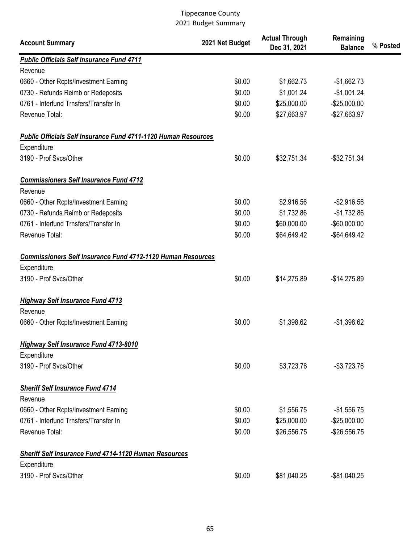| <b>Account Summary</b>                                                | 2021 Net Budget | <b>Actual Through</b><br>Dec 31, 2021 | Remaining<br><b>Balance</b> | % Posted |
|-----------------------------------------------------------------------|-----------------|---------------------------------------|-----------------------------|----------|
| <b>Public Officials Self Insurance Fund 4711</b>                      |                 |                                       |                             |          |
| Revenue                                                               |                 |                                       |                             |          |
| 0660 - Other Rcpts/Investment Earning                                 | \$0.00          | \$1,662.73                            | $-$1,662.73$                |          |
| 0730 - Refunds Reimb or Redeposits                                    | \$0.00          | \$1,001.24                            | $-$1,001.24$                |          |
| 0761 - Interfund Trnsfers/Transfer In                                 | \$0.00          | \$25,000.00                           | $-$25,000.00$               |          |
| Revenue Total:                                                        | \$0.00          | \$27,663.97                           | -\$27,663.97                |          |
| <b>Public Officials Self Insurance Fund 4711-1120 Human Resources</b> |                 |                                       |                             |          |
| Expenditure                                                           |                 |                                       |                             |          |
| 3190 - Prof Svcs/Other                                                | \$0.00          | \$32,751.34                           | $-$ \$32,751.34             |          |
| <b>Commissioners Self Insurance Fund 4712</b>                         |                 |                                       |                             |          |
| Revenue                                                               |                 |                                       |                             |          |
| 0660 - Other Rcpts/Investment Earning                                 | \$0.00          | \$2,916.56                            | $-$2,916.56$                |          |
| 0730 - Refunds Reimb or Redeposits                                    | \$0.00          | \$1,732.86                            | $-$1,732.86$                |          |
| 0761 - Interfund Trnsfers/Transfer In                                 | \$0.00          | \$60,000.00                           | $-$60,000.00$               |          |
| Revenue Total:                                                        | \$0.00          | \$64,649.42                           | $-$ \$64,649.42             |          |
| <b>Commissioners Self Insurance Fund 4712-1120 Human Resources</b>    |                 |                                       |                             |          |
| Expenditure                                                           |                 |                                       |                             |          |
| 3190 - Prof Svcs/Other                                                | \$0.00          | \$14,275.89                           | $-$14,275.89$               |          |
| <b>Highway Self Insurance Fund 4713</b>                               |                 |                                       |                             |          |
| Revenue                                                               |                 |                                       |                             |          |
| 0660 - Other Rcpts/Investment Earning                                 | \$0.00          | \$1,398.62                            | $-$1,398.62$                |          |
| <b>Highway Self Insurance Fund 4713-8010</b>                          |                 |                                       |                             |          |
| Expenditure                                                           |                 |                                       |                             |          |
| 3190 - Prof Svcs/Other                                                | \$0.00          | \$3,723.76                            | $-$3,723.76$                |          |
| <b>Sheriff Self Insurance Fund 4714</b>                               |                 |                                       |                             |          |
| Revenue                                                               |                 |                                       |                             |          |
| 0660 - Other Rcpts/Investment Earning                                 | \$0.00          | \$1,556.75                            | $-$1,556.75$                |          |
| 0761 - Interfund Trnsfers/Transfer In                                 | \$0.00          | \$25,000.00                           | $-$25,000.00$               |          |
| Revenue Total:                                                        | \$0.00          | \$26,556.75                           | $-$26,556.75$               |          |
| <b>Sheriff Self Insurance Fund 4714-1120 Human Resources</b>          |                 |                                       |                             |          |
| Expenditure                                                           |                 |                                       |                             |          |
| 3190 - Prof Svcs/Other                                                | \$0.00          | \$81,040.25                           | -\$81,040.25                |          |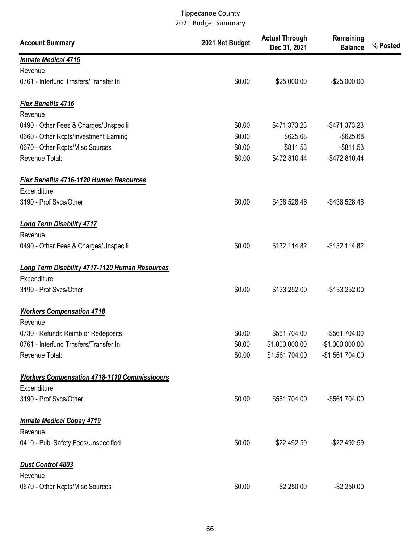| <b>Account Summary</b>                                | 2021 Net Budget | <b>Actual Through</b><br>Dec 31, 2021 | Remaining<br><b>Balance</b> | % Posted |
|-------------------------------------------------------|-----------------|---------------------------------------|-----------------------------|----------|
| <b>Inmate Medical 4715</b>                            |                 |                                       |                             |          |
| Revenue                                               |                 |                                       |                             |          |
| 0761 - Interfund Trnsfers/Transfer In                 | \$0.00          | \$25,000.00                           | $-$25,000.00$               |          |
| <b>Flex Benefits 4716</b>                             |                 |                                       |                             |          |
| Revenue                                               |                 |                                       |                             |          |
| 0490 - Other Fees & Charges/Unspecifi                 | \$0.00          | \$471,373.23                          | -\$471,373.23               |          |
| 0660 - Other Rcpts/Investment Earning                 | \$0.00          | \$625.68                              | $-$ \$625.68                |          |
| 0670 - Other Rcpts/Misc Sources                       | \$0.00          | \$811.53                              | $-$ \$811.53                |          |
| Revenue Total:                                        | \$0.00          | \$472,810.44                          | $-$472,810.44$              |          |
| <b>Flex Benefits 4716-1120 Human Resources</b>        |                 |                                       |                             |          |
| Expenditure                                           |                 |                                       |                             |          |
| 3190 - Prof Svcs/Other                                | \$0.00          | \$438,528.46                          | -\$438,528.46               |          |
| <b>Long Term Disability 4717</b>                      |                 |                                       |                             |          |
| Revenue                                               |                 |                                       |                             |          |
| 0490 - Other Fees & Charges/Unspecifi                 | \$0.00          | \$132,114.82                          | $-$132,114.82$              |          |
| <b>Long Term Disability 4717-1120 Human Resources</b> |                 |                                       |                             |          |
| Expenditure                                           |                 |                                       |                             |          |
| 3190 - Prof Svcs/Other                                | \$0.00          | \$133,252.00                          | $-$133,252.00$              |          |
| <b>Workers Compensation 4718</b>                      |                 |                                       |                             |          |
| Revenue                                               |                 |                                       |                             |          |
| 0730 - Refunds Reimb or Redeposits                    | \$0.00          | \$561,704.00                          | -\$561,704.00               |          |
| 0761 - Interfund Trnsfers/Transfer In                 | \$0.00          | \$1,000,000.00                        | $-$1,000,000.00$            |          |
| Revenue Total:                                        | \$0.00          | \$1,561,704.00                        | $-$1,561,704.00$            |          |
| <b>Workers Compensation 4718-1110 Commissiooers</b>   |                 |                                       |                             |          |
| Expenditure                                           |                 |                                       |                             |          |
| 3190 - Prof Svcs/Other                                | \$0.00          | \$561,704.00                          | -\$561,704.00               |          |
| <b>Inmate Medical Copay 4719</b>                      |                 |                                       |                             |          |
| Revenue                                               |                 |                                       |                             |          |
| 0410 - Publ Safety Fees/Unspecified                   | \$0.00          | \$22,492.59                           | $-$22,492.59$               |          |
| <b>Dust Control 4803</b>                              |                 |                                       |                             |          |
| Revenue                                               |                 |                                       |                             |          |
| 0670 - Other Rcpts/Misc Sources                       | \$0.00          | \$2,250.00                            | $-$2,250.00$                |          |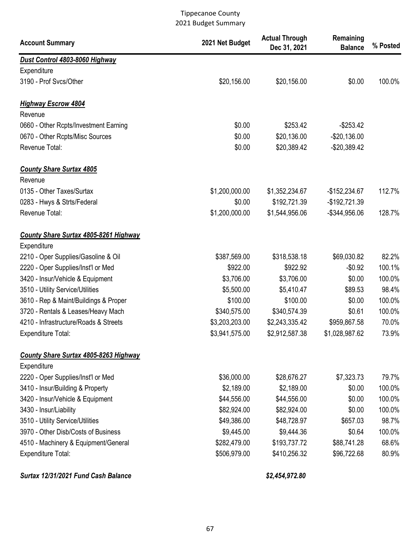| <b>Account Summary</b>                                      | 2021 Net Budget | <b>Actual Through</b><br>Dec 31, 2021 | Remaining<br><b>Balance</b> | % Posted |
|-------------------------------------------------------------|-----------------|---------------------------------------|-----------------------------|----------|
| Dust Control 4803-8060 Highway                              |                 |                                       |                             |          |
| Expenditure                                                 |                 |                                       |                             |          |
| 3190 - Prof Svcs/Other                                      | \$20,156.00     | \$20,156.00                           | \$0.00                      | 100.0%   |
| <b>Highway Escrow 4804</b>                                  |                 |                                       |                             |          |
| Revenue                                                     |                 |                                       |                             |          |
| 0660 - Other Rcpts/Investment Earning                       | \$0.00          | \$253.42                              | $-$253.42$                  |          |
| 0670 - Other Rcpts/Misc Sources                             | \$0.00          | \$20,136.00                           | $-$20,136.00$               |          |
| Revenue Total:                                              | \$0.00          | \$20,389.42                           | $-$20,389.42$               |          |
| <b>County Share Surtax 4805</b><br>Revenue                  |                 |                                       |                             |          |
| 0135 - Other Taxes/Surtax                                   | \$1,200,000.00  | \$1,352,234.67                        | $-$152,234.67$              | 112.7%   |
| 0283 - Hwys & Strts/Federal                                 | \$0.00          | \$192,721.39                          | -\$192,721.39               |          |
| Revenue Total:                                              | \$1,200,000.00  | \$1,544,956.06                        | -\$344,956.06               | 128.7%   |
| <b>County Share Surtax 4805-8261 Highway</b><br>Expenditure |                 |                                       |                             |          |
| 2210 - Oper Supplies/Gasoline & Oil                         | \$387,569.00    | \$318,538.18                          | \$69,030.82                 | 82.2%    |
| 2220 - Oper Supplies/Inst'l or Med                          | \$922.00        | \$922.92                              | $-$0.92$                    | 100.1%   |
| 3420 - Insur/Vehicle & Equipment                            | \$3,706.00      | \$3,706.00                            | \$0.00                      | 100.0%   |
| 3510 - Utility Service/Utilities                            | \$5,500.00      | \$5,410.47                            | \$89.53                     | 98.4%    |
| 3610 - Rep & Maint/Buildings & Proper                       | \$100.00        | \$100.00                              | \$0.00                      | 100.0%   |
| 3720 - Rentals & Leases/Heavy Mach                          | \$340,575.00    | \$340,574.39                          | \$0.61                      | 100.0%   |
| 4210 - Infrastructure/Roads & Streets                       | \$3,203,203.00  | \$2,243,335.42                        | \$959,867.58                | 70.0%    |
| Expenditure Total:                                          | \$3,941,575.00  | \$2,912,587.38                        | \$1,028,987.62              | 73.9%    |
| County Share Surtax 4805-8263 Highway<br>Expenditure        |                 |                                       |                             |          |
| 2220 - Oper Supplies/Inst'l or Med                          | \$36,000.00     | \$28,676.27                           | \$7,323.73                  | 79.7%    |
| 3410 - Insur/Building & Property                            | \$2,189.00      | \$2,189.00                            | \$0.00                      | 100.0%   |
| 3420 - Insur/Vehicle & Equipment                            | \$44,556.00     | \$44,556.00                           | \$0.00                      | 100.0%   |
| 3430 - Insur/Liability                                      | \$82,924.00     | \$82,924.00                           | \$0.00                      | 100.0%   |
| 3510 - Utility Service/Utilities                            | \$49,386.00     | \$48,728.97                           | \$657.03                    | 98.7%    |
| 3970 - Other Disb/Costs of Business                         | \$9,445.00      | \$9,444.36                            | \$0.64                      | 100.0%   |
| 4510 - Machinery & Equipment/General                        | \$282,479.00    | \$193,737.72                          | \$88,741.28                 | 68.6%    |
| <b>Expenditure Total:</b>                                   | \$506,979.00    | \$410,256.32                          | \$96,722.68                 | 80.9%    |

Surtax 12/31/2021 Fund Cash Balance \$2,454,972.80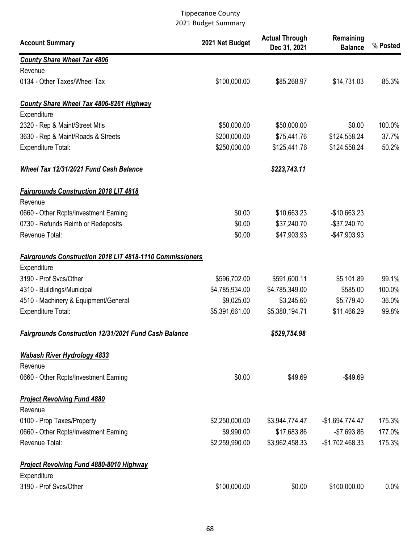| <b>Account Summary</b>                                           | 2021 Net Budget | <b>Actual Through</b><br>Dec 31, 2021 | Remaining<br><b>Balance</b> | % Posted |
|------------------------------------------------------------------|-----------------|---------------------------------------|-----------------------------|----------|
| <b>County Share Wheel Tax 4806</b>                               |                 |                                       |                             |          |
| Revenue                                                          |                 |                                       |                             |          |
| 0134 - Other Taxes/Wheel Tax                                     | \$100,000.00    | \$85,268.97                           | \$14,731.03                 | 85.3%    |
| <b>County Share Wheel Tax 4806-8261 Highway</b>                  |                 |                                       |                             |          |
| Expenditure                                                      |                 |                                       |                             |          |
| 2320 - Rep & Maint/Street Mtls                                   | \$50,000.00     | \$50,000.00                           | \$0.00                      | 100.0%   |
| 3630 - Rep & Maint/Roads & Streets                               | \$200,000.00    | \$75,441.76                           | \$124,558.24                | 37.7%    |
| <b>Expenditure Total:</b>                                        | \$250,000.00    | \$125,441.76                          | \$124,558.24                | 50.2%    |
| Wheel Tax 12/31/2021 Fund Cash Balance                           |                 | \$223,743.11                          |                             |          |
| <b>Fairgrounds Construction 2018 LIT 4818</b>                    |                 |                                       |                             |          |
| Revenue                                                          |                 |                                       |                             |          |
| 0660 - Other Rcpts/Investment Earning                            | \$0.00          | \$10,663.23                           | $-$10,663.23$               |          |
| 0730 - Refunds Reimb or Redeposits                               | \$0.00          | \$37,240.70                           | $-$37,240.70$               |          |
| Revenue Total:                                                   | \$0.00          | \$47,903.93                           | -\$47,903.93                |          |
| <b>Fairgrounds Construction 2018 LIT 4818-1110 Commissioners</b> |                 |                                       |                             |          |
| Expenditure                                                      |                 |                                       |                             |          |
| 3190 - Prof Svcs/Other                                           | \$596,702.00    | \$591,600.11                          | \$5,101.89                  | 99.1%    |
| 4310 - Buildings/Municipal                                       | \$4,785,934.00  | \$4,785,349.00                        | \$585.00                    | 100.0%   |
| 4510 - Machinery & Equipment/General                             | \$9,025.00      | \$3,245.60                            | \$5,779.40                  | 36.0%    |
| <b>Expenditure Total:</b>                                        | \$5,391,661.00  | \$5,380,194.71                        | \$11,466.29                 | 99.8%    |
| Fairgrounds Construction 12/31/2021 Fund Cash Balance            |                 | \$529,754.98                          |                             |          |
| <b>Wabash River Hydrology 4833</b>                               |                 |                                       |                             |          |
| Revenue                                                          |                 |                                       |                             |          |
| 0660 - Other Rcpts/Investment Earning                            | \$0.00          | \$49.69                               | $-$49.69$                   |          |
| <b>Project Revolving Fund 4880</b>                               |                 |                                       |                             |          |
| Revenue                                                          |                 |                                       |                             |          |
| 0100 - Prop Taxes/Property                                       | \$2,250,000.00  | \$3,944,774.47                        | $-$1,694,774.47$            | 175.3%   |
| 0660 - Other Rcpts/Investment Earning                            | \$9,990.00      | \$17,683.86                           | $-$7,693.86$                | 177.0%   |
| Revenue Total:                                                   | \$2,259,990.00  | \$3,962,458.33                        | $-$1,702,468.33$            | 175.3%   |
| <b>Project Revolving Fund 4880-8010 Highway</b>                  |                 |                                       |                             |          |
| Expenditure                                                      |                 |                                       |                             |          |
| 3190 - Prof Svcs/Other                                           | \$100,000.00    | \$0.00                                | \$100,000.00                | 0.0%     |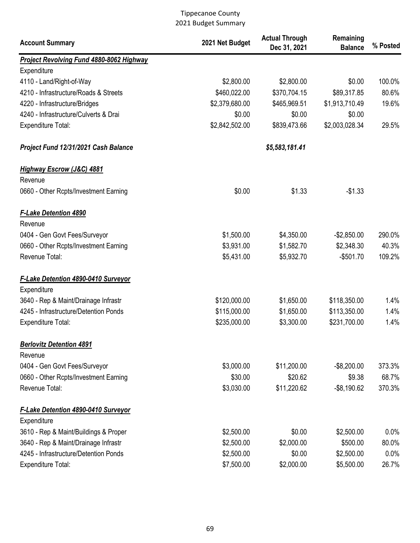| <b>Project Revolving Fund 4880-8062 Highway</b><br>Expenditure<br>\$2,800.00<br>\$0.00<br>4110 - Land/Right-of-Way<br>\$2,800.00<br>4210 - Infrastructure/Roads & Streets<br>\$460,022.00<br>\$370,704.15<br>\$89,317.85<br>\$2,379,680.00<br>\$465,969.51<br>\$1,913,710.49<br>4220 - Infrastructure/Bridges<br>4240 - Infrastructure/Culverts & Drai<br>\$0.00<br>\$0.00<br>\$0.00<br>\$2,842,502.00<br>\$839,473.66<br>\$2,003,028.34<br><b>Expenditure Total:</b><br>\$5,583,181.41<br>Project Fund 12/31/2021 Cash Balance | <b>Account Summary</b> | 2021 Net Budget | <b>Actual Through</b><br>Dec 31, 2021 | Remaining<br><b>Balance</b> | % Posted |
|---------------------------------------------------------------------------------------------------------------------------------------------------------------------------------------------------------------------------------------------------------------------------------------------------------------------------------------------------------------------------------------------------------------------------------------------------------------------------------------------------------------------------------|------------------------|-----------------|---------------------------------------|-----------------------------|----------|
|                                                                                                                                                                                                                                                                                                                                                                                                                                                                                                                                 |                        |                 |                                       |                             |          |
|                                                                                                                                                                                                                                                                                                                                                                                                                                                                                                                                 |                        |                 |                                       |                             |          |
|                                                                                                                                                                                                                                                                                                                                                                                                                                                                                                                                 |                        |                 |                                       |                             | 100.0%   |
|                                                                                                                                                                                                                                                                                                                                                                                                                                                                                                                                 |                        |                 |                                       |                             | 80.6%    |
|                                                                                                                                                                                                                                                                                                                                                                                                                                                                                                                                 |                        |                 |                                       |                             | 19.6%    |
|                                                                                                                                                                                                                                                                                                                                                                                                                                                                                                                                 |                        |                 |                                       |                             |          |
|                                                                                                                                                                                                                                                                                                                                                                                                                                                                                                                                 |                        |                 |                                       |                             | 29.5%    |
|                                                                                                                                                                                                                                                                                                                                                                                                                                                                                                                                 |                        |                 |                                       |                             |          |
| <b>Highway Escrow (J&amp;C) 4881</b>                                                                                                                                                                                                                                                                                                                                                                                                                                                                                            |                        |                 |                                       |                             |          |
| Revenue                                                                                                                                                                                                                                                                                                                                                                                                                                                                                                                         |                        |                 |                                       |                             |          |
| \$0.00<br>\$1.33<br>$-$1.33$<br>0660 - Other Rcpts/Investment Earning                                                                                                                                                                                                                                                                                                                                                                                                                                                           |                        |                 |                                       |                             |          |
| <b>F-Lake Detention 4890</b>                                                                                                                                                                                                                                                                                                                                                                                                                                                                                                    |                        |                 |                                       |                             |          |
| Revenue                                                                                                                                                                                                                                                                                                                                                                                                                                                                                                                         |                        |                 |                                       |                             |          |
| \$1,500.00<br>0404 - Gen Govt Fees/Surveyor<br>\$4,350.00<br>$-$2,850.00$                                                                                                                                                                                                                                                                                                                                                                                                                                                       |                        |                 |                                       |                             | 290.0%   |
| \$3,931.00<br>\$2,348.30<br>0660 - Other Rcpts/Investment Earning<br>\$1,582.70                                                                                                                                                                                                                                                                                                                                                                                                                                                 |                        |                 |                                       |                             | 40.3%    |
| Revenue Total:<br>\$5,431.00<br>\$5,932.70<br>$-$501.70$                                                                                                                                                                                                                                                                                                                                                                                                                                                                        |                        |                 |                                       |                             | 109.2%   |
| <b>F-Lake Detention 4890-0410 Surveyor</b>                                                                                                                                                                                                                                                                                                                                                                                                                                                                                      |                        |                 |                                       |                             |          |
| Expenditure                                                                                                                                                                                                                                                                                                                                                                                                                                                                                                                     |                        |                 |                                       |                             |          |
| \$120,000.00<br>3640 - Rep & Maint/Drainage Infrastr<br>\$1,650.00<br>\$118,350.00                                                                                                                                                                                                                                                                                                                                                                                                                                              |                        |                 |                                       |                             | 1.4%     |
| 4245 - Infrastructure/Detention Ponds<br>\$115,000.00<br>\$1,650.00<br>\$113,350.00                                                                                                                                                                                                                                                                                                                                                                                                                                             |                        |                 |                                       |                             | 1.4%     |
| \$235,000.00<br>\$3,300.00<br>\$231,700.00<br><b>Expenditure Total:</b>                                                                                                                                                                                                                                                                                                                                                                                                                                                         |                        |                 |                                       |                             | 1.4%     |
| <b>Berlovitz Detention 4891</b>                                                                                                                                                                                                                                                                                                                                                                                                                                                                                                 |                        |                 |                                       |                             |          |
| Revenue                                                                                                                                                                                                                                                                                                                                                                                                                                                                                                                         |                        |                 |                                       |                             |          |
| \$3,000.00<br>\$11,200.00<br>$-$ \$8,200.00<br>0404 - Gen Govt Fees/Surveyor                                                                                                                                                                                                                                                                                                                                                                                                                                                    |                        |                 |                                       |                             | 373.3%   |
| \$30.00<br>\$20.62<br>\$9.38<br>0660 - Other Rcpts/Investment Earning                                                                                                                                                                                                                                                                                                                                                                                                                                                           |                        |                 |                                       |                             | 68.7%    |
| \$3,030.00<br>Revenue Total:<br>\$11,220.62<br>$-$ \$8,190.62                                                                                                                                                                                                                                                                                                                                                                                                                                                                   |                        |                 |                                       |                             | 370.3%   |
| <b>F-Lake Detention 4890-0410 Surveyor</b><br>Expenditure                                                                                                                                                                                                                                                                                                                                                                                                                                                                       |                        |                 |                                       |                             |          |
| \$2,500.00<br>\$0.00<br>\$2,500.00<br>3610 - Rep & Maint/Buildings & Proper                                                                                                                                                                                                                                                                                                                                                                                                                                                     |                        |                 |                                       |                             | 0.0%     |
| 3640 - Rep & Maint/Drainage Infrastr<br>\$2,500.00<br>\$2,000.00<br>\$500.00                                                                                                                                                                                                                                                                                                                                                                                                                                                    |                        |                 |                                       |                             | 80.0%    |
| 4245 - Infrastructure/Detention Ponds<br>\$2,500.00<br>\$0.00<br>\$2,500.00                                                                                                                                                                                                                                                                                                                                                                                                                                                     |                        |                 |                                       |                             | 0.0%     |
| \$7,500.00<br>\$2,000.00<br>\$5,500.00<br>Expenditure Total:                                                                                                                                                                                                                                                                                                                                                                                                                                                                    |                        |                 |                                       |                             | 26.7%    |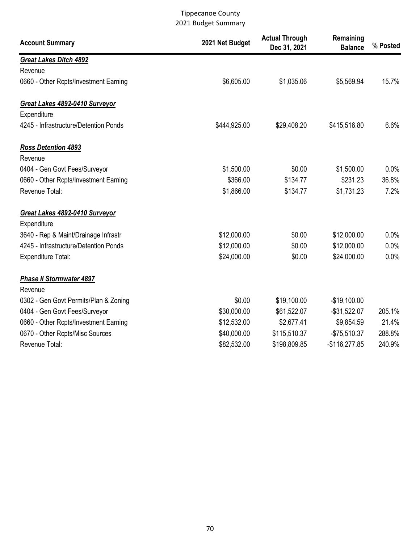| <b>Account Summary</b>                | 2021 Net Budget | <b>Actual Through</b><br>Dec 31, 2021 | Remaining<br><b>Balance</b> | % Posted |
|---------------------------------------|-----------------|---------------------------------------|-----------------------------|----------|
| <b>Great Lakes Ditch 4892</b>         |                 |                                       |                             |          |
| Revenue                               |                 |                                       |                             |          |
| 0660 - Other Rcpts/Investment Earning | \$6,605.00      | \$1,035.06                            | \$5,569.94                  | 15.7%    |
| Great Lakes 4892-0410 Surveyor        |                 |                                       |                             |          |
| Expenditure                           |                 |                                       |                             |          |
| 4245 - Infrastructure/Detention Ponds | \$444,925.00    | \$29,408.20                           | \$415,516.80                | 6.6%     |
| <b>Ross Detention 4893</b>            |                 |                                       |                             |          |
| Revenue                               |                 |                                       |                             |          |
| 0404 - Gen Govt Fees/Surveyor         | \$1,500.00      | \$0.00                                | \$1,500.00                  | 0.0%     |
| 0660 - Other Rcpts/Investment Earning | \$366.00        | \$134.77                              | \$231.23                    | 36.8%    |
| Revenue Total:                        | \$1,866.00      | \$134.77                              | \$1,731.23                  | 7.2%     |
| Great Lakes 4892-0410 Surveyor        |                 |                                       |                             |          |
| Expenditure                           |                 |                                       |                             |          |
| 3640 - Rep & Maint/Drainage Infrastr  | \$12,000.00     | \$0.00                                | \$12,000.00                 | 0.0%     |
| 4245 - Infrastructure/Detention Ponds | \$12,000.00     | \$0.00                                | \$12,000.00                 | 0.0%     |
| <b>Expenditure Total:</b>             | \$24,000.00     | \$0.00                                | \$24,000.00                 | 0.0%     |
| <b>Phase II Stormwater 4897</b>       |                 |                                       |                             |          |
| Revenue                               |                 |                                       |                             |          |
| 0302 - Gen Govt Permits/Plan & Zoning | \$0.00          | \$19,100.00                           | $-$19,100.00$               |          |
| 0404 - Gen Govt Fees/Surveyor         | \$30,000.00     | \$61,522.07                           | $-$ \$31,522.07             | 205.1%   |
| 0660 - Other Rcpts/Investment Earning | \$12,532.00     | \$2,677.41                            | \$9,854.59                  | 21.4%    |
| 0670 - Other Rcpts/Misc Sources       | \$40,000.00     | \$115,510.37                          | $-$75,510.37$               | 288.8%   |
| Revenue Total:                        | \$82,532.00     | \$198,809.85                          | $-$116,277.85$              | 240.9%   |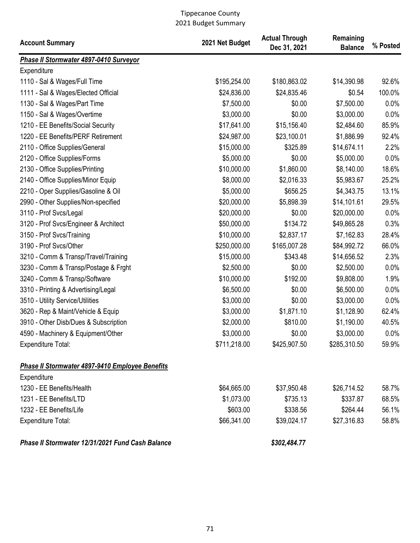| <b>Account Summary</b>                           | 2021 Net Budget | <b>Actual Through</b><br>Dec 31, 2021 | Remaining<br><b>Balance</b> | % Posted |
|--------------------------------------------------|-----------------|---------------------------------------|-----------------------------|----------|
| Phase II Stormwater 4897-0410 Surveyor           |                 |                                       |                             |          |
| Expenditure                                      |                 |                                       |                             |          |
| 1110 - Sal & Wages/Full Time                     | \$195,254.00    | \$180,863.02                          | \$14,390.98                 | 92.6%    |
| 1111 - Sal & Wages/Elected Official              | \$24,836.00     | \$24,835.46                           | \$0.54                      | 100.0%   |
| 1130 - Sal & Wages/Part Time                     | \$7,500.00      | \$0.00                                | \$7,500.00                  | 0.0%     |
| 1150 - Sal & Wages/Overtime                      | \$3,000.00      | \$0.00                                | \$3,000.00                  | 0.0%     |
| 1210 - EE Benefits/Social Security               | \$17,641.00     | \$15,156.40                           | \$2,484.60                  | 85.9%    |
| 1220 - EE Benefits/PERF Retirement               | \$24,987.00     | \$23,100.01                           | \$1,886.99                  | 92.4%    |
| 2110 - Office Supplies/General                   | \$15,000.00     | \$325.89                              | \$14,674.11                 | 2.2%     |
| 2120 - Office Supplies/Forms                     | \$5,000.00      | \$0.00                                | \$5,000.00                  | 0.0%     |
| 2130 - Office Supplies/Printing                  | \$10,000.00     | \$1,860.00                            | \$8,140.00                  | 18.6%    |
| 2140 - Office Supplies/Minor Equip               | \$8,000.00      | \$2,016.33                            | \$5,983.67                  | 25.2%    |
| 2210 - Oper Supplies/Gasoline & Oil              | \$5,000.00      | \$656.25                              | \$4,343.75                  | 13.1%    |
| 2990 - Other Supplies/Non-specified              | \$20,000.00     | \$5,898.39                            | \$14,101.61                 | 29.5%    |
| 3110 - Prof Svcs/Legal                           | \$20,000.00     | \$0.00                                | \$20,000.00                 | 0.0%     |
| 3120 - Prof Svcs/Engineer & Architect            | \$50,000.00     | \$134.72                              | \$49,865.28                 | 0.3%     |
| 3150 - Prof Svcs/Training                        | \$10,000.00     | \$2,837.17                            | \$7,162.83                  | 28.4%    |
| 3190 - Prof Svcs/Other                           | \$250,000.00    | \$165,007.28                          | \$84,992.72                 | 66.0%    |
| 3210 - Comm & Transp/Travel/Training             | \$15,000.00     | \$343.48                              | \$14,656.52                 | 2.3%     |
| 3230 - Comm & Transp/Postage & Frght             | \$2,500.00      | \$0.00                                | \$2,500.00                  | 0.0%     |
| 3240 - Comm & Transp/Software                    | \$10,000.00     | \$192.00                              | \$9,808.00                  | 1.9%     |
| 3310 - Printing & Advertising/Legal              | \$6,500.00      | \$0.00                                | \$6,500.00                  | 0.0%     |
| 3510 - Utility Service/Utilities                 | \$3,000.00      | \$0.00                                | \$3,000.00                  | 0.0%     |
| 3620 - Rep & Maint/Vehicle & Equip               | \$3,000.00      | \$1,871.10                            | \$1,128.90                  | 62.4%    |
| 3910 - Other Disb/Dues & Subscription            | \$2,000.00      | \$810.00                              | \$1,190.00                  | 40.5%    |
| 4590 - Machinery & Equipment/Other               | \$3,000.00      | \$0.00                                | \$3,000.00                  | 0.0%     |
| Expenditure Total:                               | \$711,218.00    | \$425,907.50                          | \$285,310.50                | 59.9%    |
| Phase II Stormwater 4897-9410 Employee Benefits  |                 |                                       |                             |          |
| Expenditure                                      |                 |                                       |                             |          |
| 1230 - EE Benefits/Health                        | \$64,665.00     | \$37,950.48                           | \$26,714.52                 | 58.7%    |
| 1231 - EE Benefits/LTD                           | \$1,073.00      | \$735.13                              | \$337.87                    | 68.5%    |
| 1232 - EE Benefits/Life                          | \$603.00        | \$338.56                              | \$264.44                    | 56.1%    |
| Expenditure Total:                               | \$66,341.00     | \$39,024.17                           | \$27,316.83                 | 58.8%    |
| Phase II Stormwater 12/31/2021 Fund Cash Balance |                 | \$302,484.77                          |                             |          |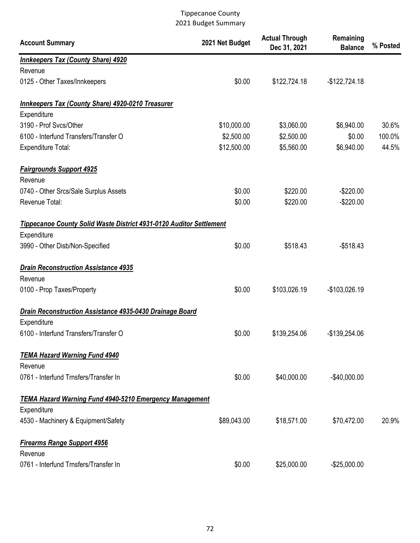| <b>Account Summary</b>                                                        | 2021 Net Budget | <b>Actual Through</b><br>Dec 31, 2021 | Remaining<br><b>Balance</b> | % Posted |
|-------------------------------------------------------------------------------|-----------------|---------------------------------------|-----------------------------|----------|
| <b>Innkeepers Tax (County Share) 4920</b>                                     |                 |                                       |                             |          |
| Revenue                                                                       |                 |                                       |                             |          |
| 0125 - Other Taxes/Innkeepers                                                 | \$0.00          | \$122,724.18                          | $-$122,724.18$              |          |
| Innkeepers Tax (County Share) 4920-0210 Treasurer                             |                 |                                       |                             |          |
| Expenditure                                                                   |                 |                                       |                             |          |
| 3190 - Prof Svcs/Other                                                        | \$10,000.00     | \$3,060.00                            | \$6,940.00                  | 30.6%    |
| 6100 - Interfund Transfers/Transfer O                                         | \$2,500.00      | \$2,500.00                            | \$0.00                      | 100.0%   |
| <b>Expenditure Total:</b>                                                     | \$12,500.00     | \$5,560.00                            | \$6,940.00                  | 44.5%    |
| <b>Fairgrounds Support 4925</b>                                               |                 |                                       |                             |          |
| Revenue                                                                       |                 |                                       |                             |          |
| 0740 - Other Srcs/Sale Surplus Assets                                         | \$0.00          | \$220.00                              | $-$220.00$                  |          |
| Revenue Total:                                                                | \$0.00          | \$220.00                              | $-$220.00$                  |          |
| Tippecanoe County Solid Waste District 4931-0120 Auditor Settlement           |                 |                                       |                             |          |
| Expenditure                                                                   |                 |                                       |                             |          |
| 3990 - Other Disb/Non-Specified                                               | \$0.00          | \$518.43                              | $-$518.43$                  |          |
| <b>Drain Reconstruction Assistance 4935</b>                                   |                 |                                       |                             |          |
| Revenue                                                                       |                 |                                       |                             |          |
| 0100 - Prop Taxes/Property                                                    | \$0.00          | \$103,026.19                          | -\$103,026.19               |          |
| Drain Reconstruction Assistance 4935-0430 Drainage Board                      |                 |                                       |                             |          |
| Expenditure                                                                   |                 |                                       |                             |          |
| 6100 - Interfund Transfers/Transfer O                                         | \$0.00          | \$139,254.06                          | -\$139,254.06               |          |
| <b>TEMA Hazard Warning Fund 4940</b>                                          |                 |                                       |                             |          |
| Revenue                                                                       |                 |                                       |                             |          |
| 0761 - Interfund Trnsfers/Transfer In                                         | \$0.00          | \$40,000.00                           | $-$40,000.00$               |          |
| <b>TEMA Hazard Warning Fund 4940-5210 Emergency Management</b><br>Expenditure |                 |                                       |                             |          |
| 4530 - Machinery & Equipment/Safety                                           |                 |                                       |                             | 20.9%    |
|                                                                               | \$89,043.00     | \$18,571.00                           | \$70,472.00                 |          |
| <b>Firearms Range Support 4956</b><br>Revenue                                 |                 |                                       |                             |          |
| 0761 - Interfund Trnsfers/Transfer In                                         | \$0.00          | \$25,000.00                           | $-$25,000.00$               |          |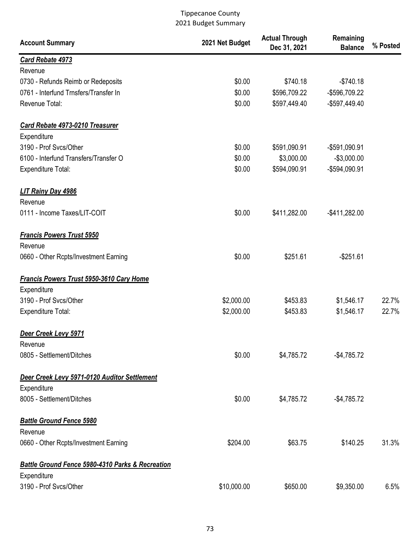| <b>Account Summary</b>                                      | 2021 Net Budget | <b>Actual Through</b><br>Dec 31, 2021 | Remaining<br><b>Balance</b> | % Posted |
|-------------------------------------------------------------|-----------------|---------------------------------------|-----------------------------|----------|
| Card Rebate 4973                                            |                 |                                       |                             |          |
| Revenue                                                     |                 |                                       |                             |          |
| 0730 - Refunds Reimb or Redeposits                          | \$0.00          | \$740.18                              | $-$740.18$                  |          |
| 0761 - Interfund Trnsfers/Transfer In                       | \$0.00          | \$596,709.22                          | -\$596,709.22               |          |
| Revenue Total:                                              | \$0.00          | \$597,449.40                          | -\$597,449.40               |          |
| Card Rebate 4973-0210 Treasurer                             |                 |                                       |                             |          |
| Expenditure                                                 |                 |                                       |                             |          |
| 3190 - Prof Svcs/Other                                      | \$0.00          | \$591,090.91                          | -\$591,090.91               |          |
| 6100 - Interfund Transfers/Transfer O                       | \$0.00          | \$3,000.00                            | $-$3,000.00$                |          |
| Expenditure Total:                                          | \$0.00          | \$594,090.91                          | -\$594,090.91               |          |
| LIT Rainy Day 4986<br>Revenue                               |                 |                                       |                             |          |
| 0111 - Income Taxes/LIT-COIT                                | \$0.00          | \$411,282.00                          | $-$ \$411,282.00            |          |
| <b>Francis Powers Trust 5950</b><br>Revenue                 |                 |                                       |                             |          |
| 0660 - Other Rcpts/Investment Earning                       | \$0.00          | \$251.61                              | $-$251.61$                  |          |
| <b>Francis Powers Trust 5950-3610 Cary Home</b>             |                 |                                       |                             |          |
| Expenditure                                                 |                 |                                       |                             |          |
| 3190 - Prof Svcs/Other                                      | \$2,000.00      | \$453.83                              | \$1,546.17                  | 22.7%    |
| <b>Expenditure Total:</b>                                   | \$2,000.00      | \$453.83                              | \$1,546.17                  | 22.7%    |
| Deer Creek Levy 5971                                        |                 |                                       |                             |          |
| Revenue                                                     |                 |                                       |                             |          |
| 0805 - Settlement/Ditches                                   | \$0.00          | \$4,785.72                            | $-$4,785.72$                |          |
| Deer Creek Levy 5971-0120 Auditor Settlement                |                 |                                       |                             |          |
| Expenditure                                                 |                 |                                       |                             |          |
| 8005 - Settlement/Ditches                                   | \$0.00          | \$4,785.72                            | $-$4,785.72$                |          |
| <b>Battle Ground Fence 5980</b><br>Revenue                  |                 |                                       |                             |          |
| 0660 - Other Rcpts/Investment Earning                       | \$204.00        | \$63.75                               | \$140.25                    | 31.3%    |
|                                                             |                 |                                       |                             |          |
| <b>Battle Ground Fence 5980-4310 Parks &amp; Recreation</b> |                 |                                       |                             |          |
| Expenditure                                                 |                 |                                       |                             |          |
| 3190 - Prof Svcs/Other                                      | \$10,000.00     | \$650.00                              | \$9,350.00                  | 6.5%     |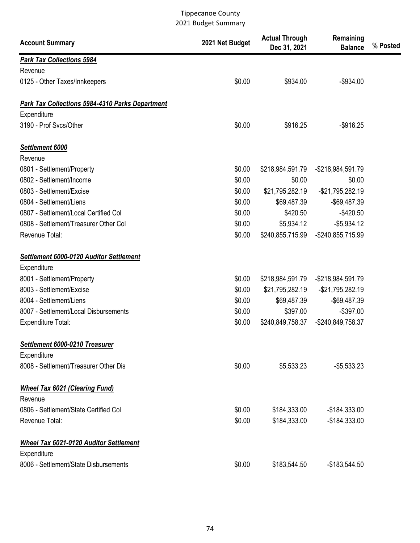| <b>Account Summary</b>                                 | 2021 Net Budget | <b>Actual Through</b><br>Dec 31, 2021 | Remaining<br><b>Balance</b> | % Posted |
|--------------------------------------------------------|-----------------|---------------------------------------|-----------------------------|----------|
| <b>Park Tax Collections 5984</b>                       |                 |                                       |                             |          |
| Revenue                                                |                 |                                       |                             |          |
| 0125 - Other Taxes/Innkeepers                          | \$0.00          | \$934.00                              | $-$934.00$                  |          |
| <b>Park Tax Collections 5984-4310 Parks Department</b> |                 |                                       |                             |          |
| Expenditure                                            |                 |                                       |                             |          |
| 3190 - Prof Svcs/Other                                 | \$0.00          | \$916.25                              | $-$916.25$                  |          |
| Settlement 6000                                        |                 |                                       |                             |          |
| Revenue                                                |                 |                                       |                             |          |
| 0801 - Settlement/Property                             | \$0.00          | \$218,984,591.79                      | -\$218,984,591.79           |          |
| 0802 - Settlement/Income                               | \$0.00          | \$0.00                                | \$0.00                      |          |
| 0803 - Settlement/Excise                               | \$0.00          | \$21,795,282.19                       | $-$21,795,282.19$           |          |
| 0804 - Settlement/Liens                                | \$0.00          | \$69,487.39                           | -\$69,487.39                |          |
| 0807 - Settlement/Local Certified Col                  | \$0.00          | \$420.50                              | $-$420.50$                  |          |
| 0808 - Settlement/Treasurer Other Col                  | \$0.00          | \$5,934.12                            | $-$5,934.12$                |          |
| Revenue Total:                                         | \$0.00          | \$240,855,715.99                      | -\$240,855,715.99           |          |
| Settlement 6000-0120 Auditor Settlement                |                 |                                       |                             |          |
| Expenditure                                            |                 |                                       |                             |          |
| 8001 - Settlement/Property                             | \$0.00          | \$218,984,591.79                      | -\$218,984,591.79           |          |
| 8003 - Settlement/Excise                               | \$0.00          | \$21,795,282.19                       | $-$21,795,282.19$           |          |
| 8004 - Settlement/Liens                                | \$0.00          | \$69,487.39                           | -\$69,487.39                |          |
| 8007 - Settlement/Local Disbursements                  | \$0.00          | \$397.00                              | $-$397.00$                  |          |
| <b>Expenditure Total:</b>                              | \$0.00          | \$240,849,758.37                      | -\$240,849,758.37           |          |
| Settlement 6000-0210 Treasurer<br>Expenditure          |                 |                                       |                             |          |
| 8008 - Settlement/Treasurer Other Dis                  | \$0.00          | \$5,533.23                            | $-$5,533.23$                |          |
| <b>Wheel Tax 6021 (Clearing Fund)</b>                  |                 |                                       |                             |          |
| Revenue                                                |                 |                                       |                             |          |
| 0806 - Settlement/State Certified Col                  | \$0.00          | \$184,333.00                          | $-$184,333.00$              |          |
| Revenue Total:                                         | \$0.00          | \$184,333.00                          | $-$184,333.00$              |          |
| <b>Wheel Tax 6021-0120 Auditor Settlement</b>          |                 |                                       |                             |          |
| Expenditure                                            |                 |                                       |                             |          |
| 8006 - Settlement/State Disbursements                  | \$0.00          | \$183,544.50                          | $-$183,544.50$              |          |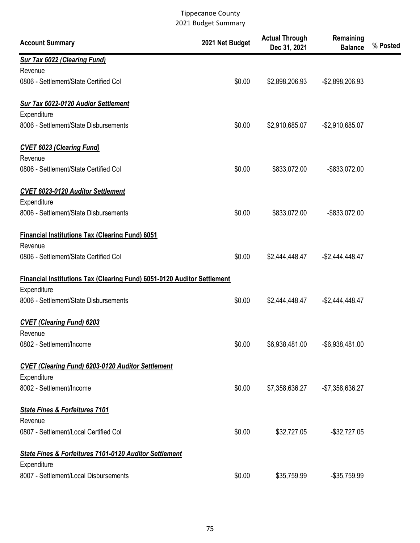| <b>Account Summary</b>                                                         | 2021 Net Budget | <b>Actual Through</b><br>Dec 31, 2021 | Remaining<br><b>Balance</b> | % Posted |
|--------------------------------------------------------------------------------|-----------------|---------------------------------------|-----------------------------|----------|
| <b>Sur Tax 6022 (Clearing Fund)</b>                                            |                 |                                       |                             |          |
| Revenue                                                                        |                 |                                       |                             |          |
| 0806 - Settlement/State Certified Col                                          | \$0.00          | \$2,898,206.93                        | -\$2,898,206.93             |          |
| Sur Tax 6022-0120 Audior Settlement                                            |                 |                                       |                             |          |
| Expenditure                                                                    |                 |                                       |                             |          |
| 8006 - Settlement/State Disbursements                                          | \$0.00          | \$2,910,685.07                        | $-$2,910,685.07$            |          |
| <b>CVET 6023 (Clearing Fund)</b>                                               |                 |                                       |                             |          |
| Revenue                                                                        |                 |                                       |                             |          |
| 0806 - Settlement/State Certified Col                                          | \$0.00          | \$833,072.00                          | -\$833,072.00               |          |
| <b>CVET 6023-0120 Auditor Settlement</b>                                       |                 |                                       |                             |          |
| Expenditure                                                                    |                 |                                       |                             |          |
| 8006 - Settlement/State Disbursements                                          | \$0.00          | \$833,072.00                          | -\$833,072.00               |          |
| <b>Financial Institutions Tax (Clearing Fund) 6051</b>                         |                 |                                       |                             |          |
| Revenue                                                                        |                 |                                       |                             |          |
| 0806 - Settlement/State Certified Col                                          | \$0.00          | \$2,444,448.47                        | $-$2,444,448.47$            |          |
| <b>Financial Institutions Tax (Clearing Fund) 6051-0120 Auditor Settlement</b> |                 |                                       |                             |          |
| Expenditure                                                                    |                 |                                       |                             |          |
| 8006 - Settlement/State Disbursements                                          | \$0.00          | \$2,444,448.47                        | $-$ \$2,444,448.47          |          |
| <b>CVET (Clearing Fund) 6203</b>                                               |                 |                                       |                             |          |
| Revenue                                                                        |                 |                                       |                             |          |
| 0802 - Settlement/Income                                                       | \$0.00          | \$6,938,481.00                        | $-$ \$6,938,481.00          |          |
| <b>CVET (Clearing Fund) 6203-0120 Auditor Settlement</b>                       |                 |                                       |                             |          |
| Expenditure                                                                    |                 |                                       |                             |          |
| 8002 - Settlement/Income                                                       | \$0.00          | \$7,358,636.27                        | $-$7,358,636.27$            |          |
| <b>State Fines &amp; Forfeitures 7101</b>                                      |                 |                                       |                             |          |
| Revenue                                                                        |                 |                                       |                             |          |
| 0807 - Settlement/Local Certified Col                                          | \$0.00          | \$32,727.05                           | $-$32,727.05$               |          |
| <b>State Fines &amp; Forfeitures 7101-0120 Auditor Settlement</b>              |                 |                                       |                             |          |
| Expenditure                                                                    |                 |                                       |                             |          |
| 8007 - Settlement/Local Disbursements                                          | \$0.00          | \$35,759.99                           | $-$ \$35,759.99             |          |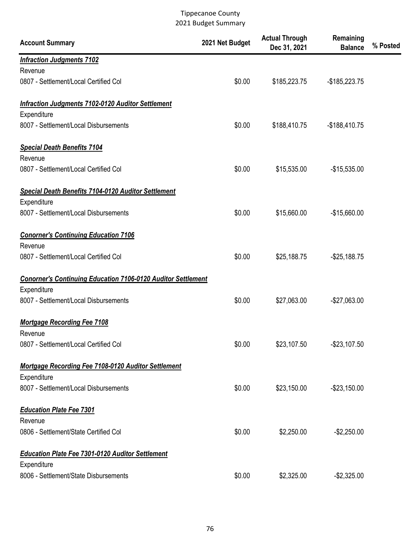| <b>Account Summary</b>                                                             | 2021 Net Budget | <b>Actual Through</b><br>Dec 31, 2021 | Remaining<br><b>Balance</b> | % Posted |
|------------------------------------------------------------------------------------|-----------------|---------------------------------------|-----------------------------|----------|
| <b>Infraction Judgments 7102</b>                                                   |                 |                                       |                             |          |
| Revenue                                                                            |                 |                                       |                             |          |
| 0807 - Settlement/Local Certified Col                                              | \$0.00          | \$185,223.75                          | $-$185,223.75$              |          |
| <b>Infraction Judgments 7102-0120 Auditor Settlement</b>                           |                 |                                       |                             |          |
| Expenditure                                                                        |                 |                                       |                             |          |
| 8007 - Settlement/Local Disbursements                                              | \$0.00          | \$188,410.75                          | $-$188,410.75$              |          |
| <b>Special Death Benefits 7104</b>                                                 |                 |                                       |                             |          |
| Revenue                                                                            |                 |                                       |                             |          |
| 0807 - Settlement/Local Certified Col                                              | \$0.00          | \$15,535.00                           | $-$15,535.00$               |          |
| <b>Special Death Benefits 7104-0120 Auditor Settlement</b>                         |                 |                                       |                             |          |
| Expenditure                                                                        |                 |                                       |                             |          |
| 8007 - Settlement/Local Disbursements                                              | \$0.00          | \$15,660.00                           | $-$15,660.00$               |          |
| <b>Conorner's Continuing Education 7106</b>                                        |                 |                                       |                             |          |
| Revenue                                                                            |                 |                                       |                             |          |
| 0807 - Settlement/Local Certified Col                                              | \$0.00          | \$25,188.75                           | $-$25,188.75$               |          |
| <b>Conorner's Continuing Education 7106-0120 Auditor Settlement</b><br>Expenditure |                 |                                       |                             |          |
| 8007 - Settlement/Local Disbursements                                              | \$0.00          | \$27,063.00                           | $-$27,063.00$               |          |
|                                                                                    |                 |                                       |                             |          |
| <b>Mortgage Recording Fee 7108</b><br>Revenue                                      |                 |                                       |                             |          |
| 0807 - Settlement/Local Certified Col                                              | \$0.00          | \$23,107.50                           | $-$23,107.50$               |          |
| Mortgage Recording Fee 7108-0120 Auditor Settlement                                |                 |                                       |                             |          |
| Expenditure                                                                        |                 |                                       |                             |          |
| 8007 - Settlement/Local Disbursements                                              | \$0.00          | \$23,150.00                           | $-$23,150.00$               |          |
|                                                                                    |                 |                                       |                             |          |
| <b>Education Plate Fee 7301</b>                                                    |                 |                                       |                             |          |
| Revenue                                                                            |                 |                                       |                             |          |
| 0806 - Settlement/State Certified Col                                              | \$0.00          | \$2,250.00                            | $-$ \$2,250.00              |          |
| <b>Education Plate Fee 7301-0120 Auditor Settlement</b>                            |                 |                                       |                             |          |
| Expenditure                                                                        |                 |                                       |                             |          |
| 8006 - Settlement/State Disbursements                                              | \$0.00          | \$2,325.00                            | $-$2,325.00$                |          |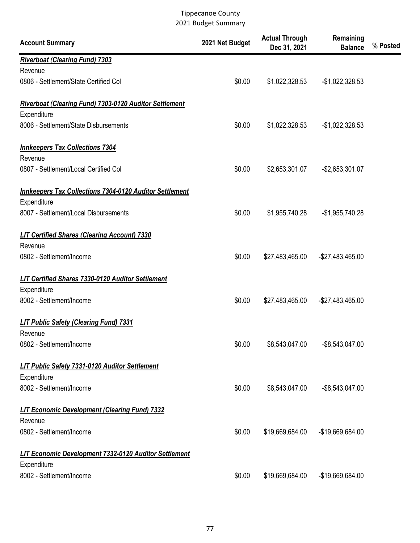| <b>Account Summary</b>                                          | 2021 Net Budget | <b>Actual Through</b><br>Dec 31, 2021 | Remaining<br><b>Balance</b> | % Posted |
|-----------------------------------------------------------------|-----------------|---------------------------------------|-----------------------------|----------|
| <b>Riverboat (Clearing Fund) 7303</b>                           |                 |                                       |                             |          |
| Revenue                                                         |                 |                                       |                             |          |
| 0806 - Settlement/State Certified Col                           | \$0.00          | \$1,022,328.53                        | $-$1,022,328.53$            |          |
| <b>Riverboat (Clearing Fund) 7303-0120 Auditor Settlement</b>   |                 |                                       |                             |          |
| Expenditure                                                     |                 |                                       |                             |          |
| 8006 - Settlement/State Disbursements                           | \$0.00          | \$1,022,328.53                        | $-$1,022,328.53$            |          |
| <b>Innkeepers Tax Collections 7304</b>                          |                 |                                       |                             |          |
| Revenue                                                         |                 |                                       |                             |          |
| 0807 - Settlement/Local Certified Col                           | \$0.00          | \$2,653,301.07                        | -\$2,653,301.07             |          |
| <b>Innkeepers Tax Collections 7304-0120 Auditor Settlement</b>  |                 |                                       |                             |          |
| Expenditure                                                     |                 |                                       |                             |          |
| 8007 - Settlement/Local Disbursements                           | \$0.00          | \$1,955,740.28                        | $-$1,955,740.28$            |          |
| <b>LIT Certified Shares (Clearing Account) 7330</b>             |                 |                                       |                             |          |
| Revenue                                                         |                 |                                       |                             |          |
| 0802 - Settlement/Income                                        | \$0.00          | \$27,483,465.00                       | -\$27,483,465.00            |          |
| <b>LIT Certified Shares 7330-0120 Auditor Settlement</b>        |                 |                                       |                             |          |
| Expenditure                                                     |                 |                                       |                             |          |
| 8002 - Settlement/Income                                        | \$0.00          | \$27,483,465.00                       | -\$27,483,465.00            |          |
| <b>LIT Public Safety (Clearing Fund) 7331</b>                   |                 |                                       |                             |          |
| Revenue                                                         |                 |                                       |                             |          |
| 0802 - Settlement/Income                                        | \$0.00          | \$8,543,047.00                        | $-$ \$8,543,047.00          |          |
| LIT Public Safety 7331-0120 Auditor Settlement                  |                 |                                       |                             |          |
| Expenditure                                                     |                 |                                       |                             |          |
| 8002 - Settlement/Income                                        | \$0.00          | \$8,543,047.00                        | -\$8,543,047.00             |          |
| <b>LIT Economic Development (Clearing Fund) 7332</b><br>Revenue |                 |                                       |                             |          |
| 0802 - Settlement/Income                                        | \$0.00          | \$19,669,684.00                       | -\$19,669,684.00            |          |
| LIT Economic Development 7332-0120 Auditor Settlement           |                 |                                       |                             |          |
| Expenditure                                                     |                 |                                       |                             |          |
| 8002 - Settlement/Income                                        | \$0.00          | \$19,669,684.00                       | -\$19,669,684.00            |          |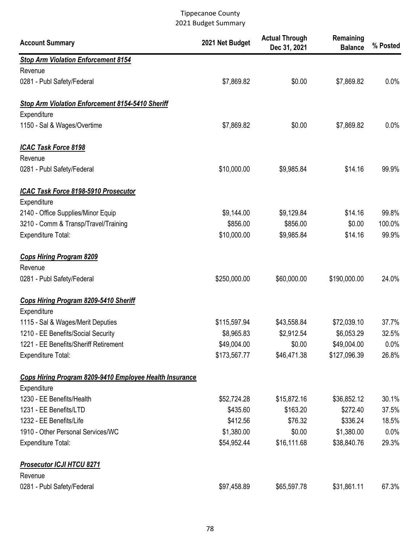| <b>Account Summary</b>                                  | 2021 Net Budget | <b>Actual Through</b><br>Dec 31, 2021 | Remaining<br><b>Balance</b> | % Posted |
|---------------------------------------------------------|-----------------|---------------------------------------|-----------------------------|----------|
| <b>Stop Arm Violation Enforcement 8154</b>              |                 |                                       |                             |          |
| Revenue                                                 |                 |                                       |                             |          |
| 0281 - Publ Safety/Federal                              | \$7,869.82      | \$0.00                                | \$7,869.82                  | 0.0%     |
| <b>Stop Arm Violation Enforcement 8154-5410 Sheriff</b> |                 |                                       |                             |          |
| Expenditure                                             |                 |                                       |                             |          |
| 1150 - Sal & Wages/Overtime                             | \$7,869.82      | \$0.00                                | \$7,869.82                  | 0.0%     |
| <b>ICAC Task Force 8198</b><br>Revenue                  |                 |                                       |                             |          |
| 0281 - Publ Safety/Federal                              | \$10,000.00     | \$9,985.84                            | \$14.16                     | 99.9%    |
| ICAC Task Force 8198-5910 Prosecutor                    |                 |                                       |                             |          |
| Expenditure                                             |                 |                                       |                             |          |
| 2140 - Office Supplies/Minor Equip                      | \$9,144.00      | \$9,129.84                            | \$14.16                     | 99.8%    |
| 3210 - Comm & Transp/Travel/Training                    | \$856.00        | \$856.00                              | \$0.00                      | 100.0%   |
| <b>Expenditure Total:</b>                               | \$10,000.00     | \$9,985.84                            | \$14.16                     | 99.9%    |
| <b>Cops Hiring Program 8209</b>                         |                 |                                       |                             |          |
| Revenue                                                 |                 |                                       |                             |          |
| 0281 - Publ Safety/Federal                              | \$250,000.00    | \$60,000.00                           | \$190,000.00                | 24.0%    |
| Cops Hiring Program 8209-5410 Sheriff                   |                 |                                       |                             |          |
| Expenditure                                             |                 |                                       |                             |          |
| 1115 - Sal & Wages/Merit Deputies                       | \$115,597.94    | \$43,558.84                           | \$72,039.10                 | 37.7%    |
| 1210 - EE Benefits/Social Security                      | \$8,965.83      | \$2,912.54                            | \$6,053.29                  | 32.5%    |
| 1221 - EE Benefits/Sheriff Retirement                   | \$49,004.00     | \$0.00                                | \$49,004.00                 | 0.0%     |
| <b>Expenditure Total:</b>                               | \$173,567.77    | \$46,471.38                           | \$127,096.39                | 26.8%    |
| Cops Hiring Program 8209-9410 Employee Health Insurance |                 |                                       |                             |          |
| Expenditure                                             |                 |                                       |                             |          |
| 1230 - EE Benefits/Health                               | \$52,724.28     | \$15,872.16                           | \$36,852.12                 | 30.1%    |
| 1231 - EE Benefits/LTD                                  | \$435.60        | \$163.20                              | \$272.40                    | 37.5%    |
| 1232 - EE Benefits/Life                                 | \$412.56        | \$76.32                               | \$336.24                    | 18.5%    |
| 1910 - Other Personal Services/WC                       | \$1,380.00      | \$0.00                                | \$1,380.00                  | $0.0\%$  |
| <b>Expenditure Total:</b>                               | \$54,952.44     | \$16,111.68                           | \$38,840.76                 | 29.3%    |
| <b>Prosecutor ICJI HTCU 8271</b>                        |                 |                                       |                             |          |
| Revenue                                                 |                 |                                       |                             |          |
| 0281 - Publ Safety/Federal                              | \$97,458.89     | \$65,597.78                           | \$31,861.11                 | 67.3%    |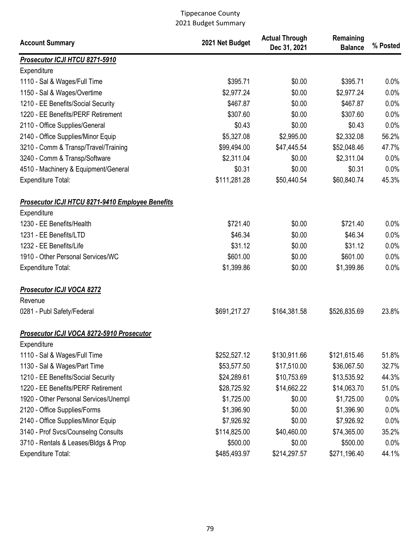| <b>Account Summary</b>                                                 | 2021 Net Budget | <b>Actual Through</b><br>Dec 31, 2021 | Remaining<br><b>Balance</b> | % Posted |
|------------------------------------------------------------------------|-----------------|---------------------------------------|-----------------------------|----------|
| Prosecutor ICJI HTCU 8271-5910                                         |                 |                                       |                             |          |
| Expenditure                                                            |                 |                                       |                             |          |
| 1110 - Sal & Wages/Full Time                                           | \$395.71        | \$0.00                                | \$395.71                    | 0.0%     |
| 1150 - Sal & Wages/Overtime                                            | \$2,977.24      | \$0.00                                | \$2,977.24                  | 0.0%     |
| 1210 - EE Benefits/Social Security                                     | \$467.87        | \$0.00                                | \$467.87                    | 0.0%     |
| 1220 - EE Benefits/PERF Retirement                                     | \$307.60        | \$0.00                                | \$307.60                    | 0.0%     |
| 2110 - Office Supplies/General                                         | \$0.43          | \$0.00                                | \$0.43                      | 0.0%     |
| 2140 - Office Supplies/Minor Equip                                     | \$5,327.08      | \$2,995.00                            | \$2,332.08                  | 56.2%    |
| 3210 - Comm & Transp/Travel/Training                                   | \$99,494.00     | \$47,445.54                           | \$52,048.46                 | 47.7%    |
| 3240 - Comm & Transp/Software                                          | \$2,311.04      | \$0.00                                | \$2,311.04                  | 0.0%     |
| 4510 - Machinery & Equipment/General                                   | \$0.31          | \$0.00                                | \$0.31                      | 0.0%     |
| <b>Expenditure Total:</b>                                              | \$111,281.28    | \$50,440.54                           | \$60,840.74                 | 45.3%    |
| <b>Prosecutor ICJI HTCU 8271-9410 Employee Benefits</b><br>Expenditure |                 |                                       |                             |          |
| 1230 - EE Benefits/Health                                              | \$721.40        | \$0.00                                | \$721.40                    | 0.0%     |
| 1231 - EE Benefits/LTD                                                 | \$46.34         | \$0.00                                | \$46.34                     | 0.0%     |
| 1232 - EE Benefits/Life                                                | \$31.12         | \$0.00                                | \$31.12                     | 0.0%     |
| 1910 - Other Personal Services/WC                                      | \$601.00        | \$0.00                                | \$601.00                    | 0.0%     |
| <b>Expenditure Total:</b>                                              | \$1,399.86      | \$0.00                                | \$1,399.86                  | 0.0%     |
| <b>Prosecutor ICJI VOCA 8272</b><br>Revenue                            |                 |                                       |                             |          |
| 0281 - Publ Safety/Federal                                             | \$691,217.27    | \$164,381.58                          | \$526,835.69                | 23.8%    |
| Prosecutor ICJI VOCA 8272-5910 Prosecutor                              |                 |                                       |                             |          |
| Expenditure                                                            |                 |                                       |                             |          |
| 1110 - Sal & Wages/Full Time                                           | \$252,527.12    | \$130,911.66                          | \$121,615.46                | 51.8%    |
| 1130 - Sal & Wages/Part Time                                           | \$53,577.50     | \$17,510.00                           | \$36,067.50                 | 32.7%    |
| 1210 - EE Benefits/Social Security                                     | \$24,289.61     | \$10,753.69                           | \$13,535.92                 | 44.3%    |
| 1220 - EE Benefits/PERF Retirement                                     | \$28,725.92     | \$14,662.22                           | \$14,063.70                 | 51.0%    |
| 1920 - Other Personal Services/Unempl                                  | \$1,725.00      | \$0.00                                | \$1,725.00                  | 0.0%     |
| 2120 - Office Supplies/Forms                                           | \$1,396.90      | \$0.00                                | \$1,396.90                  | 0.0%     |
| 2140 - Office Supplies/Minor Equip                                     | \$7,926.92      | \$0.00                                | \$7,926.92                  | 0.0%     |
| 3140 - Prof Svcs/Counselng Consults                                    | \$114,825.00    | \$40,460.00                           | \$74,365.00                 | 35.2%    |
| 3710 - Rentals & Leases/Bldgs & Prop                                   | \$500.00        | \$0.00                                | \$500.00                    | 0.0%     |
| Expenditure Total:                                                     | \$485,493.97    | \$214,297.57                          | \$271,196.40                | 44.1%    |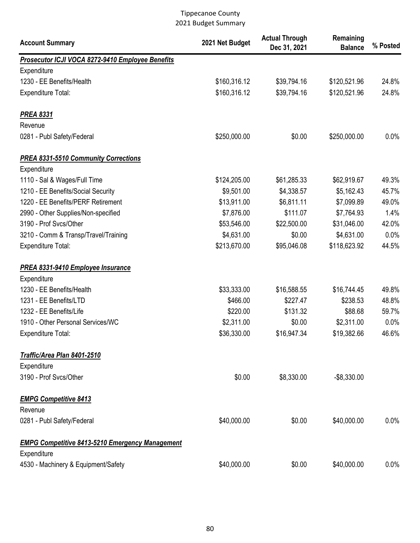| <b>Account Summary</b>                                 | 2021 Net Budget | <b>Actual Through</b><br>Dec 31, 2021 | Remaining<br><b>Balance</b> | % Posted |
|--------------------------------------------------------|-----------------|---------------------------------------|-----------------------------|----------|
| Prosecutor ICJI VOCA 8272-9410 Employee Benefits       |                 |                                       |                             |          |
| Expenditure                                            |                 |                                       |                             |          |
| 1230 - EE Benefits/Health                              | \$160,316.12    | \$39,794.16                           | \$120,521.96                | 24.8%    |
| <b>Expenditure Total:</b>                              | \$160,316.12    | \$39,794.16                           | \$120,521.96                | 24.8%    |
| <b>PREA 8331</b>                                       |                 |                                       |                             |          |
| Revenue                                                |                 |                                       |                             |          |
| 0281 - Publ Safety/Federal                             | \$250,000.00    | \$0.00                                | \$250,000.00                | 0.0%     |
| <b>PREA 8331-5510 Community Corrections</b>            |                 |                                       |                             |          |
| Expenditure                                            |                 |                                       |                             |          |
| 1110 - Sal & Wages/Full Time                           | \$124,205.00    | \$61,285.33                           | \$62,919.67                 | 49.3%    |
| 1210 - EE Benefits/Social Security                     | \$9,501.00      | \$4,338.57                            | \$5,162.43                  | 45.7%    |
| 1220 - EE Benefits/PERF Retirement                     | \$13,911.00     | \$6,811.11                            | \$7,099.89                  | 49.0%    |
| 2990 - Other Supplies/Non-specified                    | \$7,876.00      | \$111.07                              | \$7,764.93                  | 1.4%     |
| 3190 - Prof Svcs/Other                                 | \$53,546.00     | \$22,500.00                           | \$31,046.00                 | 42.0%    |
| 3210 - Comm & Transp/Travel/Training                   | \$4,631.00      | \$0.00                                | \$4,631.00                  | 0.0%     |
| <b>Expenditure Total:</b>                              | \$213,670.00    | \$95,046.08                           | \$118,623.92                | 44.5%    |
| <b>PREA 8331-9410 Employee Insurance</b>               |                 |                                       |                             |          |
| Expenditure                                            |                 |                                       |                             |          |
| 1230 - EE Benefits/Health                              | \$33,333.00     | \$16,588.55                           | \$16,744.45                 | 49.8%    |
| 1231 - EE Benefits/LTD                                 | \$466.00        | \$227.47                              | \$238.53                    | 48.8%    |
| 1232 - EE Benefits/Life                                | \$220.00        | \$131.32                              | \$88.68                     | 59.7%    |
| 1910 - Other Personal Services/WC                      | \$2,311.00      | \$0.00                                | \$2,311.00                  | 0.0%     |
| Expenditure Total:                                     | \$36,330.00     | \$16,947.34                           | \$19,382.66                 | 46.6%    |
| Traffic/Area Plan 8401-2510                            |                 |                                       |                             |          |
| Expenditure                                            |                 |                                       |                             |          |
| 3190 - Prof Svcs/Other                                 | \$0.00          | \$8,330.00                            | $-$8,330.00$                |          |
| <b>EMPG Competitive 8413</b>                           |                 |                                       |                             |          |
| Revenue                                                |                 |                                       |                             |          |
| 0281 - Publ Safety/Federal                             | \$40,000.00     | \$0.00                                | \$40,000.00                 | 0.0%     |
| <b>EMPG Competitive 8413-5210 Emergency Management</b> |                 |                                       |                             |          |
| Expenditure                                            |                 |                                       |                             |          |
| 4530 - Machinery & Equipment/Safety                    | \$40,000.00     | \$0.00                                | \$40,000.00                 | 0.0%     |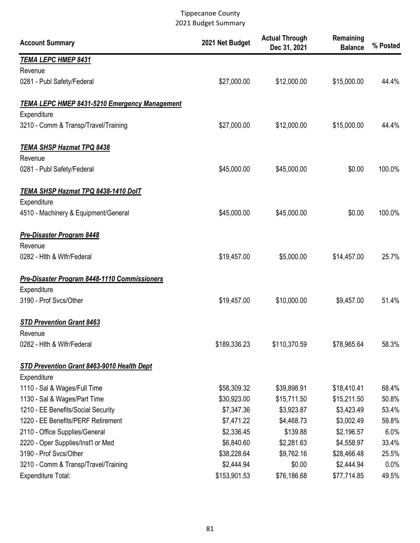| <b>Account Summary</b>                               | 2021 Net Budget | <b>Actual Through</b><br>Dec 31, 2021 | Remaining<br><b>Balance</b> | % Posted |
|------------------------------------------------------|-----------------|---------------------------------------|-----------------------------|----------|
| <b>TEMA LEPC HMEP 8431</b>                           |                 |                                       |                             |          |
| Revenue                                              |                 |                                       |                             |          |
| 0281 - Publ Safety/Federal                           | \$27,000.00     | \$12,000.00                           | \$15,000.00                 | 44.4%    |
| <b>TEMA LEPC HMEP 8431-5210 Emergency Management</b> |                 |                                       |                             |          |
| Expenditure                                          |                 |                                       |                             |          |
| 3210 - Comm & Transp/Travel/Training                 | \$27,000.00     | \$12,000.00                           | \$15,000.00                 | 44.4%    |
| <b>TEMA SHSP Hazmat TPQ 8438</b>                     |                 |                                       |                             |          |
| Revenue                                              |                 |                                       |                             |          |
| 0281 - Publ Safety/Federal                           | \$45,000.00     | \$45,000.00                           | \$0.00                      | 100.0%   |
| TEMA SHSP Hazmat TPQ 8438-1410 DolT                  |                 |                                       |                             |          |
| Expenditure                                          |                 |                                       |                             |          |
| 4510 - Machinery & Equipment/General                 | \$45,000.00     | \$45,000.00                           | \$0.00                      | 100.0%   |
| <b>Pre-Disaster Program 8448</b>                     |                 |                                       |                             |          |
| Revenue                                              |                 |                                       |                             |          |
| 0282 - Hith & Wifr/Federal                           | \$19,457.00     | \$5,000.00                            | \$14,457.00                 | 25.7%    |
| Pre-Disaster Program 8448-1110 Commissioners         |                 |                                       |                             |          |
| Expenditure                                          |                 |                                       |                             |          |
| 3190 - Prof Svcs/Other                               | \$19,457.00     | \$10,000.00                           | \$9,457.00                  | 51.4%    |
| <b>STD Prevention Grant 8463</b>                     |                 |                                       |                             |          |
| Revenue                                              |                 |                                       |                             |          |
| 0282 - Hith & Wifr/Federal                           | \$189,336.23    | \$110,370.59                          | \$78,965.64                 | 58.3%    |
| STD Prevention Grant 8463-9010 Health Dept           |                 |                                       |                             |          |
| Expenditure                                          |                 |                                       |                             |          |
| 1110 - Sal & Wages/Full Time                         | \$58,309.32     | \$39,898.91                           | \$18,410.41                 | 68.4%    |
| 1130 - Sal & Wages/Part Time                         | \$30,923.00     | \$15,711.50                           | \$15,211.50                 | 50.8%    |
| 1210 - EE Benefits/Social Security                   | \$7,347.36      | \$3,923.87                            | \$3,423.49                  | 53.4%    |
| 1220 - EE Benefits/PERF Retirement                   | \$7,471.22      | \$4,468.73                            | \$3,002.49                  | 59.8%    |
| 2110 - Office Supplies/General                       | \$2,336.45      | \$139.88                              | \$2,196.57                  | 6.0%     |
| 2220 - Oper Supplies/Inst'l or Med                   | \$6,840.60      | \$2,281.63                            | \$4,558.97                  | 33.4%    |
| 3190 - Prof Svcs/Other                               | \$38,228.64     | \$9,762.16                            | \$28,466.48                 | 25.5%    |
| 3210 - Comm & Transp/Travel/Training                 | \$2,444.94      | \$0.00                                | \$2,444.94                  | $0.0\%$  |
| Expenditure Total:                                   | \$153,901.53    | \$76,186.68                           | \$77,714.85                 | 49.5%    |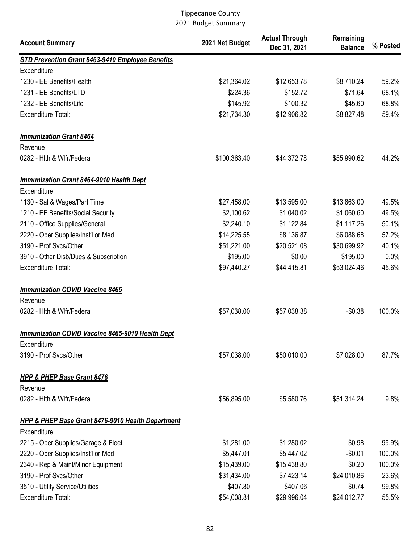| <b>Account Summary</b>                                       | 2021 Net Budget | <b>Actual Through</b><br>Dec 31, 2021 | Remaining<br><b>Balance</b> | % Posted |
|--------------------------------------------------------------|-----------------|---------------------------------------|-----------------------------|----------|
| STD Prevention Grant 8463-9410 Employee Benefits             |                 |                                       |                             |          |
| Expenditure                                                  |                 |                                       |                             |          |
| 1230 - EE Benefits/Health                                    | \$21,364.02     | \$12,653.78                           | \$8,710.24                  | 59.2%    |
| 1231 - EE Benefits/LTD                                       | \$224.36        | \$152.72                              | \$71.64                     | 68.1%    |
| 1232 - EE Benefits/Life                                      | \$145.92        | \$100.32                              | \$45.60                     | 68.8%    |
| <b>Expenditure Total:</b>                                    | \$21,734.30     | \$12,906.82                           | \$8,827.48                  | 59.4%    |
| <b>Immunization Grant 8464</b>                               |                 |                                       |                             |          |
| Revenue                                                      |                 |                                       |                             |          |
| 0282 - Hith & Wifr/Federal                                   | \$100,363.40    | \$44,372.78                           | \$55,990.62                 | 44.2%    |
| <b>Immunization Grant 8464-9010 Health Dept</b>              |                 |                                       |                             |          |
| Expenditure                                                  |                 |                                       |                             |          |
| 1130 - Sal & Wages/Part Time                                 | \$27,458.00     | \$13,595.00                           | \$13,863.00                 | 49.5%    |
| 1210 - EE Benefits/Social Security                           | \$2,100.62      | \$1,040.02                            | \$1,060.60                  | 49.5%    |
| 2110 - Office Supplies/General                               | \$2,240.10      | \$1,122.84                            | \$1,117.26                  | 50.1%    |
| 2220 - Oper Supplies/Inst'l or Med                           | \$14,225.55     | \$8,136.87                            | \$6,088.68                  | 57.2%    |
| 3190 - Prof Svcs/Other                                       | \$51,221.00     | \$20,521.08                           | \$30,699.92                 | 40.1%    |
| 3910 - Other Disb/Dues & Subscription                        | \$195.00        | \$0.00                                | \$195.00                    | 0.0%     |
| <b>Expenditure Total:</b>                                    | \$97,440.27     | \$44,415.81                           | \$53,024.46                 | 45.6%    |
| <b>Immunization COVID Vaccine 8465</b>                       |                 |                                       |                             |          |
| Revenue                                                      |                 |                                       |                             |          |
| 0282 - Hith & Wifr/Federal                                   | \$57,038.00     | \$57,038.38                           | $-$0.38$                    | 100.0%   |
| Immunization COVID Vaccine 8465-9010 Health Dept             |                 |                                       |                             |          |
| Expenditure                                                  |                 |                                       |                             |          |
| 3190 - Prof Svcs/Other                                       | \$57,038.00     | \$50,010.00                           | \$7,028.00                  | 87.7%    |
| <b>HPP &amp; PHEP Base Grant 8476</b>                        |                 |                                       |                             |          |
| Revenue                                                      |                 |                                       |                             |          |
| 0282 - Hith & Wifr/Federal                                   | \$56,895.00     | \$5,580.76                            | \$51,314.24                 | 9.8%     |
| <b>HPP &amp; PHEP Base Grant 8476-9010 Health Department</b> |                 |                                       |                             |          |
| Expenditure                                                  |                 |                                       |                             |          |
| 2215 - Oper Supplies/Garage & Fleet                          | \$1,281.00      | \$1,280.02                            | \$0.98                      | 99.9%    |
| 2220 - Oper Supplies/Inst'l or Med                           | \$5,447.01      | \$5,447.02                            | $-$0.01$                    | 100.0%   |
| 2340 - Rep & Maint/Minor Equipment                           | \$15,439.00     | \$15,438.80                           | \$0.20                      | 100.0%   |
| 3190 - Prof Svcs/Other                                       | \$31,434.00     | \$7,423.14                            | \$24,010.86                 | 23.6%    |
| 3510 - Utility Service/Utilities                             | \$407.80        | \$407.06                              | \$0.74                      | 99.8%    |
| <b>Expenditure Total:</b>                                    | \$54,008.81     | \$29,996.04                           | \$24,012.77                 | 55.5%    |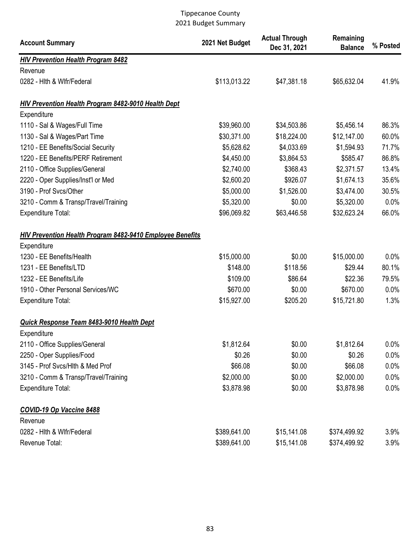| <b>Account Summary</b>                                           | 2021 Net Budget | <b>Actual Through</b><br>Dec 31, 2021 | Remaining<br><b>Balance</b> | % Posted |
|------------------------------------------------------------------|-----------------|---------------------------------------|-----------------------------|----------|
| <b>HIV Prevention Health Program 8482</b>                        |                 |                                       |                             |          |
| Revenue                                                          |                 |                                       |                             |          |
| 0282 - Hith & Wifr/Federal                                       | \$113,013.22    | \$47,381.18                           | \$65,632.04                 | 41.9%    |
| <b>HIV Prevention Health Program 8482-9010 Health Dept</b>       |                 |                                       |                             |          |
| Expenditure                                                      |                 |                                       |                             |          |
| 1110 - Sal & Wages/Full Time                                     | \$39,960.00     | \$34,503.86                           | \$5,456.14                  | 86.3%    |
| 1130 - Sal & Wages/Part Time                                     | \$30,371.00     | \$18,224.00                           | \$12,147.00                 | 60.0%    |
| 1210 - EE Benefits/Social Security                               | \$5,628.62      | \$4,033.69                            | \$1,594.93                  | 71.7%    |
| 1220 - EE Benefits/PERF Retirement                               | \$4,450.00      | \$3,864.53                            | \$585.47                    | 86.8%    |
| 2110 - Office Supplies/General                                   | \$2,740.00      | \$368.43                              | \$2,371.57                  | 13.4%    |
| 2220 - Oper Supplies/Inst'l or Med                               | \$2,600.20      | \$926.07                              | \$1,674.13                  | 35.6%    |
| 3190 - Prof Svcs/Other                                           | \$5,000.00      | \$1,526.00                            | \$3,474.00                  | 30.5%    |
| 3210 - Comm & Transp/Travel/Training                             | \$5,320.00      | \$0.00                                | \$5,320.00                  | 0.0%     |
| <b>Expenditure Total:</b>                                        | \$96,069.82     | \$63,446.58                           | \$32,623.24                 | 66.0%    |
| <b>HIV Prevention Health Program 8482-9410 Employee Benefits</b> |                 |                                       |                             |          |
| Expenditure                                                      |                 |                                       |                             |          |
| 1230 - EE Benefits/Health                                        | \$15,000.00     | \$0.00                                | \$15,000.00                 | 0.0%     |
| 1231 - EE Benefits/LTD                                           | \$148.00        | \$118.56                              | \$29.44                     | 80.1%    |
| 1232 - EE Benefits/Life                                          | \$109.00        | \$86.64                               | \$22.36                     | 79.5%    |
| 1910 - Other Personal Services/WC                                | \$670.00        | \$0.00                                | \$670.00                    | 0.0%     |
| <b>Expenditure Total:</b>                                        | \$15,927.00     | \$205.20                              | \$15,721.80                 | 1.3%     |
| Quick Response Team 8483-9010 Health Dept                        |                 |                                       |                             |          |
| Expenditure                                                      |                 |                                       |                             |          |
| 2110 - Office Supplies/General                                   | \$1,812.64      | \$0.00                                | \$1,812.64                  | $0.0\%$  |
| 2250 - Oper Supplies/Food                                        | \$0.26          | \$0.00                                | \$0.26                      | $0.0\%$  |
| 3145 - Prof Svcs/Hlth & Med Prof                                 | \$66.08         | \$0.00                                | \$66.08                     | 0.0%     |
| 3210 - Comm & Transp/Travel/Training                             | \$2,000.00      | \$0.00                                | \$2,000.00                  | 0.0%     |
| Expenditure Total:                                               | \$3,878.98      | \$0.00                                | \$3,878.98                  | $0.0\%$  |
| <b>COVID-19 Op Vaccine 8488</b>                                  |                 |                                       |                             |          |
| Revenue                                                          |                 |                                       |                             |          |
| 0282 - Hith & Wifr/Federal                                       | \$389,641.00    | \$15,141.08                           | \$374,499.92                | 3.9%     |
| Revenue Total:                                                   | \$389,641.00    | \$15,141.08                           | \$374,499.92                | 3.9%     |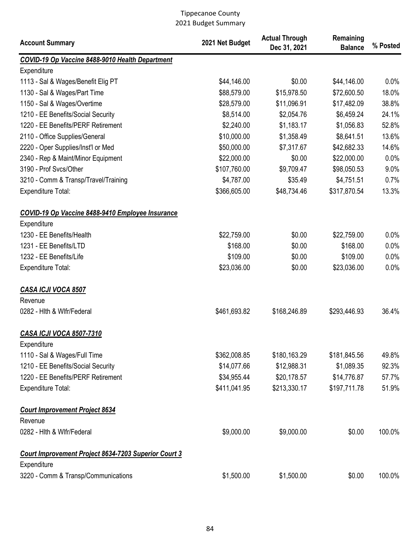| <b>Account Summary</b>                                      | 2021 Net Budget | <b>Actual Through</b><br>Dec 31, 2021 | Remaining<br><b>Balance</b> | % Posted |
|-------------------------------------------------------------|-----------------|---------------------------------------|-----------------------------|----------|
| COVID-19 Op Vaccine 8488-9010 Health Department             |                 |                                       |                             |          |
| Expenditure                                                 |                 |                                       |                             |          |
| 1113 - Sal & Wages/Benefit Elig PT                          | \$44,146.00     | \$0.00                                | \$44,146.00                 | 0.0%     |
| 1130 - Sal & Wages/Part Time                                | \$88,579.00     | \$15,978.50                           | \$72,600.50                 | 18.0%    |
| 1150 - Sal & Wages/Overtime                                 | \$28,579.00     | \$11,096.91                           | \$17,482.09                 | 38.8%    |
| 1210 - EE Benefits/Social Security                          | \$8,514.00      | \$2,054.76                            | \$6,459.24                  | 24.1%    |
| 1220 - EE Benefits/PERF Retirement                          | \$2,240.00      | \$1,183.17                            | \$1,056.83                  | 52.8%    |
| 2110 - Office Supplies/General                              | \$10,000.00     | \$1,358.49                            | \$8,641.51                  | 13.6%    |
| 2220 - Oper Supplies/Inst'l or Med                          | \$50,000.00     | \$7,317.67                            | \$42,682.33                 | 14.6%    |
| 2340 - Rep & Maint/Minor Equipment                          | \$22,000.00     | \$0.00                                | \$22,000.00                 | 0.0%     |
| 3190 - Prof Svcs/Other                                      | \$107,760.00    | \$9,709.47                            | \$98,050.53                 | 9.0%     |
| 3210 - Comm & Transp/Travel/Training                        | \$4,787.00      | \$35.49                               | \$4,751.51                  | 0.7%     |
| <b>Expenditure Total:</b>                                   | \$366,605.00    | \$48,734.46                           | \$317,870.54                | 13.3%    |
| COVID-19 Op Vaccine 8488-9410 Employee Insurance            |                 |                                       |                             |          |
| Expenditure                                                 |                 |                                       |                             |          |
| 1230 - EE Benefits/Health                                   | \$22,759.00     | \$0.00                                | \$22,759.00                 | 0.0%     |
| 1231 - EE Benefits/LTD                                      | \$168.00        | \$0.00                                | \$168.00                    | 0.0%     |
| 1232 - EE Benefits/Life                                     | \$109.00        | \$0.00                                | \$109.00                    | 0.0%     |
| <b>Expenditure Total:</b>                                   | \$23,036.00     | \$0.00                                | \$23,036.00                 | 0.0%     |
| <b>CASA ICJI VOCA 8507</b>                                  |                 |                                       |                             |          |
| Revenue                                                     |                 |                                       |                             |          |
| 0282 - Hith & Wifr/Federal                                  | \$461,693.82    | \$168,246.89                          | \$293,446.93                | 36.4%    |
| CASA ICJI VOCA 8507-7310                                    |                 |                                       |                             |          |
| Expenditure                                                 |                 |                                       |                             |          |
| 1110 - Sal & Wages/Full Time                                | \$362,008.85    | \$180,163.29                          | \$181,845.56                | 49.8%    |
| 1210 - EE Benefits/Social Security                          | \$14,077.66     | \$12,988.31                           | \$1,089.35                  | 92.3%    |
| 1220 - EE Benefits/PERF Retirement                          | \$34,955.44     | \$20,178.57                           | \$14,776.87                 | 57.7%    |
| <b>Expenditure Total:</b>                                   | \$411,041.95    | \$213,330.17                          | \$197,711.78                | 51.9%    |
| <b>Court Improvement Project 8634</b><br>Revenue            |                 |                                       |                             |          |
| 0282 - Hith & Wifr/Federal                                  | \$9,000.00      | \$9,000.00                            | \$0.00                      | 100.0%   |
| <b>Court Improvement Project 8634-7203 Superior Court 3</b> |                 |                                       |                             |          |
| Expenditure                                                 |                 |                                       |                             |          |
| 3220 - Comm & Transp/Communications                         | \$1,500.00      | \$1,500.00                            | \$0.00                      | 100.0%   |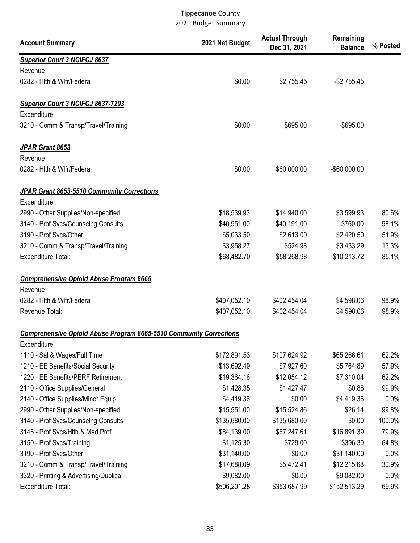| <b>Account Summary</b>                                                    | 2021 Net Budget | <b>Actual Through</b><br>Dec 31, 2021 | Remaining<br><b>Balance</b> | % Posted |
|---------------------------------------------------------------------------|-----------------|---------------------------------------|-----------------------------|----------|
| <b>Superior Court 3 NCIFCJ 8637</b>                                       |                 |                                       |                             |          |
| Revenue                                                                   |                 |                                       |                             |          |
| 0282 - Hith & Wifr/Federal                                                | \$0.00          | \$2,755.45                            | $-$2,755.45$                |          |
| Superior Court 3 NCIFCJ 8637-7203                                         |                 |                                       |                             |          |
| Expenditure                                                               |                 |                                       |                             |          |
| 3210 - Comm & Transp/Travel/Training                                      | \$0.00          | \$695.00                              | $-$ \$695.00                |          |
| JPAR Grant 8653                                                           |                 |                                       |                             |          |
| Revenue                                                                   |                 |                                       |                             |          |
| 0282 - Hith & Wifr/Federal                                                | \$0.00          | \$60,000.00                           | $-$60,000.00$               |          |
| JPAR Grant 8653-5510 Community Corrections                                |                 |                                       |                             |          |
| Expenditure                                                               |                 |                                       |                             |          |
| 2990 - Other Supplies/Non-specified                                       | \$18,539.93     | \$14,940.00                           | \$3,599.93                  | 80.6%    |
| 3140 - Prof Svcs/Counselng Consults                                       | \$40,951.00     | \$40,191.00                           | \$760.00                    | 98.1%    |
| 3190 - Prof Svcs/Other                                                    | \$5,033.50      | \$2,613.00                            | \$2,420.50                  | 51.9%    |
| 3210 - Comm & Transp/Travel/Training                                      | \$3,958.27      | \$524.98                              | \$3,433.29                  | 13.3%    |
| <b>Expenditure Total:</b>                                                 | \$68,482.70     | \$58,268.98                           | \$10,213.72                 | 85.1%    |
| <b>Comprehensive Opioid Abuse Program 8665</b>                            |                 |                                       |                             |          |
| Revenue                                                                   |                 |                                       |                             |          |
| 0282 - Hith & Wifr/Federal                                                | \$407,052.10    | \$402,454.04                          | \$4,598.06                  | 98.9%    |
| Revenue Total:                                                            | \$407,052.10    | \$402,454.04                          | \$4,598.06                  | 98.9%    |
| <b>Comprehensive Opioid Abuse Program 8665-5510 Community Corrections</b> |                 |                                       |                             |          |
| Expenditure                                                               |                 |                                       |                             |          |
| 1110 - Sal & Wages/Full Time                                              | \$172,891.53    | \$107,624.92                          | \$65,266.61                 | 62.2%    |
| 1210 - EE Benefits/Social Security                                        | \$13,692.49     | \$7,927.60                            | \$5,764.89                  | 57.9%    |
| 1220 - EE Benefits/PERF Retirement                                        | \$19,364.16     | \$12,054.12                           | \$7,310.04                  | 62.2%    |
| 2110 - Office Supplies/General                                            | \$1,428.35      | \$1,427.47                            | \$0.88                      | 99.9%    |
| 2140 - Office Supplies/Minor Equip                                        | \$4,419.36      | \$0.00                                | \$4,419.36                  | 0.0%     |
| 2990 - Other Supplies/Non-specified                                       | \$15,551.00     | \$15,524.86                           | \$26.14                     | 99.8%    |
| 3140 - Prof Svcs/Counselng Consults                                       | \$135,680.00    | \$135,680.00                          | \$0.00                      | 100.0%   |
| 3145 - Prof Svcs/Hlth & Med Prof                                          | \$84,139.00     | \$67,247.61                           | \$16,891.39                 | 79.9%    |
| 3150 - Prof Svcs/Training                                                 | \$1,125.30      | \$729.00                              | \$396.30                    | 64.8%    |
| 3190 - Prof Svcs/Other                                                    | \$31,140.00     | \$0.00                                | \$31,140.00                 | 0.0%     |
| 3210 - Comm & Transp/Travel/Training                                      | \$17,688.09     | \$5,472.41                            | \$12,215.68                 | 30.9%    |
| 3320 - Printing & Advertising/Duplica                                     | \$9,082.00      | \$0.00                                | \$9,082.00                  | 0.0%     |
| <b>Expenditure Total:</b>                                                 | \$506,201.28    | \$353,687.99                          | \$152,513.29                | 69.9%    |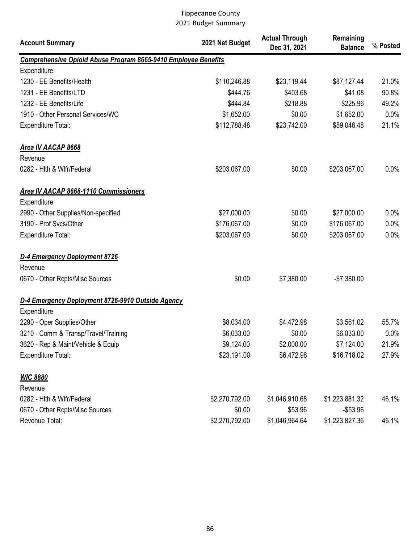| <b>Account Summary</b>                                         | 2021 Net Budget | <b>Actual Through</b><br>Dec 31, 2021 | Remaining<br><b>Balance</b> | % Posted |
|----------------------------------------------------------------|-----------------|---------------------------------------|-----------------------------|----------|
| Comprehensive Opioid Abuse Program 8665-9410 Employee Benefits |                 |                                       |                             |          |
| Expenditure                                                    |                 |                                       |                             |          |
| 1230 - EE Benefits/Health                                      | \$110,246.88    | \$23,119.44                           | \$87,127.44                 | 21.0%    |
| 1231 - EE Benefits/LTD                                         | \$444.76        | \$403.68                              | \$41.08                     | 90.8%    |
| 1232 - EE Benefits/Life                                        | \$444.84        | \$218.88                              | \$225.96                    | 49.2%    |
| 1910 - Other Personal Services/WC                              | \$1,652.00      | \$0.00                                | \$1,652.00                  | 0.0%     |
| <b>Expenditure Total:</b>                                      | \$112,788.48    | \$23,742.00                           | \$89,046.48                 | 21.1%    |
| Area IV AACAP 8668                                             |                 |                                       |                             |          |
| Revenue                                                        |                 |                                       |                             |          |
| 0282 - Hith & Wifr/Federal                                     | \$203,067.00    | \$0.00                                | \$203,067.00                | 0.0%     |
| <b>Area IV AACAP 8668-1110 Commissioners</b>                   |                 |                                       |                             |          |
| Expenditure                                                    |                 |                                       |                             |          |
| 2990 - Other Supplies/Non-specified                            | \$27,000.00     | \$0.00                                | \$27,000.00                 | 0.0%     |
| 3190 - Prof Svcs/Other                                         | \$176,067.00    | \$0.00                                | \$176,067.00                | 0.0%     |
| <b>Expenditure Total:</b>                                      | \$203,067.00    | \$0.00                                | \$203,067.00                | 0.0%     |
| D-4 Emergency Deployment 8726                                  |                 |                                       |                             |          |
| Revenue                                                        |                 |                                       |                             |          |
| 0670 - Other Rcpts/Misc Sources                                | \$0.00          | \$7,380.00                            | $-$7,380.00$                |          |
| D-4 Emergency Deployment 8726-9910 Outside Agency              |                 |                                       |                             |          |
| Expenditure                                                    |                 |                                       |                             |          |
| 2290 - Oper Supplies/Other                                     | \$8,034.00      | \$4,472.98                            | \$3,561.02                  | 55.7%    |
| 3210 - Comm & Transp/Travel/Training                           | \$6,033.00      | \$0.00                                | \$6,033.00                  | 0.0%     |
| 3620 - Rep & Maint/Vehicle & Equip                             | \$9,124.00      | \$2,000.00                            | \$7,124.00                  | 21.9%    |
| <b>Expenditure Total:</b>                                      | \$23,191.00     | \$6,472.98                            | \$16,718.02                 | 27.9%    |
| <b>WIC 8880</b>                                                |                 |                                       |                             |          |
| Revenue                                                        |                 |                                       |                             |          |
| 0282 - Hith & Wifr/Federal                                     | \$2,270,792.00  | \$1,046,910.68                        | \$1,223,881.32              | 46.1%    |
| 0670 - Other Rcpts/Misc Sources                                | \$0.00          | \$53.96                               | $-$53.96$                   |          |
| Revenue Total:                                                 | \$2,270,792.00  | \$1,046,964.64                        | \$1,223,827.36              | 46.1%    |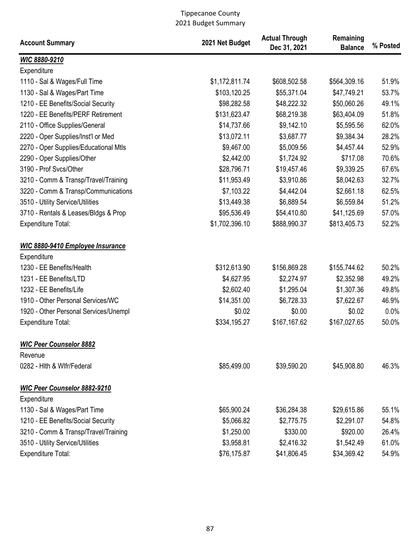| <b>Account Summary</b>                  | 2021 Net Budget | <b>Actual Through</b><br>Dec 31, 2021 | Remaining<br><b>Balance</b> | % Posted |
|-----------------------------------------|-----------------|---------------------------------------|-----------------------------|----------|
| WIC 8880-9210                           |                 |                                       |                             |          |
| Expenditure                             |                 |                                       |                             |          |
| 1110 - Sal & Wages/Full Time            | \$1,172,811.74  | \$608,502.58                          | \$564,309.16                | 51.9%    |
| 1130 - Sal & Wages/Part Time            | \$103,120.25    | \$55,371.04                           | \$47,749.21                 | 53.7%    |
| 1210 - EE Benefits/Social Security      | \$98,282.58     | \$48,222.32                           | \$50,060.26                 | 49.1%    |
| 1220 - EE Benefits/PERF Retirement      | \$131,623.47    | \$68,219.38                           | \$63,404.09                 | 51.8%    |
| 2110 - Office Supplies/General          | \$14,737.66     | \$9,142.10                            | \$5,595.56                  | 62.0%    |
| 2220 - Oper Supplies/Inst'l or Med      | \$13,072.11     | \$3,687.77                            | \$9,384.34                  | 28.2%    |
| 2270 - Oper Supplies/Educational Mtls   | \$9,467.00      | \$5,009.56                            | \$4,457.44                  | 52.9%    |
| 2290 - Oper Supplies/Other              | \$2,442.00      | \$1,724.92                            | \$717.08                    | 70.6%    |
| 3190 - Prof Svcs/Other                  | \$28,796.71     | \$19,457.46                           | \$9,339.25                  | 67.6%    |
| 3210 - Comm & Transp/Travel/Training    | \$11,953.49     | \$3,910.86                            | \$8,042.63                  | 32.7%    |
| 3220 - Comm & Transp/Communications     | \$7,103.22      | \$4,442.04                            | \$2,661.18                  | 62.5%    |
| 3510 - Utility Service/Utilities        | \$13,449.38     | \$6,889.54                            | \$6,559.84                  | 51.2%    |
| 3710 - Rentals & Leases/Bldgs & Prop    | \$95,536.49     | \$54,410.80                           | \$41,125.69                 | 57.0%    |
| <b>Expenditure Total:</b>               | \$1,702,396.10  | \$888,990.37                          | \$813,405.73                | 52.2%    |
| <b>WIC 8880-9410 Employee Insurance</b> |                 |                                       |                             |          |
| Expenditure                             |                 |                                       |                             |          |
| 1230 - EE Benefits/Health               | \$312,613.90    | \$156,869.28                          | \$155,744.62                | 50.2%    |
| 1231 - EE Benefits/LTD                  | \$4,627.95      | \$2,274.97                            | \$2,352.98                  | 49.2%    |
| 1232 - EE Benefits/Life                 | \$2,602.40      | \$1,295.04                            | \$1,307.36                  | 49.8%    |
| 1910 - Other Personal Services/WC       | \$14,351.00     | \$6,728.33                            | \$7,622.67                  | 46.9%    |
| 1920 - Other Personal Services/Unempl   | \$0.02          | \$0.00                                | \$0.02                      | 0.0%     |
| <b>Expenditure Total:</b>               | \$334,195.27    | \$167,167.62                          | \$167,027.65                | 50.0%    |
| <b>WIC Peer Counselor 8882</b>          |                 |                                       |                             |          |
| Revenue                                 |                 |                                       |                             |          |
| 0282 - Hith & Wifr/Federal              | \$85,499.00     | \$39,590.20                           | \$45,908.80                 | 46.3%    |
| <b>WIC Peer Counselor 8882-9210</b>     |                 |                                       |                             |          |
| Expenditure                             |                 |                                       |                             |          |
| 1130 - Sal & Wages/Part Time            | \$65,900.24     | \$36,284.38                           | \$29,615.86                 | 55.1%    |
| 1210 - EE Benefits/Social Security      | \$5,066.82      | \$2,775.75                            | \$2,291.07                  | 54.8%    |
| 3210 - Comm & Transp/Travel/Training    | \$1,250.00      | \$330.00                              | \$920.00                    | 26.4%    |
| 3510 - Utility Service/Utilities        | \$3,958.81      | \$2,416.32                            | \$1,542.49                  | 61.0%    |
| Expenditure Total:                      | \$76,175.87     | \$41,806.45                           | \$34,369.42                 | 54.9%    |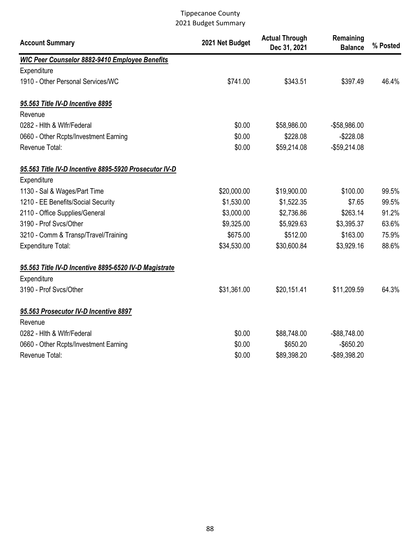| <b>Account Summary</b>                                | 2021 Net Budget | <b>Actual Through</b><br>Dec 31, 2021 | Remaining<br><b>Balance</b> | % Posted |
|-------------------------------------------------------|-----------------|---------------------------------------|-----------------------------|----------|
| <b>WIC Peer Counselor 8882-9410 Employee Benefits</b> |                 |                                       |                             |          |
| Expenditure                                           |                 |                                       |                             |          |
| 1910 - Other Personal Services/WC                     | \$741.00        | \$343.51                              | \$397.49                    | 46.4%    |
| 95.563 Title IV-D Incentive 8895                      |                 |                                       |                             |          |
| Revenue                                               |                 |                                       |                             |          |
| 0282 - Hith & Wifr/Federal                            | \$0.00          | \$58,986.00                           | -\$58,986.00                |          |
| 0660 - Other Rcpts/Investment Earning                 | \$0.00          | \$228.08                              | $-$228.08$                  |          |
| Revenue Total:                                        | \$0.00          | \$59,214.08                           | $-$59,214.08$               |          |
| 95.563 Title IV-D Incentive 8895-5920 Prosecutor IV-D |                 |                                       |                             |          |
| Expenditure                                           |                 |                                       |                             |          |
| 1130 - Sal & Wages/Part Time                          | \$20,000.00     | \$19,900.00                           | \$100.00                    | 99.5%    |
| 1210 - EE Benefits/Social Security                    | \$1,530.00      | \$1,522.35                            | \$7.65                      | 99.5%    |
| 2110 - Office Supplies/General                        | \$3,000.00      | \$2,736.86                            | \$263.14                    | 91.2%    |
| 3190 - Prof Svcs/Other                                | \$9,325.00      | \$5,929.63                            | \$3,395.37                  | 63.6%    |
| 3210 - Comm & Transp/Travel/Training                  | \$675.00        | \$512.00                              | \$163.00                    | 75.9%    |
| <b>Expenditure Total:</b>                             | \$34,530.00     | \$30,600.84                           | \$3,929.16                  | 88.6%    |
| 95.563 Title IV-D Incentive 8895-6520 IV-D Magistrate |                 |                                       |                             |          |
| Expenditure                                           |                 |                                       |                             |          |
| 3190 - Prof Svcs/Other                                | \$31,361.00     | \$20,151.41                           | \$11,209.59                 | 64.3%    |
| 95.563 Prosecutor IV-D Incentive 8897                 |                 |                                       |                             |          |
| Revenue                                               |                 |                                       |                             |          |
| 0282 - Hith & Wifr/Federal                            | \$0.00          | \$88,748.00                           | -\$88,748.00                |          |
| 0660 - Other Rcpts/Investment Earning                 | \$0.00          | \$650.20                              | $-$ \$650.20                |          |
| Revenue Total:                                        | \$0.00          | \$89,398.20                           | -\$89,398.20                |          |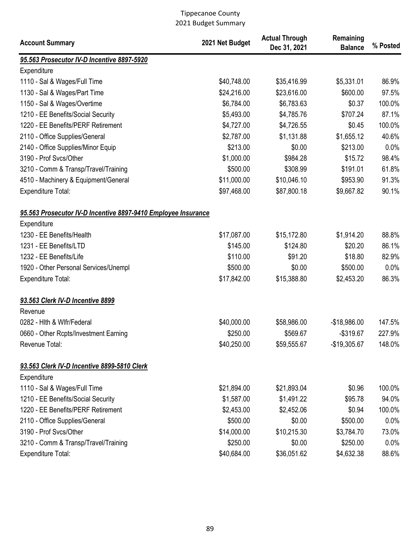| <b>Account Summary</b>                                        | 2021 Net Budget | <b>Actual Through</b><br>Dec 31, 2021 | Remaining<br><b>Balance</b> | % Posted |
|---------------------------------------------------------------|-----------------|---------------------------------------|-----------------------------|----------|
| 95.563 Prosecutor IV-D Incentive 8897-5920                    |                 |                                       |                             |          |
| Expenditure                                                   |                 |                                       |                             |          |
| 1110 - Sal & Wages/Full Time                                  | \$40,748.00     | \$35,416.99                           | \$5,331.01                  | 86.9%    |
| 1130 - Sal & Wages/Part Time                                  | \$24,216.00     | \$23,616.00                           | \$600.00                    | 97.5%    |
| 1150 - Sal & Wages/Overtime                                   | \$6,784.00      | \$6,783.63                            | \$0.37                      | 100.0%   |
| 1210 - EE Benefits/Social Security                            | \$5,493.00      | \$4,785.76                            | \$707.24                    | 87.1%    |
| 1220 - EE Benefits/PERF Retirement                            | \$4,727.00      | \$4,726.55                            | \$0.45                      | 100.0%   |
| 2110 - Office Supplies/General                                | \$2,787.00      | \$1,131.88                            | \$1,655.12                  | 40.6%    |
| 2140 - Office Supplies/Minor Equip                            | \$213.00        | \$0.00                                | \$213.00                    | 0.0%     |
| 3190 - Prof Svcs/Other                                        | \$1,000.00      | \$984.28                              | \$15.72                     | 98.4%    |
| 3210 - Comm & Transp/Travel/Training                          | \$500.00        | \$308.99                              | \$191.01                    | 61.8%    |
| 4510 - Machinery & Equipment/General                          | \$11,000.00     | \$10,046.10                           | \$953.90                    | 91.3%    |
| Expenditure Total:                                            | \$97,468.00     | \$87,800.18                           | \$9,667.82                  | 90.1%    |
| 95.563 Prosecutor IV-D Incentive 8897-9410 Employee Insurance |                 |                                       |                             |          |
| Expenditure                                                   |                 |                                       |                             |          |
| 1230 - EE Benefits/Health                                     | \$17,087.00     | \$15,172.80                           | \$1,914.20                  | 88.8%    |
| 1231 - EE Benefits/LTD                                        | \$145.00        | \$124.80                              | \$20.20                     | 86.1%    |
| 1232 - EE Benefits/Life                                       | \$110.00        | \$91.20                               | \$18.80                     | 82.9%    |
| 1920 - Other Personal Services/Unempl                         | \$500.00        | \$0.00                                | \$500.00                    | 0.0%     |
| <b>Expenditure Total:</b>                                     | \$17,842.00     | \$15,388.80                           | \$2,453.20                  | 86.3%    |
| 93.563 Clerk IV-D Incentive 8899<br>Revenue                   |                 |                                       |                             |          |
| 0282 - Hith & Wifr/Federal                                    | \$40,000.00     | \$58,986.00                           | $-$18,986.00$               | 147.5%   |
| 0660 - Other Rcpts/Investment Earning                         | \$250.00        | \$569.67                              | $-$319.67$                  | 227.9%   |
| Revenue Total:                                                | \$40,250.00     | \$59,555.67                           | $-$19,305.67$               | 148.0%   |
| 93.563 Clerk IV-D Incentive 8899-5810 Clerk                   |                 |                                       |                             |          |
| Expenditure                                                   |                 |                                       |                             |          |
| 1110 - Sal & Wages/Full Time                                  | \$21,894.00     | \$21,893.04                           | \$0.96                      | 100.0%   |
| 1210 - EE Benefits/Social Security                            | \$1,587.00      | \$1,491.22                            | \$95.78                     | 94.0%    |
| 1220 - EE Benefits/PERF Retirement                            | \$2,453.00      | \$2,452.06                            | \$0.94                      | 100.0%   |
| 2110 - Office Supplies/General                                | \$500.00        | \$0.00                                | \$500.00                    | 0.0%     |
| 3190 - Prof Svcs/Other                                        | \$14,000.00     | \$10,215.30                           | \$3,784.70                  | 73.0%    |
| 3210 - Comm & Transp/Travel/Training                          | \$250.00        | \$0.00                                | \$250.00                    | 0.0%     |
| Expenditure Total:                                            | \$40,684.00     | \$36,051.62                           | \$4,632.38                  | 88.6%    |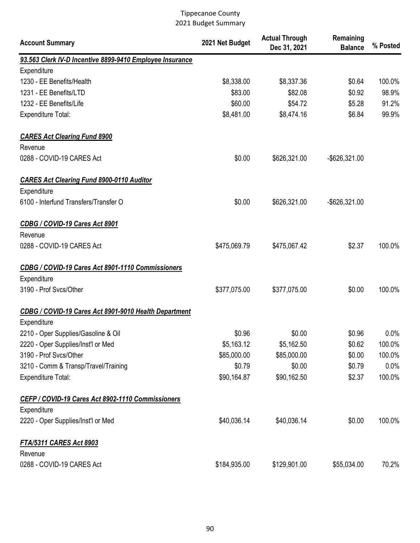| <b>Account Summary</b>                                   | 2021 Net Budget | <b>Actual Through</b><br>Dec 31, 2021 | Remaining<br><b>Balance</b> | % Posted |
|----------------------------------------------------------|-----------------|---------------------------------------|-----------------------------|----------|
| 93.563 Clerk IV-D Incentive 8899-9410 Employee Insurance |                 |                                       |                             |          |
| Expenditure                                              |                 |                                       |                             |          |
| 1230 - EE Benefits/Health                                | \$8,338.00      | \$8,337.36                            | \$0.64                      | 100.0%   |
| 1231 - EE Benefits/LTD                                   | \$83.00         | \$82.08                               | \$0.92                      | 98.9%    |
| 1232 - EE Benefits/Life                                  | \$60.00         | \$54.72                               | \$5.28                      | 91.2%    |
| <b>Expenditure Total:</b>                                | \$8,481.00      | \$8,474.16                            | \$6.84                      | 99.9%    |
| <b>CARES Act Clearing Fund 8900</b>                      |                 |                                       |                             |          |
| Revenue                                                  |                 |                                       |                             |          |
| 0288 - COVID-19 CARES Act                                | \$0.00          | \$626,321.00                          | -\$626,321.00               |          |
| <b>CARES Act Clearing Fund 8900-0110 Auditor</b>         |                 |                                       |                             |          |
| Expenditure                                              |                 |                                       |                             |          |
| 6100 - Interfund Transfers/Transfer O                    | \$0.00          | \$626,321.00                          | -\$626,321.00               |          |
| CDBG / COVID-19 Cares Act 8901                           |                 |                                       |                             |          |
| Revenue                                                  |                 |                                       |                             |          |
| 0288 - COVID-19 CARES Act                                | \$475,069.79    | \$475,067.42                          | \$2.37                      | 100.0%   |
| CDBG / COVID-19 Cares Act 8901-1110 Commissioners        |                 |                                       |                             |          |
| Expenditure                                              |                 |                                       |                             |          |
| 3190 - Prof Svcs/Other                                   | \$377,075.00    | \$377,075.00                          | \$0.00                      | 100.0%   |
| CDBG / COVID-19 Cares Act 8901-9010 Health Department    |                 |                                       |                             |          |
| Expenditure                                              |                 |                                       |                             |          |
| 2210 - Oper Supplies/Gasoline & Oil                      | \$0.96          | \$0.00                                | \$0.96                      | 0.0%     |
| 2220 - Oper Supplies/Inst'l or Med                       | \$5,163.12      | \$5,162.50                            | \$0.62                      | 100.0%   |
| 3190 - Prof Svcs/Other                                   | \$85,000.00     | \$85,000.00                           | \$0.00                      | 100.0%   |
| 3210 - Comm & Transp/Travel/Training                     | \$0.79          | \$0.00                                | \$0.79                      | 0.0%     |
| <b>Expenditure Total:</b>                                | \$90,164.87     | \$90,162.50                           | \$2.37                      | 100.0%   |
| CEFP / COVID-19 Cares Act 8902-1110 Commissioners        |                 |                                       |                             |          |
| Expenditure                                              |                 |                                       |                             |          |
| 2220 - Oper Supplies/Inst'l or Med                       | \$40,036.14     | \$40,036.14                           | \$0.00                      | 100.0%   |
| <b>FTA/5311 CARES Act 8903</b>                           |                 |                                       |                             |          |
| Revenue                                                  |                 |                                       |                             |          |
| 0288 - COVID-19 CARES Act                                | \$184,935.00    | \$129,901.00                          | \$55,034.00                 | 70.2%    |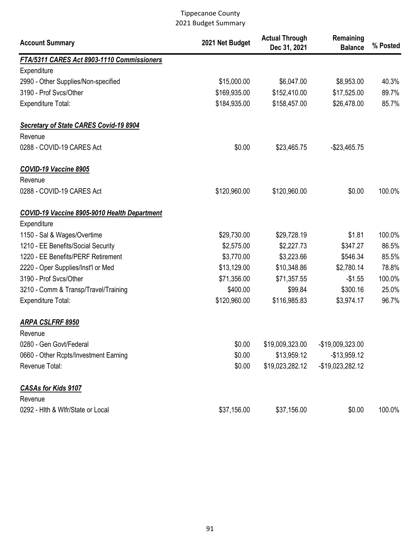| <b>Account Summary</b>                        | 2021 Net Budget | <b>Actual Through</b><br>Dec 31, 2021 | Remaining<br><b>Balance</b> | % Posted |
|-----------------------------------------------|-----------------|---------------------------------------|-----------------------------|----------|
| FTA/5311 CARES Act 8903-1110 Commissioners    |                 |                                       |                             |          |
| Expenditure                                   |                 |                                       |                             |          |
| 2990 - Other Supplies/Non-specified           | \$15,000.00     | \$6,047.00                            | \$8,953.00                  | 40.3%    |
| 3190 - Prof Svcs/Other                        | \$169,935.00    | \$152,410.00                          | \$17,525.00                 | 89.7%    |
| <b>Expenditure Total:</b>                     | \$184,935.00    | \$158,457.00                          | \$26,478.00                 | 85.7%    |
| <b>Secretary of State CARES Covid-19 8904</b> |                 |                                       |                             |          |
| Revenue                                       |                 |                                       |                             |          |
| 0288 - COVID-19 CARES Act                     | \$0.00          | \$23,465.75                           | $-$23,465.75$               |          |
| COVID-19 Vaccine 8905                         |                 |                                       |                             |          |
| Revenue                                       |                 |                                       |                             |          |
| 0288 - COVID-19 CARES Act                     | \$120,960.00    | \$120,960.00                          | \$0.00                      | 100.0%   |
| COVID-19 Vaccine 8905-9010 Health Department  |                 |                                       |                             |          |
| Expenditure                                   |                 |                                       |                             |          |
| 1150 - Sal & Wages/Overtime                   | \$29,730.00     | \$29,728.19                           | \$1.81                      | 100.0%   |
| 1210 - EE Benefits/Social Security            | \$2,575.00      | \$2,227.73                            | \$347.27                    | 86.5%    |
| 1220 - EE Benefits/PERF Retirement            | \$3,770.00      | \$3,223.66                            | \$546.34                    | 85.5%    |
| 2220 - Oper Supplies/Inst'l or Med            | \$13,129.00     | \$10,348.86                           | \$2,780.14                  | 78.8%    |
| 3190 - Prof Svcs/Other                        | \$71,356.00     | \$71,357.55                           | $-$1.55$                    | 100.0%   |
| 3210 - Comm & Transp/Travel/Training          | \$400.00        | \$99.84                               | \$300.16                    | 25.0%    |
| <b>Expenditure Total:</b>                     | \$120,960.00    | \$116,985.83                          | \$3,974.17                  | 96.7%    |
| ARPA CSLFRF 8950                              |                 |                                       |                             |          |
| Revenue                                       |                 |                                       |                             |          |
| 0280 - Gen Govt/Federal                       | \$0.00          | \$19,009,323.00                       | -\$19,009,323.00            |          |
| 0660 - Other Rcpts/Investment Earning         | \$0.00          | \$13,959.12                           | $-$13,959.12$               |          |
| Revenue Total:                                | \$0.00          | \$19,023,282.12                       | -\$19,023,282.12            |          |
| <b>CASAs for Kids 9107</b>                    |                 |                                       |                             |          |
| Revenue                                       |                 |                                       |                             |          |
| 0292 - Hith & Wifr/State or Local             | \$37,156.00     | \$37,156.00                           | \$0.00                      | 100.0%   |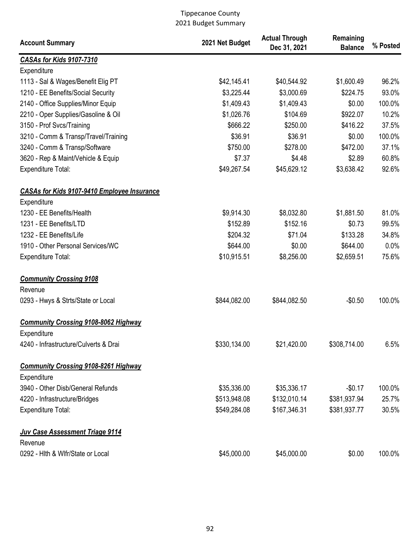| <b>Account Summary</b>                             | 2021 Net Budget | <b>Actual Through</b><br>Dec 31, 2021 | Remaining<br><b>Balance</b> | % Posted |
|----------------------------------------------------|-----------------|---------------------------------------|-----------------------------|----------|
| CASAs for Kids 9107-7310                           |                 |                                       |                             |          |
| Expenditure                                        |                 |                                       |                             |          |
| 1113 - Sal & Wages/Benefit Elig PT                 | \$42,145.41     | \$40,544.92                           | \$1,600.49                  | 96.2%    |
| 1210 - EE Benefits/Social Security                 | \$3,225.44      | \$3,000.69                            | \$224.75                    | 93.0%    |
| 2140 - Office Supplies/Minor Equip                 | \$1,409.43      | \$1,409.43                            | \$0.00                      | 100.0%   |
| 2210 - Oper Supplies/Gasoline & Oil                | \$1,026.76      | \$104.69                              | \$922.07                    | 10.2%    |
| 3150 - Prof Svcs/Training                          | \$666.22        | \$250.00                              | \$416.22                    | 37.5%    |
| 3210 - Comm & Transp/Travel/Training               | \$36.91         | \$36.91                               | \$0.00                      | 100.0%   |
| 3240 - Comm & Transp/Software                      | \$750.00        | \$278.00                              | \$472.00                    | 37.1%    |
| 3620 - Rep & Maint/Vehicle & Equip                 | \$7.37          | \$4.48                                | \$2.89                      | 60.8%    |
| <b>Expenditure Total:</b>                          | \$49,267.54     | \$45,629.12                           | \$3,638.42                  | 92.6%    |
| <b>CASAs for Kids 9107-9410 Employee Insurance</b> |                 |                                       |                             |          |
| Expenditure                                        |                 |                                       |                             |          |
| 1230 - EE Benefits/Health                          | \$9,914.30      | \$8,032.80                            | \$1,881.50                  | 81.0%    |
| 1231 - EE Benefits/LTD                             | \$152.89        | \$152.16                              | \$0.73                      | 99.5%    |
| 1232 - EE Benefits/Life                            | \$204.32        | \$71.04                               | \$133.28                    | 34.8%    |
| 1910 - Other Personal Services/WC                  | \$644.00        | \$0.00                                | \$644.00                    | 0.0%     |
| Expenditure Total:                                 | \$10,915.51     | \$8,256.00                            | \$2,659.51                  | 75.6%    |
| <b>Community Crossing 9108</b>                     |                 |                                       |                             |          |
| Revenue                                            |                 |                                       |                             |          |
| 0293 - Hwys & Strts/State or Local                 | \$844,082.00    | \$844,082.50                          | $-$0.50$                    | 100.0%   |
| <b>Community Crossing 9108-8062 Highway</b>        |                 |                                       |                             |          |
| Expenditure                                        |                 |                                       |                             |          |
| 4240 - Infrastructure/Culverts & Drai              | \$330,134.00    | \$21,420.00                           | \$308,714.00                | 6.5%     |
| <b>Community Crossing 9108-8261 Highway</b>        |                 |                                       |                             |          |
| Expenditure                                        |                 |                                       |                             |          |
| 3940 - Other Disb/General Refunds                  | \$35,336.00     | \$35,336.17                           | $-$0.17$                    | 100.0%   |
| 4220 - Infrastructure/Bridges                      | \$513,948.08    | \$132,010.14                          | \$381,937.94                | 25.7%    |
| <b>Expenditure Total:</b>                          | \$549,284.08    | \$167,346.31                          | \$381,937.77                | 30.5%    |
| Juv Case Assessment Triage 9114                    |                 |                                       |                             |          |
| Revenue                                            |                 |                                       |                             |          |
| 0292 - Hith & Wifr/State or Local                  | \$45,000.00     | \$45,000.00                           | \$0.00                      | 100.0%   |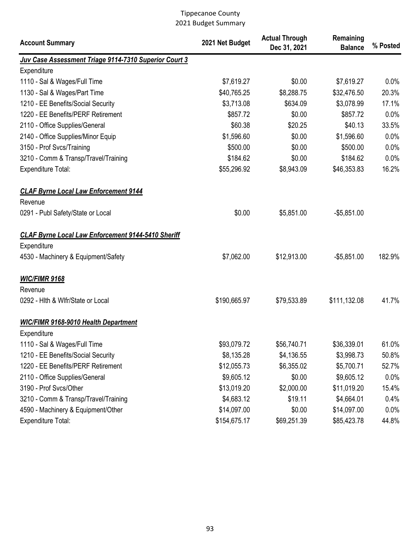| <b>Account Summary</b>                                    | 2021 Net Budget | <b>Actual Through</b><br>Dec 31, 2021 | Remaining<br><b>Balance</b> | % Posted |
|-----------------------------------------------------------|-----------------|---------------------------------------|-----------------------------|----------|
| Juv Case Assessment Triage 9114-7310 Superior Court 3     |                 |                                       |                             |          |
| Expenditure                                               |                 |                                       |                             |          |
| 1110 - Sal & Wages/Full Time                              | \$7,619.27      | \$0.00                                | \$7,619.27                  | 0.0%     |
| 1130 - Sal & Wages/Part Time                              | \$40,765.25     | \$8,288.75                            | \$32,476.50                 | 20.3%    |
| 1210 - EE Benefits/Social Security                        | \$3,713.08      | \$634.09                              | \$3,078.99                  | 17.1%    |
| 1220 - EE Benefits/PERF Retirement                        | \$857.72        | \$0.00                                | \$857.72                    | 0.0%     |
| 2110 - Office Supplies/General                            | \$60.38         | \$20.25                               | \$40.13                     | 33.5%    |
| 2140 - Office Supplies/Minor Equip                        | \$1,596.60      | \$0.00                                | \$1,596.60                  | 0.0%     |
| 3150 - Prof Svcs/Training                                 | \$500.00        | \$0.00                                | \$500.00                    | 0.0%     |
| 3210 - Comm & Transp/Travel/Training                      | \$184.62        | \$0.00                                | \$184.62                    | 0.0%     |
| <b>Expenditure Total:</b>                                 | \$55,296.92     | \$8,943.09                            | \$46,353.83                 | 16.2%    |
| <b>CLAF Byrne Local Law Enforcement 9144</b>              |                 |                                       |                             |          |
| Revenue                                                   |                 |                                       |                             |          |
| 0291 - Publ Safety/State or Local                         | \$0.00          | \$5,851.00                            | $-$5,851.00$                |          |
| <b>CLAF Byrne Local Law Enforcement 9144-5410 Sheriff</b> |                 |                                       |                             |          |
| Expenditure                                               |                 |                                       |                             |          |
| 4530 - Machinery & Equipment/Safety                       | \$7,062.00      | \$12,913.00                           | $-$5,851.00$                | 182.9%   |
| <b>WIC/FIMR 9168</b>                                      |                 |                                       |                             |          |
| Revenue                                                   |                 |                                       |                             |          |
| 0292 - Hith & Wifr/State or Local                         | \$190,665.97    | \$79,533.89                           | \$111,132.08                | 41.7%    |
| <b>WIC/FIMR 9168-9010 Health Department</b>               |                 |                                       |                             |          |
| Expenditure                                               |                 |                                       |                             |          |
| 1110 - Sal & Wages/Full Time                              | \$93,079.72     | \$56,740.71                           | \$36,339.01                 | 61.0%    |
| 1210 - EE Benefits/Social Security                        | \$8,135.28      | \$4,136.55                            | \$3,998.73                  | 50.8%    |
| 1220 - EE Benefits/PERF Retirement                        | \$12,055.73     | \$6,355.02                            | \$5,700.71                  | 52.7%    |
| 2110 - Office Supplies/General                            | \$9,605.12      | \$0.00                                | \$9,605.12                  | 0.0%     |
| 3190 - Prof Svcs/Other                                    | \$13,019.20     | \$2,000.00                            | \$11,019.20                 | 15.4%    |
| 3210 - Comm & Transp/Travel/Training                      | \$4,683.12      | \$19.11                               | \$4,664.01                  | 0.4%     |
| 4590 - Machinery & Equipment/Other                        | \$14,097.00     | \$0.00                                | \$14,097.00                 | 0.0%     |
| Expenditure Total:                                        | \$154,675.17    | \$69,251.39                           | \$85,423.78                 | 44.8%    |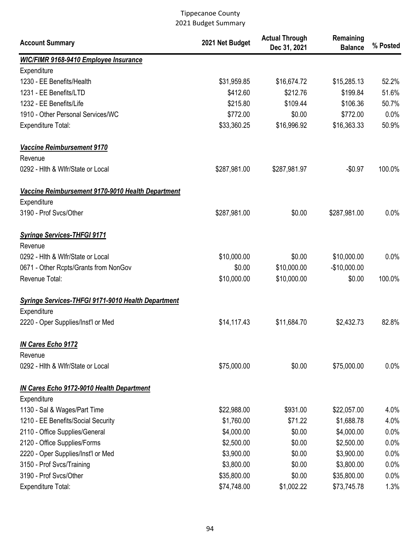| <b>Account Summary</b>                                           | 2021 Net Budget | <b>Actual Through</b><br>Dec 31, 2021 | Remaining<br><b>Balance</b> | % Posted |
|------------------------------------------------------------------|-----------------|---------------------------------------|-----------------------------|----------|
| <b>WIC/FIMR 9168-9410 Employee Insurance</b>                     |                 |                                       |                             |          |
| Expenditure                                                      |                 |                                       |                             |          |
| 1230 - EE Benefits/Health                                        | \$31,959.85     | \$16,674.72                           | \$15,285.13                 | 52.2%    |
| 1231 - EE Benefits/LTD                                           | \$412.60        | \$212.76                              | \$199.84                    | 51.6%    |
| 1232 - EE Benefits/Life                                          | \$215.80        | \$109.44                              | \$106.36                    | 50.7%    |
| 1910 - Other Personal Services/WC                                | \$772.00        | \$0.00                                | \$772.00                    | 0.0%     |
| <b>Expenditure Total:</b>                                        | \$33,360.25     | \$16,996.92                           | \$16,363.33                 | 50.9%    |
| Vaccine Reimbursement 9170<br>Revenue                            |                 |                                       |                             |          |
| 0292 - Hith & Wifr/State or Local                                | \$287,981.00    | \$287,981.97                          | $-$0.97$                    | 100.0%   |
| Vaccine Reimbursement 9170-9010 Health Department<br>Expenditure |                 |                                       |                             |          |
| 3190 - Prof Svcs/Other                                           | \$287,981.00    | \$0.00                                | \$287,981.00                | 0.0%     |
| <b>Syringe Services-THFGI 9171</b><br>Revenue                    |                 |                                       |                             |          |
| 0292 - Hith & Wifr/State or Local                                | \$10,000.00     | \$0.00                                | \$10,000.00                 | 0.0%     |
| 0671 - Other Rcpts/Grants from NonGov                            | \$0.00          | \$10,000.00                           | $-$10,000.00$               |          |
| Revenue Total:                                                   | \$10,000.00     | \$10,000.00                           | \$0.00                      | 100.0%   |
| <b>Syringe Services-THFGI 9171-9010 Health Department</b>        |                 |                                       |                             |          |
| Expenditure                                                      |                 |                                       |                             |          |
| 2220 - Oper Supplies/Inst'l or Med                               | \$14,117.43     | \$11,684.70                           | \$2,432.73                  | 82.8%    |
| <b>IN Cares Echo 9172</b><br>Revenue                             |                 |                                       |                             |          |
| 0292 - Hith & Wifr/State or Local                                | \$75,000.00     | \$0.00                                | \$75,000.00                 | 0.0%     |
| <b>IN Cares Echo 9172-9010 Health Department</b><br>Expenditure  |                 |                                       |                             |          |
| 1130 - Sal & Wages/Part Time                                     | \$22,988.00     | \$931.00                              | \$22,057.00                 | 4.0%     |
| 1210 - EE Benefits/Social Security                               | \$1,760.00      | \$71.22                               | \$1,688.78                  | 4.0%     |
| 2110 - Office Supplies/General                                   | \$4,000.00      | \$0.00                                | \$4,000.00                  | 0.0%     |
| 2120 - Office Supplies/Forms                                     | \$2,500.00      | \$0.00                                | \$2,500.00                  | 0.0%     |
| 2220 - Oper Supplies/Inst'l or Med                               | \$3,900.00      | \$0.00                                | \$3,900.00                  | 0.0%     |
| 3150 - Prof Svcs/Training                                        | \$3,800.00      | \$0.00                                | \$3,800.00                  | 0.0%     |
| 3190 - Prof Svcs/Other                                           | \$35,800.00     | \$0.00                                | \$35,800.00                 | 0.0%     |
| Expenditure Total:                                               | \$74,748.00     | \$1,002.22                            | \$73,745.78                 | 1.3%     |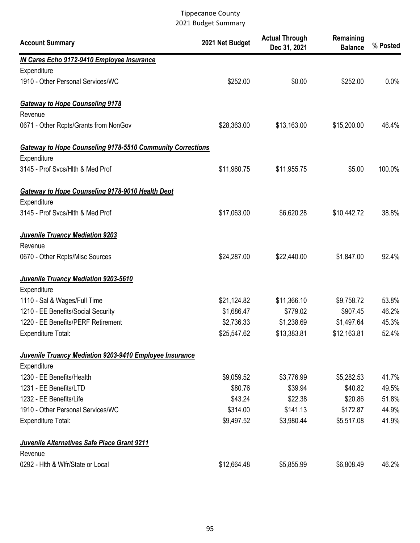| <b>Account Summary</b>                                            | 2021 Net Budget | <b>Actual Through</b><br>Dec 31, 2021 | Remaining<br><b>Balance</b> | % Posted |
|-------------------------------------------------------------------|-----------------|---------------------------------------|-----------------------------|----------|
| <b>IN Cares Echo 9172-9410 Employee Insurance</b>                 |                 |                                       |                             |          |
| Expenditure                                                       |                 |                                       |                             |          |
| 1910 - Other Personal Services/WC                                 | \$252.00        | \$0.00                                | \$252.00                    | 0.0%     |
| <b>Gateway to Hope Counseling 9178</b>                            |                 |                                       |                             |          |
| Revenue                                                           |                 |                                       |                             |          |
| 0671 - Other Rcpts/Grants from NonGov                             | \$28,363.00     | \$13,163.00                           | \$15,200.00                 | 46.4%    |
| <b>Gateway to Hope Counseling 9178-5510 Community Corrections</b> |                 |                                       |                             |          |
| Expenditure                                                       |                 |                                       |                             |          |
| 3145 - Prof Svcs/Hlth & Med Prof                                  | \$11,960.75     | \$11,955.75                           | \$5.00                      | 100.0%   |
| Gateway to Hope Counseling 9178-9010 Health Dept                  |                 |                                       |                             |          |
| Expenditure                                                       |                 |                                       |                             |          |
| 3145 - Prof Svcs/Hlth & Med Prof                                  | \$17,063.00     | \$6,620.28                            | \$10,442.72                 | 38.8%    |
| <b>Juvenile Truancy Mediation 9203</b><br>Revenue                 |                 |                                       |                             |          |
| 0670 - Other Rcpts/Misc Sources                                   | \$24,287.00     | \$22,440.00                           | \$1,847.00                  | 92.4%    |
| Juvenile Truancy Mediation 9203-5610                              |                 |                                       |                             |          |
| Expenditure                                                       |                 |                                       |                             |          |
| 1110 - Sal & Wages/Full Time                                      | \$21,124.82     | \$11,366.10                           | \$9,758.72                  | 53.8%    |
| 1210 - EE Benefits/Social Security                                | \$1,686.47      | \$779.02                              | \$907.45                    | 46.2%    |
| 1220 - EE Benefits/PERF Retirement                                | \$2,736.33      | \$1,238.69                            | \$1,497.64                  | 45.3%    |
| <b>Expenditure Total:</b>                                         | \$25,547.62     | \$13,383.81                           | \$12,163.81                 | 52.4%    |
| Juvenile Truancy Mediation 9203-9410 Employee Insurance           |                 |                                       |                             |          |
| Expenditure                                                       |                 |                                       |                             |          |
| 1230 - EE Benefits/Health                                         | \$9,059.52      | \$3,776.99                            | \$5,282.53                  | 41.7%    |
| 1231 - EE Benefits/LTD                                            | \$80.76         | \$39.94                               | \$40.82                     | 49.5%    |
| 1232 - EE Benefits/Life                                           | \$43.24         | \$22.38                               | \$20.86                     | 51.8%    |
| 1910 - Other Personal Services/WC                                 | \$314.00        | \$141.13                              | \$172.87                    | 44.9%    |
| <b>Expenditure Total:</b>                                         | \$9,497.52      | \$3,980.44                            | \$5,517.08                  | 41.9%    |
| Juvenile Alternatives Safe Place Grant 9211                       |                 |                                       |                             |          |
| Revenue                                                           |                 |                                       |                             |          |
| 0292 - Hith & Wifr/State or Local                                 | \$12,664.48     | \$5,855.99                            | \$6,808.49                  | 46.2%    |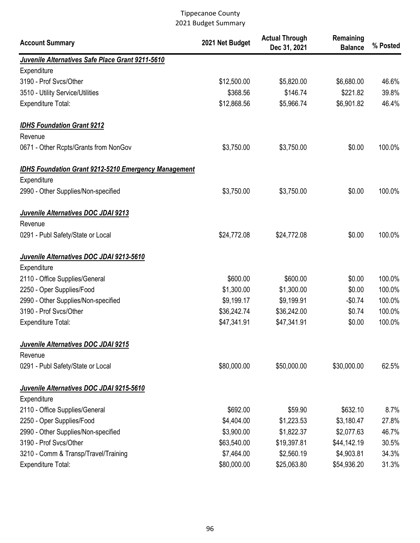| <b>Account Summary</b>                                      | 2021 Net Budget | <b>Actual Through</b><br>Dec 31, 2021 | Remaining<br><b>Balance</b> | % Posted |
|-------------------------------------------------------------|-----------------|---------------------------------------|-----------------------------|----------|
| Juvenile Alternatives Safe Place Grant 9211-5610            |                 |                                       |                             |          |
| Expenditure                                                 |                 |                                       |                             |          |
| 3190 - Prof Svcs/Other                                      | \$12,500.00     | \$5,820.00                            | \$6,680.00                  | 46.6%    |
| 3510 - Utility Service/Utilities                            | \$368.56        | \$146.74                              | \$221.82                    | 39.8%    |
| <b>Expenditure Total:</b>                                   | \$12,868.56     | \$5,966.74                            | \$6,901.82                  | 46.4%    |
| <b>IDHS Foundation Grant 9212</b>                           |                 |                                       |                             |          |
| Revenue                                                     |                 |                                       |                             |          |
| 0671 - Other Rcpts/Grants from NonGov                       | \$3,750.00      | \$3,750.00                            | \$0.00                      | 100.0%   |
| <b>IDHS Foundation Grant 9212-5210 Emergency Management</b> |                 |                                       |                             |          |
| Expenditure                                                 |                 |                                       |                             |          |
| 2990 - Other Supplies/Non-specified                         | \$3,750.00      | \$3,750.00                            | \$0.00                      | 100.0%   |
| Juvenile Alternatives DOC JDAI 9213                         |                 |                                       |                             |          |
| Revenue                                                     |                 |                                       |                             |          |
| 0291 - Publ Safety/State or Local                           | \$24,772.08     | \$24,772.08                           | \$0.00                      | 100.0%   |
| Juvenile Alternatives DOC JDAI 9213-5610                    |                 |                                       |                             |          |
| Expenditure                                                 |                 |                                       |                             |          |
| 2110 - Office Supplies/General                              | \$600.00        | \$600.00                              | \$0.00                      | 100.0%   |
| 2250 - Oper Supplies/Food                                   | \$1,300.00      | \$1,300.00                            | \$0.00                      | 100.0%   |
| 2990 - Other Supplies/Non-specified                         | \$9,199.17      | \$9,199.91                            | $-$0.74$                    | 100.0%   |
| 3190 - Prof Svcs/Other                                      | \$36,242.74     | \$36,242.00                           | \$0.74                      | 100.0%   |
| <b>Expenditure Total:</b>                                   | \$47,341.91     | \$47,341.91                           | \$0.00                      | 100.0%   |
| Juvenile Alternatives DOC JDAI 9215                         |                 |                                       |                             |          |
| Revenue                                                     |                 |                                       |                             |          |
| 0291 - Publ Safety/State or Local                           | \$80,000.00     | \$50,000.00                           | \$30,000.00                 | 62.5%    |
| Juvenile Alternatives DOC JDAI 9215-5610                    |                 |                                       |                             |          |
| Expenditure                                                 |                 |                                       |                             |          |
| 2110 - Office Supplies/General                              | \$692.00        | \$59.90                               | \$632.10                    | 8.7%     |
| 2250 - Oper Supplies/Food                                   | \$4,404.00      | \$1,223.53                            | \$3,180.47                  | 27.8%    |
| 2990 - Other Supplies/Non-specified                         | \$3,900.00      | \$1,822.37                            | \$2,077.63                  | 46.7%    |
| 3190 - Prof Svcs/Other                                      | \$63,540.00     | \$19,397.81                           | \$44,142.19                 | 30.5%    |
| 3210 - Comm & Transp/Travel/Training                        | \$7,464.00      | \$2,560.19                            | \$4,903.81                  | 34.3%    |
| <b>Expenditure Total:</b>                                   | \$80,000.00     | \$25,063.80                           | \$54,936.20                 | 31.3%    |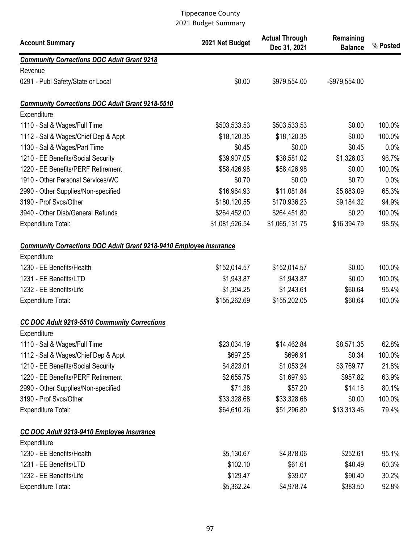| <b>Account Summary</b>                                                    | 2021 Net Budget | <b>Actual Through</b><br>Dec 31, 2021 | Remaining<br><b>Balance</b> | % Posted |
|---------------------------------------------------------------------------|-----------------|---------------------------------------|-----------------------------|----------|
| <b>Community Corrections DOC Adult Grant 9218</b>                         |                 |                                       |                             |          |
| Revenue                                                                   |                 |                                       |                             |          |
| 0291 - Publ Safety/State or Local                                         | \$0.00          | \$979,554.00                          | -\$979,554.00               |          |
| <b>Community Corrections DOC Adult Grant 9218-5510</b>                    |                 |                                       |                             |          |
| Expenditure                                                               |                 |                                       |                             |          |
| 1110 - Sal & Wages/Full Time                                              | \$503,533.53    | \$503,533.53                          | \$0.00                      | 100.0%   |
| 1112 - Sal & Wages/Chief Dep & Appt                                       | \$18,120.35     | \$18,120.35                           | \$0.00                      | 100.0%   |
| 1130 - Sal & Wages/Part Time                                              | \$0.45          | \$0.00                                | \$0.45                      | 0.0%     |
| 1210 - EE Benefits/Social Security                                        | \$39,907.05     | \$38,581.02                           | \$1,326.03                  | 96.7%    |
| 1220 - EE Benefits/PERF Retirement                                        | \$58,426.98     | \$58,426.98                           | \$0.00                      | 100.0%   |
| 1910 - Other Personal Services/WC                                         | \$0.70          | \$0.00                                | \$0.70                      | 0.0%     |
| 2990 - Other Supplies/Non-specified                                       | \$16,964.93     | \$11,081.84                           | \$5,883.09                  | 65.3%    |
| 3190 - Prof Svcs/Other                                                    | \$180,120.55    | \$170,936.23                          | \$9,184.32                  | 94.9%    |
| 3940 - Other Disb/General Refunds                                         | \$264,452.00    | \$264,451.80                          | \$0.20                      | 100.0%   |
| Expenditure Total:                                                        | \$1,081,526.54  | \$1,065,131.75                        | \$16,394.79                 | 98.5%    |
| <b>Community Corrections DOC Adult Grant 9218-9410 Employee Insurance</b> |                 |                                       |                             |          |
| Expenditure                                                               |                 |                                       |                             |          |
| 1230 - EE Benefits/Health                                                 | \$152,014.57    | \$152,014.57                          | \$0.00                      | 100.0%   |
| 1231 - EE Benefits/LTD                                                    | \$1,943.87      | \$1,943.87                            | \$0.00                      | 100.0%   |
| 1232 - EE Benefits/Life                                                   | \$1,304.25      | \$1,243.61                            | \$60.64                     | 95.4%    |
| <b>Expenditure Total:</b>                                                 | \$155,262.69    | \$155,202.05                          | \$60.64                     | 100.0%   |
| <b>CC DOC Adult 9219-5510 Community Corrections</b><br>Expenditure        |                 |                                       |                             |          |
| 1110 - Sal & Wages/Full Time                                              | \$23,034.19     | \$14,462.84                           | \$8,571.35                  | 62.8%    |
| 1112 - Sal & Wages/Chief Dep & Appt                                       | \$697.25        | \$696.91                              | \$0.34                      | 100.0%   |
| 1210 - EE Benefits/Social Security                                        | \$4,823.01      | \$1,053.24                            | \$3,769.77                  | 21.8%    |
| 1220 - EE Benefits/PERF Retirement                                        | \$2,655.75      | \$1,697.93                            | \$957.82                    | 63.9%    |
| 2990 - Other Supplies/Non-specified                                       | \$71.38         | \$57.20                               | \$14.18                     | 80.1%    |
| 3190 - Prof Svcs/Other                                                    | \$33,328.68     | \$33,328.68                           | \$0.00                      | 100.0%   |
| <b>Expenditure Total:</b>                                                 | \$64,610.26     | \$51,296.80                           | \$13,313.46                 | 79.4%    |
| CC DOC Adult 9219-9410 Employee Insurance                                 |                 |                                       |                             |          |
| Expenditure                                                               |                 |                                       |                             |          |
| 1230 - EE Benefits/Health                                                 | \$5,130.67      | \$4,878.06                            | \$252.61                    | 95.1%    |
| 1231 - EE Benefits/LTD                                                    | \$102.10        | \$61.61                               | \$40.49                     | 60.3%    |
| 1232 - EE Benefits/Life                                                   | \$129.47        | \$39.07                               | \$90.40                     | 30.2%    |
| Expenditure Total:                                                        | \$5,362.24      | \$4,978.74                            | \$383.50                    | 92.8%    |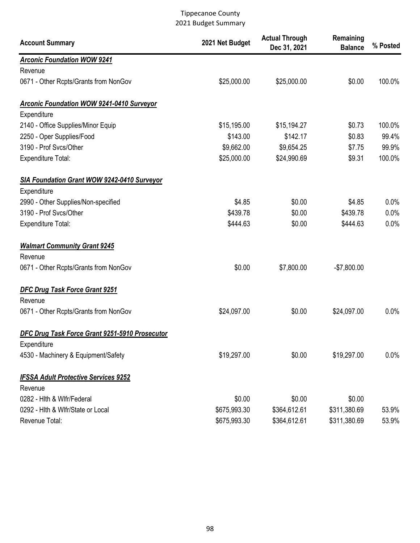| <b>Account Summary</b>                           | 2021 Net Budget | <b>Actual Through</b><br>Dec 31, 2021 | Remaining<br><b>Balance</b> | % Posted |
|--------------------------------------------------|-----------------|---------------------------------------|-----------------------------|----------|
| <b>Arconic Foundation WOW 9241</b>               |                 |                                       |                             |          |
| Revenue                                          |                 |                                       |                             |          |
| 0671 - Other Rcpts/Grants from NonGov            | \$25,000.00     | \$25,000.00                           | \$0.00                      | 100.0%   |
| <b>Arconic Foundation WOW 9241-0410 Surveyor</b> |                 |                                       |                             |          |
| Expenditure                                      |                 |                                       |                             |          |
| 2140 - Office Supplies/Minor Equip               | \$15,195.00     | \$15,194.27                           | \$0.73                      | 100.0%   |
| 2250 - Oper Supplies/Food                        | \$143.00        | \$142.17                              | \$0.83                      | 99.4%    |
| 3190 - Prof Svcs/Other                           | \$9,662.00      | \$9,654.25                            | \$7.75                      | 99.9%    |
| <b>Expenditure Total:</b>                        | \$25,000.00     | \$24,990.69                           | \$9.31                      | 100.0%   |
| SIA Foundation Grant WOW 9242-0410 Surveyor      |                 |                                       |                             |          |
| Expenditure                                      |                 |                                       |                             |          |
| 2990 - Other Supplies/Non-specified              | \$4.85          | \$0.00                                | \$4.85                      | 0.0%     |
| 3190 - Prof Svcs/Other                           | \$439.78        | \$0.00                                | \$439.78                    | 0.0%     |
| <b>Expenditure Total:</b>                        | \$444.63        | \$0.00                                | \$444.63                    | 0.0%     |
| <b>Walmart Community Grant 9245</b>              |                 |                                       |                             |          |
| Revenue                                          |                 |                                       |                             |          |
| 0671 - Other Rcpts/Grants from NonGov            | \$0.00          | \$7,800.00                            | $-$7,800.00$                |          |
| <b>DFC Drug Task Force Grant 9251</b>            |                 |                                       |                             |          |
| Revenue                                          |                 |                                       |                             |          |
| 0671 - Other Rcpts/Grants from NonGov            | \$24,097.00     | \$0.00                                | \$24,097.00                 | 0.0%     |
| DFC Drug Task Force Grant 9251-5910 Prosecutor   |                 |                                       |                             |          |
| Expenditure                                      |                 |                                       |                             |          |
| 4530 - Machinery & Equipment/Safety              | \$19,297.00     | \$0.00                                | \$19,297.00                 | 0.0%     |
| <b>IFSSA Adult Protective Services 9252</b>      |                 |                                       |                             |          |
| Revenue                                          |                 |                                       |                             |          |
| 0282 - Hith & Wifr/Federal                       | \$0.00          | \$0.00                                | \$0.00                      |          |
| 0292 - Hith & Wifr/State or Local                | \$675,993.30    | \$364,612.61                          | \$311,380.69                | 53.9%    |
| Revenue Total:                                   | \$675,993.30    | \$364,612.61                          | \$311,380.69                | 53.9%    |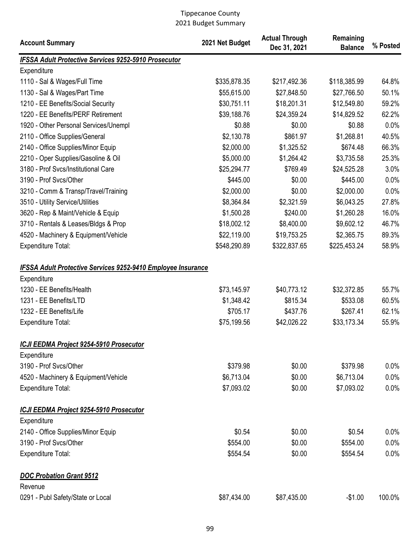| <b>Account Summary</b>                                              | 2021 Net Budget | <b>Actual Through</b><br>Dec 31, 2021 | Remaining<br><b>Balance</b> | % Posted |
|---------------------------------------------------------------------|-----------------|---------------------------------------|-----------------------------|----------|
| <b>IFSSA Adult Protective Services 9252-5910 Prosecutor</b>         |                 |                                       |                             |          |
| Expenditure                                                         |                 |                                       |                             |          |
| 1110 - Sal & Wages/Full Time                                        | \$335,878.35    | \$217,492.36                          | \$118,385.99                | 64.8%    |
| 1130 - Sal & Wages/Part Time                                        | \$55,615.00     | \$27,848.50                           | \$27,766.50                 | 50.1%    |
| 1210 - EE Benefits/Social Security                                  | \$30,751.11     | \$18,201.31                           | \$12,549.80                 | 59.2%    |
| 1220 - EE Benefits/PERF Retirement                                  | \$39,188.76     | \$24,359.24                           | \$14,829.52                 | 62.2%    |
| 1920 - Other Personal Services/Unempl                               | \$0.88          | \$0.00                                | \$0.88                      | 0.0%     |
| 2110 - Office Supplies/General                                      | \$2,130.78      | \$861.97                              | \$1,268.81                  | 40.5%    |
| 2140 - Office Supplies/Minor Equip                                  | \$2,000.00      | \$1,325.52                            | \$674.48                    | 66.3%    |
| 2210 - Oper Supplies/Gasoline & Oil                                 | \$5,000.00      | \$1,264.42                            | \$3,735.58                  | 25.3%    |
| 3180 - Prof Svcs/Institutional Care                                 | \$25,294.77     | \$769.49                              | \$24,525.28                 | 3.0%     |
| 3190 - Prof Svcs/Other                                              | \$445.00        | \$0.00                                | \$445.00                    | 0.0%     |
| 3210 - Comm & Transp/Travel/Training                                | \$2,000.00      | \$0.00                                | \$2,000.00                  | 0.0%     |
| 3510 - Utility Service/Utilities                                    | \$8,364.84      | \$2,321.59                            | \$6,043.25                  | 27.8%    |
| 3620 - Rep & Maint/Vehicle & Equip                                  | \$1,500.28      | \$240.00                              | \$1,260.28                  | 16.0%    |
| 3710 - Rentals & Leases/Bldgs & Prop                                | \$18,002.12     | \$8,400.00                            | \$9,602.12                  | 46.7%    |
| 4520 - Machinery & Equipment/Vehicle                                | \$22,119.00     | \$19,753.25                           | \$2,365.75                  | 89.3%    |
| <b>Expenditure Total:</b>                                           | \$548,290.89    | \$322,837.65                          | \$225,453.24                | 58.9%    |
| <b>IFSSA Adult Protective Services 9252-9410 Employee Insurance</b> |                 |                                       |                             |          |
| Expenditure                                                         |                 |                                       |                             |          |
| 1230 - EE Benefits/Health                                           | \$73,145.97     | \$40,773.12                           | \$32,372.85                 | 55.7%    |
| 1231 - EE Benefits/LTD                                              | \$1,348.42      | \$815.34                              | \$533.08                    | 60.5%    |
| 1232 - EE Benefits/Life                                             | \$705.17        | \$437.76                              | \$267.41                    | 62.1%    |
| <b>Expenditure Total:</b>                                           | \$75,199.56     | \$42,026.22                           | \$33,173.34                 | 55.9%    |
| ICJI EEDMA Project 9254-5910 Prosecutor                             |                 |                                       |                             |          |
| Expenditure                                                         |                 |                                       |                             |          |
| 3190 - Prof Svcs/Other                                              | \$379.98        | \$0.00                                | \$379.98                    | 0.0%     |
| 4520 - Machinery & Equipment/Vehicle                                | \$6,713.04      | \$0.00                                | \$6,713.04                  | 0.0%     |
| Expenditure Total:                                                  | \$7,093.02      | \$0.00                                | \$7,093.02                  | 0.0%     |
| <b>ICJI EEDMA Project 9254-5910 Prosecutor</b>                      |                 |                                       |                             |          |
| Expenditure                                                         |                 |                                       |                             |          |
| 2140 - Office Supplies/Minor Equip                                  | \$0.54          | \$0.00                                | \$0.54                      | $0.0\%$  |
| 3190 - Prof Svcs/Other                                              | \$554.00        | \$0.00                                | \$554.00                    | 0.0%     |
| <b>Expenditure Total:</b>                                           | \$554.54        | \$0.00                                | \$554.54                    | 0.0%     |
| <b>DOC Probation Grant 9512</b>                                     |                 |                                       |                             |          |
| Revenue                                                             |                 |                                       |                             |          |
| 0291 - Publ Safety/State or Local                                   | \$87,434.00     | \$87,435.00                           | $-$1.00$                    | 100.0%   |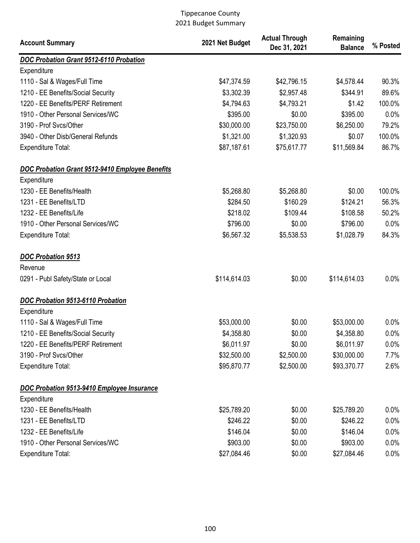| <b>Account Summary</b>                                             | 2021 Net Budget           | <b>Actual Through</b><br>Dec 31, 2021 | Remaining<br><b>Balance</b> | % Posted     |
|--------------------------------------------------------------------|---------------------------|---------------------------------------|-----------------------------|--------------|
| DOC Probation Grant 9512-6110 Probation                            |                           |                                       |                             |              |
| Expenditure                                                        |                           |                                       |                             |              |
| 1110 - Sal & Wages/Full Time                                       | \$47,374.59               | \$42,796.15                           | \$4,578.44                  | 90.3%        |
| 1210 - EE Benefits/Social Security                                 | \$3,302.39                | \$2,957.48                            | \$344.91                    | 89.6%        |
| 1220 - EE Benefits/PERF Retirement                                 | \$4,794.63                | \$4,793.21                            | \$1.42                      | 100.0%       |
| 1910 - Other Personal Services/WC                                  | \$395.00                  | \$0.00                                | \$395.00                    | 0.0%         |
| 3190 - Prof Svcs/Other                                             | \$30,000.00               | \$23,750.00                           | \$6,250.00                  | 79.2%        |
| 3940 - Other Disb/General Refunds                                  | \$1,321.00                | \$1,320.93                            | \$0.07                      | 100.0%       |
| <b>Expenditure Total:</b>                                          | \$87,187.61               | \$75,617.77                           | \$11,569.84                 | 86.7%        |
| <b>DOC Probation Grant 9512-9410 Employee Benefits</b>             |                           |                                       |                             |              |
| Expenditure                                                        |                           |                                       |                             |              |
| 1230 - EE Benefits/Health                                          | \$5,268.80                | \$5,268.80                            | \$0.00                      | 100.0%       |
| 1231 - EE Benefits/LTD                                             | \$284.50                  | \$160.29                              | \$124.21                    | 56.3%        |
| 1232 - EE Benefits/Life                                            | \$218.02                  | \$109.44                              | \$108.58                    | 50.2%        |
| 1910 - Other Personal Services/WC                                  | \$796.00                  | \$0.00                                | \$796.00                    | 0.0%         |
| <b>Expenditure Total:</b>                                          | \$6,567.32                | \$5,538.53                            | \$1,028.79                  | 84.3%        |
| <b>DOC Probation 9513</b>                                          |                           |                                       |                             |              |
| Revenue                                                            |                           |                                       |                             |              |
| 0291 - Publ Safety/State or Local                                  | \$114,614.03              | \$0.00                                | \$114,614.03                | 0.0%         |
| DOC Probation 9513-6110 Probation                                  |                           |                                       |                             |              |
| Expenditure                                                        |                           | \$0.00                                |                             |              |
| 1110 - Sal & Wages/Full Time<br>1210 - EE Benefits/Social Security | \$53,000.00<br>\$4,358.80 | \$0.00                                | \$53,000.00                 | 0.0%<br>0.0% |
| 1220 - EE Benefits/PERF Retirement                                 | \$6,011.97                | \$0.00                                | \$4,358.80<br>\$6,011.97    | $0.0\%$      |
| 3190 - Prof Svcs/Other                                             | \$32,500.00               | \$2,500.00                            | \$30,000.00                 | 7.7%         |
| <b>Expenditure Total:</b>                                          | \$95,870.77               | \$2,500.00                            | \$93,370.77                 | 2.6%         |
|                                                                    |                           |                                       |                             |              |
| DOC Probation 9513-9410 Employee Insurance                         |                           |                                       |                             |              |
| Expenditure                                                        |                           |                                       |                             |              |
| 1230 - EE Benefits/Health                                          | \$25,789.20               | \$0.00                                | \$25,789.20                 | $0.0\%$      |
| 1231 - EE Benefits/LTD                                             | \$246.22                  | \$0.00                                | \$246.22                    | $0.0\%$      |
| 1232 - EE Benefits/Life                                            | \$146.04                  | \$0.00                                | \$146.04                    | 0.0%         |
| 1910 - Other Personal Services/WC                                  | \$903.00                  | \$0.00                                | \$903.00                    | 0.0%         |
| <b>Expenditure Total:</b>                                          | \$27,084.46               | \$0.00                                | \$27,084.46                 | 0.0%         |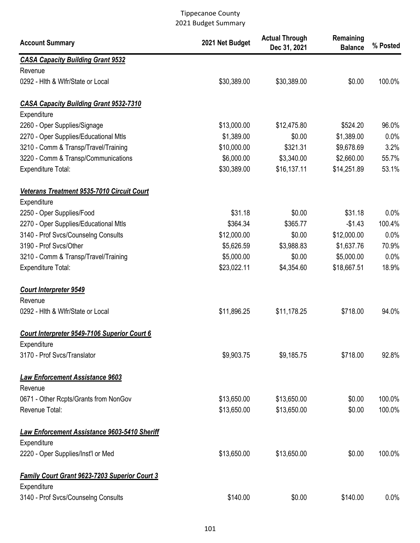| <b>Account Summary</b>                                       | 2021 Net Budget | <b>Actual Through</b><br>Dec 31, 2021 | Remaining<br><b>Balance</b> | % Posted |
|--------------------------------------------------------------|-----------------|---------------------------------------|-----------------------------|----------|
| <b>CASA Capacity Building Grant 9532</b>                     |                 |                                       |                             |          |
| Revenue                                                      |                 |                                       |                             |          |
| 0292 - Hith & Wifr/State or Local                            | \$30,389.00     | \$30,389.00                           | \$0.00                      | 100.0%   |
| <b>CASA Capacity Building Grant 9532-7310</b>                |                 |                                       |                             |          |
| Expenditure                                                  |                 |                                       |                             |          |
| 2260 - Oper Supplies/Signage                                 | \$13,000.00     | \$12,475.80                           | \$524.20                    | 96.0%    |
| 2270 - Oper Supplies/Educational Mtls                        | \$1,389.00      | \$0.00                                | \$1,389.00                  | 0.0%     |
| 3210 - Comm & Transp/Travel/Training                         | \$10,000.00     | \$321.31                              | \$9,678.69                  | 3.2%     |
| 3220 - Comm & Transp/Communications                          | \$6,000.00      | \$3,340.00                            | \$2,660.00                  | 55.7%    |
| <b>Expenditure Total:</b>                                    | \$30,389.00     | \$16,137.11                           | \$14,251.89                 | 53.1%    |
| Veterans Treatment 9535-7010 Circuit Court                   |                 |                                       |                             |          |
| Expenditure                                                  |                 |                                       |                             |          |
| 2250 - Oper Supplies/Food                                    | \$31.18         | \$0.00                                | \$31.18                     | 0.0%     |
| 2270 - Oper Supplies/Educational Mtls                        | \$364.34        | \$365.77                              | $-$1.43$                    | 100.4%   |
| 3140 - Prof Svcs/Counselng Consults                          | \$12,000.00     | \$0.00                                | \$12,000.00                 | 0.0%     |
| 3190 - Prof Svcs/Other                                       | \$5,626.59      | \$3,988.83                            | \$1,637.76                  | 70.9%    |
| 3210 - Comm & Transp/Travel/Training                         | \$5,000.00      | \$0.00                                | \$5,000.00                  | 0.0%     |
| <b>Expenditure Total:</b>                                    | \$23,022.11     | \$4,354.60                            | \$18,667.51                 | 18.9%    |
| <b>Court Interpreter 9549</b>                                |                 |                                       |                             |          |
| Revenue                                                      |                 |                                       |                             |          |
| 0292 - Hith & Wifr/State or Local                            | \$11,896.25     | \$11,178.25                           | \$718.00                    | 94.0%    |
| Court Interpreter 9549-7106 Superior Court 6                 |                 |                                       |                             |          |
| Expenditure                                                  |                 |                                       |                             |          |
| 3170 - Prof Svcs/Translator                                  | \$9,903.75      | \$9,185.75                            | \$718.00                    | 92.8%    |
| <b>Law Enforcement Assistance 9603</b>                       |                 |                                       |                             |          |
| Revenue                                                      |                 |                                       |                             |          |
| 0671 - Other Rcpts/Grants from NonGov                        | \$13,650.00     | \$13,650.00                           | \$0.00                      | 100.0%   |
| Revenue Total:                                               | \$13,650.00     | \$13,650.00                           | \$0.00                      | 100.0%   |
| <b>Law Enforcement Assistance 9603-5410 Sheriff</b>          |                 |                                       |                             |          |
| Expenditure                                                  |                 |                                       |                             |          |
| 2220 - Oper Supplies/Inst'l or Med                           | \$13,650.00     | \$13,650.00                           | \$0.00                      | 100.0%   |
| Family Court Grant 9623-7203 Superior Court 3<br>Expenditure |                 |                                       |                             |          |
| 3140 - Prof Svcs/Counselng Consults                          | \$140.00        | \$0.00                                | \$140.00                    | 0.0%     |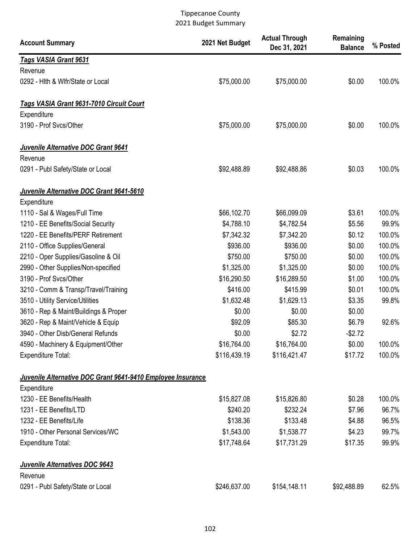| <b>Account Summary</b>                                      | 2021 Net Budget | <b>Actual Through</b><br>Dec 31, 2021 | Remaining<br><b>Balance</b> | % Posted |
|-------------------------------------------------------------|-----------------|---------------------------------------|-----------------------------|----------|
| Tags VASIA Grant 9631                                       |                 |                                       |                             |          |
| Revenue                                                     |                 |                                       |                             |          |
| 0292 - Hith & Wifr/State or Local                           | \$75,000.00     | \$75,000.00                           | \$0.00                      | 100.0%   |
| Tags VASIA Grant 9631-7010 Circuit Court                    |                 |                                       |                             |          |
| Expenditure                                                 |                 |                                       |                             |          |
| 3190 - Prof Svcs/Other                                      | \$75,000.00     | \$75,000.00                           | \$0.00                      | 100.0%   |
| Juvenile Alternative DOC Grant 9641                         |                 |                                       |                             |          |
| Revenue                                                     |                 |                                       |                             |          |
| 0291 - Publ Safety/State or Local                           | \$92,488.89     | \$92,488.86                           | \$0.03                      | 100.0%   |
| Juvenile Alternative DOC Grant 9641-5610                    |                 |                                       |                             |          |
| Expenditure                                                 |                 |                                       |                             |          |
| 1110 - Sal & Wages/Full Time                                | \$66,102.70     | \$66,099.09                           | \$3.61                      | 100.0%   |
| 1210 - EE Benefits/Social Security                          | \$4,788.10      | \$4,782.54                            | \$5.56                      | 99.9%    |
| 1220 - EE Benefits/PERF Retirement                          | \$7,342.32      | \$7,342.20                            | \$0.12                      | 100.0%   |
| 2110 - Office Supplies/General                              | \$936.00        | \$936.00                              | \$0.00                      | 100.0%   |
| 2210 - Oper Supplies/Gasoline & Oil                         | \$750.00        | \$750.00                              | \$0.00                      | 100.0%   |
| 2990 - Other Supplies/Non-specified                         | \$1,325.00      | \$1,325.00                            | \$0.00                      | 100.0%   |
| 3190 - Prof Svcs/Other                                      | \$16,290.50     | \$16,289.50                           | \$1.00                      | 100.0%   |
| 3210 - Comm & Transp/Travel/Training                        | \$416.00        | \$415.99                              | \$0.01                      | 100.0%   |
| 3510 - Utility Service/Utilities                            | \$1,632.48      | \$1,629.13                            | \$3.35                      | 99.8%    |
| 3610 - Rep & Maint/Buildings & Proper                       | \$0.00          | \$0.00                                | \$0.00                      |          |
| 3620 - Rep & Maint/Vehicle & Equip                          | \$92.09         | \$85.30                               | \$6.79                      | 92.6%    |
| 3940 - Other Disb/General Refunds                           | \$0.00          | \$2.72                                | $-$2.72$                    |          |
| 4590 - Machinery & Equipment/Other                          | \$16,764.00     | \$16,764.00                           | \$0.00                      | 100.0%   |
| Expenditure Total:                                          | \$116,439.19    | \$116,421.47                          | \$17.72                     | 100.0%   |
| Juvenile Alternative DOC Grant 9641-9410 Employee Insurance |                 |                                       |                             |          |
| Expenditure                                                 |                 |                                       |                             |          |
| 1230 - EE Benefits/Health                                   | \$15,827.08     | \$15,826.80                           | \$0.28                      | 100.0%   |
| 1231 - EE Benefits/LTD                                      | \$240.20        | \$232.24                              | \$7.96                      | 96.7%    |
| 1232 - EE Benefits/Life                                     | \$138.36        | \$133.48                              | \$4.88                      | 96.5%    |
| 1910 - Other Personal Services/WC                           | \$1,543.00      | \$1,538.77                            | \$4.23                      | 99.7%    |
| <b>Expenditure Total:</b>                                   | \$17,748.64     | \$17,731.29                           | \$17.35                     | 99.9%    |
| Juvenile Alternatives DOC 9643<br>Revenue                   |                 |                                       |                             |          |
| 0291 - Publ Safety/State or Local                           | \$246,637.00    | \$154,148.11                          | \$92,488.89                 | 62.5%    |